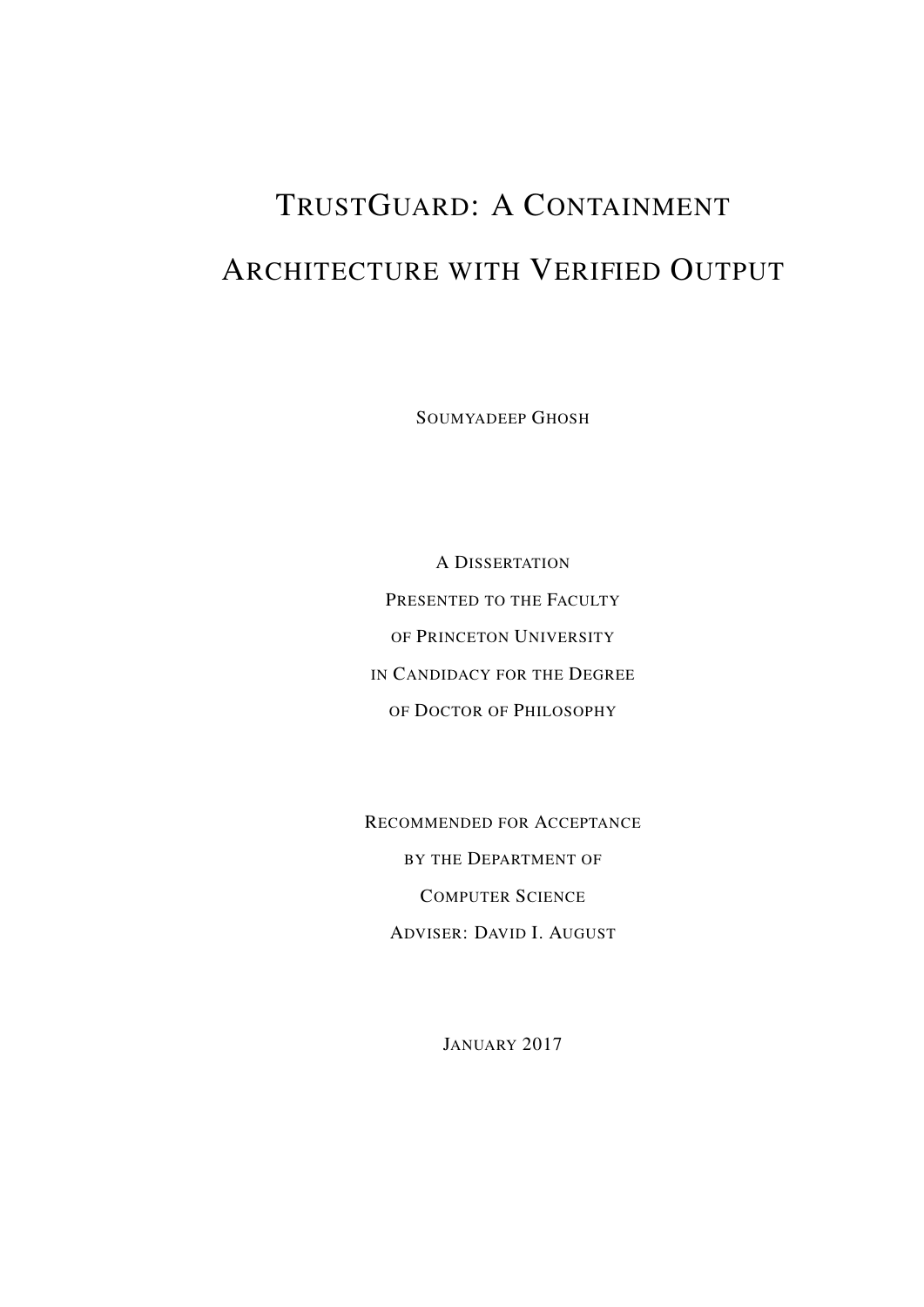# TRUSTGUARD: A CONTAINMENT ARCHITECTURE WITH VERIFIED OUTPUT

SOUMYADEEP GHOSH

A DISSERTATION PRESENTED TO THE FACULTY OF PRINCETON UNIVERSITY IN CANDIDACY FOR THE DEGREE OF DOCTOR OF PHILOSOPHY

RECOMMENDED FOR ACCEPTANCE BY THE DEPARTMENT OF COMPUTER SCIENCE ADVISER: DAVID I. AUGUST

JANUARY 2017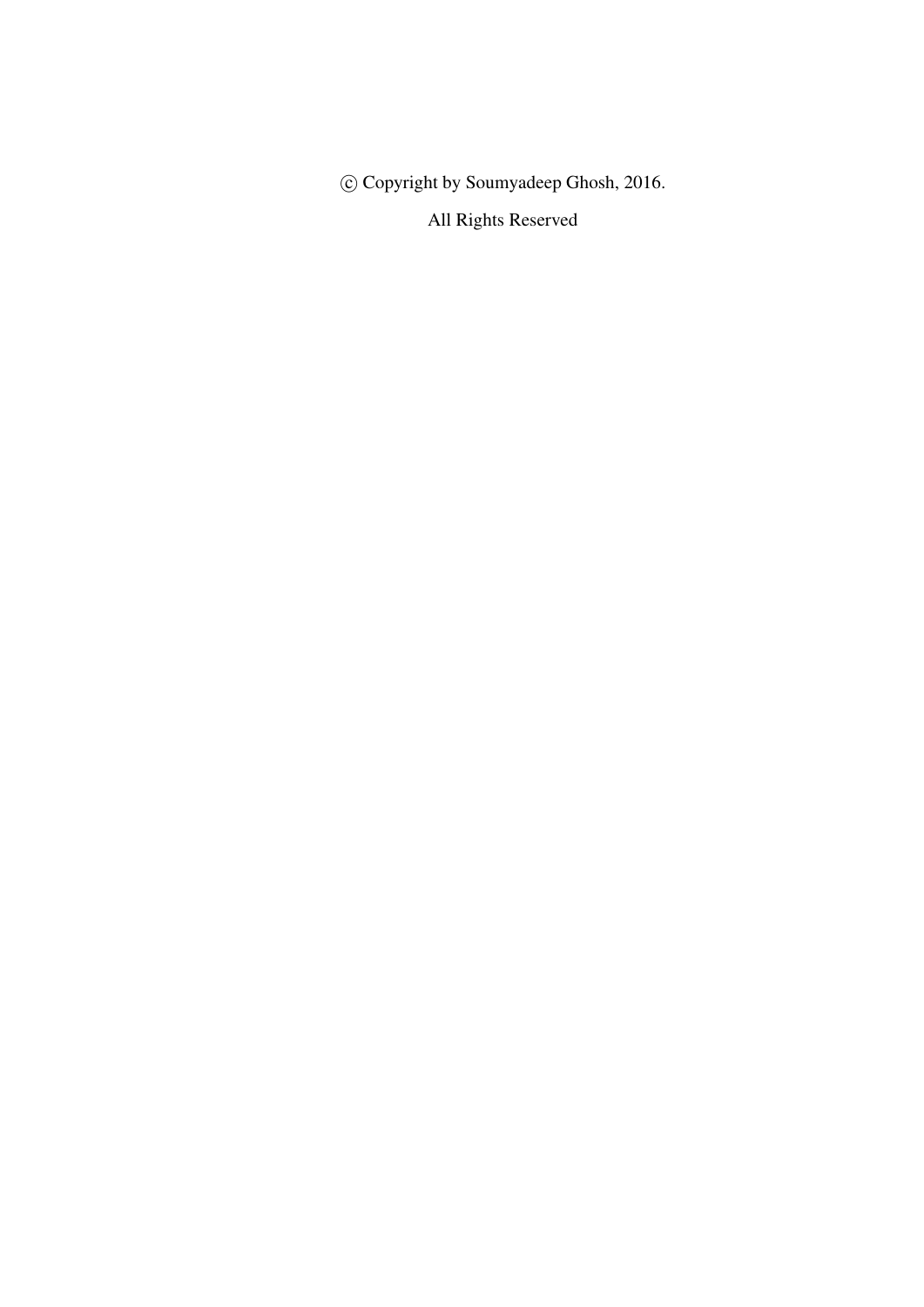c Copyright by Soumyadeep Ghosh, 2016.

All Rights Reserved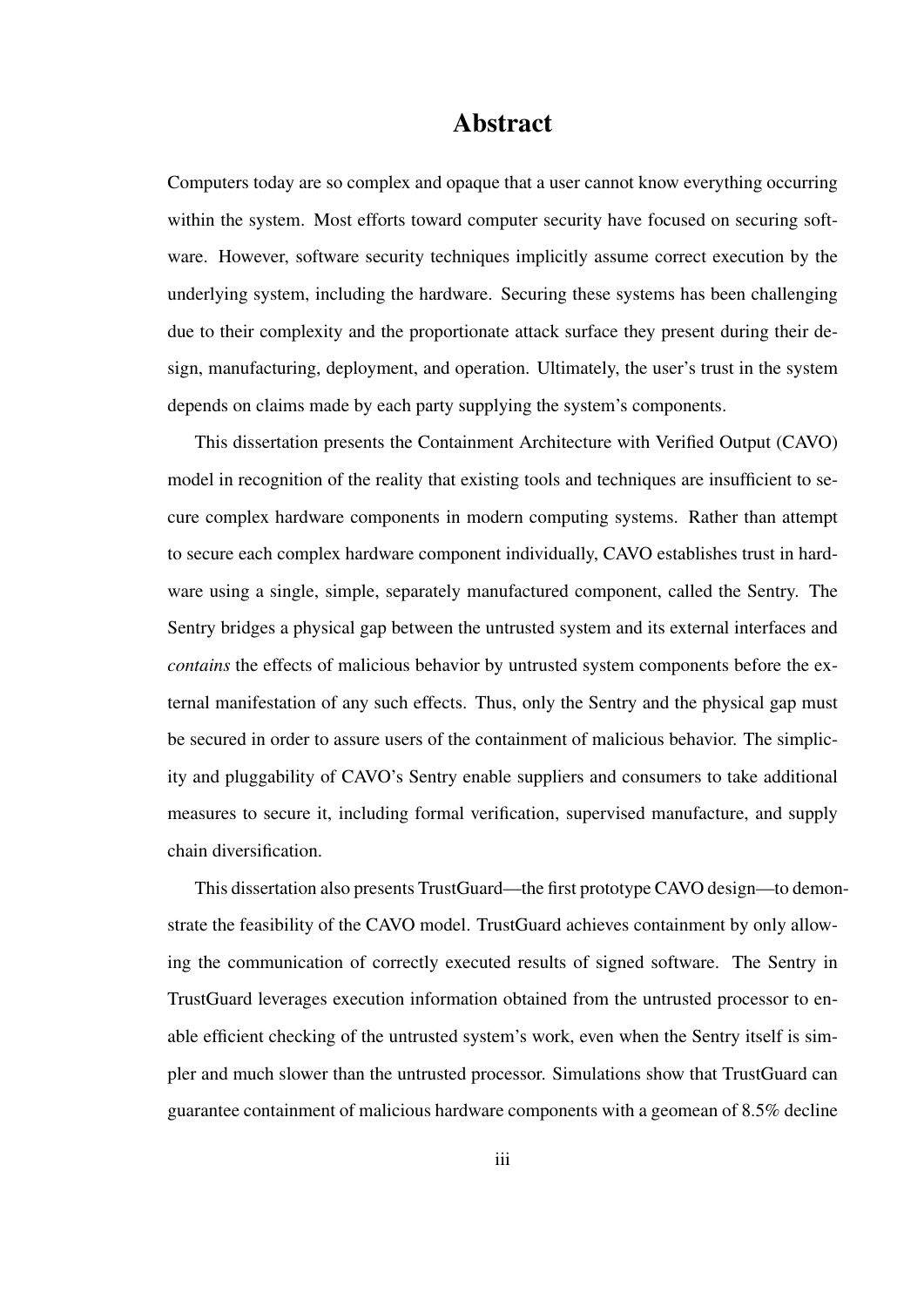#### Abstract

Computers today are so complex and opaque that a user cannot know everything occurring within the system. Most efforts toward computer security have focused on securing software. However, software security techniques implicitly assume correct execution by the underlying system, including the hardware. Securing these systems has been challenging due to their complexity and the proportionate attack surface they present during their design, manufacturing, deployment, and operation. Ultimately, the user's trust in the system depends on claims made by each party supplying the system's components.

This dissertation presents the Containment Architecture with Verified Output (CAVO) model in recognition of the reality that existing tools and techniques are insufficient to secure complex hardware components in modern computing systems. Rather than attempt to secure each complex hardware component individually, CAVO establishes trust in hardware using a single, simple, separately manufactured component, called the Sentry. The Sentry bridges a physical gap between the untrusted system and its external interfaces and *contains* the effects of malicious behavior by untrusted system components before the external manifestation of any such effects. Thus, only the Sentry and the physical gap must be secured in order to assure users of the containment of malicious behavior. The simplicity and pluggability of CAVO's Sentry enable suppliers and consumers to take additional measures to secure it, including formal verification, supervised manufacture, and supply chain diversification.

This dissertation also presents TrustGuard—the first prototype CAVO design—to demonstrate the feasibility of the CAVO model. TrustGuard achieves containment by only allowing the communication of correctly executed results of signed software. The Sentry in TrustGuard leverages execution information obtained from the untrusted processor to enable efficient checking of the untrusted system's work, even when the Sentry itself is simpler and much slower than the untrusted processor. Simulations show that TrustGuard can guarantee containment of malicious hardware components with a geomean of 8.5% decline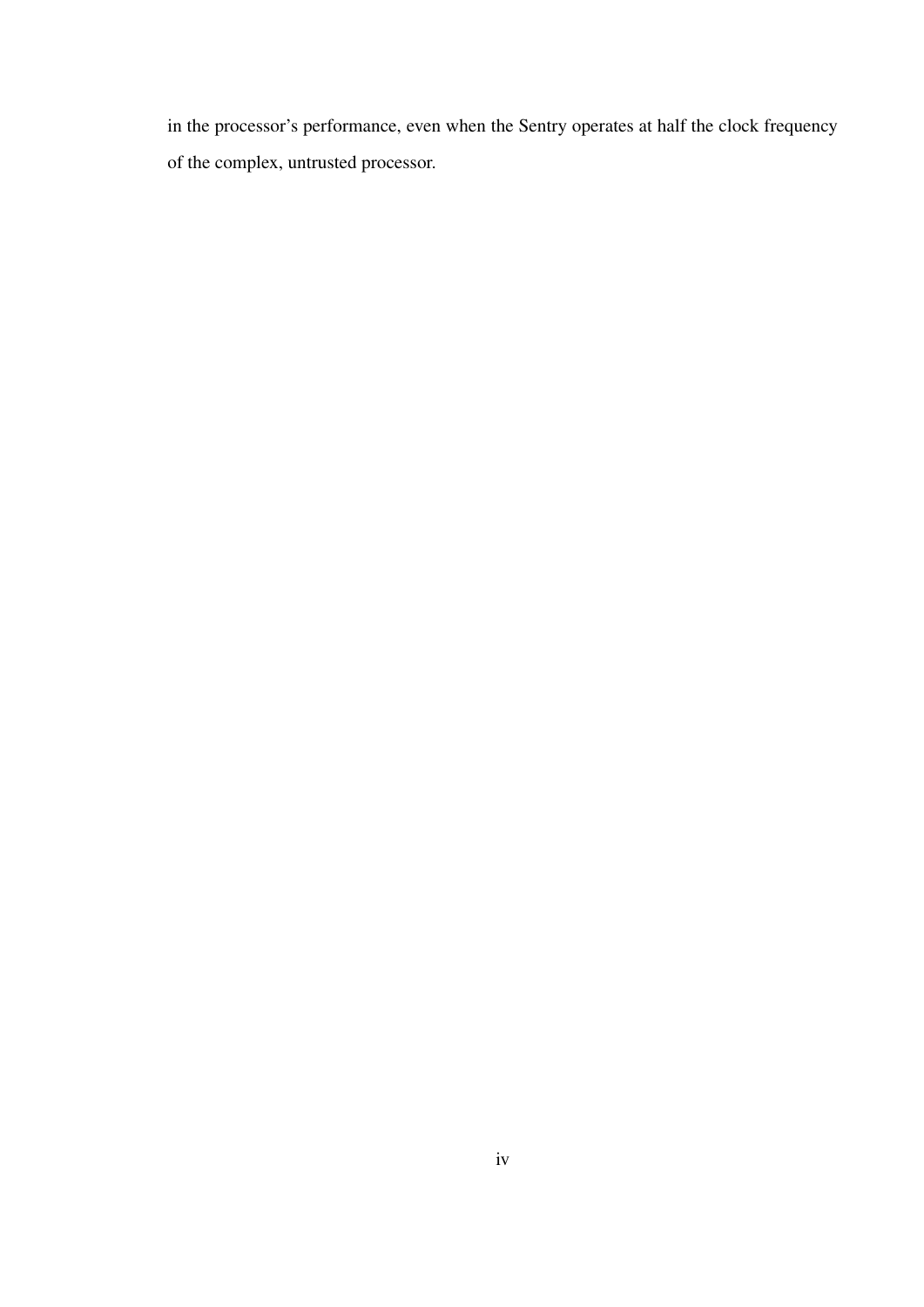in the processor's performance, even when the Sentry operates at half the clock frequency of the complex, untrusted processor.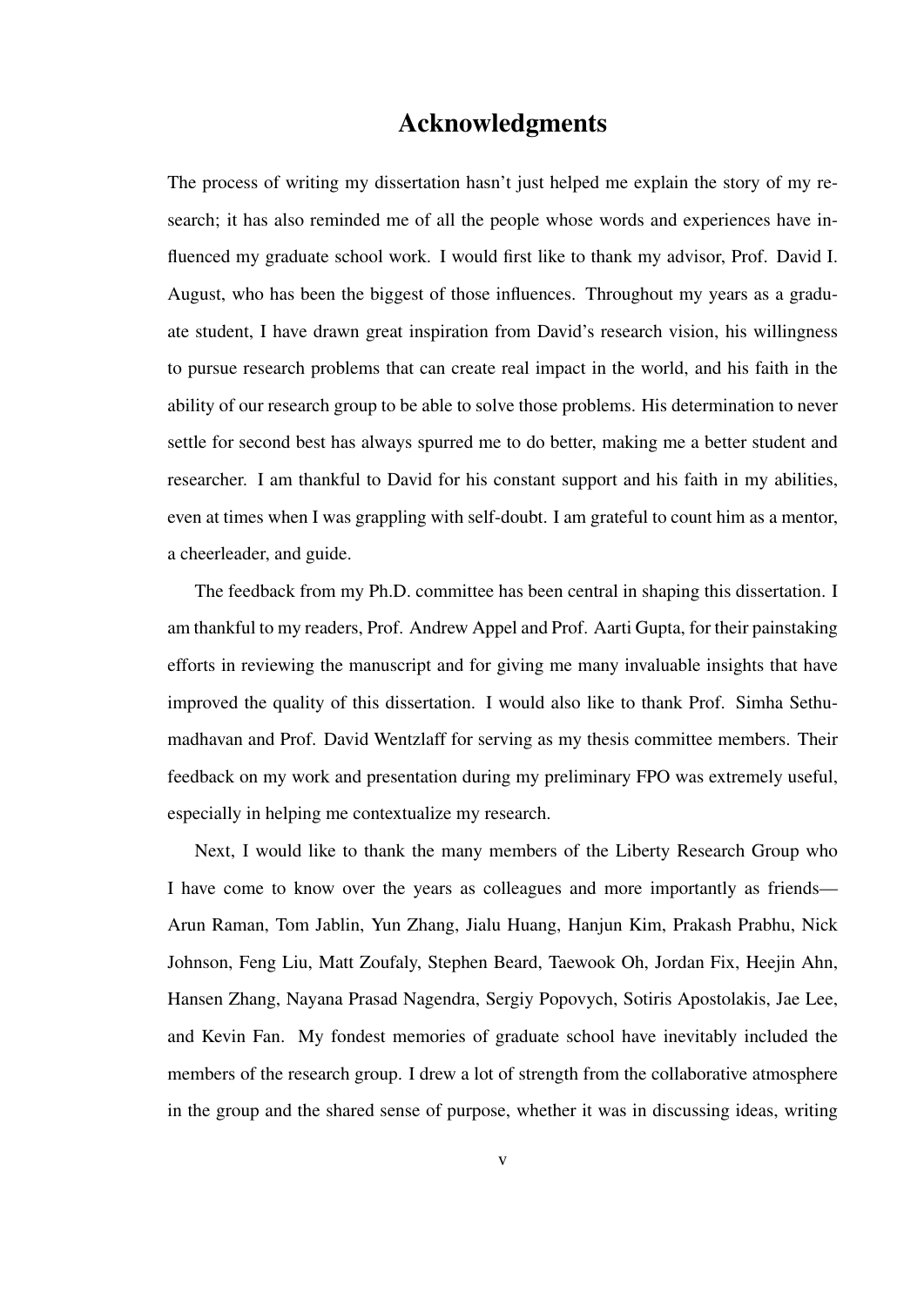#### Acknowledgments

The process of writing my dissertation hasn't just helped me explain the story of my research; it has also reminded me of all the people whose words and experiences have influenced my graduate school work. I would first like to thank my advisor, Prof. David I. August, who has been the biggest of those influences. Throughout my years as a graduate student, I have drawn great inspiration from David's research vision, his willingness to pursue research problems that can create real impact in the world, and his faith in the ability of our research group to be able to solve those problems. His determination to never settle for second best has always spurred me to do better, making me a better student and researcher. I am thankful to David for his constant support and his faith in my abilities, even at times when I was grappling with self-doubt. I am grateful to count him as a mentor, a cheerleader, and guide.

The feedback from my Ph.D. committee has been central in shaping this dissertation. I am thankful to my readers, Prof. Andrew Appel and Prof. Aarti Gupta, for their painstaking efforts in reviewing the manuscript and for giving me many invaluable insights that have improved the quality of this dissertation. I would also like to thank Prof. Simha Sethumadhavan and Prof. David Wentzlaff for serving as my thesis committee members. Their feedback on my work and presentation during my preliminary FPO was extremely useful, especially in helping me contextualize my research.

Next, I would like to thank the many members of the Liberty Research Group who I have come to know over the years as colleagues and more importantly as friends— Arun Raman, Tom Jablin, Yun Zhang, Jialu Huang, Hanjun Kim, Prakash Prabhu, Nick Johnson, Feng Liu, Matt Zoufaly, Stephen Beard, Taewook Oh, Jordan Fix, Heejin Ahn, Hansen Zhang, Nayana Prasad Nagendra, Sergiy Popovych, Sotiris Apostolakis, Jae Lee, and Kevin Fan. My fondest memories of graduate school have inevitably included the members of the research group. I drew a lot of strength from the collaborative atmosphere in the group and the shared sense of purpose, whether it was in discussing ideas, writing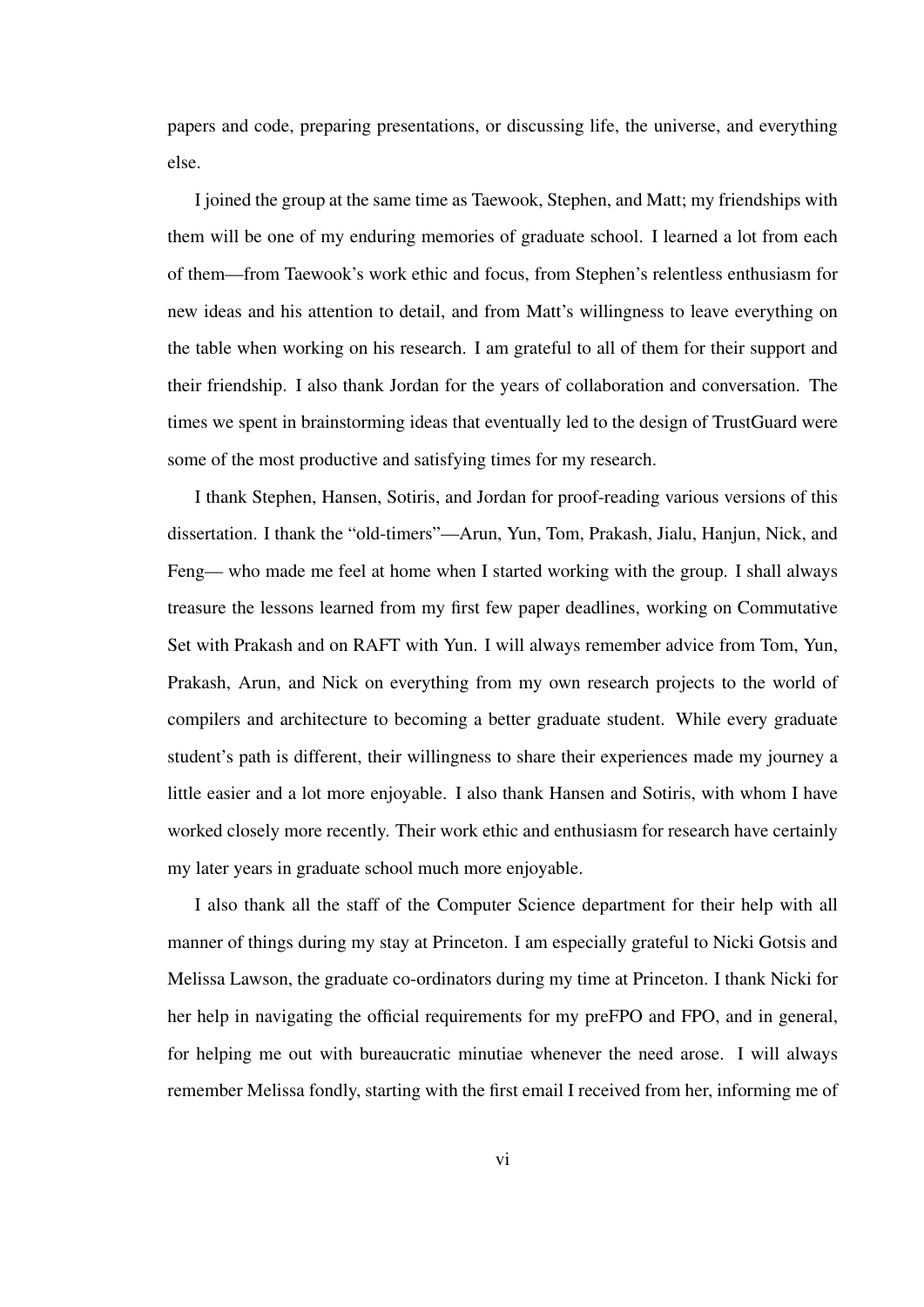papers and code, preparing presentations, or discussing life, the universe, and everything else.

I joined the group at the same time as Taewook, Stephen, and Matt; my friendships with them will be one of my enduring memories of graduate school. I learned a lot from each of them—from Taewook's work ethic and focus, from Stephen's relentless enthusiasm for new ideas and his attention to detail, and from Matt's willingness to leave everything on the table when working on his research. I am grateful to all of them for their support and their friendship. I also thank Jordan for the years of collaboration and conversation. The times we spent in brainstorming ideas that eventually led to the design of TrustGuard were some of the most productive and satisfying times for my research.

I thank Stephen, Hansen, Sotiris, and Jordan for proof-reading various versions of this dissertation. I thank the "old-timers"—Arun, Yun, Tom, Prakash, Jialu, Hanjun, Nick, and Feng— who made me feel at home when I started working with the group. I shall always treasure the lessons learned from my first few paper deadlines, working on Commutative Set with Prakash and on RAFT with Yun. I will always remember advice from Tom, Yun, Prakash, Arun, and Nick on everything from my own research projects to the world of compilers and architecture to becoming a better graduate student. While every graduate student's path is different, their willingness to share their experiences made my journey a little easier and a lot more enjoyable. I also thank Hansen and Sotiris, with whom I have worked closely more recently. Their work ethic and enthusiasm for research have certainly my later years in graduate school much more enjoyable.

I also thank all the staff of the Computer Science department for their help with all manner of things during my stay at Princeton. I am especially grateful to Nicki Gotsis and Melissa Lawson, the graduate co-ordinators during my time at Princeton. I thank Nicki for her help in navigating the official requirements for my preFPO and FPO, and in general, for helping me out with bureaucratic minutiae whenever the need arose. I will always remember Melissa fondly, starting with the first email I received from her, informing me of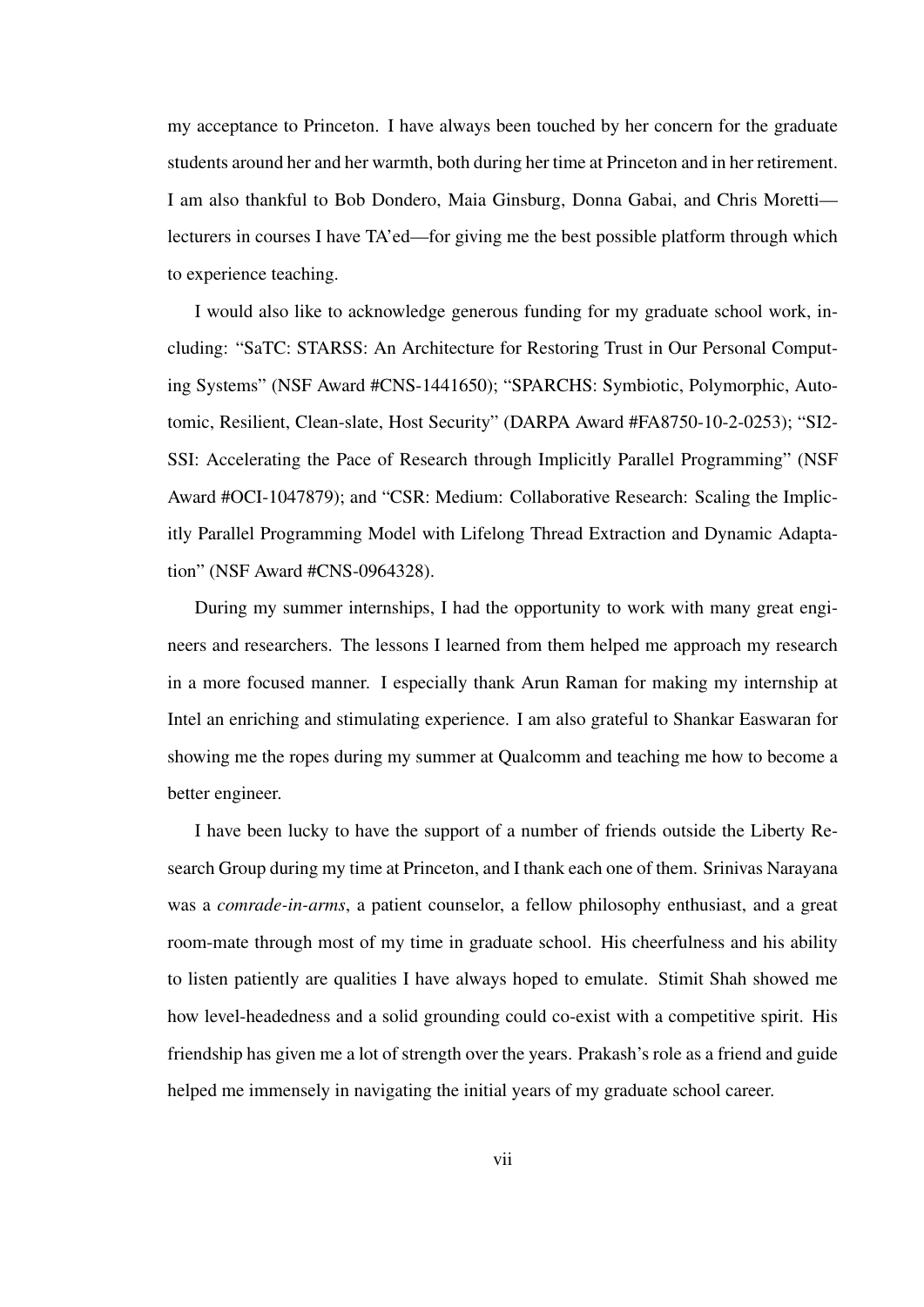my acceptance to Princeton. I have always been touched by her concern for the graduate students around her and her warmth, both during her time at Princeton and in her retirement. I am also thankful to Bob Dondero, Maia Ginsburg, Donna Gabai, and Chris Moretti lecturers in courses I have TA'ed—for giving me the best possible platform through which to experience teaching.

I would also like to acknowledge generous funding for my graduate school work, including: "SaTC: STARSS: An Architecture for Restoring Trust in Our Personal Computing Systems" (NSF Award #CNS-1441650); "SPARCHS: Symbiotic, Polymorphic, Autotomic, Resilient, Clean-slate, Host Security" (DARPA Award #FA8750-10-2-0253); "SI2- SSI: Accelerating the Pace of Research through Implicitly Parallel Programming" (NSF Award #OCI-1047879); and "CSR: Medium: Collaborative Research: Scaling the Implicitly Parallel Programming Model with Lifelong Thread Extraction and Dynamic Adaptation" (NSF Award #CNS-0964328).

During my summer internships, I had the opportunity to work with many great engineers and researchers. The lessons I learned from them helped me approach my research in a more focused manner. I especially thank Arun Raman for making my internship at Intel an enriching and stimulating experience. I am also grateful to Shankar Easwaran for showing me the ropes during my summer at Qualcomm and teaching me how to become a better engineer.

I have been lucky to have the support of a number of friends outside the Liberty Research Group during my time at Princeton, and I thank each one of them. Srinivas Narayana was a *comrade-in-arms*, a patient counselor, a fellow philosophy enthusiast, and a great room-mate through most of my time in graduate school. His cheerfulness and his ability to listen patiently are qualities I have always hoped to emulate. Stimit Shah showed me how level-headedness and a solid grounding could co-exist with a competitive spirit. His friendship has given me a lot of strength over the years. Prakash's role as a friend and guide helped me immensely in navigating the initial years of my graduate school career.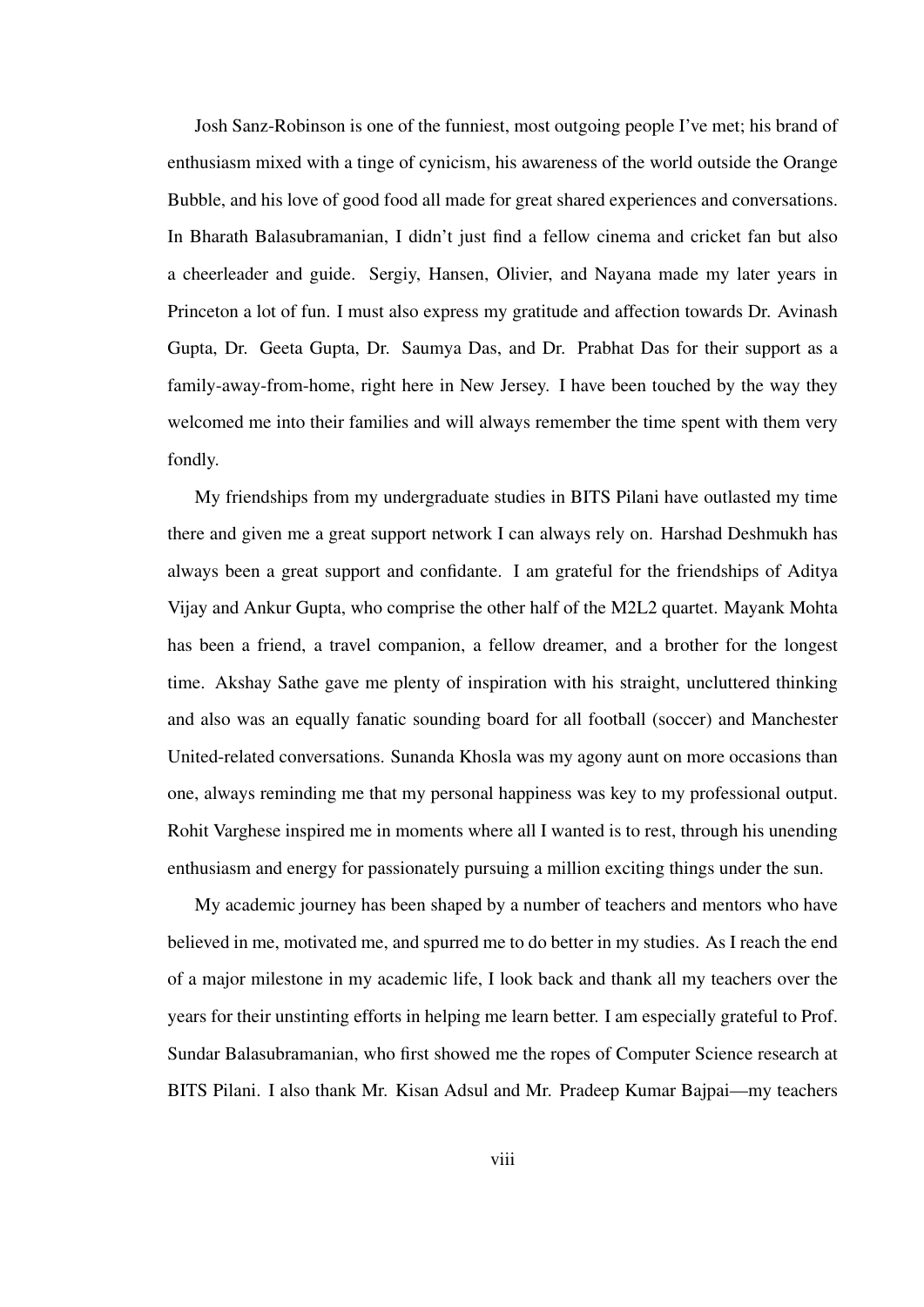Josh Sanz-Robinson is one of the funniest, most outgoing people I've met; his brand of enthusiasm mixed with a tinge of cynicism, his awareness of the world outside the Orange Bubble, and his love of good food all made for great shared experiences and conversations. In Bharath Balasubramanian, I didn't just find a fellow cinema and cricket fan but also a cheerleader and guide. Sergiy, Hansen, Olivier, and Nayana made my later years in Princeton a lot of fun. I must also express my gratitude and affection towards Dr. Avinash Gupta, Dr. Geeta Gupta, Dr. Saumya Das, and Dr. Prabhat Das for their support as a family-away-from-home, right here in New Jersey. I have been touched by the way they welcomed me into their families and will always remember the time spent with them very fondly.

My friendships from my undergraduate studies in BITS Pilani have outlasted my time there and given me a great support network I can always rely on. Harshad Deshmukh has always been a great support and confidante. I am grateful for the friendships of Aditya Vijay and Ankur Gupta, who comprise the other half of the M2L2 quartet. Mayank Mohta has been a friend, a travel companion, a fellow dreamer, and a brother for the longest time. Akshay Sathe gave me plenty of inspiration with his straight, uncluttered thinking and also was an equally fanatic sounding board for all football (soccer) and Manchester United-related conversations. Sunanda Khosla was my agony aunt on more occasions than one, always reminding me that my personal happiness was key to my professional output. Rohit Varghese inspired me in moments where all I wanted is to rest, through his unending enthusiasm and energy for passionately pursuing a million exciting things under the sun.

My academic journey has been shaped by a number of teachers and mentors who have believed in me, motivated me, and spurred me to do better in my studies. As I reach the end of a major milestone in my academic life, I look back and thank all my teachers over the years for their unstinting efforts in helping me learn better. I am especially grateful to Prof. Sundar Balasubramanian, who first showed me the ropes of Computer Science research at BITS Pilani. I also thank Mr. Kisan Adsul and Mr. Pradeep Kumar Bajpai—my teachers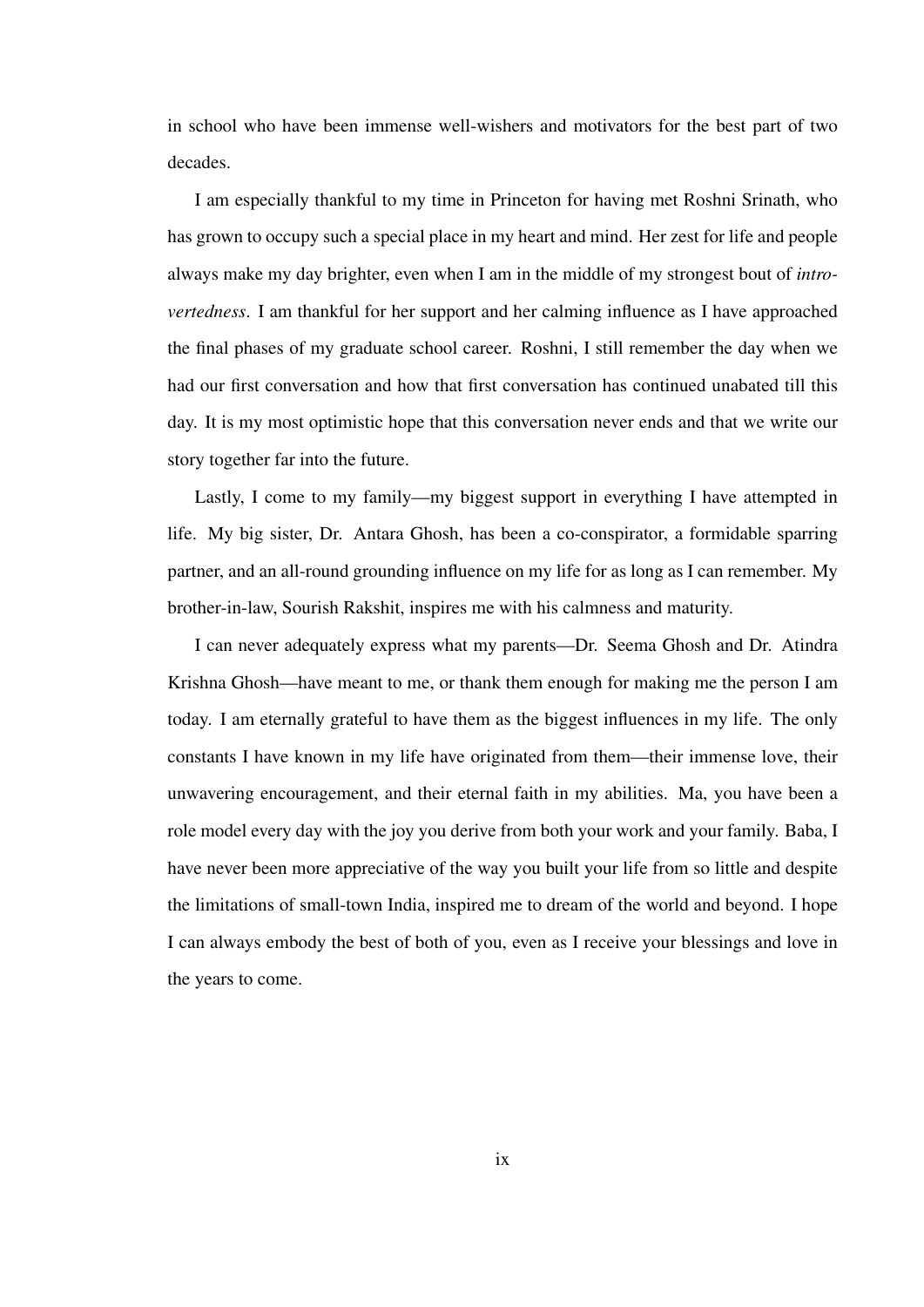in school who have been immense well-wishers and motivators for the best part of two decades.

I am especially thankful to my time in Princeton for having met Roshni Srinath, who has grown to occupy such a special place in my heart and mind. Her zest for life and people always make my day brighter, even when I am in the middle of my strongest bout of *introvertedness*. I am thankful for her support and her calming influence as I have approached the final phases of my graduate school career. Roshni, I still remember the day when we had our first conversation and how that first conversation has continued unabated till this day. It is my most optimistic hope that this conversation never ends and that we write our story together far into the future.

Lastly, I come to my family—my biggest support in everything I have attempted in life. My big sister, Dr. Antara Ghosh, has been a co-conspirator, a formidable sparring partner, and an all-round grounding influence on my life for as long as I can remember. My brother-in-law, Sourish Rakshit, inspires me with his calmness and maturity.

I can never adequately express what my parents—Dr. Seema Ghosh and Dr. Atindra Krishna Ghosh—have meant to me, or thank them enough for making me the person I am today. I am eternally grateful to have them as the biggest influences in my life. The only constants I have known in my life have originated from them—their immense love, their unwavering encouragement, and their eternal faith in my abilities. Ma, you have been a role model every day with the joy you derive from both your work and your family. Baba, I have never been more appreciative of the way you built your life from so little and despite the limitations of small-town India, inspired me to dream of the world and beyond. I hope I can always embody the best of both of you, even as I receive your blessings and love in the years to come.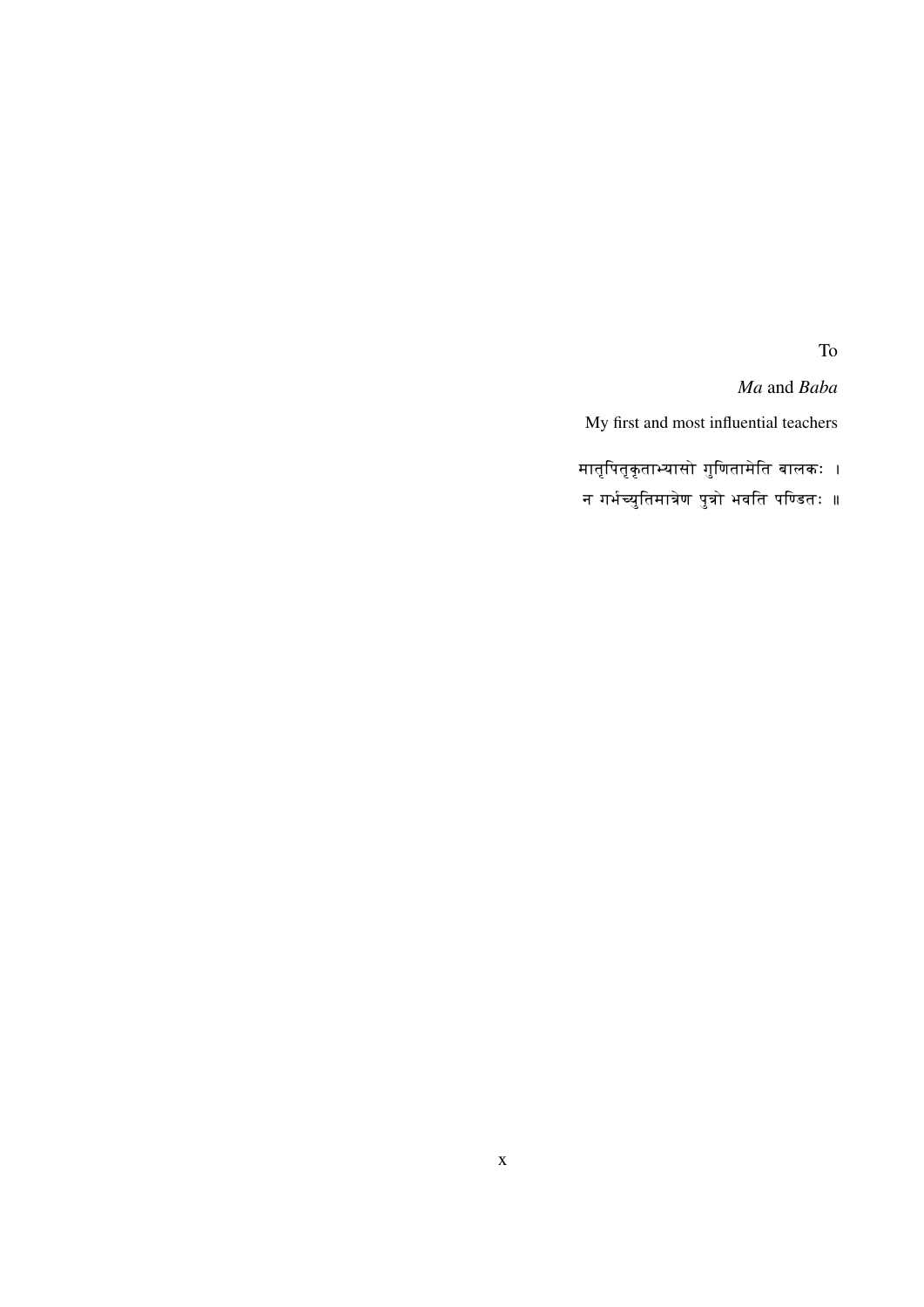To

*Ma* and *Baba*

My first and most influential teachers

- मातृपितृकृताभ्यासो गुणितामेति बालकः
- न गर्भच्युतिमात्रेण पुत्रो भवति पण्डितः <mark>॥</mark>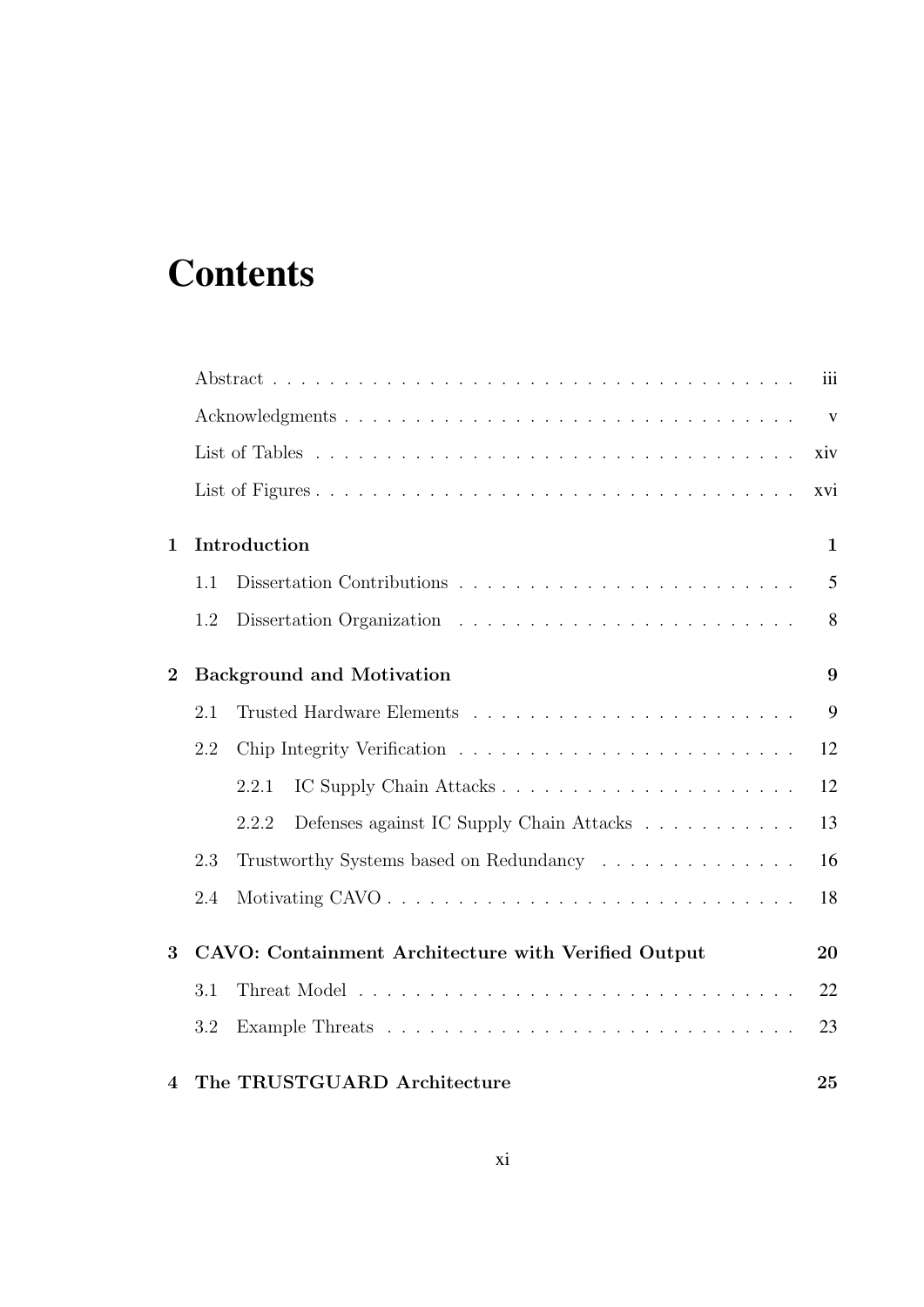## **Contents**

|                |     |                                                     | iii          |
|----------------|-----|-----------------------------------------------------|--------------|
|                |     |                                                     | $\mathbf{V}$ |
|                |     |                                                     | xiv          |
|                |     |                                                     | xvi          |
| $\mathbf 1$    |     | Introduction                                        | $\mathbf{1}$ |
|                | 1.1 |                                                     | 5            |
|                | 1.2 |                                                     | 8            |
| $\overline{2}$ |     | <b>Background and Motivation</b>                    | 9            |
|                | 2.1 |                                                     | 9            |
|                | 2.2 |                                                     | 12           |
|                |     | 2.2.1                                               | 12           |
|                |     | Defenses against IC Supply Chain Attacks<br>2.2.2   | 13           |
|                | 2.3 | Trustworthy Systems based on Redundancy             | 16           |
|                | 2.4 |                                                     | 18           |
| 3              |     | CAVO: Containment Architecture with Verified Output | 20           |
|                | 3.1 |                                                     | 22           |
|                | 3.2 |                                                     | 23           |
| $\overline{4}$ |     | The TRUSTGUARD Architecture                         | 25           |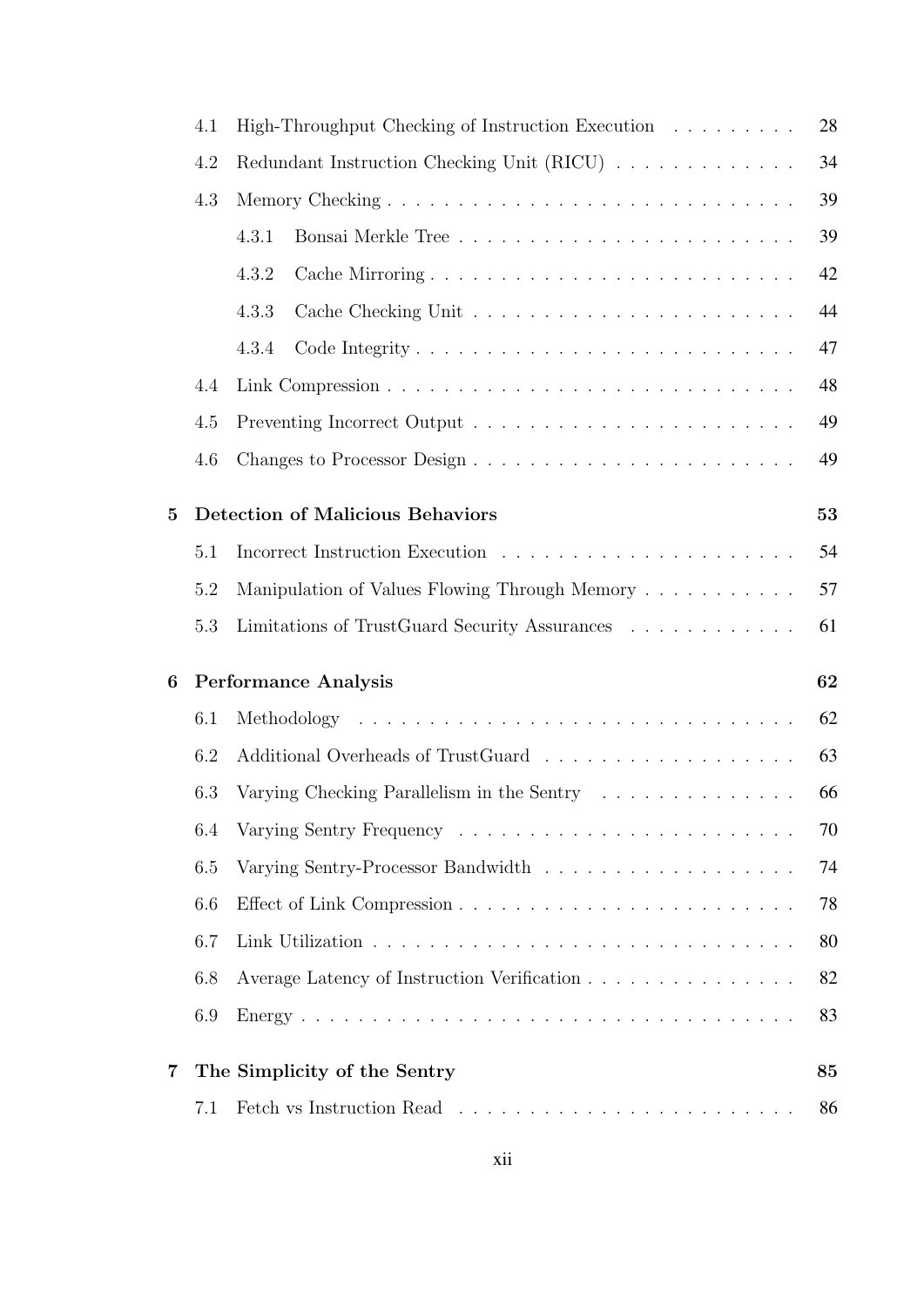|          | 6.2        |                                                   | 63       |
|----------|------------|---------------------------------------------------|----------|
|          |            |                                                   | 62       |
|          | 6.1        |                                                   |          |
| 6        |            | <b>Performance Analysis</b>                       | 62       |
|          | 5.3        | Limitations of TrustGuard Security Assurances     | 61       |
|          | 5.2        | Manipulation of Values Flowing Through Memory     | 57       |
|          | 5.1        |                                                   | 54       |
| $\bf{5}$ |            | <b>Detection of Malicious Behaviors</b>           | 53       |
|          |            |                                                   |          |
|          | 4.5<br>4.6 |                                                   | 49       |
|          | 4.4        |                                                   | 48<br>49 |
|          |            | 4.3.4                                             | 47       |
|          |            | 4.3.3                                             | 44       |
|          |            | 4.3.2                                             | 42       |
|          |            | 4.3.1                                             | 39       |
|          | 4.3        |                                                   | 39       |
|          | 4.2        | Redundant Instruction Checking Unit (RICU)        | 34       |
|          | 4.1        | High-Throughput Checking of Instruction Execution |          |
|          |            |                                                   | 28       |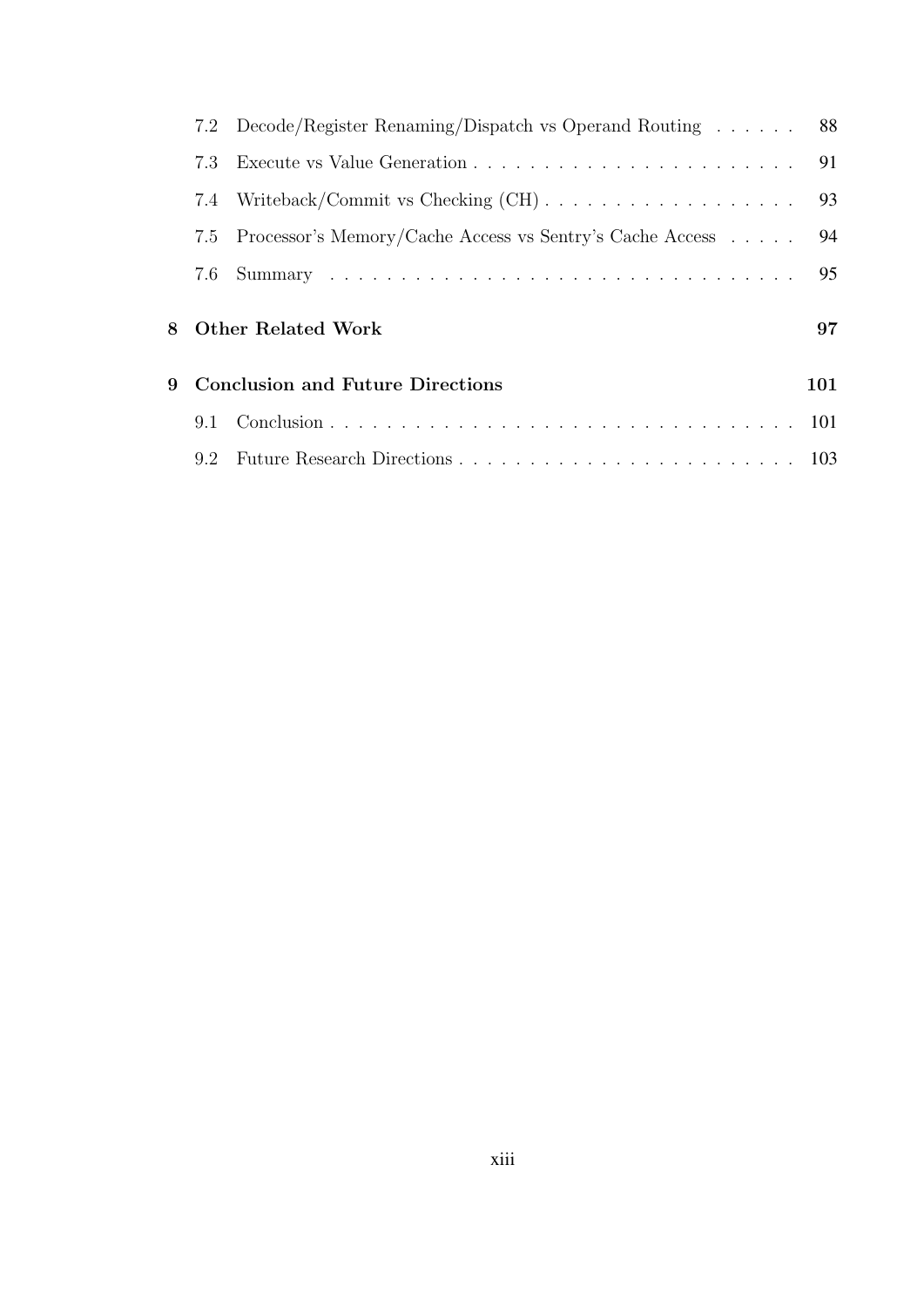|     | 7.2 Decode/Register Renaming/Dispatch vs Operand Routing 88     |     |
|-----|-----------------------------------------------------------------|-----|
| 7.3 |                                                                 |     |
|     | 7.4 Writeback/Commit vs Checking (CH)                           | 93  |
|     | 7.5 Processor's Memory/Cache Access vs Sentry's Cache Access 94 |     |
|     |                                                                 | 95  |
|     |                                                                 |     |
|     | 8 Other Related Work                                            | 97  |
|     | 9 Conclusion and Future Directions                              | 101 |
|     |                                                                 |     |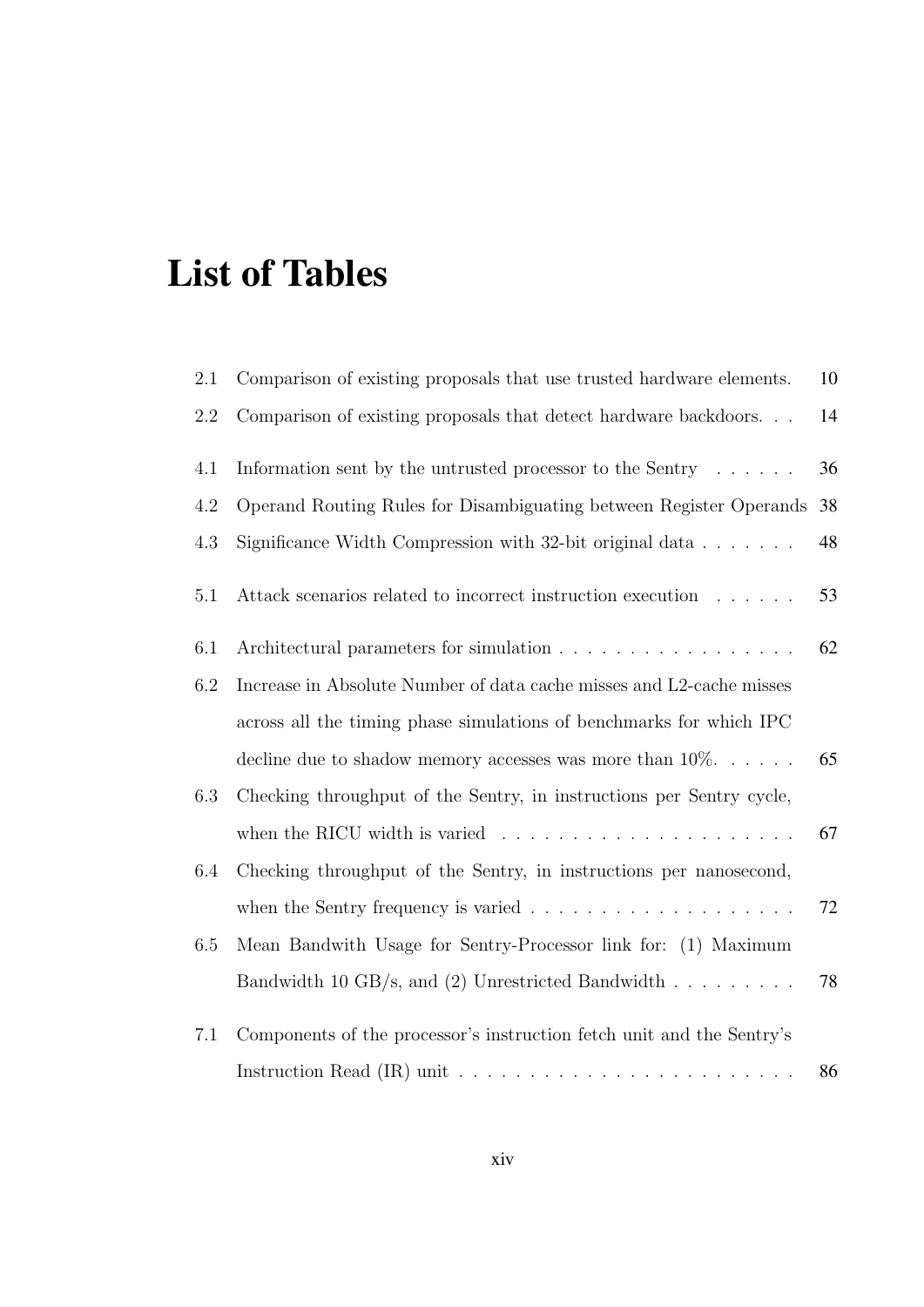## List of Tables

| 2.1     | Comparison of existing proposals that use trusted hardware elements.             | 10 |
|---------|----------------------------------------------------------------------------------|----|
| $2.2\,$ | Comparison of existing proposals that detect hardware backdoors                  | 14 |
| 4.1     | Information sent by the untrusted processor to the Sentry $\dots \dots$          | 36 |
| 4.2     | Operand Routing Rules for Disambiguating between Register Operands               | 38 |
| 4.3     | Significance Width Compression with 32-bit original data $\ldots$                | 48 |
| 5.1     | Attack scenarios related to incorrect instruction execution                      | 53 |
| 6.1     | Architectural parameters for simulation                                          | 62 |
| 6.2     | Increase in Absolute Number of data cache misses and L2-cache misses             |    |
|         | across all the timing phase simulations of benchmarks for which IPC              |    |
|         | decline due to shadow memory accesses was more than $10\%$                       | 65 |
| 6.3     | Checking throughput of the Sentry, in instructions per Sentry cycle,             |    |
|         | when the RICU width is varied $\ldots \ldots \ldots \ldots \ldots \ldots \ldots$ | 67 |
| 6.4     | Checking throughput of the Sentry, in instructions per nanosecond,               |    |
|         | when the Sentry frequency is varied $\ldots \ldots \ldots \ldots \ldots \ldots$  | 72 |
| 6.5     | Mean Bandwith Usage for Sentry-Processor link for: (1) Maximum                   |    |
|         | Bandwidth 10 GB/s, and (2) Unrestricted Bandwidth $\ldots \ldots \ldots$         | 78 |
| 7.1     | Components of the processor's instruction fetch unit and the Sentry's            |    |
|         |                                                                                  | 86 |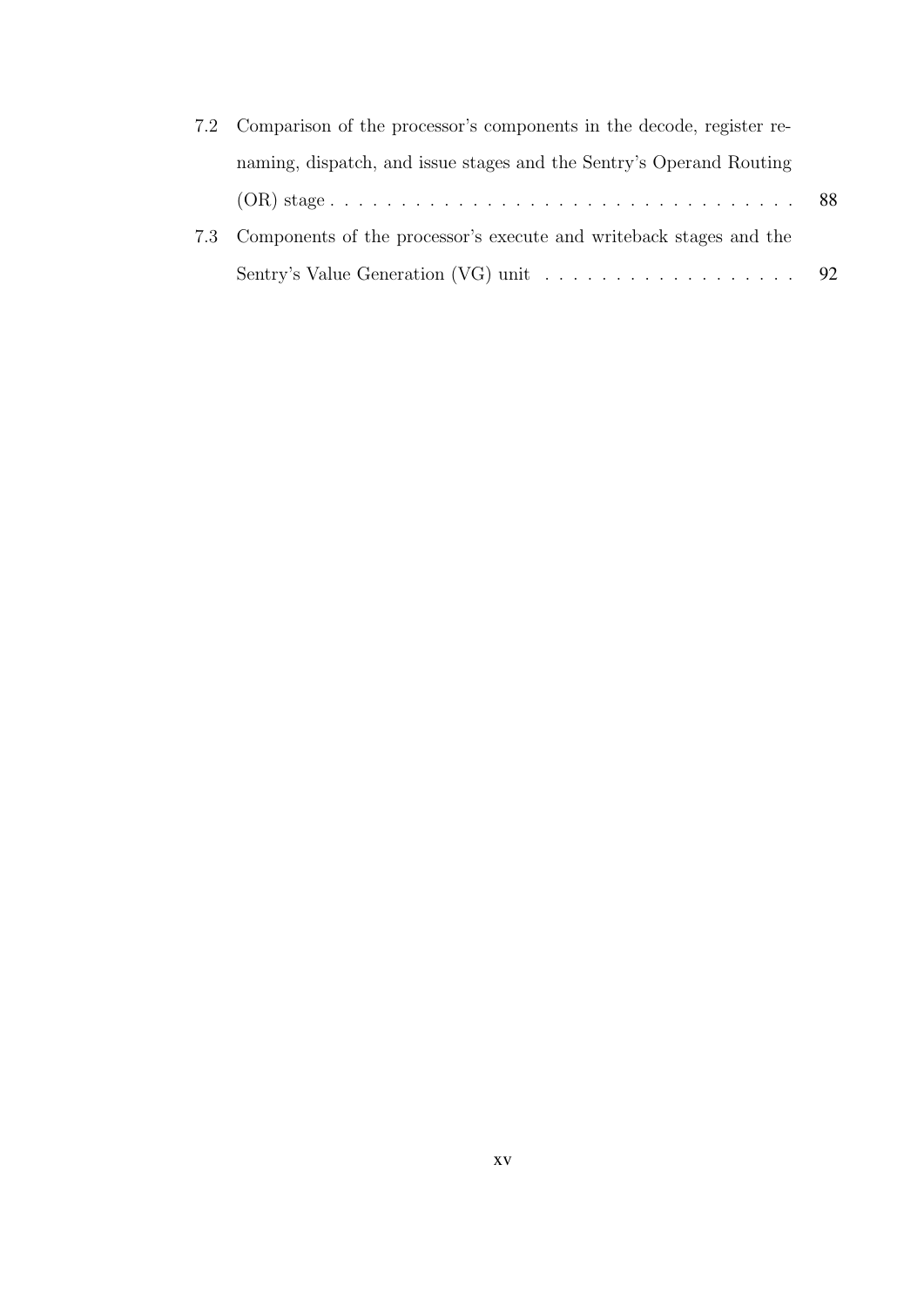| 7.2 Comparison of the processor's components in the decode, register re-           |  |
|------------------------------------------------------------------------------------|--|
| naming, dispatch, and issue stages and the Sentry's Operand Routing                |  |
|                                                                                    |  |
| 7.3 Components of the processor's execute and writeback stages and the             |  |
| Sentry's Value Generation (VG) unit $\dots \dots \dots \dots \dots \dots \dots$ 92 |  |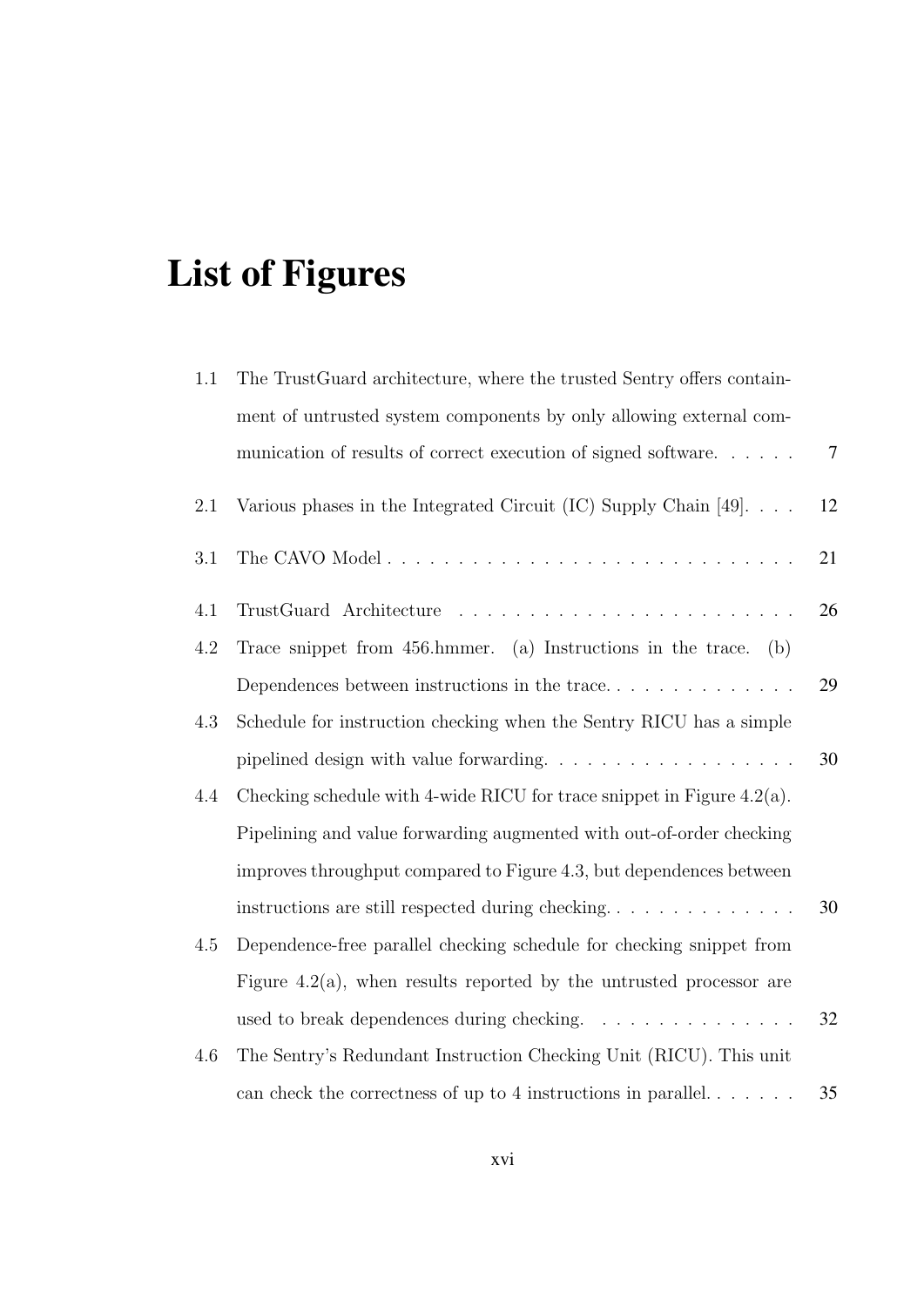# List of Figures

| 1.1     | The TrustGuard architecture, where the trusted Sentry offers contain-               |                |
|---------|-------------------------------------------------------------------------------------|----------------|
|         | ment of untrusted system components by only allowing external com-                  |                |
|         | munication of results of correct execution of signed software                       | $\overline{7}$ |
| 2.1     | Various phases in the Integrated Circuit (IC) Supply Chain [49]. $\ldots$           | 12             |
| $3.1\,$ |                                                                                     | 21             |
| 4.1     |                                                                                     | 26             |
| 4.2     | Trace snippet from 456.hmmer. (a) Instructions in the trace.<br>(b)                 |                |
|         |                                                                                     | 29             |
| 4.3     | Schedule for instruction checking when the Sentry RICU has a simple                 |                |
|         | pipelined design with value forwarding. $\ldots \ldots \ldots \ldots \ldots \ldots$ | 30             |
| 4.4     | Checking schedule with 4-wide RICU for trace snippet in Figure $4.2(a)$ .           |                |
|         | Pipelining and value forwarding augmented with out-of-order checking                |                |
|         | improves throughput compared to Figure 4.3, but dependences between                 |                |
|         | instructions are still respected during checking                                    | 30             |
| 4.5     | Dependence-free parallel checking schedule for checking snippet from                |                |
|         | Figure 4.2(a), when results reported by the untrusted processor are                 |                |
|         | used to break dependences during checking.                                          | 32             |
| 4.6     | The Sentry's Redundant Instruction Checking Unit (RICU). This unit                  |                |
|         | can check the correctness of up to 4 instructions in parallel. $\dots$              | 35             |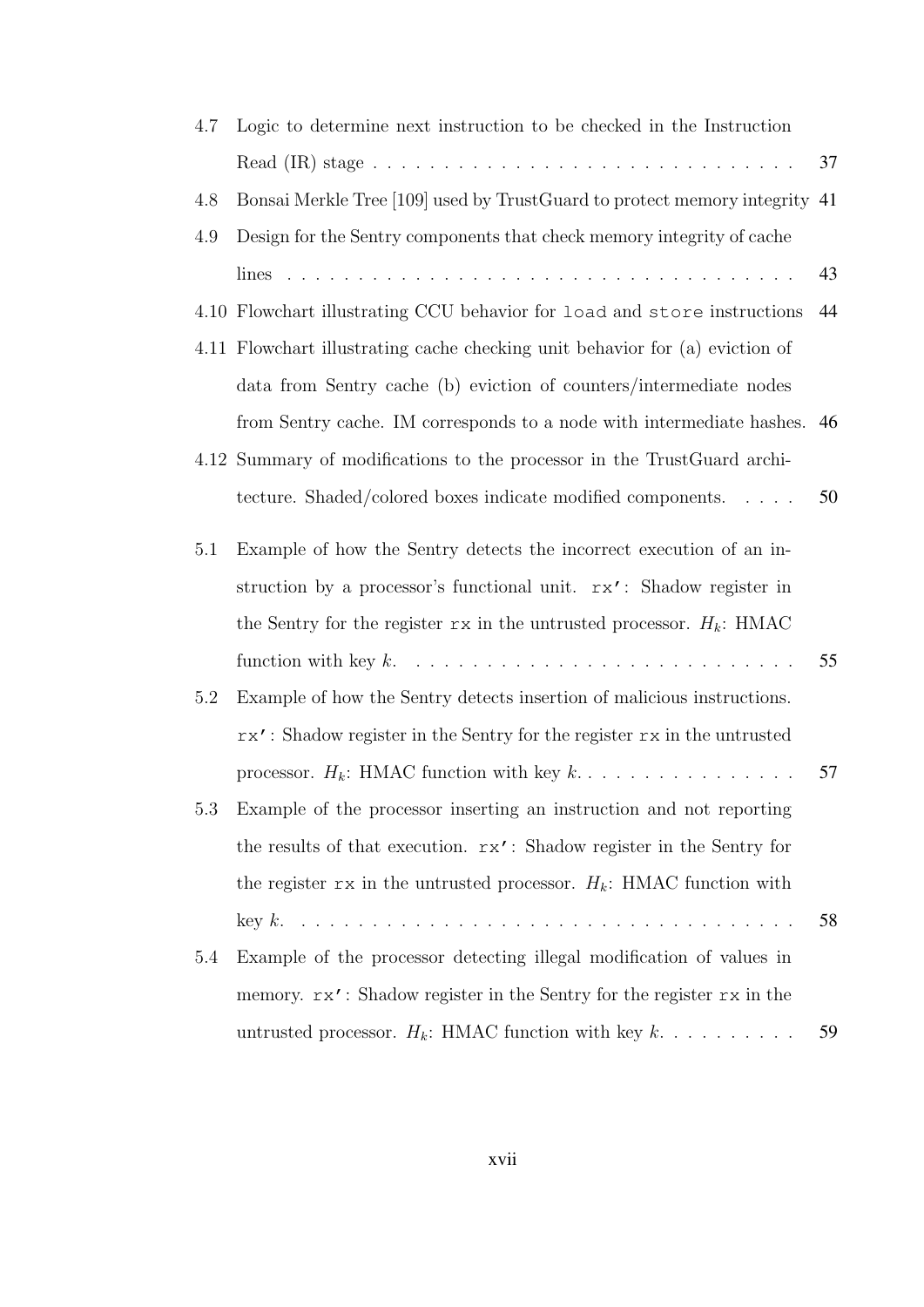| 4.7 | Logic to determine next instruction to be checked in the Instruction         |    |
|-----|------------------------------------------------------------------------------|----|
|     |                                                                              | 37 |
| 4.8 | Bonsai Merkle Tree [109] used by TrustGuard to protect memory integrity 41   |    |
| 4.9 | Design for the Sentry components that check memory integrity of cache        |    |
|     | lines                                                                        | 43 |
|     | 4.10 Flowchart illustrating CCU behavior for load and store instructions     | 44 |
|     | 4.11 Flowchart illustrating cache checking unit behavior for (a) eviction of |    |
|     | data from Sentry cache (b) eviction of counters/intermediate nodes           |    |
|     | from Sentry cache. IM corresponds to a node with intermediate hashes. 46     |    |
|     | 4.12 Summary of modifications to the processor in the TrustGuard archi-      |    |
|     | tecture. Shaded/colored boxes indicate modified components.                  | 50 |
| 5.1 | Example of how the Sentry detects the incorrect execution of an in-          |    |
|     | struction by a processor's functional unit. rx': Shadow register in          |    |
|     | the Sentry for the register $rx$ in the untrusted processor. $H_k$ : HMAC    |    |
|     |                                                                              | 55 |
| 5.2 | Example of how the Sentry detects insertion of malicious instructions.       |    |
|     | rx': Shadow register in the Sentry for the register rx in the untrusted      |    |
|     | processor. $H_k$ : HMAC function with key $k$                                | 57 |
| 5.3 | Example of the processor inserting an instruction and not reporting          |    |
|     | the results of that execution. rx': Shadow register in the Sentry for        |    |
|     | the register rx in the untrusted processor. $H_k$ : HMAC function with       |    |
|     |                                                                              | 58 |
| 5.4 | Example of the processor detecting illegal modification of values in         |    |
|     | memory. $rx'$ : Shadow register in the Sentry for the register rx in the     |    |
|     | untrusted processor. $H_k$ : HMAC function with key $k$                      | 59 |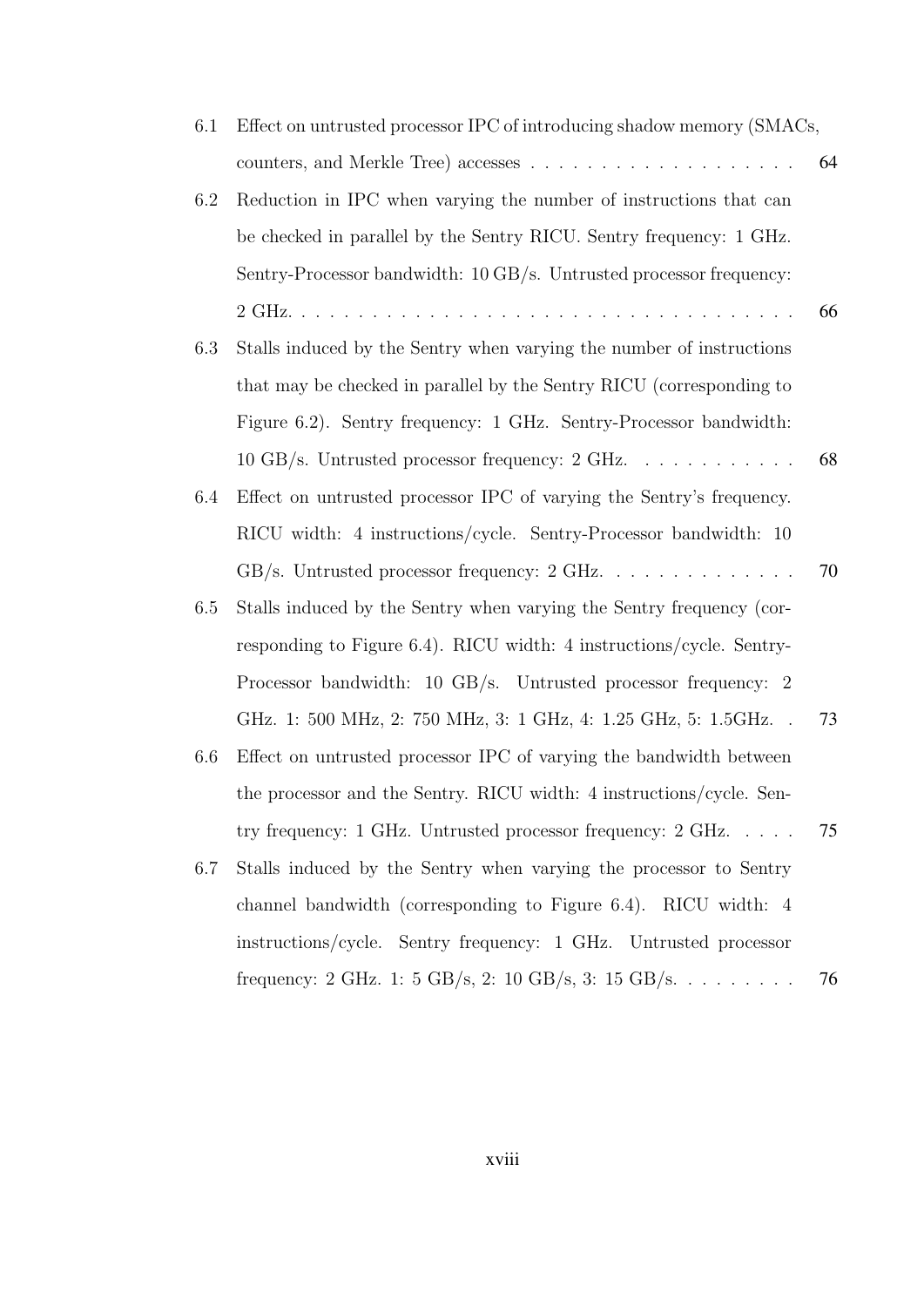| 6.1 | Effect on untrusted processor IPC of introducing shadow memory (SMACs,          |    |
|-----|---------------------------------------------------------------------------------|----|
|     |                                                                                 | 64 |
| 6.2 | Reduction in IPC when varying the number of instructions that can               |    |
|     | be checked in parallel by the Sentry RICU. Sentry frequency: 1 GHz.             |    |
|     | Sentry-Processor bandwidth: 10 GB/s. Untrusted processor frequency:             |    |
|     |                                                                                 | 66 |
| 6.3 | Stalls induced by the Sentry when varying the number of instructions            |    |
|     | that may be checked in parallel by the Sentry RICU (corresponding to            |    |
|     | Figure 6.2). Sentry frequency: 1 GHz. Sentry-Processor bandwidth:               |    |
|     | 10 GB/s. Untrusted processor frequency: 2 GHz.                                  | 68 |
| 6.4 | Effect on untrusted processor IPC of varying the Sentry's frequency.            |    |
|     | RICU width: 4 instructions/cycle. Sentry-Processor bandwidth: 10                |    |
|     |                                                                                 | 70 |
| 6.5 | Stalls induced by the Sentry when varying the Sentry frequency (cor-            |    |
|     | responding to Figure $6.4$ ). RICU width: 4 instructions/cycle. Sentry-         |    |
|     | Processor bandwidth: 10 GB/s. Untrusted processor frequency: 2                  |    |
|     | GHz. 1: 500 MHz, 2: 750 MHz, 3: 1 GHz, 4: 1.25 GHz, 5: 1.5GHz. .                | 73 |
| 6.6 | Effect on untrusted processor IPC of varying the bandwidth between              |    |
|     | the processor and the Sentry. RICU width: 4 instructions/cycle. Sen-            |    |
|     | try frequency: $1 \text{ GHz}$ . Untrusted processor frequency: $2 \text{ GHz}$ | 75 |
| 6.7 | Stalls induced by the Sentry when varying the processor to Sentry               |    |
|     | channel bandwidth (corresponding to Figure 6.4). RICU width: 4                  |    |
|     | instructions/cycle. Sentry frequency: 1 GHz. Untrusted processor                |    |
|     | frequency: 2 GHz. 1: 5 GB/s, 2: 10 GB/s, 3: 15 GB/s.                            | 76 |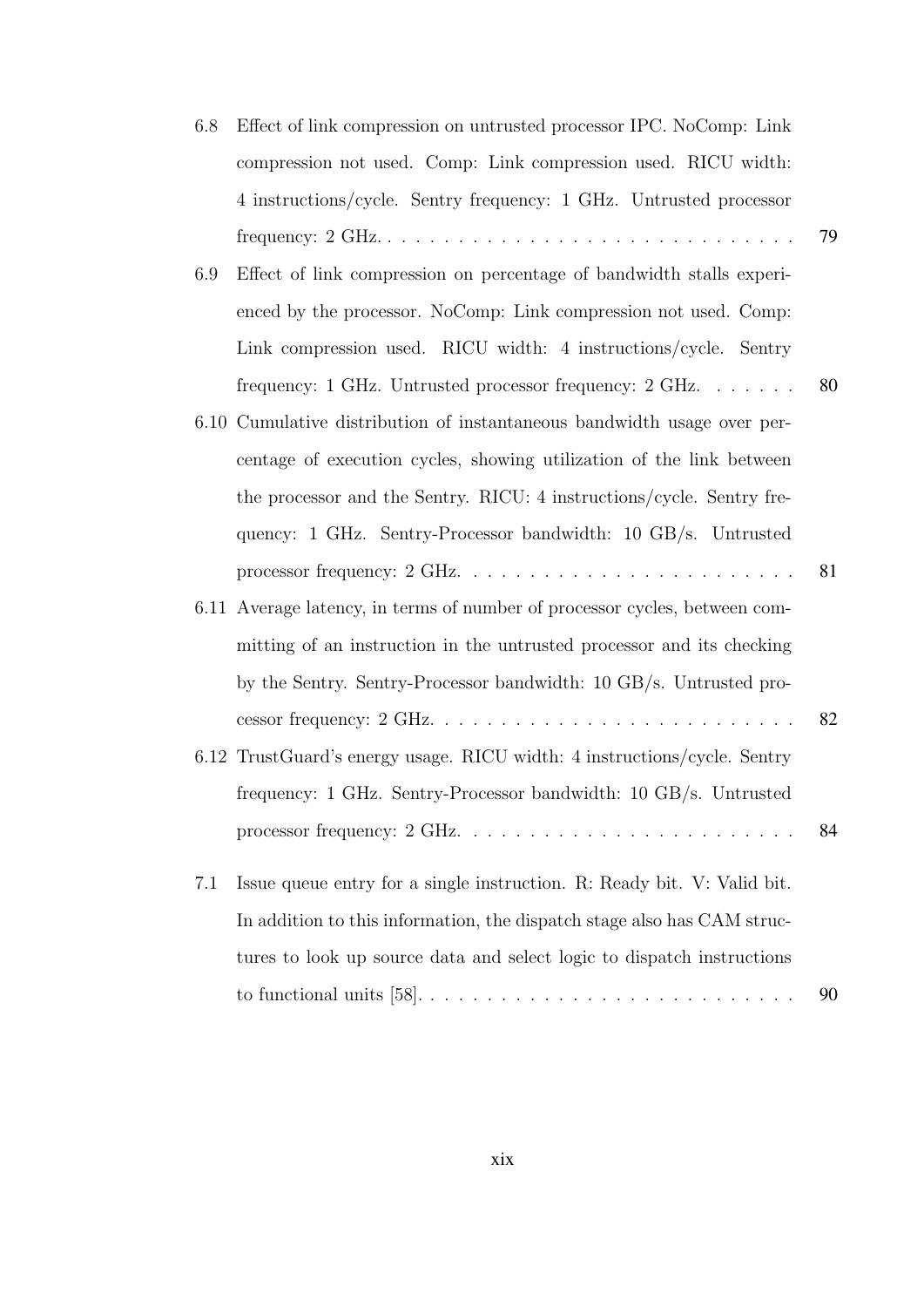| 6.8 | Effect of link compression on untrusted processor IPC. NoComp: Link                                 |    |
|-----|-----------------------------------------------------------------------------------------------------|----|
|     | compression not used. Comp: Link compression used. RICU width:                                      |    |
|     | 4 instructions/cycle. Sentry frequency: 1 GHz. Untrusted processor                                  |    |
|     | frequency: $2 \text{ GHz.} \dots \dots \dots \dots \dots \dots \dots \dots \dots \dots \dots \dots$ | 79 |
| 6.9 | Effect of link compression on percentage of bandwidth stalls experi-                                |    |
|     | enced by the processor. NoComp: Link compression not used. Comp:                                    |    |
|     | Link compression used. RICU width: 4 instructions/cycle. Sentry                                     |    |
|     | frequency: 1 GHz. Untrusted processor frequency: $2 \text{ GHz.} \dots \dots$                       | 80 |
|     | 6.10 Cumulative distribution of instantaneous bandwidth usage over per-                             |    |
|     | centage of execution cycles, showing utilization of the link between                                |    |
|     | the processor and the Sentry. RICU: 4 instructions/cycle. Sentry fre-                               |    |
|     | quency: 1 GHz. Sentry-Processor bandwidth: 10 GB/s. Untrusted                                       |    |
|     | processor frequency: $2 \text{ GHz.} \dots \dots \dots \dots \dots \dots \dots \dots \dots$         | 81 |
|     | 6.11 Average latency, in terms of number of processor cycles, between com-                          |    |
|     | mitting of an instruction in the untrusted processor and its checking                               |    |
|     | by the Sentry. Sentry-Processor bandwidth: 10 GB/s. Untrusted pro-                                  |    |
|     |                                                                                                     | 82 |
|     | 6.12 TrustGuard's energy usage. RICU width: 4 instructions/cycle. Sentry                            |    |
|     |                                                                                                     |    |
|     | frequency: 1 GHz. Sentry-Processor bandwidth: 10 GB/s. Untrusted                                    |    |
|     |                                                                                                     | 84 |
| 7.1 | Issue queue entry for a single instruction. R: Ready bit. V: Valid bit.                             |    |
|     | In addition to this information, the dispatch stage also has CAM struc-                             |    |
|     | tures to look up source data and select logic to dispatch instructions                              |    |
|     |                                                                                                     | 90 |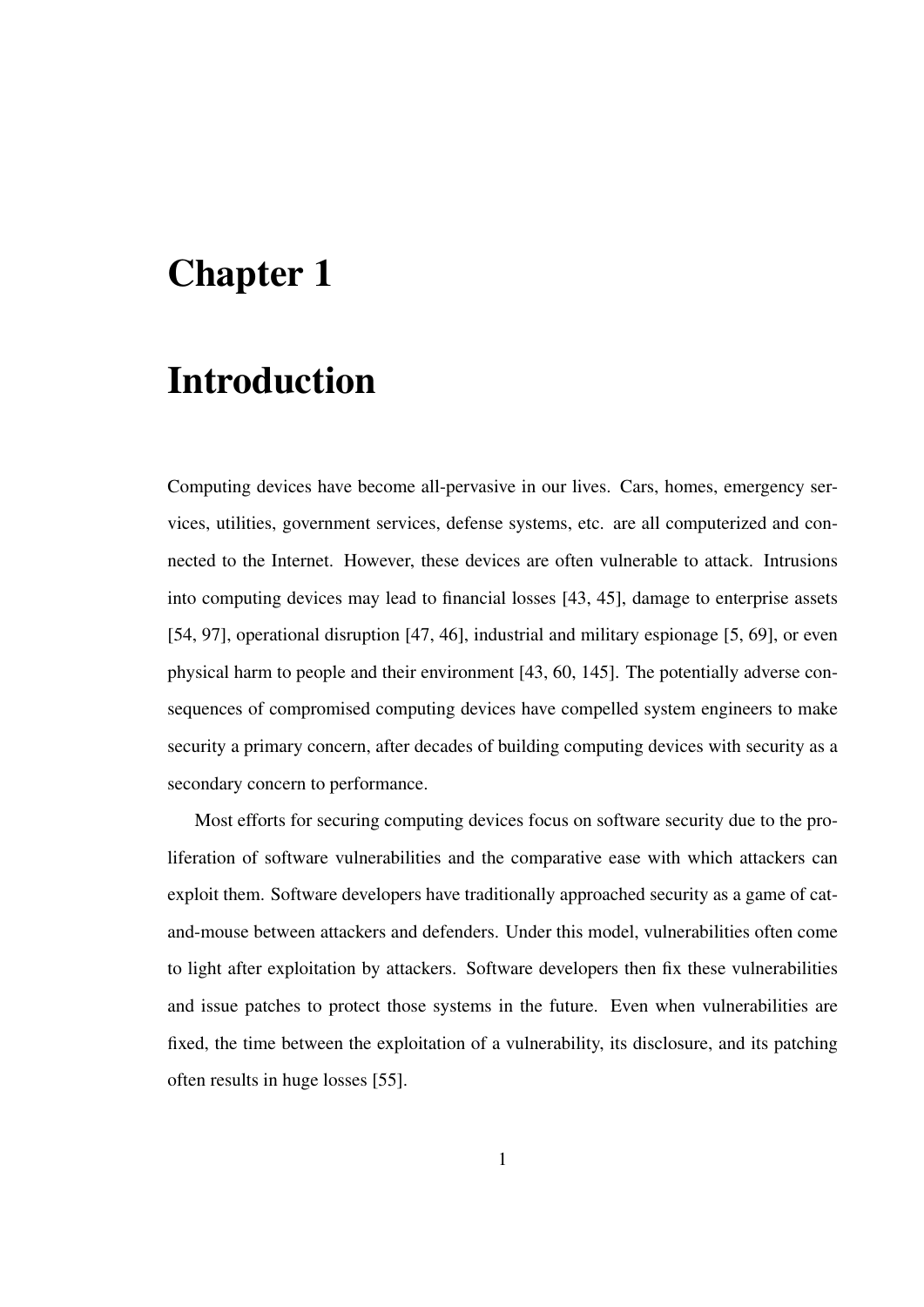## Chapter 1

## Introduction

Computing devices have become all-pervasive in our lives. Cars, homes, emergency services, utilities, government services, defense systems, etc. are all computerized and connected to the Internet. However, these devices are often vulnerable to attack. Intrusions into computing devices may lead to financial losses [43, 45], damage to enterprise assets [54, 97], operational disruption [47, 46], industrial and military espionage [5, 69], or even physical harm to people and their environment [43, 60, 145]. The potentially adverse consequences of compromised computing devices have compelled system engineers to make security a primary concern, after decades of building computing devices with security as a secondary concern to performance.

Most efforts for securing computing devices focus on software security due to the proliferation of software vulnerabilities and the comparative ease with which attackers can exploit them. Software developers have traditionally approached security as a game of catand-mouse between attackers and defenders. Under this model, vulnerabilities often come to light after exploitation by attackers. Software developers then fix these vulnerabilities and issue patches to protect those systems in the future. Even when vulnerabilities are fixed, the time between the exploitation of a vulnerability, its disclosure, and its patching often results in huge losses [55].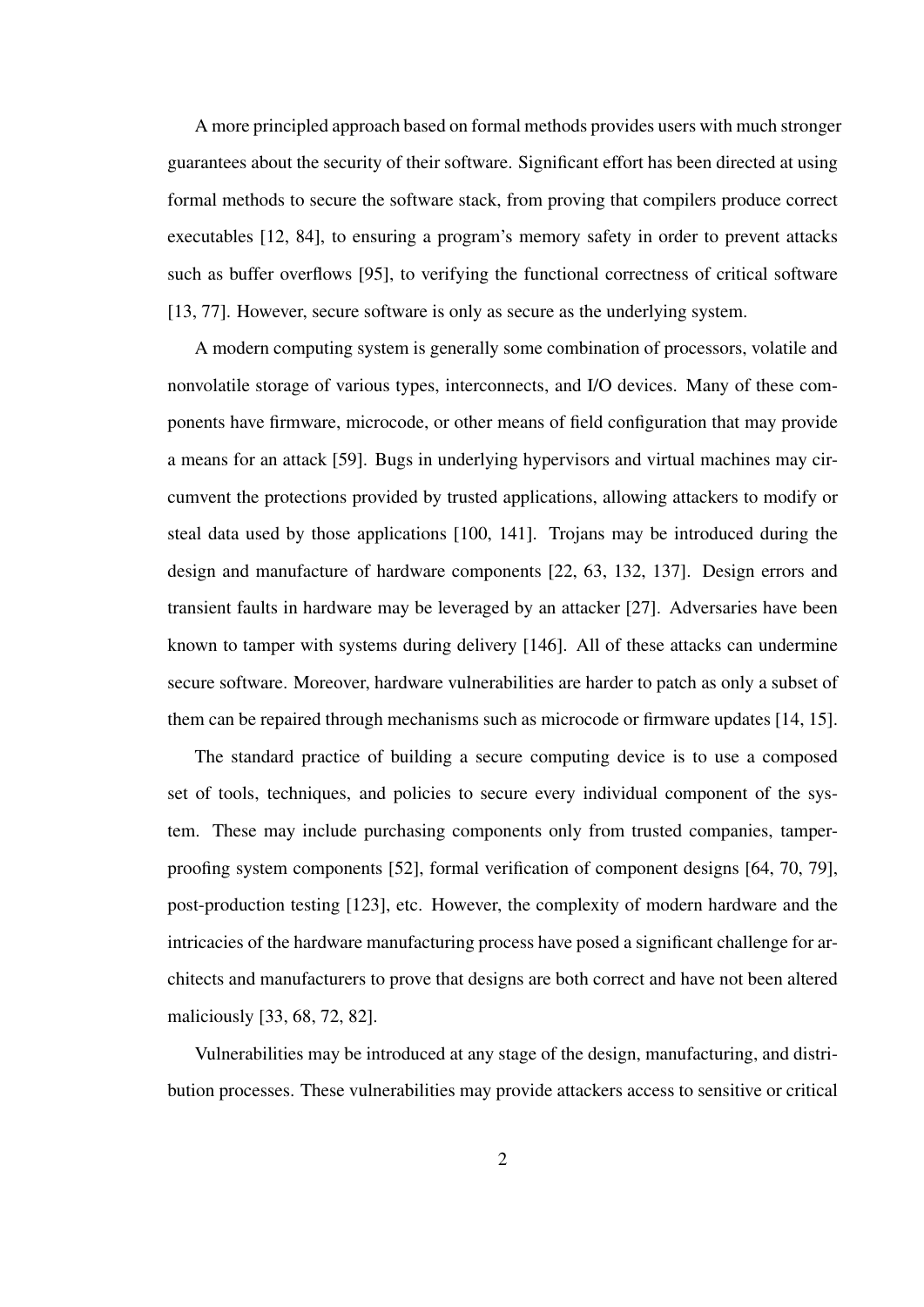A more principled approach based on formal methods provides users with much stronger guarantees about the security of their software. Significant effort has been directed at using formal methods to secure the software stack, from proving that compilers produce correct executables [12, 84], to ensuring a program's memory safety in order to prevent attacks such as buffer overflows [95], to verifying the functional correctness of critical software [13, 77]. However, secure software is only as secure as the underlying system.

A modern computing system is generally some combination of processors, volatile and nonvolatile storage of various types, interconnects, and I/O devices. Many of these components have firmware, microcode, or other means of field configuration that may provide a means for an attack [59]. Bugs in underlying hypervisors and virtual machines may circumvent the protections provided by trusted applications, allowing attackers to modify or steal data used by those applications [100, 141]. Trojans may be introduced during the design and manufacture of hardware components [22, 63, 132, 137]. Design errors and transient faults in hardware may be leveraged by an attacker [27]. Adversaries have been known to tamper with systems during delivery [146]. All of these attacks can undermine secure software. Moreover, hardware vulnerabilities are harder to patch as only a subset of them can be repaired through mechanisms such as microcode or firmware updates [14, 15].

The standard practice of building a secure computing device is to use a composed set of tools, techniques, and policies to secure every individual component of the system. These may include purchasing components only from trusted companies, tamperproofing system components [52], formal verification of component designs [64, 70, 79], post-production testing [123], etc. However, the complexity of modern hardware and the intricacies of the hardware manufacturing process have posed a significant challenge for architects and manufacturers to prove that designs are both correct and have not been altered maliciously [33, 68, 72, 82].

Vulnerabilities may be introduced at any stage of the design, manufacturing, and distribution processes. These vulnerabilities may provide attackers access to sensitive or critical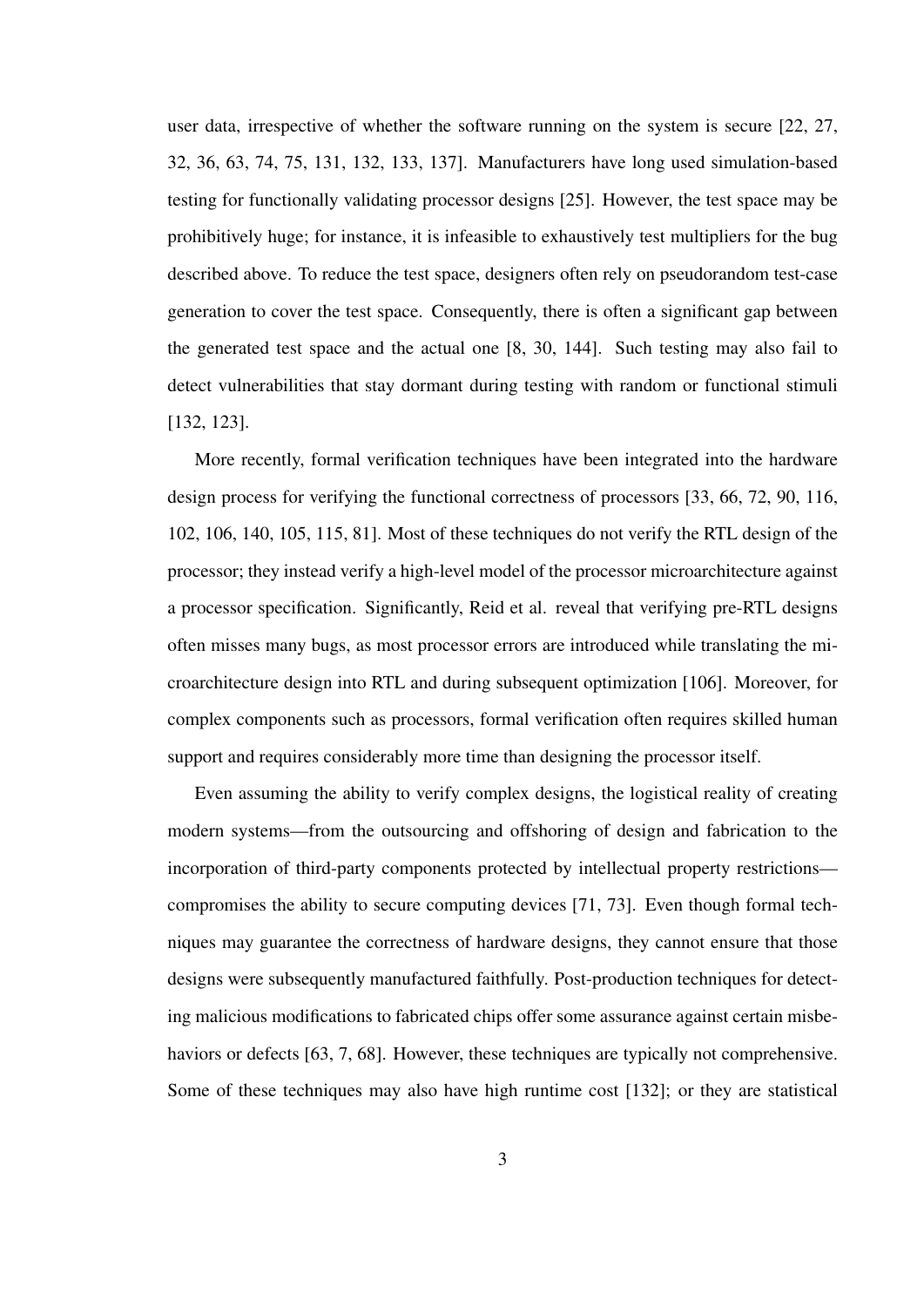user data, irrespective of whether the software running on the system is secure [22, 27, 32, 36, 63, 74, 75, 131, 132, 133, 137]. Manufacturers have long used simulation-based testing for functionally validating processor designs [25]. However, the test space may be prohibitively huge; for instance, it is infeasible to exhaustively test multipliers for the bug described above. To reduce the test space, designers often rely on pseudorandom test-case generation to cover the test space. Consequently, there is often a significant gap between the generated test space and the actual one [8, 30, 144]. Such testing may also fail to detect vulnerabilities that stay dormant during testing with random or functional stimuli [132, 123].

More recently, formal verification techniques have been integrated into the hardware design process for verifying the functional correctness of processors [33, 66, 72, 90, 116, 102, 106, 140, 105, 115, 81]. Most of these techniques do not verify the RTL design of the processor; they instead verify a high-level model of the processor microarchitecture against a processor specification. Significantly, Reid et al. reveal that verifying pre-RTL designs often misses many bugs, as most processor errors are introduced while translating the microarchitecture design into RTL and during subsequent optimization [106]. Moreover, for complex components such as processors, formal verification often requires skilled human support and requires considerably more time than designing the processor itself.

Even assuming the ability to verify complex designs, the logistical reality of creating modern systems—from the outsourcing and offshoring of design and fabrication to the incorporation of third-party components protected by intellectual property restrictions compromises the ability to secure computing devices [71, 73]. Even though formal techniques may guarantee the correctness of hardware designs, they cannot ensure that those designs were subsequently manufactured faithfully. Post-production techniques for detecting malicious modifications to fabricated chips offer some assurance against certain misbehaviors or defects [63, 7, 68]. However, these techniques are typically not comprehensive. Some of these techniques may also have high runtime cost [132]; or they are statistical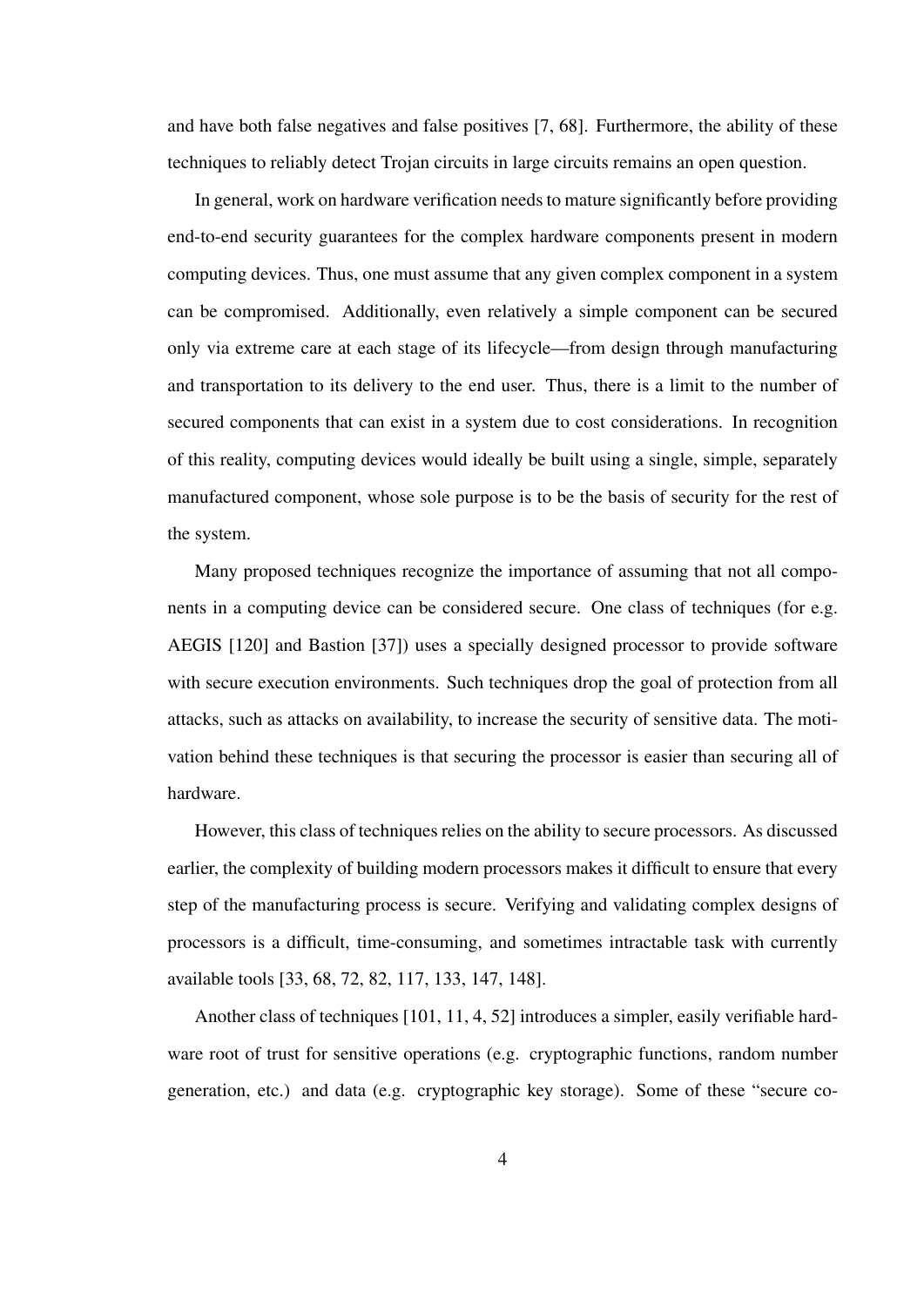and have both false negatives and false positives [7, 68]. Furthermore, the ability of these techniques to reliably detect Trojan circuits in large circuits remains an open question.

In general, work on hardware verification needs to mature significantly before providing end-to-end security guarantees for the complex hardware components present in modern computing devices. Thus, one must assume that any given complex component in a system can be compromised. Additionally, even relatively a simple component can be secured only via extreme care at each stage of its lifecycle—from design through manufacturing and transportation to its delivery to the end user. Thus, there is a limit to the number of secured components that can exist in a system due to cost considerations. In recognition of this reality, computing devices would ideally be built using a single, simple, separately manufactured component, whose sole purpose is to be the basis of security for the rest of the system.

Many proposed techniques recognize the importance of assuming that not all components in a computing device can be considered secure. One class of techniques (for e.g. AEGIS [120] and Bastion [37]) uses a specially designed processor to provide software with secure execution environments. Such techniques drop the goal of protection from all attacks, such as attacks on availability, to increase the security of sensitive data. The motivation behind these techniques is that securing the processor is easier than securing all of hardware.

However, this class of techniques relies on the ability to secure processors. As discussed earlier, the complexity of building modern processors makes it difficult to ensure that every step of the manufacturing process is secure. Verifying and validating complex designs of processors is a difficult, time-consuming, and sometimes intractable task with currently available tools [33, 68, 72, 82, 117, 133, 147, 148].

Another class of techniques [101, 11, 4, 52] introduces a simpler, easily verifiable hardware root of trust for sensitive operations (e.g. cryptographic functions, random number generation, etc.) and data (e.g. cryptographic key storage). Some of these "secure co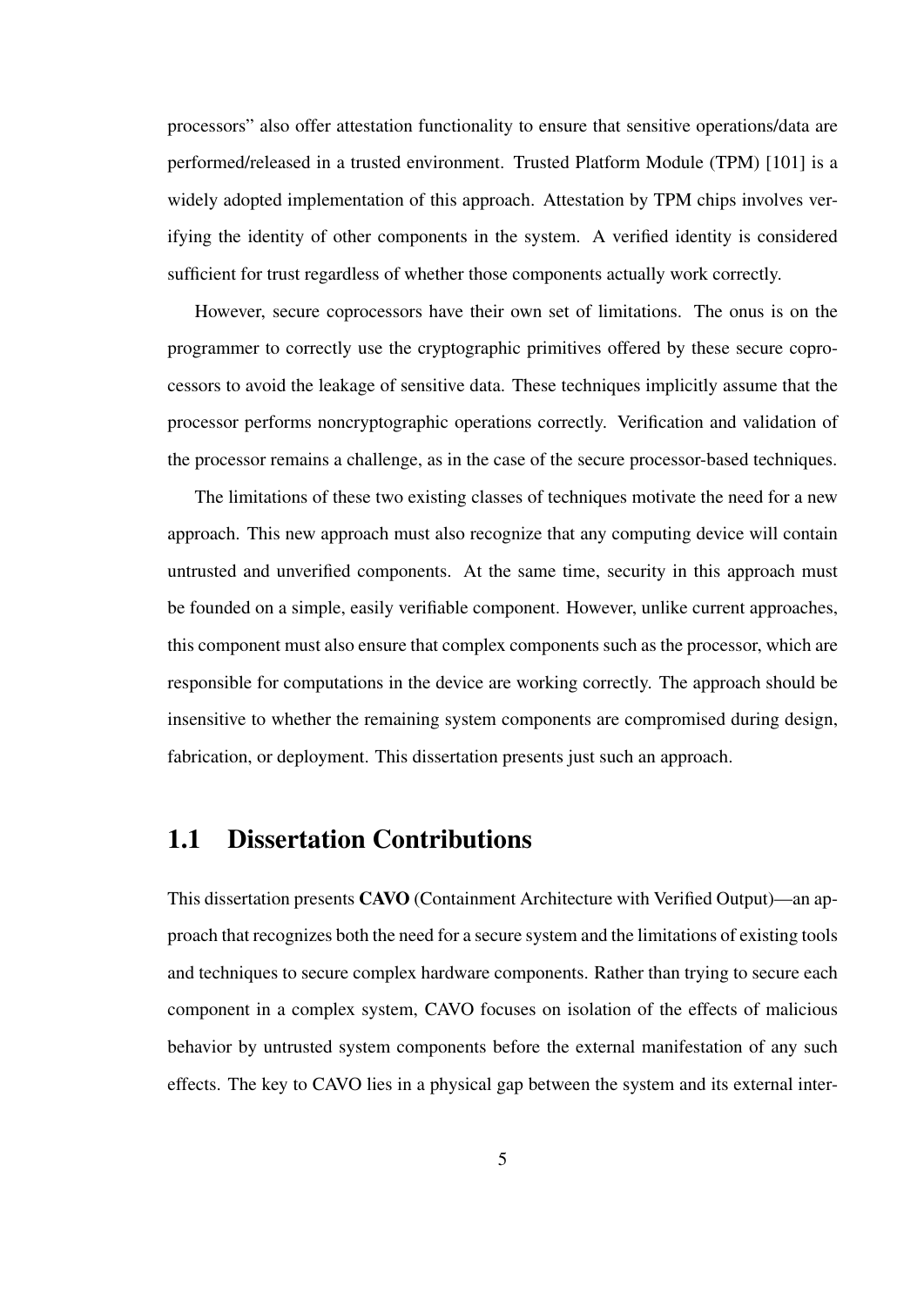processors" also offer attestation functionality to ensure that sensitive operations/data are performed/released in a trusted environment. Trusted Platform Module (TPM) [101] is a widely adopted implementation of this approach. Attestation by TPM chips involves verifying the identity of other components in the system. A verified identity is considered sufficient for trust regardless of whether those components actually work correctly.

However, secure coprocessors have their own set of limitations. The onus is on the programmer to correctly use the cryptographic primitives offered by these secure coprocessors to avoid the leakage of sensitive data. These techniques implicitly assume that the processor performs noncryptographic operations correctly. Verification and validation of the processor remains a challenge, as in the case of the secure processor-based techniques.

The limitations of these two existing classes of techniques motivate the need for a new approach. This new approach must also recognize that any computing device will contain untrusted and unverified components. At the same time, security in this approach must be founded on a simple, easily verifiable component. However, unlike current approaches, this component must also ensure that complex components such as the processor, which are responsible for computations in the device are working correctly. The approach should be insensitive to whether the remaining system components are compromised during design, fabrication, or deployment. This dissertation presents just such an approach.

#### 1.1 Dissertation Contributions

This dissertation presents CAVO (Containment Architecture with Verified Output)—an approach that recognizes both the need for a secure system and the limitations of existing tools and techniques to secure complex hardware components. Rather than trying to secure each component in a complex system, CAVO focuses on isolation of the effects of malicious behavior by untrusted system components before the external manifestation of any such effects. The key to CAVO lies in a physical gap between the system and its external inter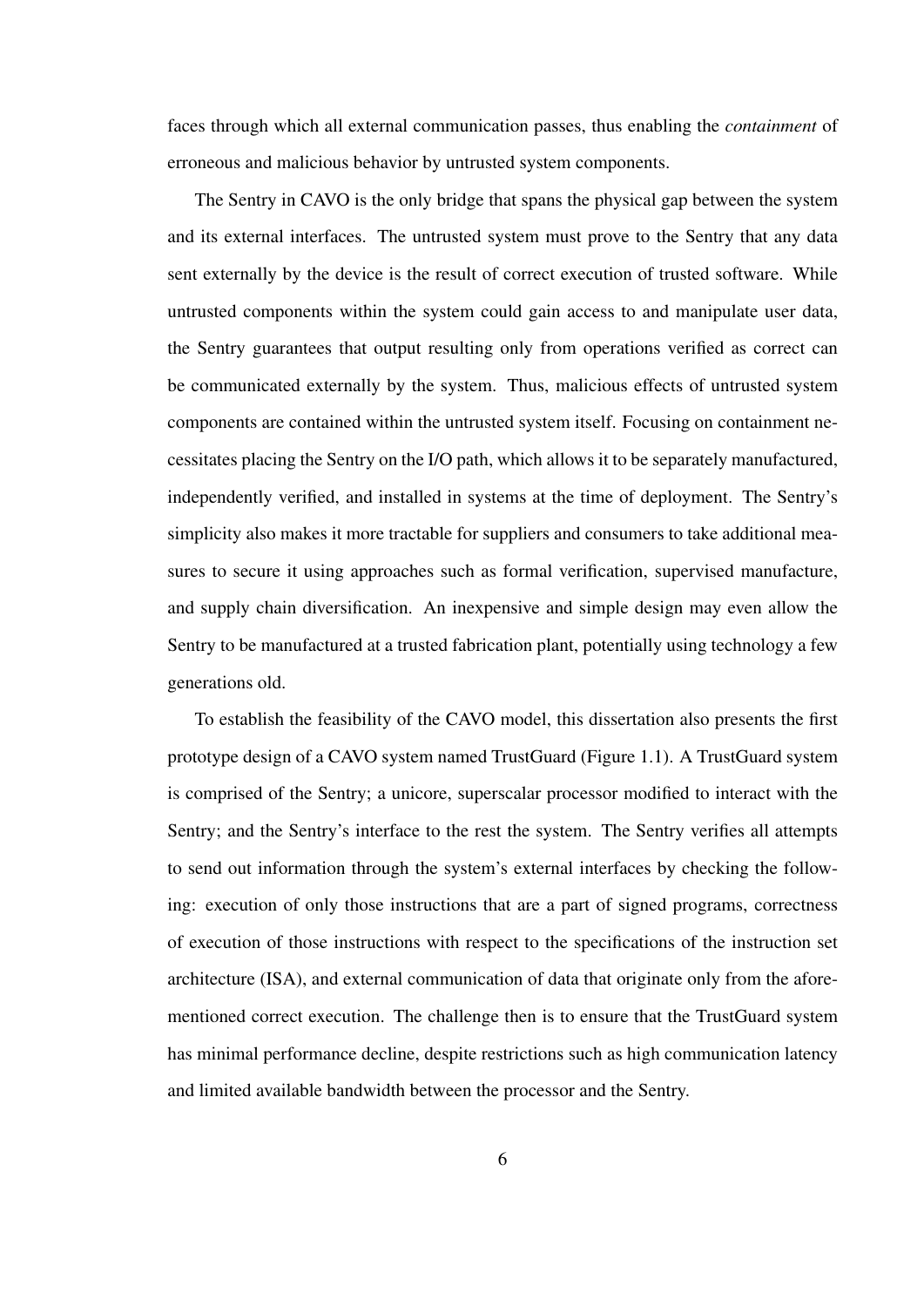faces through which all external communication passes, thus enabling the *containment* of erroneous and malicious behavior by untrusted system components.

The Sentry in CAVO is the only bridge that spans the physical gap between the system and its external interfaces. The untrusted system must prove to the Sentry that any data sent externally by the device is the result of correct execution of trusted software. While untrusted components within the system could gain access to and manipulate user data, the Sentry guarantees that output resulting only from operations verified as correct can be communicated externally by the system. Thus, malicious effects of untrusted system components are contained within the untrusted system itself. Focusing on containment necessitates placing the Sentry on the I/O path, which allows it to be separately manufactured, independently verified, and installed in systems at the time of deployment. The Sentry's simplicity also makes it more tractable for suppliers and consumers to take additional measures to secure it using approaches such as formal verification, supervised manufacture, and supply chain diversification. An inexpensive and simple design may even allow the Sentry to be manufactured at a trusted fabrication plant, potentially using technology a few generations old.

To establish the feasibility of the CAVO model, this dissertation also presents the first prototype design of a CAVO system named TrustGuard (Figure 1.1). A TrustGuard system is comprised of the Sentry; a unicore, superscalar processor modified to interact with the Sentry; and the Sentry's interface to the rest the system. The Sentry verifies all attempts to send out information through the system's external interfaces by checking the following: execution of only those instructions that are a part of signed programs, correctness of execution of those instructions with respect to the specifications of the instruction set architecture (ISA), and external communication of data that originate only from the aforementioned correct execution. The challenge then is to ensure that the TrustGuard system has minimal performance decline, despite restrictions such as high communication latency and limited available bandwidth between the processor and the Sentry.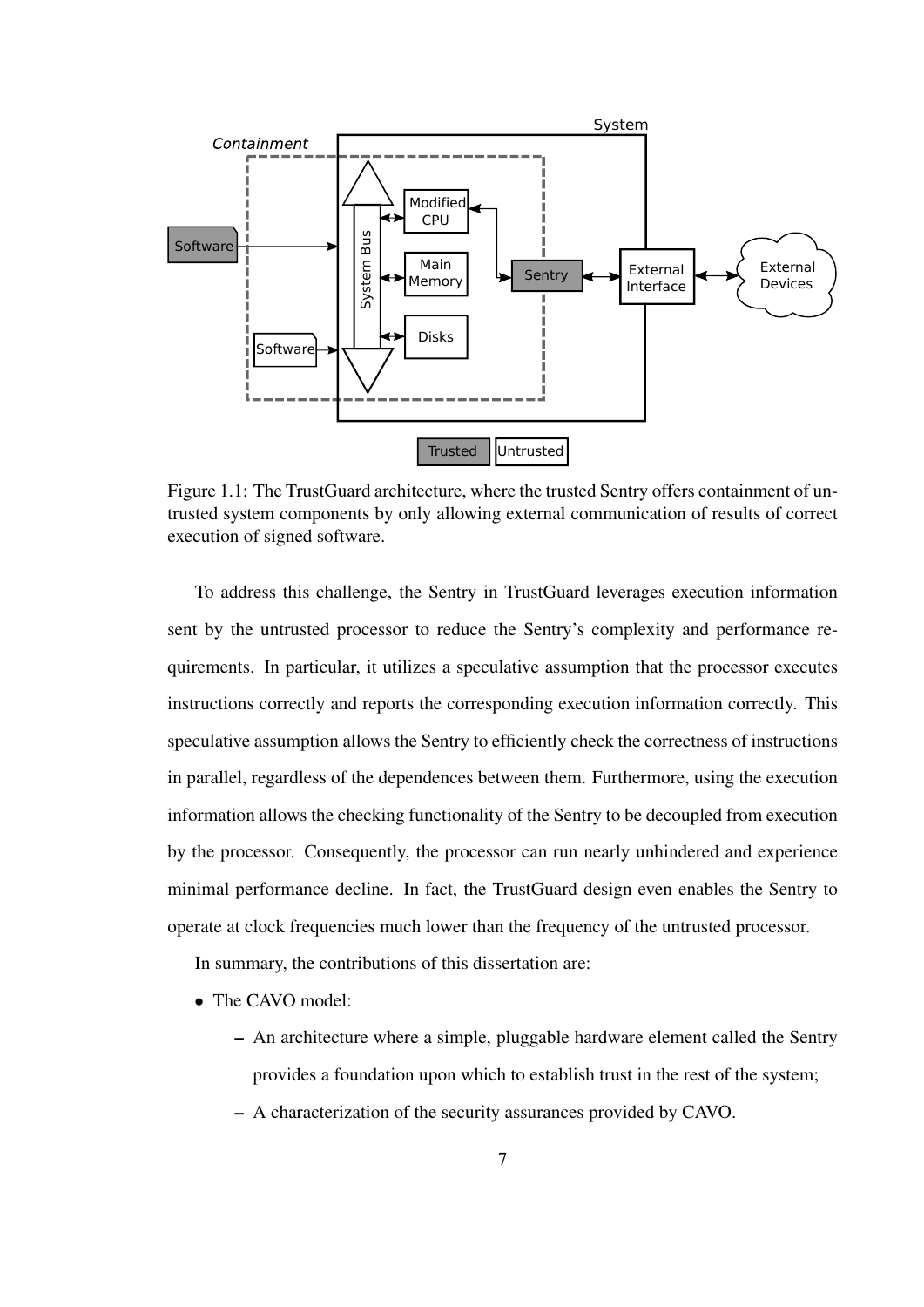

Figure 1.1: The TrustGuard architecture, where the trusted Sentry offers containment of untrusted system components by only allowing external communication of results of correct execution of signed software.

To address this challenge, the Sentry in TrustGuard leverages execution information sent by the untrusted processor to reduce the Sentry's complexity and performance requirements. In particular, it utilizes a speculative assumption that the processor executes instructions correctly and reports the corresponding execution information correctly. This speculative assumption allows the Sentry to efficiently check the correctness of instructions in parallel, regardless of the dependences between them. Furthermore, using the execution information allows the checking functionality of the Sentry to be decoupled from execution by the processor. Consequently, the processor can run nearly unhindered and experience minimal performance decline. In fact, the TrustGuard design even enables the Sentry to operate at clock frequencies much lower than the frequency of the untrusted processor.

In summary, the contributions of this dissertation are:

- The CAVO model:
	- An architecture where a simple, pluggable hardware element called the Sentry provides a foundation upon which to establish trust in the rest of the system;
	- A characterization of the security assurances provided by CAVO.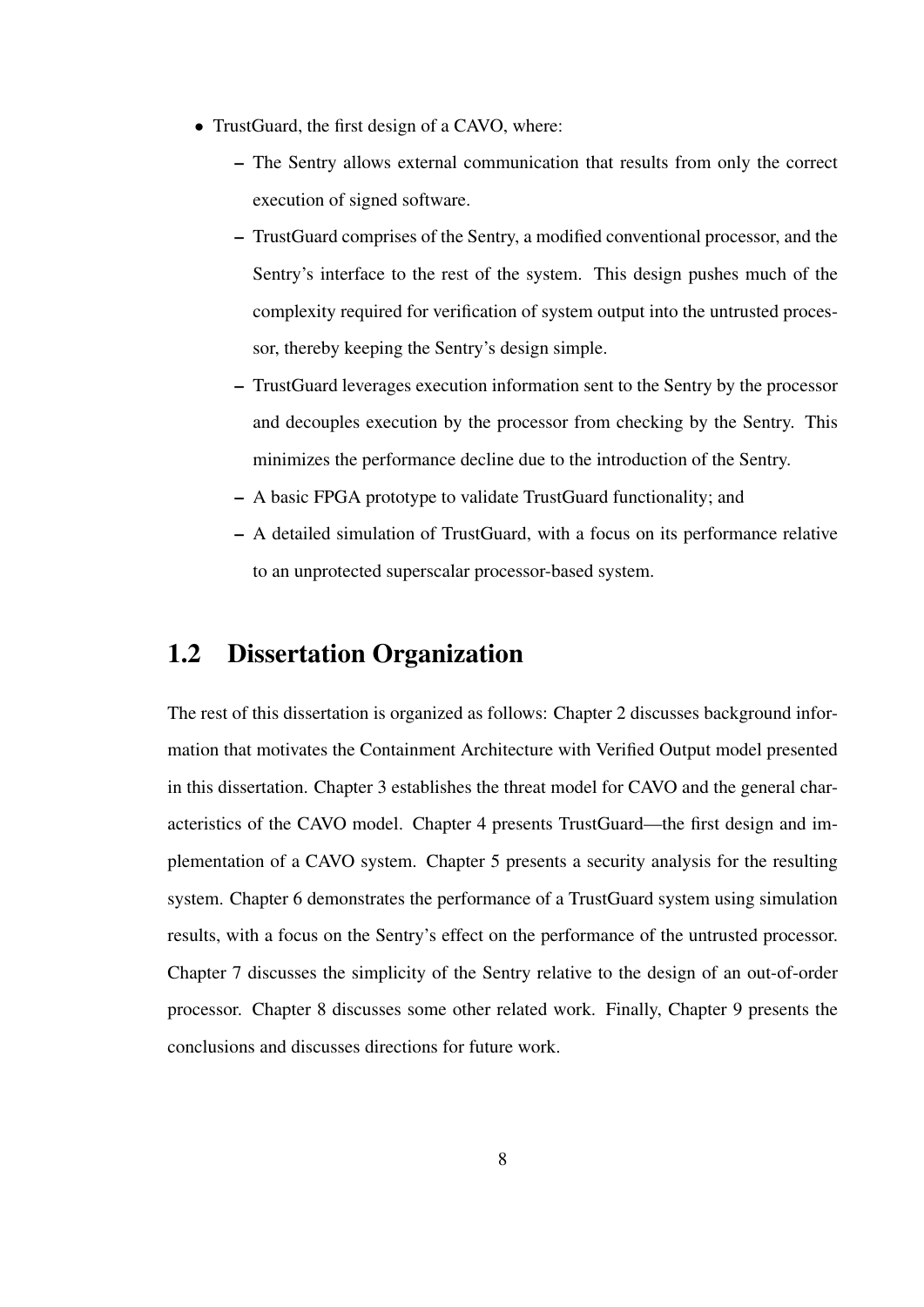- TrustGuard, the first design of a CAVO, where:
	- The Sentry allows external communication that results from only the correct execution of signed software.
	- TrustGuard comprises of the Sentry, a modified conventional processor, and the Sentry's interface to the rest of the system. This design pushes much of the complexity required for verification of system output into the untrusted processor, thereby keeping the Sentry's design simple.
	- TrustGuard leverages execution information sent to the Sentry by the processor and decouples execution by the processor from checking by the Sentry. This minimizes the performance decline due to the introduction of the Sentry.
	- A basic FPGA prototype to validate TrustGuard functionality; and
	- A detailed simulation of TrustGuard, with a focus on its performance relative to an unprotected superscalar processor-based system.

#### 1.2 Dissertation Organization

The rest of this dissertation is organized as follows: Chapter 2 discusses background information that motivates the Containment Architecture with Verified Output model presented in this dissertation. Chapter 3 establishes the threat model for CAVO and the general characteristics of the CAVO model. Chapter 4 presents TrustGuard—the first design and implementation of a CAVO system. Chapter 5 presents a security analysis for the resulting system. Chapter 6 demonstrates the performance of a TrustGuard system using simulation results, with a focus on the Sentry's effect on the performance of the untrusted processor. Chapter 7 discusses the simplicity of the Sentry relative to the design of an out-of-order processor. Chapter 8 discusses some other related work. Finally, Chapter 9 presents the conclusions and discusses directions for future work.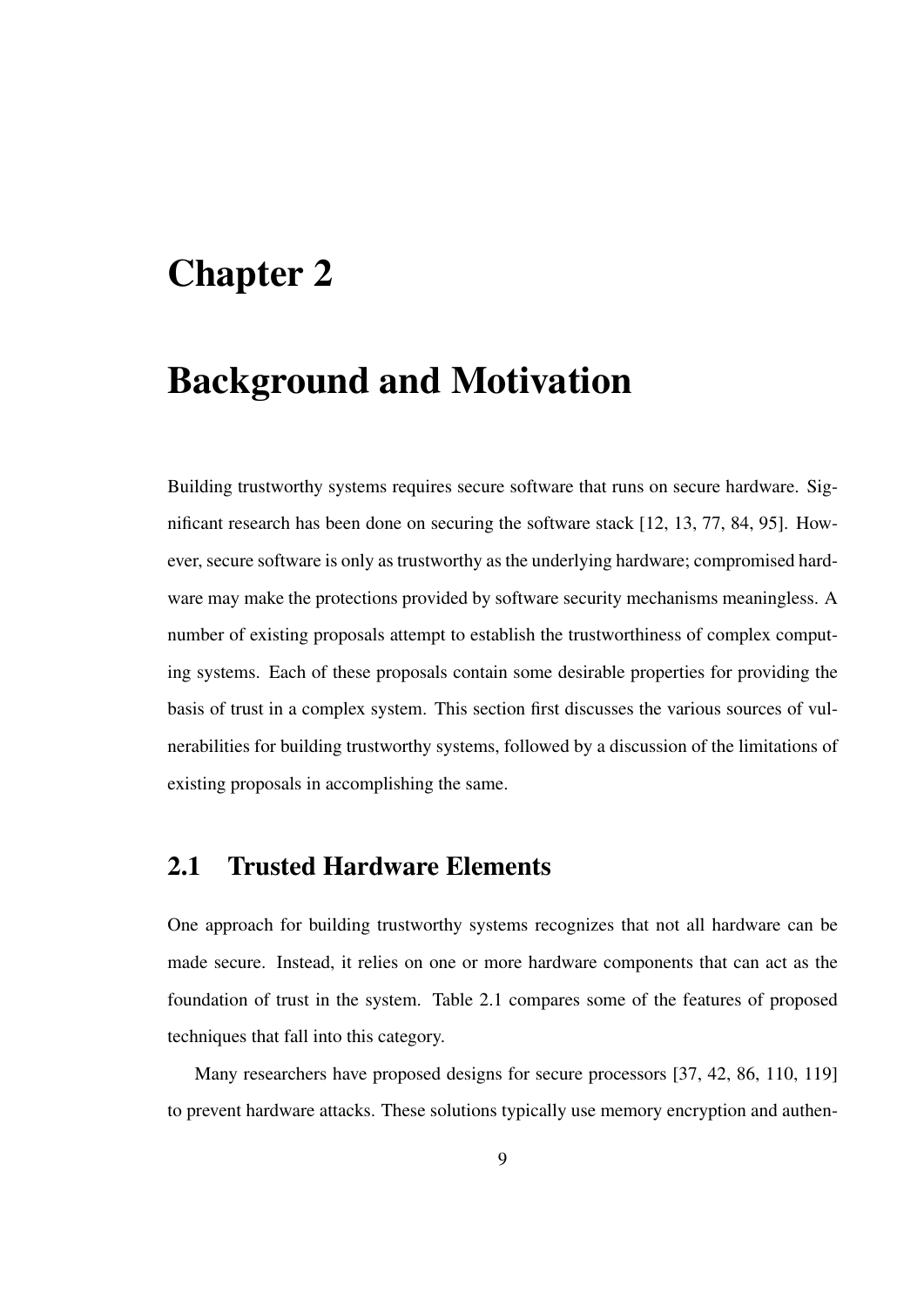### Chapter 2

### Background and Motivation

Building trustworthy systems requires secure software that runs on secure hardware. Significant research has been done on securing the software stack [12, 13, 77, 84, 95]. However, secure software is only as trustworthy as the underlying hardware; compromised hardware may make the protections provided by software security mechanisms meaningless. A number of existing proposals attempt to establish the trustworthiness of complex computing systems. Each of these proposals contain some desirable properties for providing the basis of trust in a complex system. This section first discusses the various sources of vulnerabilities for building trustworthy systems, followed by a discussion of the limitations of existing proposals in accomplishing the same.

#### 2.1 Trusted Hardware Elements

One approach for building trustworthy systems recognizes that not all hardware can be made secure. Instead, it relies on one or more hardware components that can act as the foundation of trust in the system. Table 2.1 compares some of the features of proposed techniques that fall into this category.

Many researchers have proposed designs for secure processors [37, 42, 86, 110, 119] to prevent hardware attacks. These solutions typically use memory encryption and authen-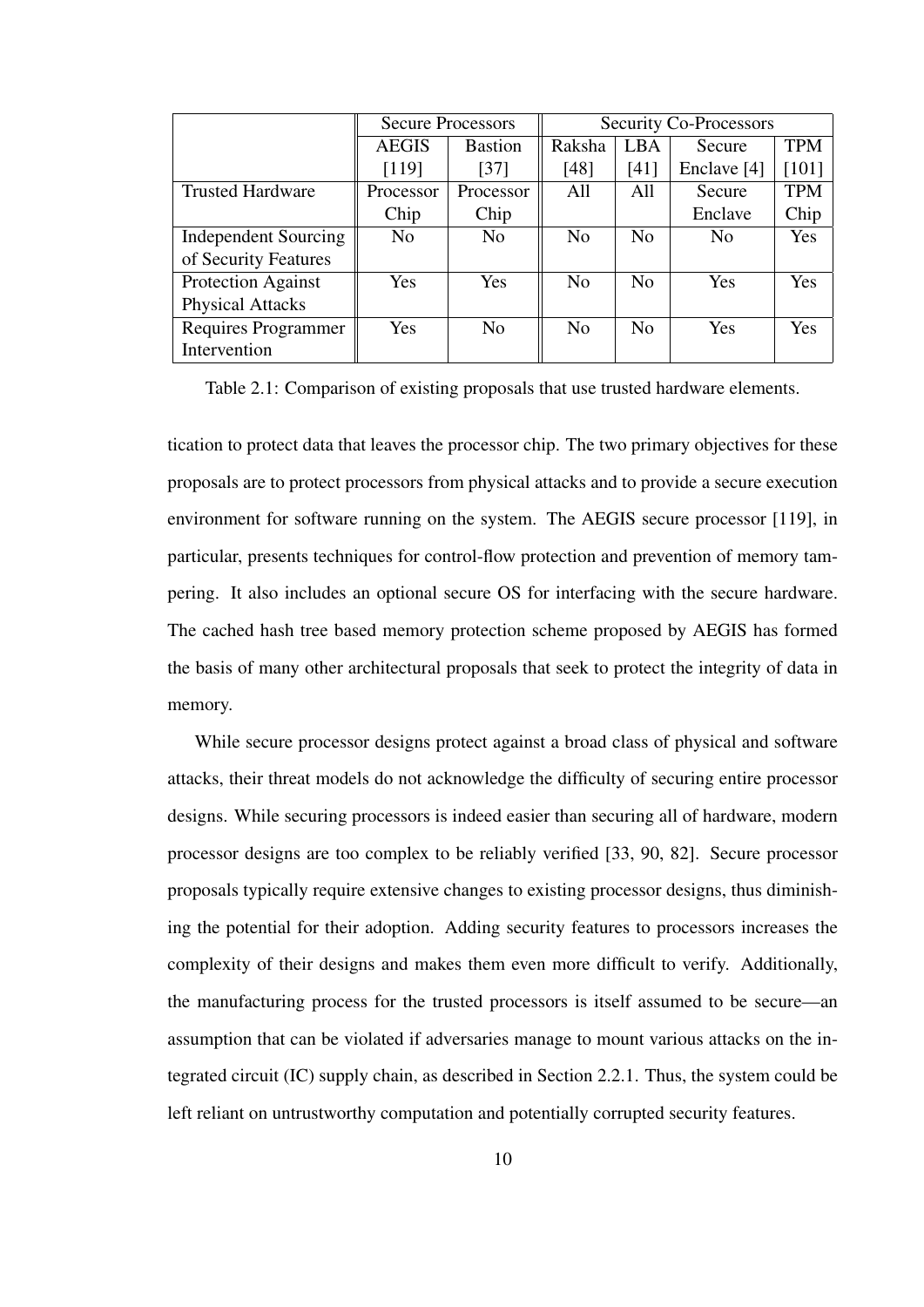|                             |                | <b>Secure Processors</b> | <b>Security Co-Processors</b> |                |                |            |  |  |  |
|-----------------------------|----------------|--------------------------|-------------------------------|----------------|----------------|------------|--|--|--|
|                             | <b>AEGIS</b>   | <b>Bastion</b>           | Raksha<br>LBA                 |                | Secure         | TPM        |  |  |  |
|                             | [119]          | $[37]$                   | [48]                          | [41]           | Enclave [4]    | $[101]$    |  |  |  |
| <b>Trusted Hardware</b>     | Processor      | Processor                | All                           | All            | Secure         | TPM        |  |  |  |
|                             | Chip           | Chip                     |                               |                | Enclave        | Chip       |  |  |  |
| <b>Independent Sourcing</b> | N <sub>0</sub> | No                       | N <sub>0</sub>                | N <sub>0</sub> | N <sub>0</sub> | Yes        |  |  |  |
| of Security Features        |                |                          |                               |                |                |            |  |  |  |
| Protection Against          | Yes            | <b>Yes</b>               | N <sub>0</sub>                | N <sub>0</sub> | Yes            | <b>Yes</b> |  |  |  |
| <b>Physical Attacks</b>     |                |                          |                               |                |                |            |  |  |  |
| Requires Programmer         | Yes            | N <sub>0</sub>           | N <sub>o</sub>                | N <sub>0</sub> | Yes            | Yes        |  |  |  |
| Intervention                |                |                          |                               |                |                |            |  |  |  |

Table 2.1: Comparison of existing proposals that use trusted hardware elements.

tication to protect data that leaves the processor chip. The two primary objectives for these proposals are to protect processors from physical attacks and to provide a secure execution environment for software running on the system. The AEGIS secure processor [119], in particular, presents techniques for control-flow protection and prevention of memory tampering. It also includes an optional secure OS for interfacing with the secure hardware. The cached hash tree based memory protection scheme proposed by AEGIS has formed the basis of many other architectural proposals that seek to protect the integrity of data in memory.

While secure processor designs protect against a broad class of physical and software attacks, their threat models do not acknowledge the difficulty of securing entire processor designs. While securing processors is indeed easier than securing all of hardware, modern processor designs are too complex to be reliably verified [33, 90, 82]. Secure processor proposals typically require extensive changes to existing processor designs, thus diminishing the potential for their adoption. Adding security features to processors increases the complexity of their designs and makes them even more difficult to verify. Additionally, the manufacturing process for the trusted processors is itself assumed to be secure—an assumption that can be violated if adversaries manage to mount various attacks on the integrated circuit (IC) supply chain, as described in Section 2.2.1. Thus, the system could be left reliant on untrustworthy computation and potentially corrupted security features.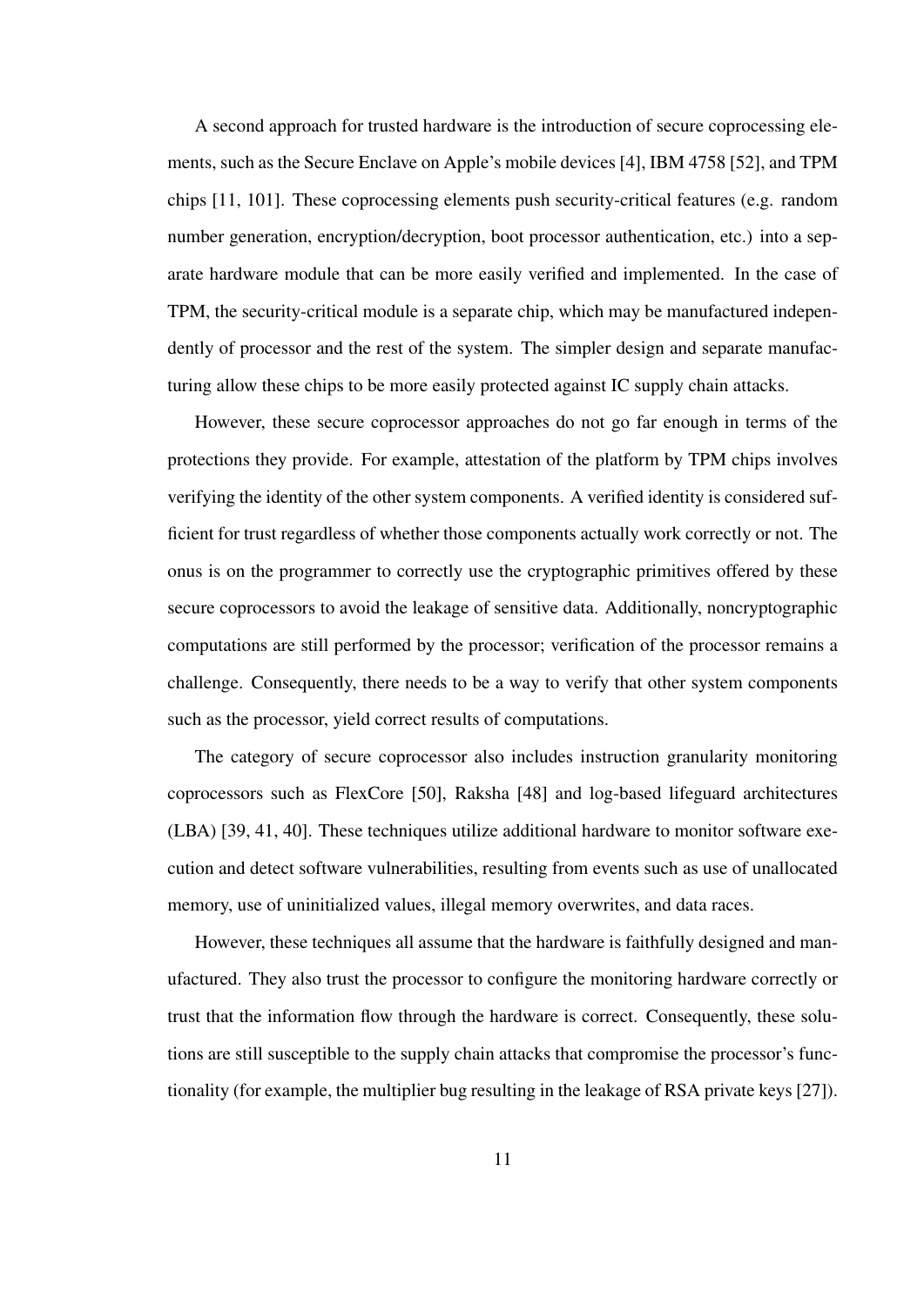A second approach for trusted hardware is the introduction of secure coprocessing elements, such as the Secure Enclave on Apple's mobile devices [4], IBM 4758 [52], and TPM chips [11, 101]. These coprocessing elements push security-critical features (e.g. random number generation, encryption/decryption, boot processor authentication, etc.) into a separate hardware module that can be more easily verified and implemented. In the case of TPM, the security-critical module is a separate chip, which may be manufactured independently of processor and the rest of the system. The simpler design and separate manufacturing allow these chips to be more easily protected against IC supply chain attacks.

However, these secure coprocessor approaches do not go far enough in terms of the protections they provide. For example, attestation of the platform by TPM chips involves verifying the identity of the other system components. A verified identity is considered sufficient for trust regardless of whether those components actually work correctly or not. The onus is on the programmer to correctly use the cryptographic primitives offered by these secure coprocessors to avoid the leakage of sensitive data. Additionally, noncryptographic computations are still performed by the processor; verification of the processor remains a challenge. Consequently, there needs to be a way to verify that other system components such as the processor, yield correct results of computations.

The category of secure coprocessor also includes instruction granularity monitoring coprocessors such as FlexCore [50], Raksha [48] and log-based lifeguard architectures (LBA) [39, 41, 40]. These techniques utilize additional hardware to monitor software execution and detect software vulnerabilities, resulting from events such as use of unallocated memory, use of uninitialized values, illegal memory overwrites, and data races.

However, these techniques all assume that the hardware is faithfully designed and manufactured. They also trust the processor to configure the monitoring hardware correctly or trust that the information flow through the hardware is correct. Consequently, these solutions are still susceptible to the supply chain attacks that compromise the processor's functionality (for example, the multiplier bug resulting in the leakage of RSA private keys [27]).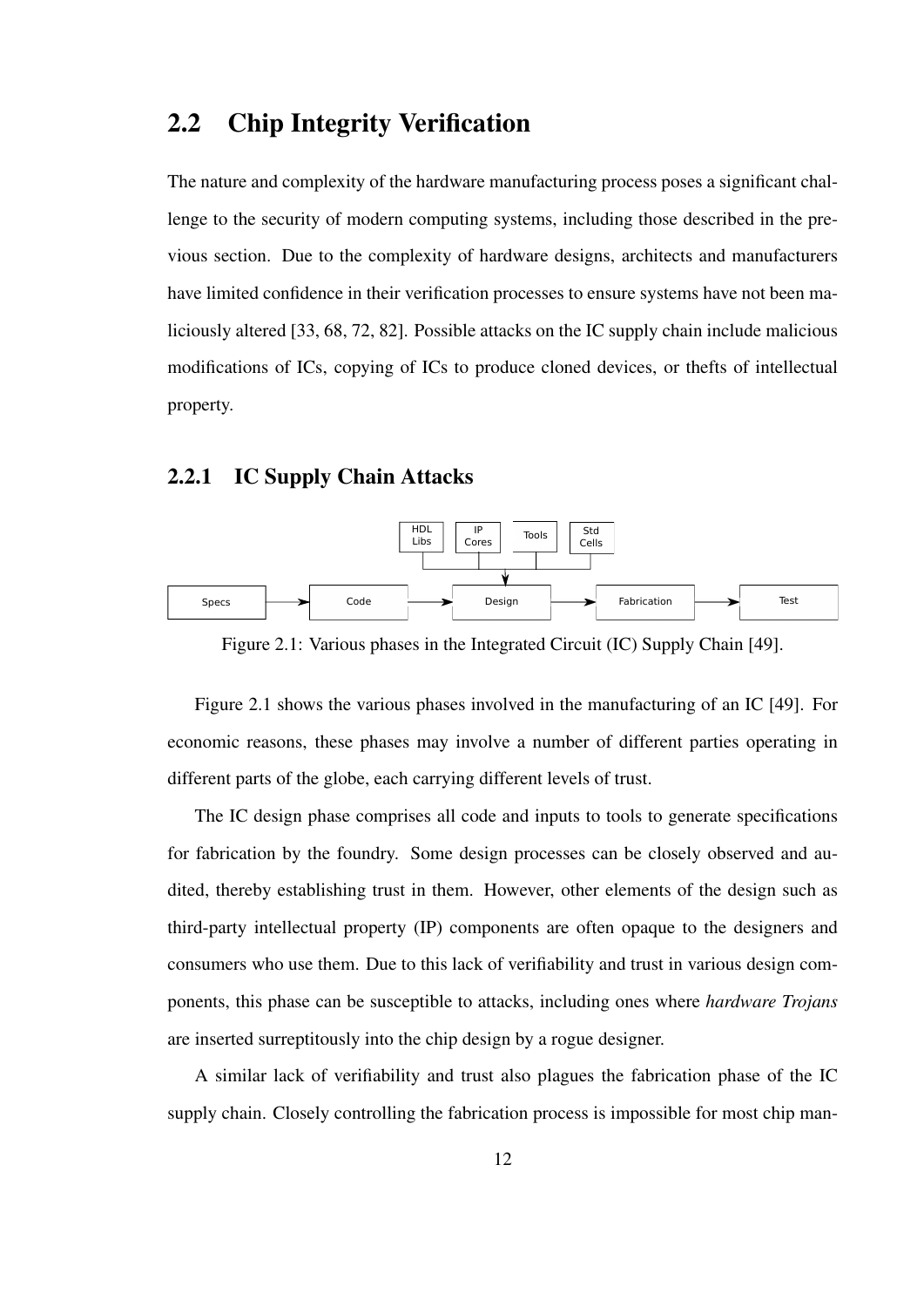#### 2.2 Chip Integrity Verification

The nature and complexity of the hardware manufacturing process poses a significant challenge to the security of modern computing systems, including those described in the previous section. Due to the complexity of hardware designs, architects and manufacturers have limited confidence in their verification processes to ensure systems have not been maliciously altered [33, 68, 72, 82]. Possible attacks on the IC supply chain include malicious modifications of ICs, copying of ICs to produce cloned devices, or thefts of intellectual property.

#### 2.2.1 IC Supply Chain Attacks



Figure 2.1: Various phases in the Integrated Circuit (IC) Supply Chain [49].

Figure 2.1 shows the various phases involved in the manufacturing of an IC [49]. For economic reasons, these phases may involve a number of different parties operating in different parts of the globe, each carrying different levels of trust.

The IC design phase comprises all code and inputs to tools to generate specifications for fabrication by the foundry. Some design processes can be closely observed and audited, thereby establishing trust in them. However, other elements of the design such as third-party intellectual property (IP) components are often opaque to the designers and consumers who use them. Due to this lack of verifiability and trust in various design components, this phase can be susceptible to attacks, including ones where *hardware Trojans* are inserted surreptitously into the chip design by a rogue designer.

A similar lack of verifiability and trust also plagues the fabrication phase of the IC supply chain. Closely controlling the fabrication process is impossible for most chip man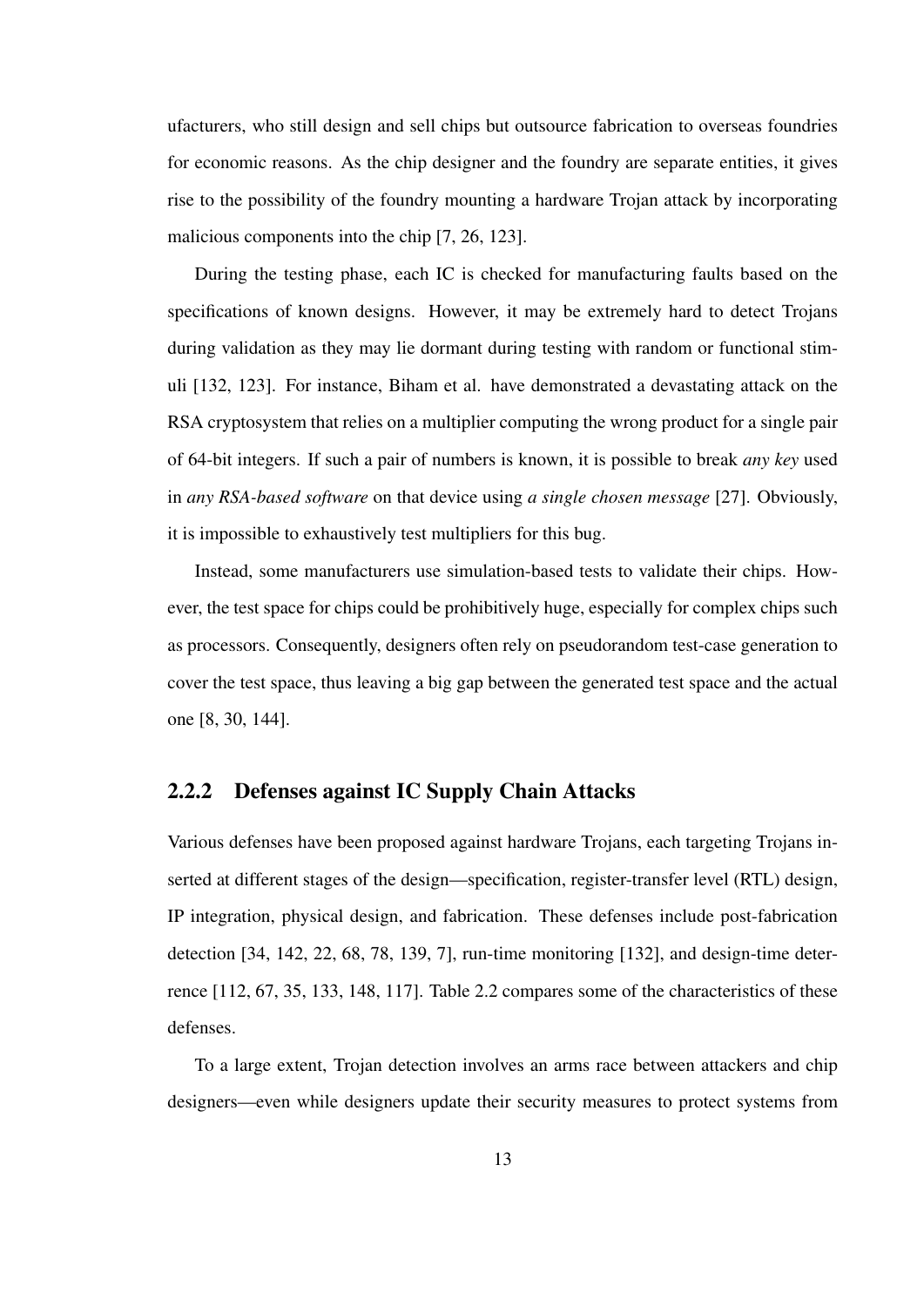ufacturers, who still design and sell chips but outsource fabrication to overseas foundries for economic reasons. As the chip designer and the foundry are separate entities, it gives rise to the possibility of the foundry mounting a hardware Trojan attack by incorporating malicious components into the chip [7, 26, 123].

During the testing phase, each IC is checked for manufacturing faults based on the specifications of known designs. However, it may be extremely hard to detect Trojans during validation as they may lie dormant during testing with random or functional stimuli [132, 123]. For instance, Biham et al. have demonstrated a devastating attack on the RSA cryptosystem that relies on a multiplier computing the wrong product for a single pair of 64-bit integers. If such a pair of numbers is known, it is possible to break *any key* used in *any RSA-based software* on that device using *a single chosen message* [27]. Obviously, it is impossible to exhaustively test multipliers for this bug.

Instead, some manufacturers use simulation-based tests to validate their chips. However, the test space for chips could be prohibitively huge, especially for complex chips such as processors. Consequently, designers often rely on pseudorandom test-case generation to cover the test space, thus leaving a big gap between the generated test space and the actual one [8, 30, 144].

#### 2.2.2 Defenses against IC Supply Chain Attacks

Various defenses have been proposed against hardware Trojans, each targeting Trojans inserted at different stages of the design—specification, register-transfer level (RTL) design, IP integration, physical design, and fabrication. These defenses include post-fabrication detection [34, 142, 22, 68, 78, 139, 7], run-time monitoring [132], and design-time deterrence [112, 67, 35, 133, 148, 117]. Table 2.2 compares some of the characteristics of these defenses.

To a large extent, Trojan detection involves an arms race between attackers and chip designers—even while designers update their security measures to protect systems from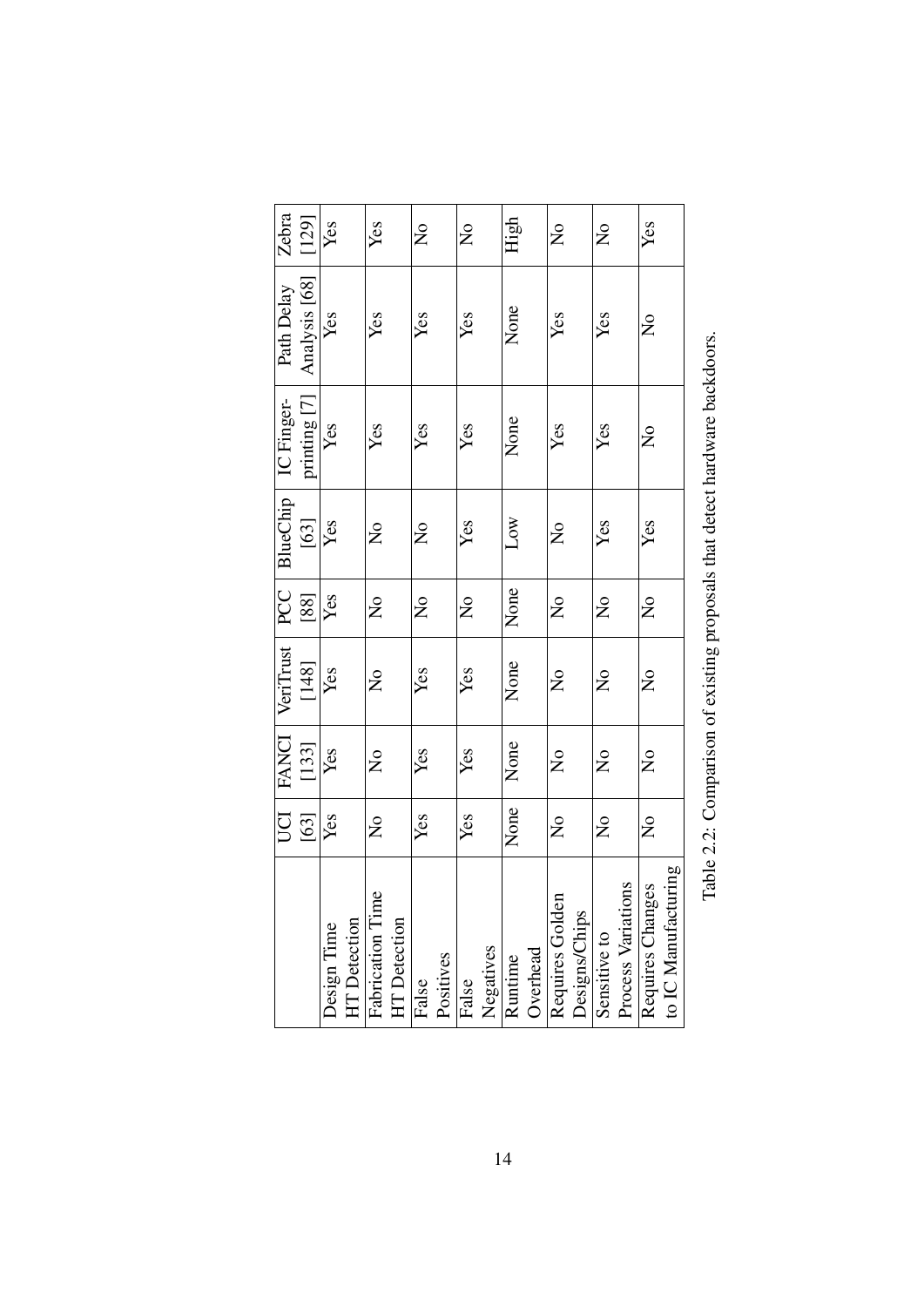| Zebra        | [129]         | Yes         |                     | Yes                                 |                     | $\mathsf{S}^{\mathsf{O}}$ |           | $\mathsf{S}^{\mathsf{O}}$ |           | High    |          | $\mathsf{S}^{\mathsf{O}}$ |               | $\mathsf{S}^{\mathsf{O}}$ |                    | Yes                                |                     |
|--------------|---------------|-------------|---------------------|-------------------------------------|---------------------|---------------------------|-----------|---------------------------|-----------|---------|----------|---------------------------|---------------|---------------------------|--------------------|------------------------------------|---------------------|
| Path Delay   | Analysis [68] | Yes         |                     | Yes                                 |                     | Yes                       |           | Yes                       |           | None    |          | Yes                       |               | Yes                       |                    | $\mathsf{z}^{\circ}$               |                     |
| IC Finger-   | printing [7]  | Yes         |                     | Yes                                 |                     | Yes                       |           | Yes                       |           | None    |          | Yes                       |               | Yes                       |                    | $\mathsf{S}^{\mathsf{O}}$          |                     |
| BlueChip     | $[63]$        | Yes         |                     | $\overline{\mathsf{X}}$             |                     | $\mathsf{S}^{\mathsf{O}}$ |           | Yes                       |           | Low     |          | $\mathsf{S}^{\mathsf{O}}$ |               | Yes                       |                    | Yes                                |                     |
| PCC          | $[88]$        | Yes         |                     | $\mathsf{S}^{\mathsf{O}}$           |                     | $\mathsf{S}^{\mathsf{O}}$ |           | $\mathsf{S}^{\mathsf{O}}$ |           | None    |          | $\mathsf{S}^{\mathsf{O}}$ |               | $\mathsf{S}^{\mathsf{O}}$ |                    | $\mathsf{S}^{\mathsf{O}}$          |                     |
| VeriTrust    | [148]         | Yes         |                     | $\mathsf{S}^{\mathsf{O}}$           |                     | Yes                       |           | Yes                       |           | None    |          | $\frac{1}{2}$             |               | $\frac{1}{2}$             |                    | $\mathsf{\overset{o}{\mathsf{Z}}}$ |                     |
| <b>FANCI</b> | [133]         | Yes         |                     | $\mathsf{S}^{\mathsf{O}}$           |                     | Yes                       |           | Yes                       |           | None    |          | $\mathsf{S}^{\mathsf{O}}$ |               | $\mathsf{S}^{\mathsf{O}}$ |                    | $\mathsf{S}^{\mathsf{O}}$          |                     |
| UCI          | $[63]$        | Yes         |                     | $\mathsf{S}^{\mathsf{O}}$           |                     | Yes                       |           | Yes                       |           | None    |          | $\mathsf{S}^{\mathsf{O}}$ |               | $\mathsf{S}^{\mathsf{O}}$ |                    | $\mathsf{S}^{\mathsf{O}}$          |                     |
|              |               | Design Time | <b>HT</b> Detection | $\mathbf \omega$<br>Fabrication Tim | <b>HT</b> Detection | False                     | Positives | False                     | Negatives | Runtime | Overhead | Requires Golden           | Designs/Chips | Sensitive to              | Process Variations | Requires Changes                   | to IC Manufacturing |

Table 2.2: Comparison of existing proposals that detect hardware backdoors. Table 2.2: Comparison of existing proposals that detect hardware backdoors.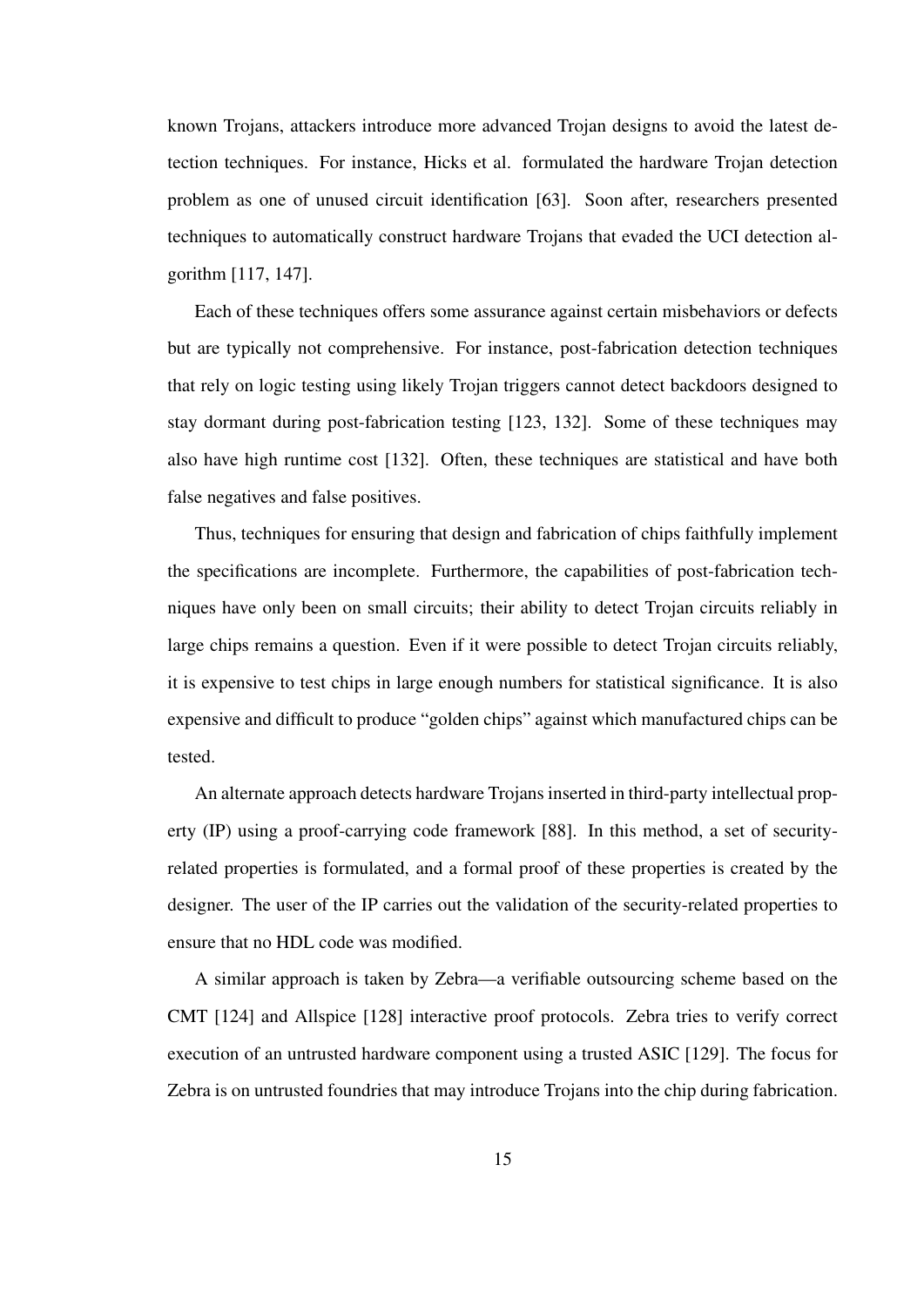known Trojans, attackers introduce more advanced Trojan designs to avoid the latest detection techniques. For instance, Hicks et al. formulated the hardware Trojan detection problem as one of unused circuit identification [63]. Soon after, researchers presented techniques to automatically construct hardware Trojans that evaded the UCI detection algorithm [117, 147].

Each of these techniques offers some assurance against certain misbehaviors or defects but are typically not comprehensive. For instance, post-fabrication detection techniques that rely on logic testing using likely Trojan triggers cannot detect backdoors designed to stay dormant during post-fabrication testing [123, 132]. Some of these techniques may also have high runtime cost [132]. Often, these techniques are statistical and have both false negatives and false positives.

Thus, techniques for ensuring that design and fabrication of chips faithfully implement the specifications are incomplete. Furthermore, the capabilities of post-fabrication techniques have only been on small circuits; their ability to detect Trojan circuits reliably in large chips remains a question. Even if it were possible to detect Trojan circuits reliably, it is expensive to test chips in large enough numbers for statistical significance. It is also expensive and difficult to produce "golden chips" against which manufactured chips can be tested.

An alternate approach detects hardware Trojans inserted in third-party intellectual property (IP) using a proof-carrying code framework [88]. In this method, a set of securityrelated properties is formulated, and a formal proof of these properties is created by the designer. The user of the IP carries out the validation of the security-related properties to ensure that no HDL code was modified.

A similar approach is taken by Zebra—a verifiable outsourcing scheme based on the CMT [124] and Allspice [128] interactive proof protocols. Zebra tries to verify correct execution of an untrusted hardware component using a trusted ASIC [129]. The focus for Zebra is on untrusted foundries that may introduce Trojans into the chip during fabrication.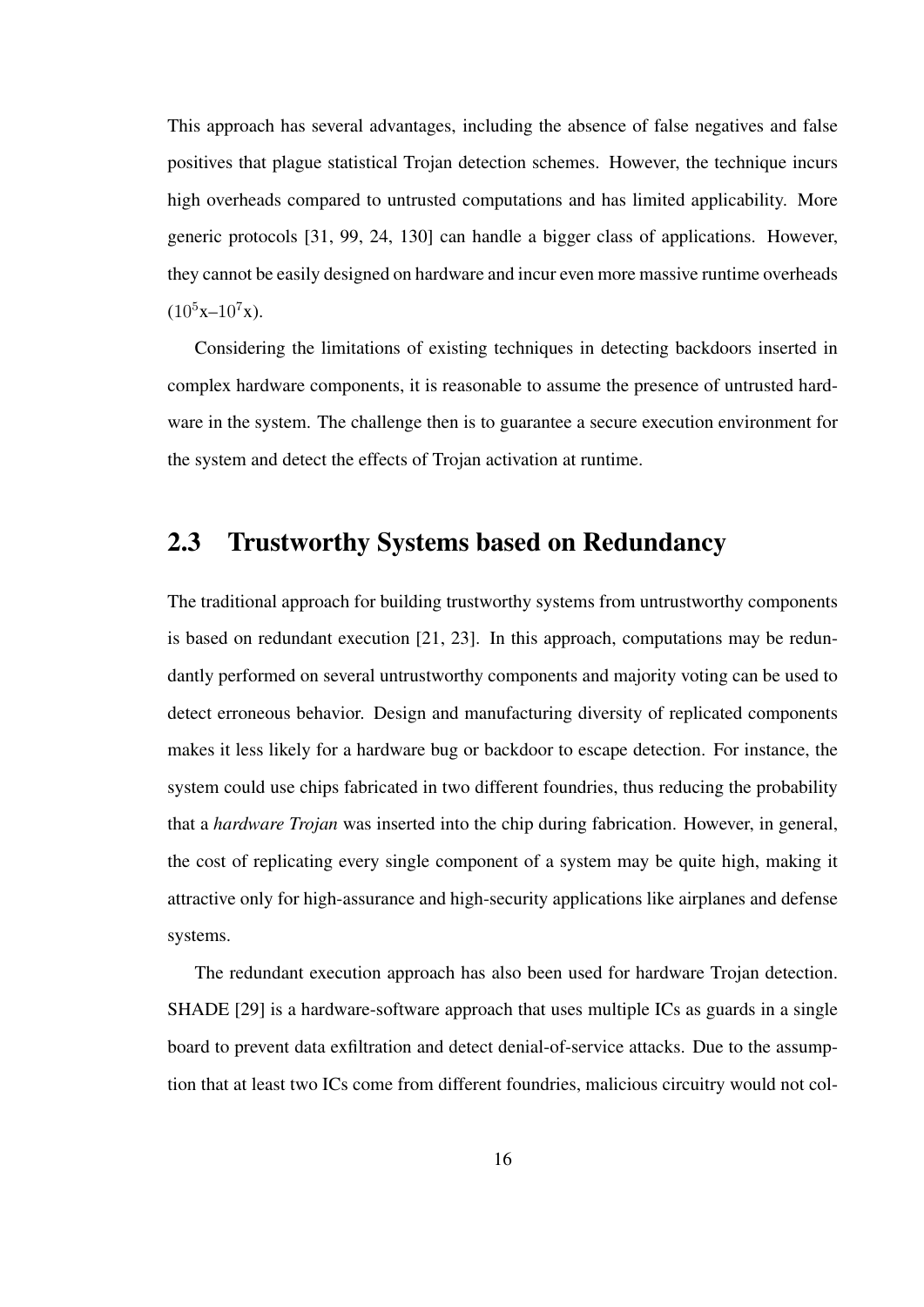This approach has several advantages, including the absence of false negatives and false positives that plague statistical Trojan detection schemes. However, the technique incurs high overheads compared to untrusted computations and has limited applicability. More generic protocols [31, 99, 24, 130] can handle a bigger class of applications. However, they cannot be easily designed on hardware and incur even more massive runtime overheads  $(10^5x-10^7x)$ .

Considering the limitations of existing techniques in detecting backdoors inserted in complex hardware components, it is reasonable to assume the presence of untrusted hardware in the system. The challenge then is to guarantee a secure execution environment for the system and detect the effects of Trojan activation at runtime.

#### 2.3 Trustworthy Systems based on Redundancy

The traditional approach for building trustworthy systems from untrustworthy components is based on redundant execution [21, 23]. In this approach, computations may be redundantly performed on several untrustworthy components and majority voting can be used to detect erroneous behavior. Design and manufacturing diversity of replicated components makes it less likely for a hardware bug or backdoor to escape detection. For instance, the system could use chips fabricated in two different foundries, thus reducing the probability that a *hardware Trojan* was inserted into the chip during fabrication. However, in general, the cost of replicating every single component of a system may be quite high, making it attractive only for high-assurance and high-security applications like airplanes and defense systems.

The redundant execution approach has also been used for hardware Trojan detection. SHADE [29] is a hardware-software approach that uses multiple ICs as guards in a single board to prevent data exfiltration and detect denial-of-service attacks. Due to the assumption that at least two ICs come from different foundries, malicious circuitry would not col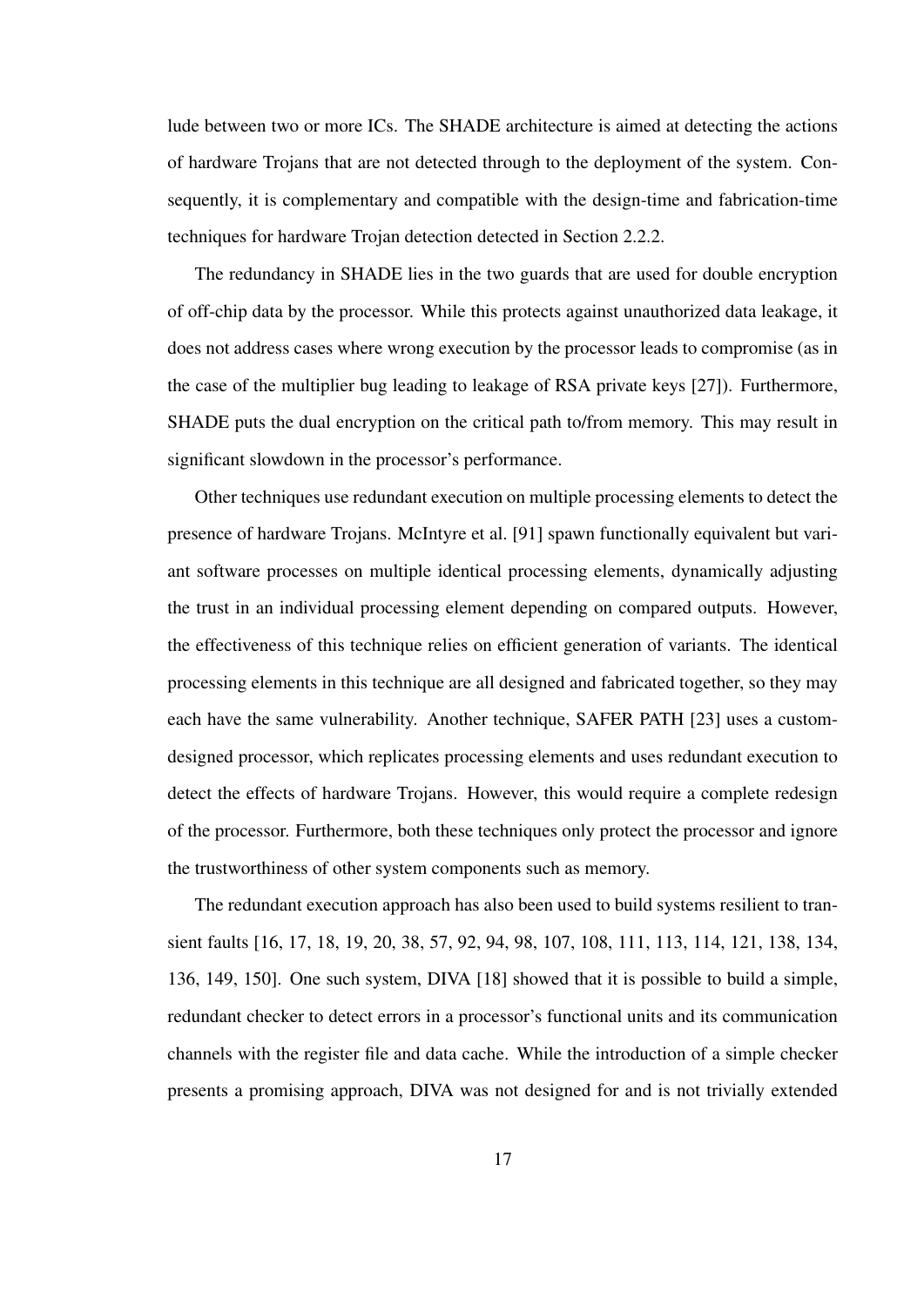lude between two or more ICs. The SHADE architecture is aimed at detecting the actions of hardware Trojans that are not detected through to the deployment of the system. Consequently, it is complementary and compatible with the design-time and fabrication-time techniques for hardware Trojan detection detected in Section 2.2.2.

The redundancy in SHADE lies in the two guards that are used for double encryption of off-chip data by the processor. While this protects against unauthorized data leakage, it does not address cases where wrong execution by the processor leads to compromise (as in the case of the multiplier bug leading to leakage of RSA private keys [27]). Furthermore, SHADE puts the dual encryption on the critical path to/from memory. This may result in significant slowdown in the processor's performance.

Other techniques use redundant execution on multiple processing elements to detect the presence of hardware Trojans. McIntyre et al. [91] spawn functionally equivalent but variant software processes on multiple identical processing elements, dynamically adjusting the trust in an individual processing element depending on compared outputs. However, the effectiveness of this technique relies on efficient generation of variants. The identical processing elements in this technique are all designed and fabricated together, so they may each have the same vulnerability. Another technique, SAFER PATH [23] uses a customdesigned processor, which replicates processing elements and uses redundant execution to detect the effects of hardware Trojans. However, this would require a complete redesign of the processor. Furthermore, both these techniques only protect the processor and ignore the trustworthiness of other system components such as memory.

The redundant execution approach has also been used to build systems resilient to transient faults [16, 17, 18, 19, 20, 38, 57, 92, 94, 98, 107, 108, 111, 113, 114, 121, 138, 134, 136, 149, 150]. One such system, DIVA [18] showed that it is possible to build a simple, redundant checker to detect errors in a processor's functional units and its communication channels with the register file and data cache. While the introduction of a simple checker presents a promising approach, DIVA was not designed for and is not trivially extended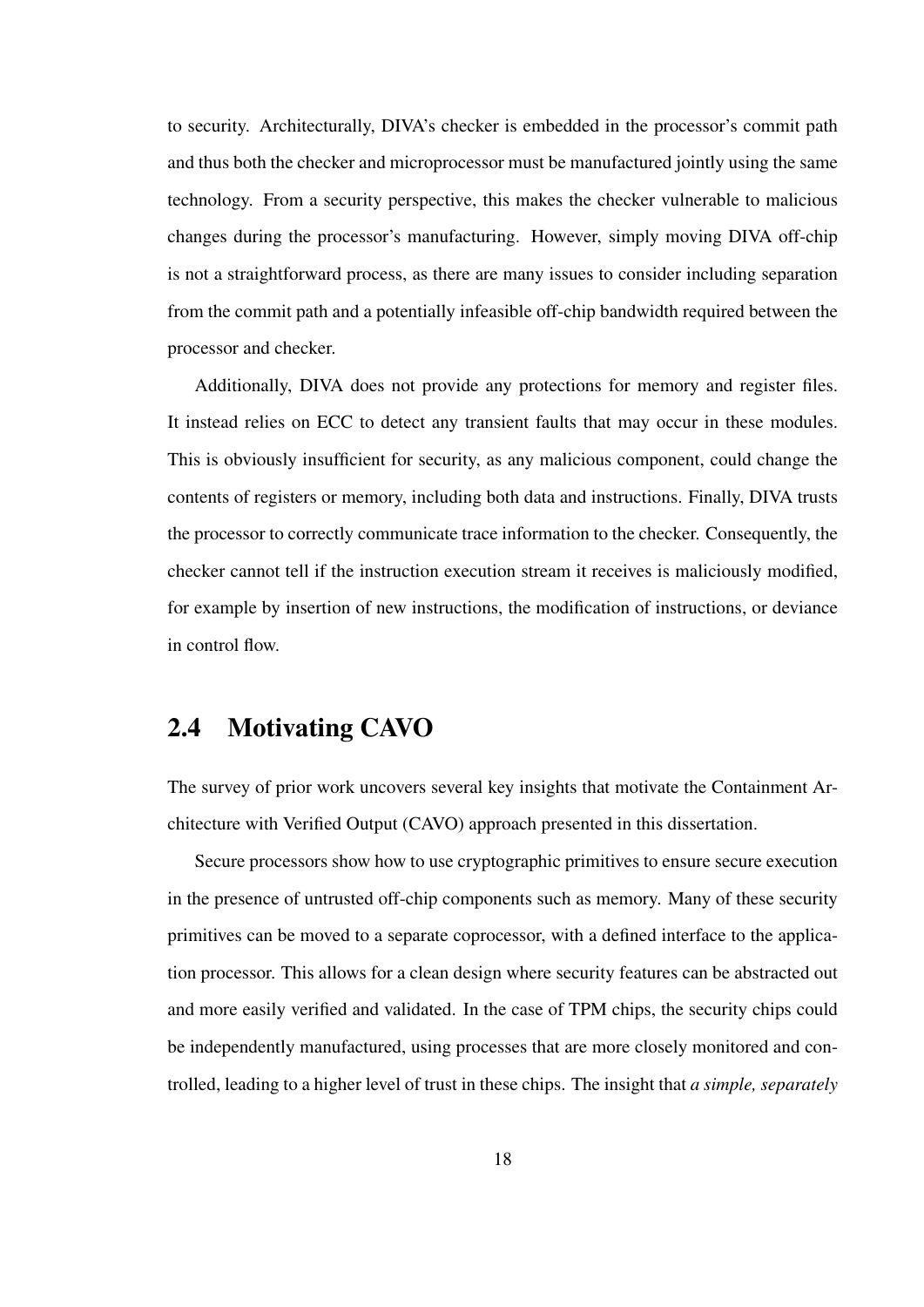to security. Architecturally, DIVA's checker is embedded in the processor's commit path and thus both the checker and microprocessor must be manufactured jointly using the same technology. From a security perspective, this makes the checker vulnerable to malicious changes during the processor's manufacturing. However, simply moving DIVA off-chip is not a straightforward process, as there are many issues to consider including separation from the commit path and a potentially infeasible off-chip bandwidth required between the processor and checker.

Additionally, DIVA does not provide any protections for memory and register files. It instead relies on ECC to detect any transient faults that may occur in these modules. This is obviously insufficient for security, as any malicious component, could change the contents of registers or memory, including both data and instructions. Finally, DIVA trusts the processor to correctly communicate trace information to the checker. Consequently, the checker cannot tell if the instruction execution stream it receives is maliciously modified, for example by insertion of new instructions, the modification of instructions, or deviance in control flow.

# 2.4 Motivating CAVO

The survey of prior work uncovers several key insights that motivate the Containment Architecture with Verified Output (CAVO) approach presented in this dissertation.

Secure processors show how to use cryptographic primitives to ensure secure execution in the presence of untrusted off-chip components such as memory. Many of these security primitives can be moved to a separate coprocessor, with a defined interface to the application processor. This allows for a clean design where security features can be abstracted out and more easily verified and validated. In the case of TPM chips, the security chips could be independently manufactured, using processes that are more closely monitored and controlled, leading to a higher level of trust in these chips. The insight that *a simple, separately*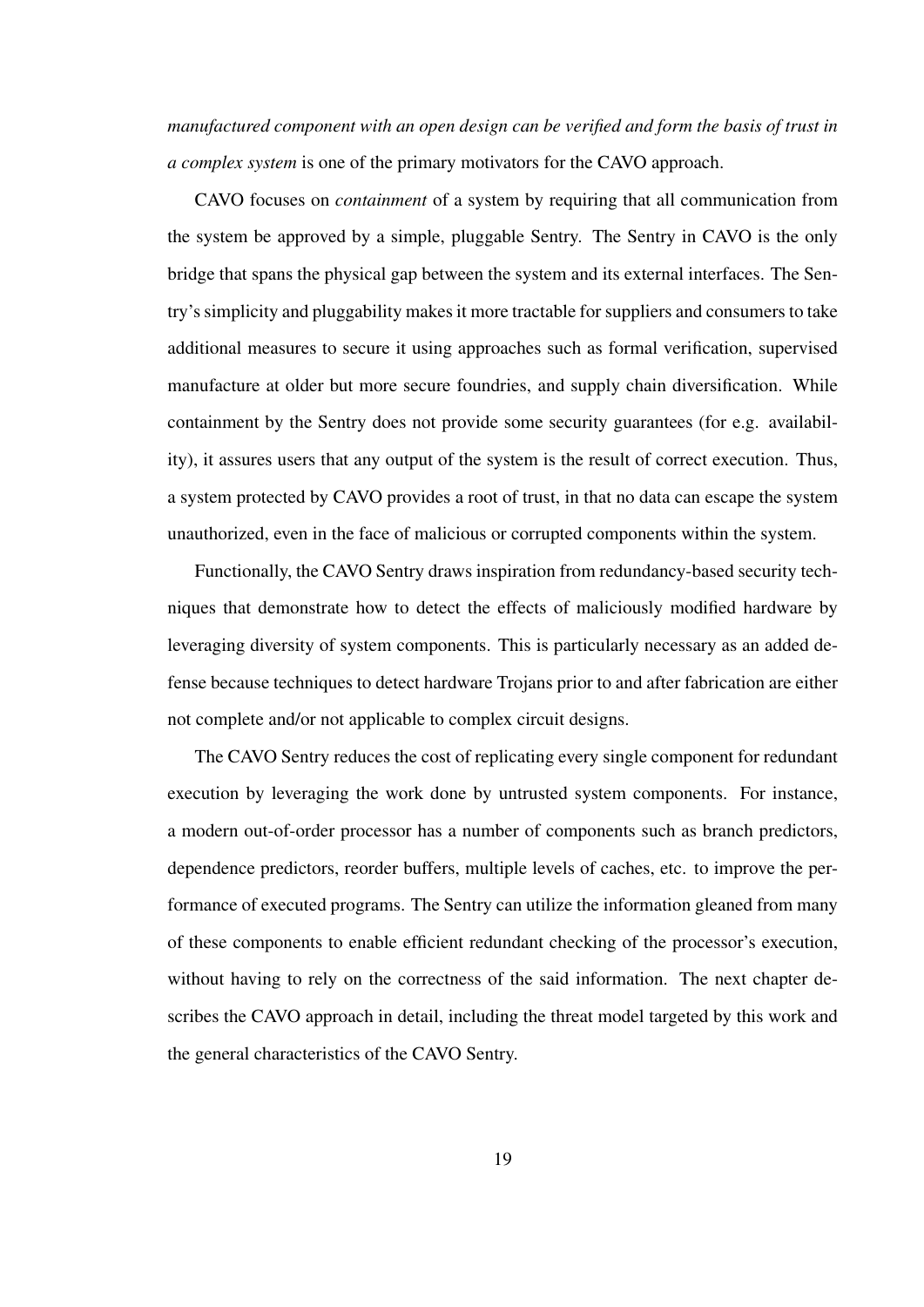*manufactured component with an open design can be verified and form the basis of trust in a complex system* is one of the primary motivators for the CAVO approach.

CAVO focuses on *containment* of a system by requiring that all communication from the system be approved by a simple, pluggable Sentry. The Sentry in CAVO is the only bridge that spans the physical gap between the system and its external interfaces. The Sentry's simplicity and pluggability makes it more tractable for suppliers and consumers to take additional measures to secure it using approaches such as formal verification, supervised manufacture at older but more secure foundries, and supply chain diversification. While containment by the Sentry does not provide some security guarantees (for e.g. availability), it assures users that any output of the system is the result of correct execution. Thus, a system protected by CAVO provides a root of trust, in that no data can escape the system unauthorized, even in the face of malicious or corrupted components within the system.

Functionally, the CAVO Sentry draws inspiration from redundancy-based security techniques that demonstrate how to detect the effects of maliciously modified hardware by leveraging diversity of system components. This is particularly necessary as an added defense because techniques to detect hardware Trojans prior to and after fabrication are either not complete and/or not applicable to complex circuit designs.

The CAVO Sentry reduces the cost of replicating every single component for redundant execution by leveraging the work done by untrusted system components. For instance, a modern out-of-order processor has a number of components such as branch predictors, dependence predictors, reorder buffers, multiple levels of caches, etc. to improve the performance of executed programs. The Sentry can utilize the information gleaned from many of these components to enable efficient redundant checking of the processor's execution, without having to rely on the correctness of the said information. The next chapter describes the CAVO approach in detail, including the threat model targeted by this work and the general characteristics of the CAVO Sentry.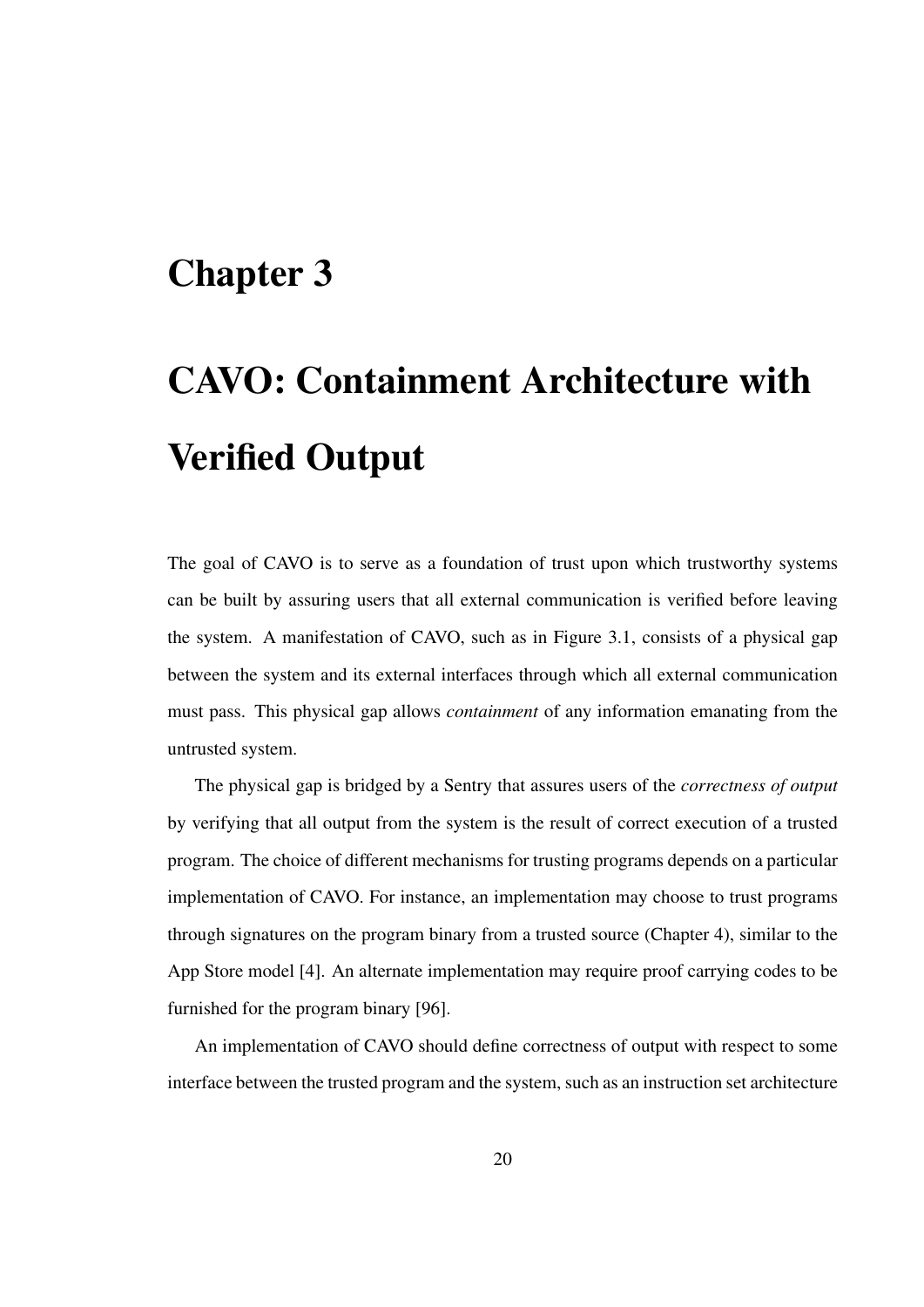# Chapter 3

# CAVO: Containment Architecture with Verified Output

The goal of CAVO is to serve as a foundation of trust upon which trustworthy systems can be built by assuring users that all external communication is verified before leaving the system. A manifestation of CAVO, such as in Figure 3.1, consists of a physical gap between the system and its external interfaces through which all external communication must pass. This physical gap allows *containment* of any information emanating from the untrusted system.

The physical gap is bridged by a Sentry that assures users of the *correctness of output* by verifying that all output from the system is the result of correct execution of a trusted program. The choice of different mechanisms for trusting programs depends on a particular implementation of CAVO. For instance, an implementation may choose to trust programs through signatures on the program binary from a trusted source (Chapter 4), similar to the App Store model [4]. An alternate implementation may require proof carrying codes to be furnished for the program binary [96].

An implementation of CAVO should define correctness of output with respect to some interface between the trusted program and the system, such as an instruction set architecture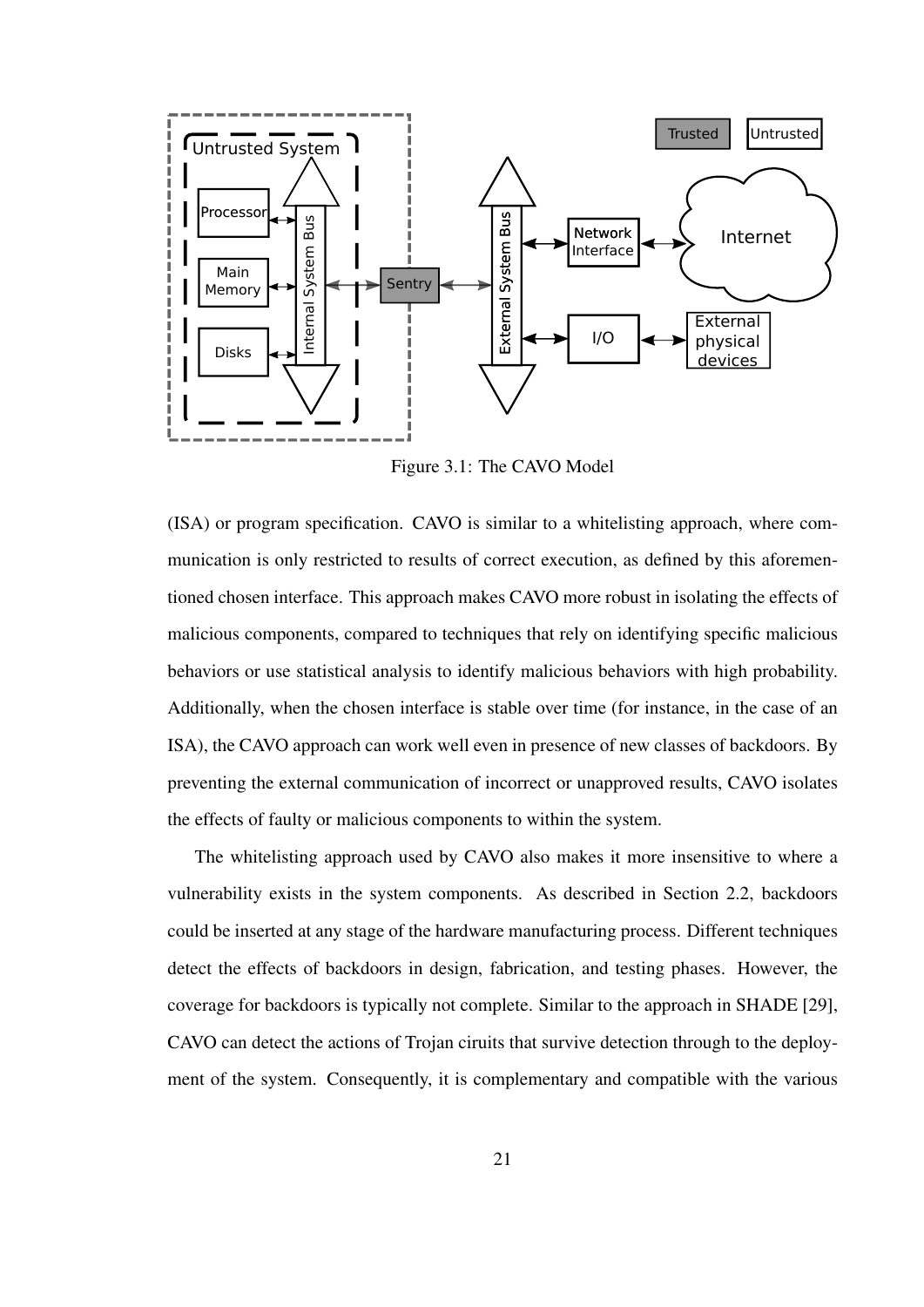

Figure 3.1: The CAVO Model

(ISA) or program specification. CAVO is similar to a whitelisting approach, where communication is only restricted to results of correct execution, as defined by this aforementioned chosen interface. This approach makes CAVO more robust in isolating the effects of malicious components, compared to techniques that rely on identifying specific malicious behaviors or use statistical analysis to identify malicious behaviors with high probability. Additionally, when the chosen interface is stable over time (for instance, in the case of an ISA), the CAVO approach can work well even in presence of new classes of backdoors. By preventing the external communication of incorrect or unapproved results, CAVO isolates the effects of faulty or malicious components to within the system.

The whitelisting approach used by CAVO also makes it more insensitive to where a vulnerability exists in the system components. As described in Section 2.2, backdoors could be inserted at any stage of the hardware manufacturing process. Different techniques detect the effects of backdoors in design, fabrication, and testing phases. However, the coverage for backdoors is typically not complete. Similar to the approach in SHADE [29], CAVO can detect the actions of Trojan ciruits that survive detection through to the deployment of the system. Consequently, it is complementary and compatible with the various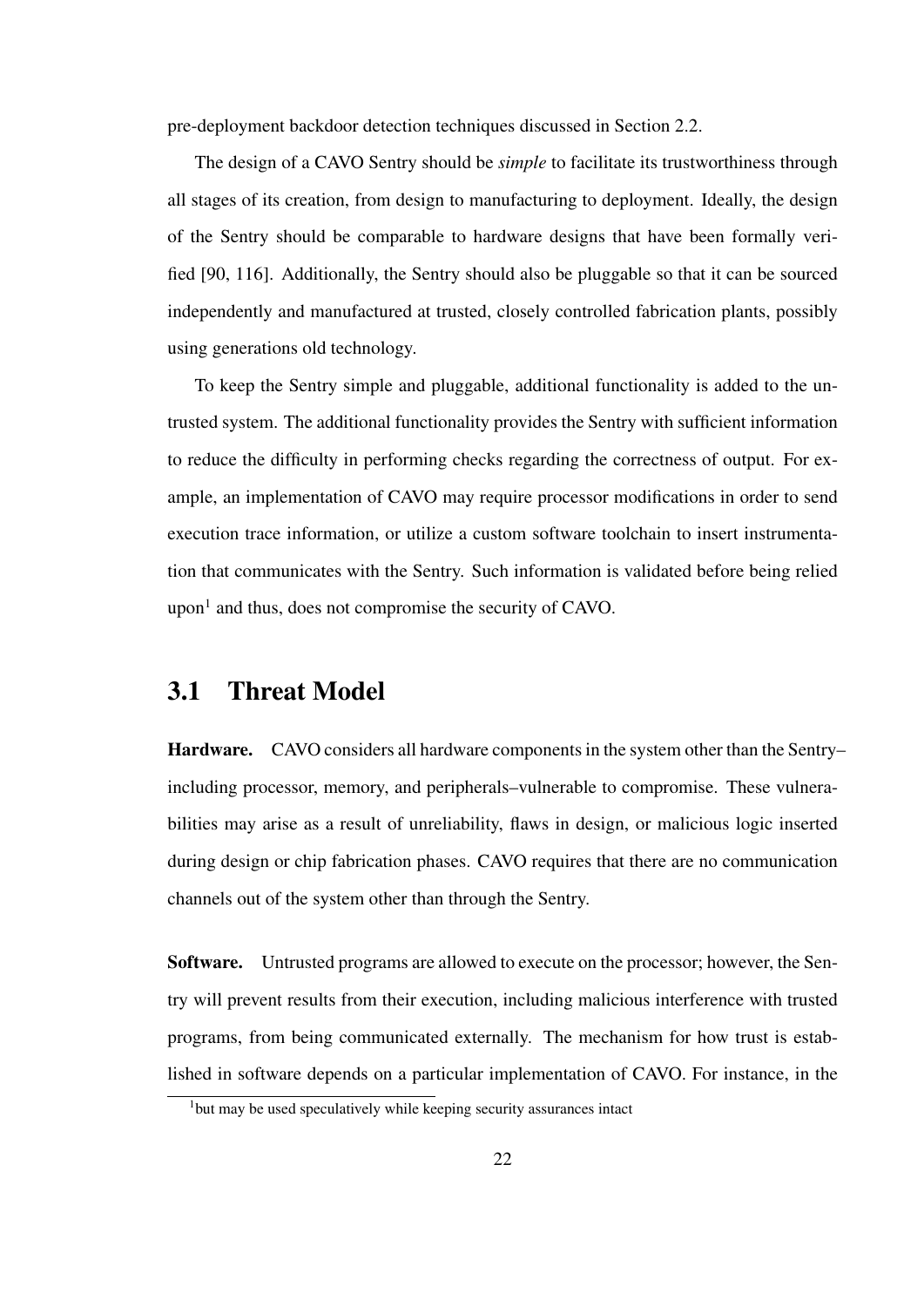pre-deployment backdoor detection techniques discussed in Section 2.2.

The design of a CAVO Sentry should be *simple* to facilitate its trustworthiness through all stages of its creation, from design to manufacturing to deployment. Ideally, the design of the Sentry should be comparable to hardware designs that have been formally verified [90, 116]. Additionally, the Sentry should also be pluggable so that it can be sourced independently and manufactured at trusted, closely controlled fabrication plants, possibly using generations old technology.

To keep the Sentry simple and pluggable, additional functionality is added to the untrusted system. The additional functionality provides the Sentry with sufficient information to reduce the difficulty in performing checks regarding the correctness of output. For example, an implementation of CAVO may require processor modifications in order to send execution trace information, or utilize a custom software toolchain to insert instrumentation that communicates with the Sentry. Such information is validated before being relied upon $<sup>1</sup>$  and thus, does not compromise the security of CAVO.</sup>

### 3.1 Threat Model

Hardware. CAVO considers all hardware components in the system other than the Sentry– including processor, memory, and peripherals–vulnerable to compromise. These vulnerabilities may arise as a result of unreliability, flaws in design, or malicious logic inserted during design or chip fabrication phases. CAVO requires that there are no communication channels out of the system other than through the Sentry.

Software. Untrusted programs are allowed to execute on the processor; however, the Sentry will prevent results from their execution, including malicious interference with trusted programs, from being communicated externally. The mechanism for how trust is established in software depends on a particular implementation of CAVO. For instance, in the

<sup>1</sup>but may be used speculatively while keeping security assurances intact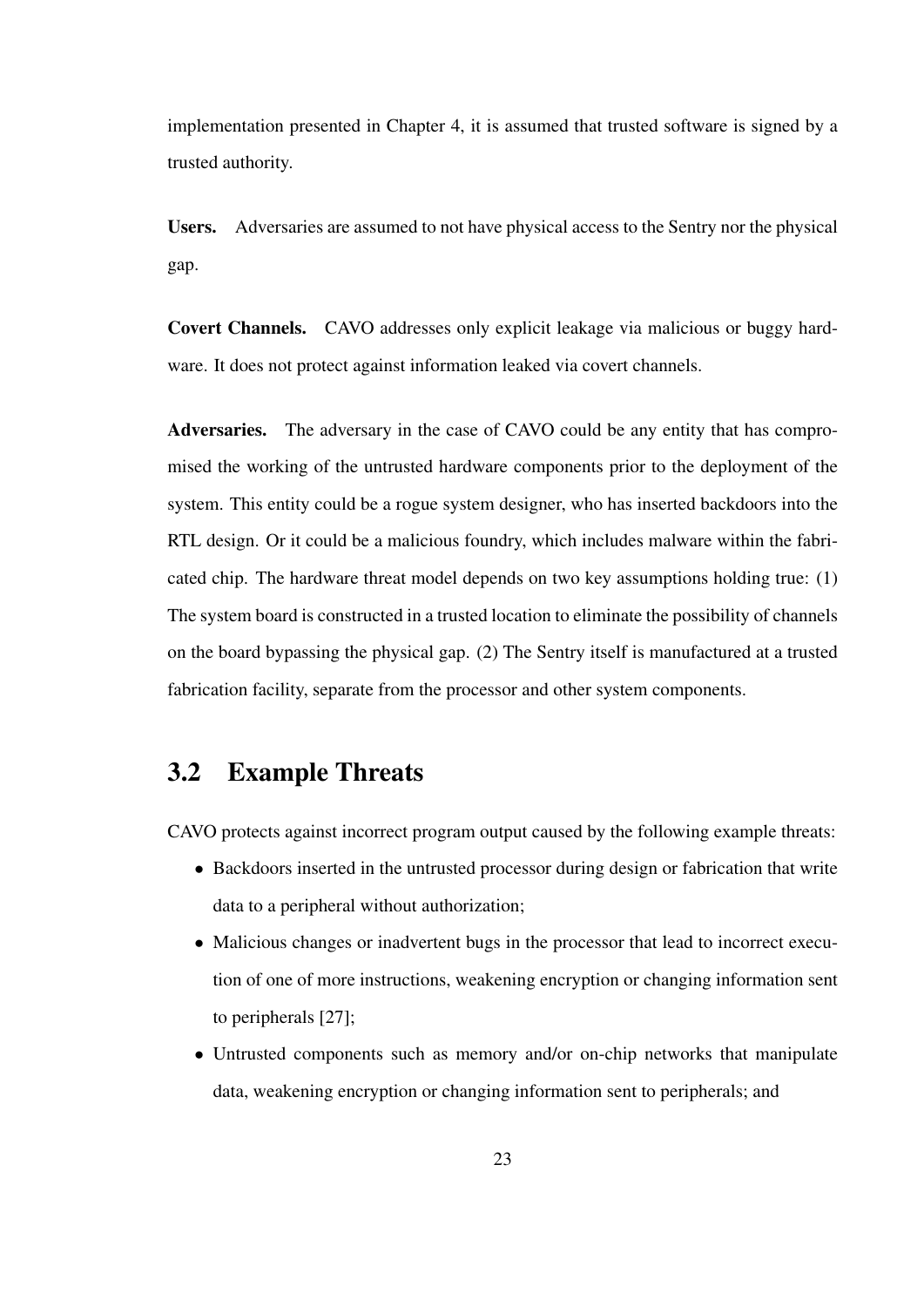implementation presented in Chapter 4, it is assumed that trusted software is signed by a trusted authority.

Users. Adversaries are assumed to not have physical access to the Sentry nor the physical gap.

Covert Channels. CAVO addresses only explicit leakage via malicious or buggy hardware. It does not protect against information leaked via covert channels.

Adversaries. The adversary in the case of CAVO could be any entity that has compromised the working of the untrusted hardware components prior to the deployment of the system. This entity could be a rogue system designer, who has inserted backdoors into the RTL design. Or it could be a malicious foundry, which includes malware within the fabricated chip. The hardware threat model depends on two key assumptions holding true: (1) The system board is constructed in a trusted location to eliminate the possibility of channels on the board bypassing the physical gap. (2) The Sentry itself is manufactured at a trusted fabrication facility, separate from the processor and other system components.

### 3.2 Example Threats

CAVO protects against incorrect program output caused by the following example threats:

- Backdoors inserted in the untrusted processor during design or fabrication that write data to a peripheral without authorization;
- Malicious changes or inadvertent bugs in the processor that lead to incorrect execution of one of more instructions, weakening encryption or changing information sent to peripherals [27];
- Untrusted components such as memory and/or on-chip networks that manipulate data, weakening encryption or changing information sent to peripherals; and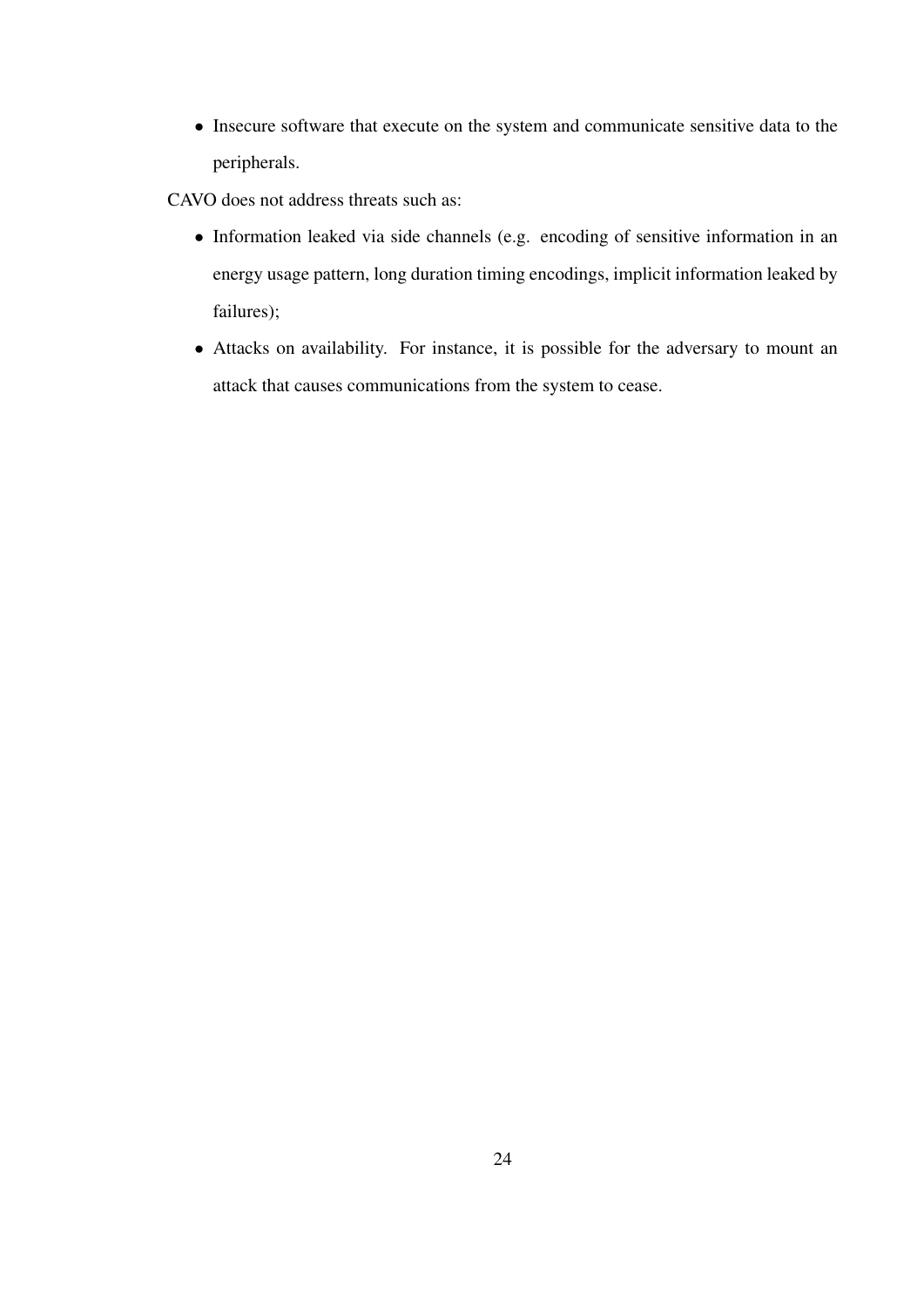• Insecure software that execute on the system and communicate sensitive data to the peripherals.

CAVO does not address threats such as:

- Information leaked via side channels (e.g. encoding of sensitive information in an energy usage pattern, long duration timing encodings, implicit information leaked by failures);
- Attacks on availability. For instance, it is possible for the adversary to mount an attack that causes communications from the system to cease.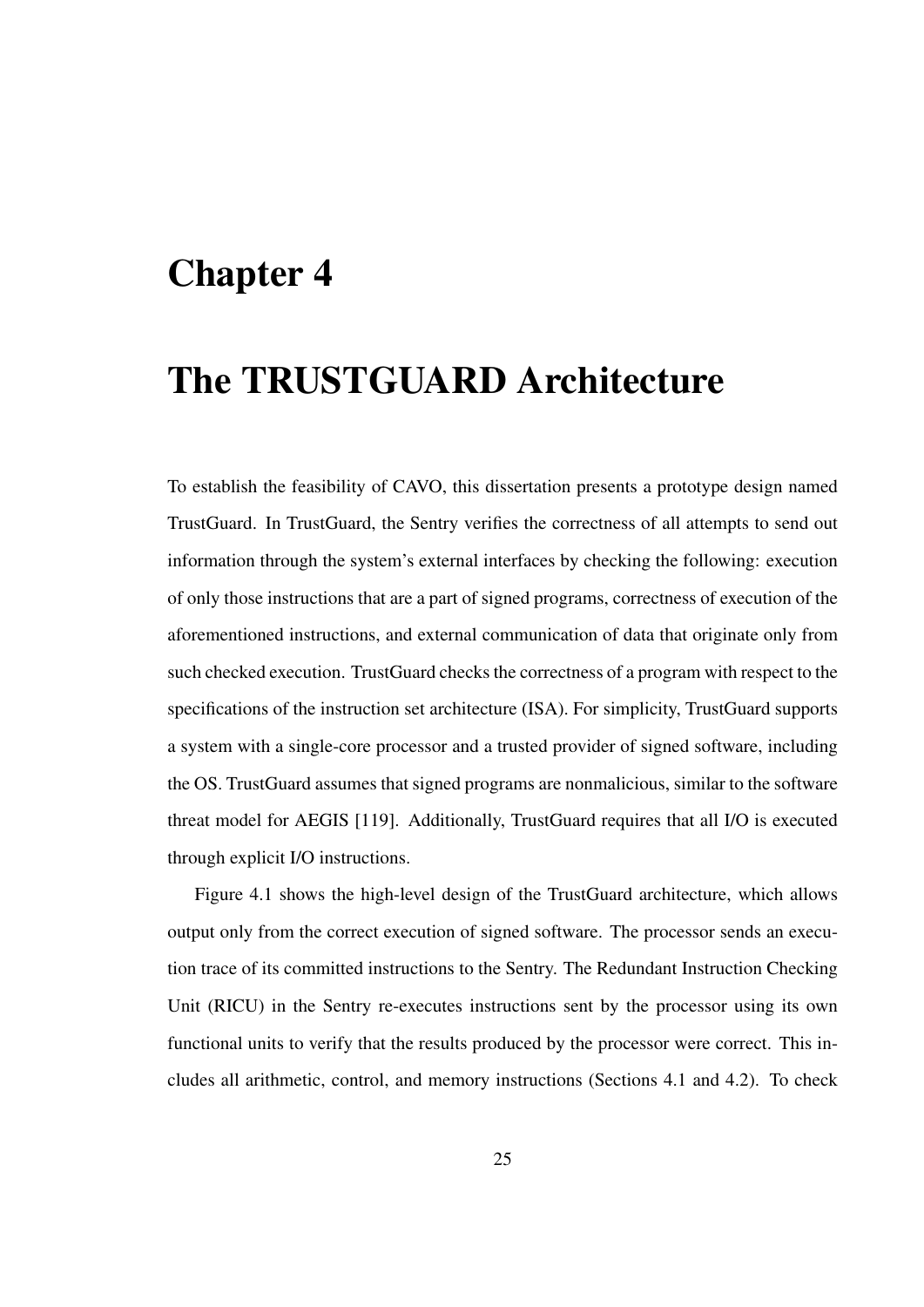# Chapter 4

# The TRUSTGUARD Architecture

To establish the feasibility of CAVO, this dissertation presents a prototype design named TrustGuard. In TrustGuard, the Sentry verifies the correctness of all attempts to send out information through the system's external interfaces by checking the following: execution of only those instructions that are a part of signed programs, correctness of execution of the aforementioned instructions, and external communication of data that originate only from such checked execution. TrustGuard checks the correctness of a program with respect to the specifications of the instruction set architecture (ISA). For simplicity, TrustGuard supports a system with a single-core processor and a trusted provider of signed software, including the OS. TrustGuard assumes that signed programs are nonmalicious, similar to the software threat model for AEGIS [119]. Additionally, TrustGuard requires that all I/O is executed through explicit I/O instructions.

Figure 4.1 shows the high-level design of the TrustGuard architecture, which allows output only from the correct execution of signed software. The processor sends an execution trace of its committed instructions to the Sentry. The Redundant Instruction Checking Unit (RICU) in the Sentry re-executes instructions sent by the processor using its own functional units to verify that the results produced by the processor were correct. This includes all arithmetic, control, and memory instructions (Sections 4.1 and 4.2). To check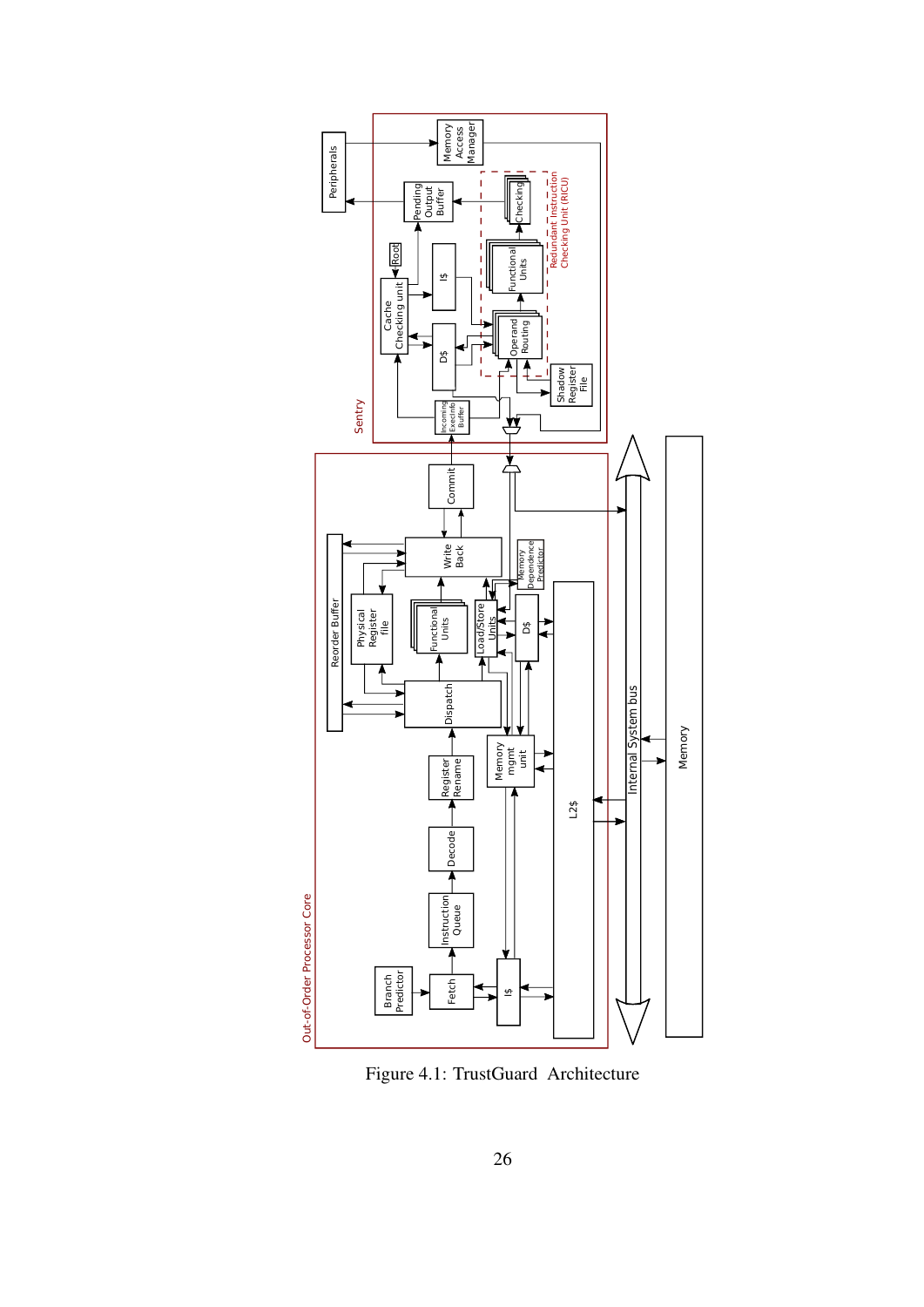

Figure 4.1: TrustGuard Architecture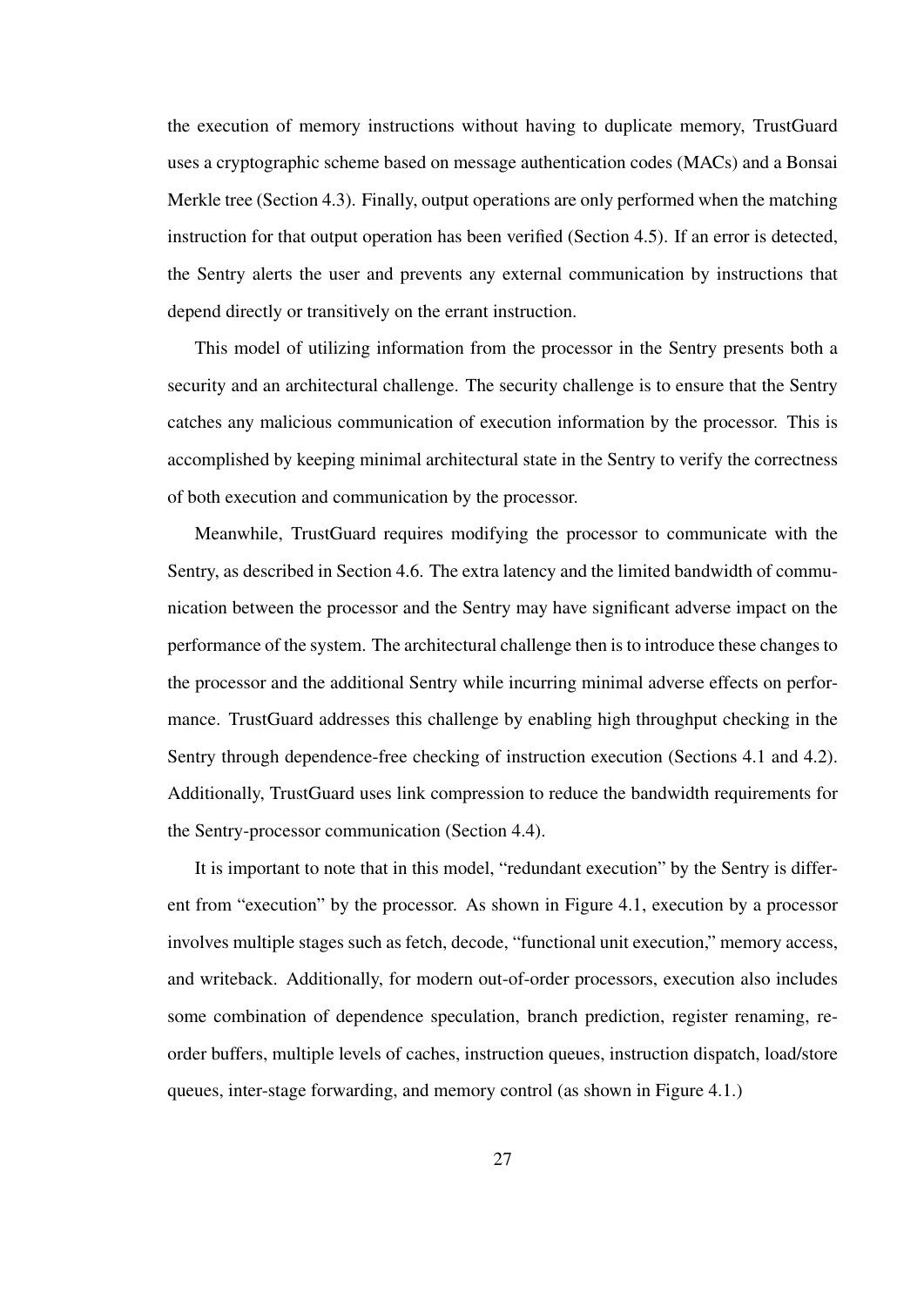the execution of memory instructions without having to duplicate memory, TrustGuard uses a cryptographic scheme based on message authentication codes (MACs) and a Bonsai Merkle tree (Section 4.3). Finally, output operations are only performed when the matching instruction for that output operation has been verified (Section 4.5). If an error is detected, the Sentry alerts the user and prevents any external communication by instructions that depend directly or transitively on the errant instruction.

This model of utilizing information from the processor in the Sentry presents both a security and an architectural challenge. The security challenge is to ensure that the Sentry catches any malicious communication of execution information by the processor. This is accomplished by keeping minimal architectural state in the Sentry to verify the correctness of both execution and communication by the processor.

Meanwhile, TrustGuard requires modifying the processor to communicate with the Sentry, as described in Section 4.6. The extra latency and the limited bandwidth of communication between the processor and the Sentry may have significant adverse impact on the performance of the system. The architectural challenge then is to introduce these changes to the processor and the additional Sentry while incurring minimal adverse effects on performance. TrustGuard addresses this challenge by enabling high throughput checking in the Sentry through dependence-free checking of instruction execution (Sections 4.1 and 4.2). Additionally, TrustGuard uses link compression to reduce the bandwidth requirements for the Sentry-processor communication (Section 4.4).

It is important to note that in this model, "redundant execution" by the Sentry is different from "execution" by the processor. As shown in Figure 4.1, execution by a processor involves multiple stages such as fetch, decode, "functional unit execution," memory access, and writeback. Additionally, for modern out-of-order processors, execution also includes some combination of dependence speculation, branch prediction, register renaming, reorder buffers, multiple levels of caches, instruction queues, instruction dispatch, load/store queues, inter-stage forwarding, and memory control (as shown in Figure 4.1.)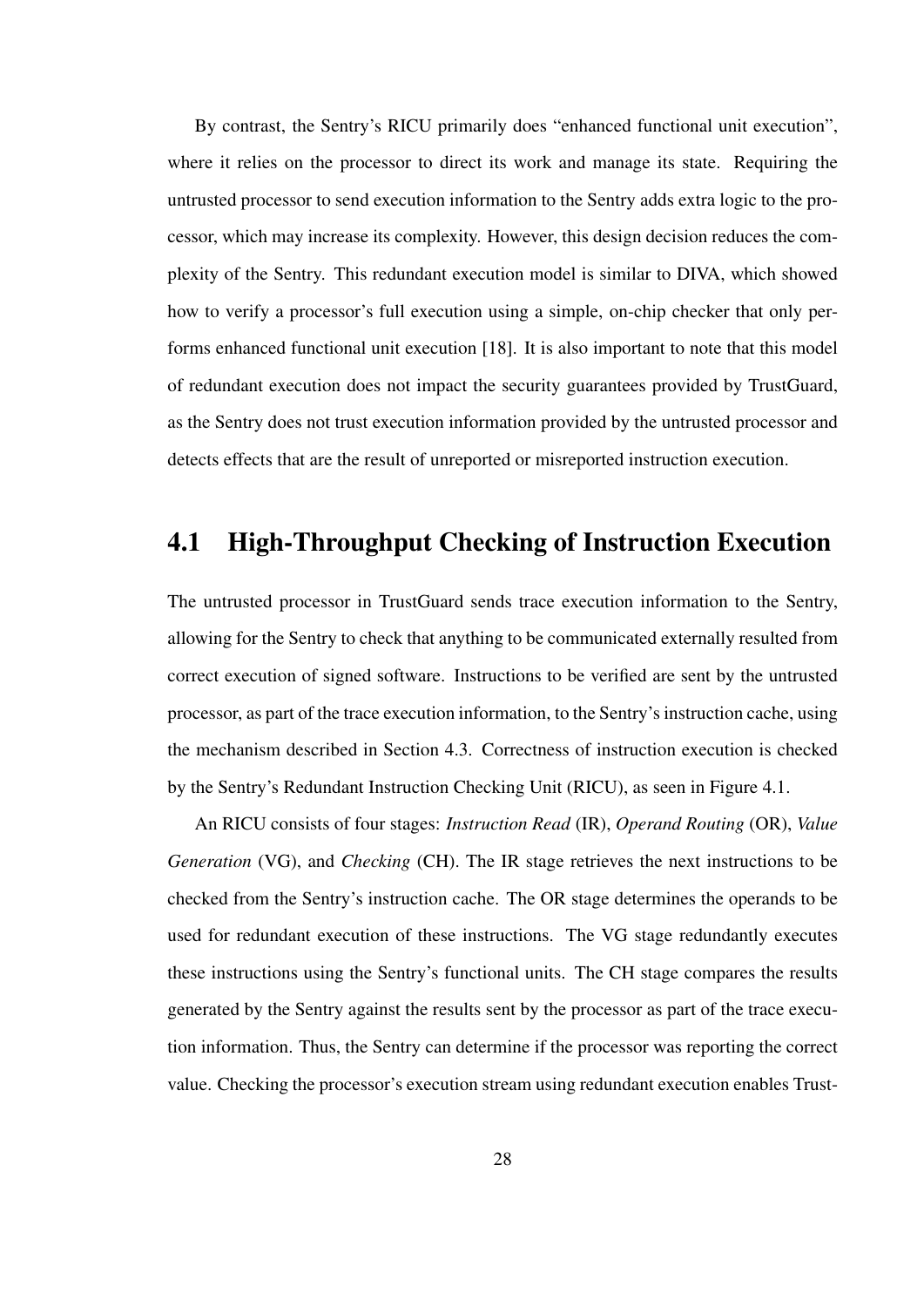By contrast, the Sentry's RICU primarily does "enhanced functional unit execution", where it relies on the processor to direct its work and manage its state. Requiring the untrusted processor to send execution information to the Sentry adds extra logic to the processor, which may increase its complexity. However, this design decision reduces the complexity of the Sentry. This redundant execution model is similar to DIVA, which showed how to verify a processor's full execution using a simple, on-chip checker that only performs enhanced functional unit execution [18]. It is also important to note that this model of redundant execution does not impact the security guarantees provided by TrustGuard, as the Sentry does not trust execution information provided by the untrusted processor and detects effects that are the result of unreported or misreported instruction execution.

## 4.1 High-Throughput Checking of Instruction Execution

The untrusted processor in TrustGuard sends trace execution information to the Sentry, allowing for the Sentry to check that anything to be communicated externally resulted from correct execution of signed software. Instructions to be verified are sent by the untrusted processor, as part of the trace execution information, to the Sentry's instruction cache, using the mechanism described in Section 4.3. Correctness of instruction execution is checked by the Sentry's Redundant Instruction Checking Unit (RICU), as seen in Figure 4.1.

An RICU consists of four stages: *Instruction Read* (IR), *Operand Routing* (OR), *Value Generation* (VG), and *Checking* (CH). The IR stage retrieves the next instructions to be checked from the Sentry's instruction cache. The OR stage determines the operands to be used for redundant execution of these instructions. The VG stage redundantly executes these instructions using the Sentry's functional units. The CH stage compares the results generated by the Sentry against the results sent by the processor as part of the trace execution information. Thus, the Sentry can determine if the processor was reporting the correct value. Checking the processor's execution stream using redundant execution enables Trust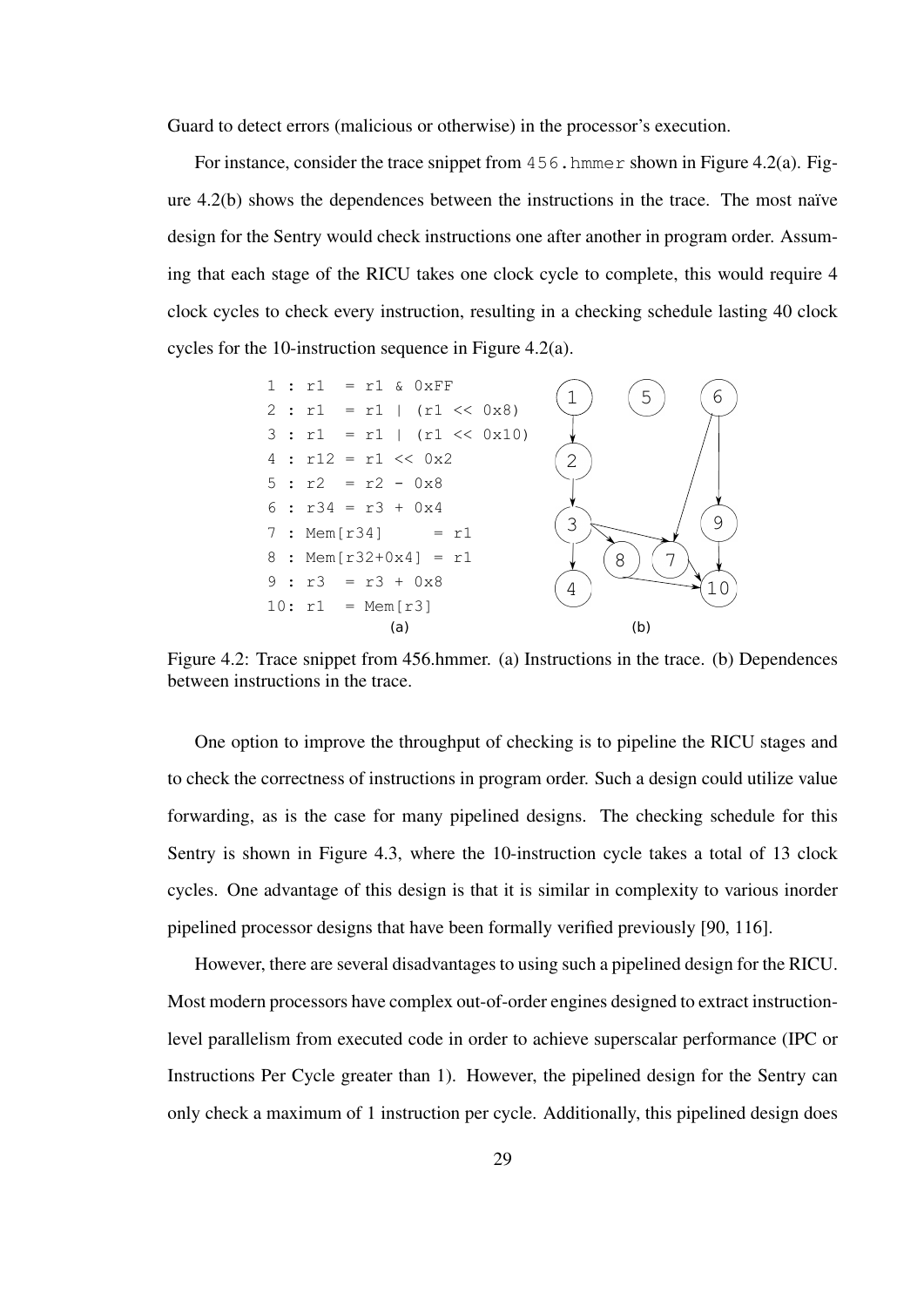Guard to detect errors (malicious or otherwise) in the processor's execution.

For instance, consider the trace snippet from 456.hmmer shown in Figure 4.2(a). Figure  $4.2(b)$  shows the dependences between the instructions in the trace. The most naïve design for the Sentry would check instructions one after another in program order. Assuming that each stage of the RICU takes one clock cycle to complete, this would require 4 clock cycles to check every instruction, resulting in a checking schedule lasting 40 clock cycles for the 10-instruction sequence in Figure 4.2(a).



Figure 4.2: Trace snippet from 456.hmmer. (a) Instructions in the trace. (b) Dependences between instructions in the trace.

One option to improve the throughput of checking is to pipeline the RICU stages and to check the correctness of instructions in program order. Such a design could utilize value forwarding, as is the case for many pipelined designs. The checking schedule for this Sentry is shown in Figure 4.3, where the 10-instruction cycle takes a total of 13 clock cycles. One advantage of this design is that it is similar in complexity to various inorder pipelined processor designs that have been formally verified previously [90, 116].

However, there are several disadvantages to using such a pipelined design for the RICU. Most modern processors have complex out-of-order engines designed to extract instructionlevel parallelism from executed code in order to achieve superscalar performance (IPC or Instructions Per Cycle greater than 1). However, the pipelined design for the Sentry can only check a maximum of 1 instruction per cycle. Additionally, this pipelined design does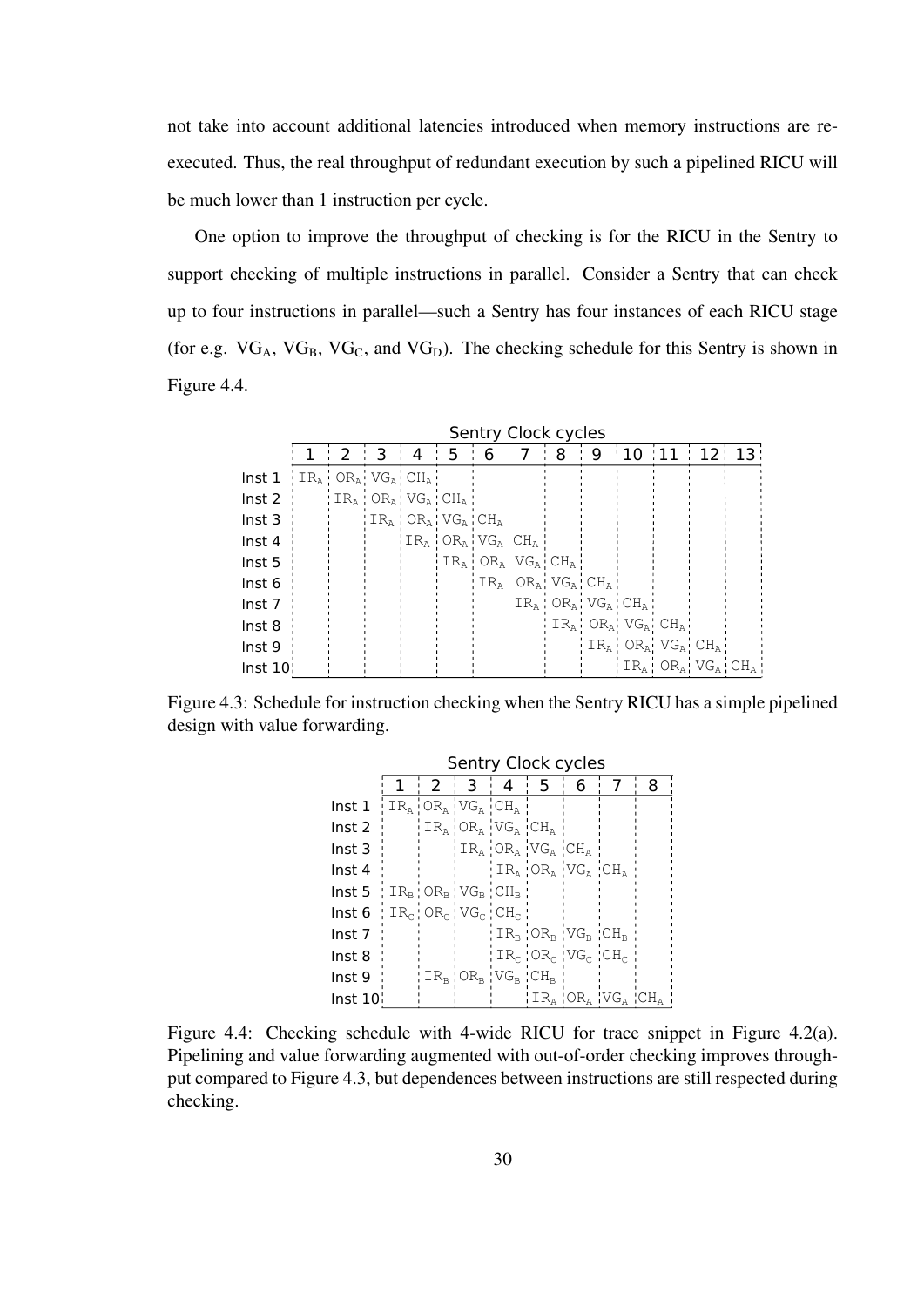not take into account additional latencies introduced when memory instructions are reexecuted. Thus, the real throughput of redundant execution by such a pipelined RICU will be much lower than 1 instruction per cycle.

One option to improve the throughput of checking is for the RICU in the Sentry to support checking of multiple instructions in parallel. Consider a Sentry that can check up to four instructions in parallel—such a Sentry has four instances of each RICU stage (for e.g.  $VG_A$ ,  $VG_B$ ,  $VG_C$ , and  $VG_D$ ). The checking schedule for this Sentry is shown in Figure 4.4.

|                   | Sentry Clock cycles                                    |   |                                   |   |    |                                           |                                   |   |   |                                                                                                                                        |           |  |
|-------------------|--------------------------------------------------------|---|-----------------------------------|---|----|-------------------------------------------|-----------------------------------|---|---|----------------------------------------------------------------------------------------------------------------------------------------|-----------|--|
|                   |                                                        | 2 | З                                 | 4 | 5. | 6                                         | 7                                 | 8 | 9 | :10:11                                                                                                                                 | : 12: 13: |  |
| Inst <sub>1</sub> | $IR_A$ OR <sub>A</sub> VG <sub>A</sub> CH <sub>A</sub> |   |                                   |   |    |                                           |                                   |   |   |                                                                                                                                        |           |  |
| Inst 2            |                                                        |   | $IR_A$   $OR_A$   $VG_A$   $CH_A$ |   |    |                                           |                                   |   |   |                                                                                                                                        |           |  |
| Inst <sub>3</sub> |                                                        |   | $ IR_{A} OR_{A} VG_{A} CH_{A}$    |   |    |                                           |                                   |   |   |                                                                                                                                        |           |  |
| Inst 4            |                                                        |   |                                   |   |    | $IR_{A}$   $OR_{A}$   $VG_{A}$   $CH_{A}$ |                                   |   |   |                                                                                                                                        |           |  |
| Inst 5            |                                                        |   |                                   |   |    | $IR_A$ $OR_A$ $VG_A$ $CH_A$               |                                   |   |   |                                                                                                                                        |           |  |
| Inst 6            |                                                        |   |                                   |   |    |                                           | $IR_a$ : $OR_a$ : $VG_a$ : $CH_a$ |   |   |                                                                                                                                        |           |  |
| Inst 7            |                                                        |   |                                   |   |    |                                           |                                   |   |   | $IR_A$ ; $OR_A$ ; $VG_A$ ; $CH_A$ ;                                                                                                    |           |  |
| Inst 8            |                                                        |   |                                   |   |    |                                           |                                   |   |   | $IR_A$ : $OR_A$ : $VG_A$ : $CH_A$ :                                                                                                    |           |  |
| Inst 9            |                                                        |   |                                   |   |    |                                           |                                   |   |   | $IR_A$ OR <sub>A</sub> VG <sub>A</sub> CH <sub>A</sub>                                                                                 |           |  |
| Inst 10           |                                                        |   |                                   |   |    |                                           |                                   |   |   | $\mathcal{A} \subset \mathbb{R}_{\mathbb{A}}$ : $\mathsf{OR}_{\mathbb{A}}$ : $\mathsf{VG}_{\mathbb{A}}$ : $\mathsf{CH}_{\mathbb{A}}$ : |           |  |

Figure 4.3: Schedule for instruction checking when the Sentry RICU has a simple pipelined design with value forwarding.

|                   | Sentry Clock cycles |   |                                                                 |                                                           |                             |                                           |  |   |
|-------------------|---------------------|---|-----------------------------------------------------------------|-----------------------------------------------------------|-----------------------------|-------------------------------------------|--|---|
|                   |                     | 2 | 3                                                               | $\overline{4}$                                            | -5.                         | h                                         |  | 8 |
| Inst 1            |                     |   | $IR_{\text{A}}$ $OR_{\text{A}}$ $VG_{\text{A}}$ $CH_{\text{A}}$ |                                                           |                             |                                           |  |   |
| Inst 2            |                     |   |                                                                 | $IR_A$ $OR_A$ $VG_A$ $CH_A$                               |                             |                                           |  |   |
| Inst 3            |                     |   |                                                                 |                                                           | $IR_A$ $OR_A$ $VG_A$ $CH_A$ |                                           |  |   |
| Inst 4            |                     |   |                                                                 |                                                           |                             | $IR_A$ $OR_A$ $VG_A$ $CH_A$               |  |   |
| Inst 5            |                     |   |                                                                 | $IR_{B}$ OR <sub>B</sub> VG <sub>B</sub> CH <sub>B</sub>  |                             |                                           |  |   |
| Inst 6            |                     |   |                                                                 | $IR_{C}$   $OR_{C}$   $VG_{C}$   $CH_{C}$                 |                             |                                           |  |   |
| lnst 7            |                     |   |                                                                 |                                                           |                             | $IR_{R}$ $OR_{R}$ $VG_{R}$ $CH_{R}$       |  |   |
| Inst 8            |                     |   |                                                                 |                                                           |                             | $IR_{c}$   $OR_{c}$   $VG_{c}$   $CH_{c}$ |  |   |
| Inst 9            |                     |   |                                                                 | $ IR_{\rm B} $ OR $_{\rm B}$ $ VG_{\rm B} $ CH $_{\rm B}$ |                             |                                           |  |   |
| lnst $10^{\circ}$ |                     |   |                                                                 |                                                           |                             |                                           |  |   |

Figure 4.4: Checking schedule with 4-wide RICU for trace snippet in Figure 4.2(a). Pipelining and value forwarding augmented with out-of-order checking improves throughput compared to Figure 4.3, but dependences between instructions are still respected during checking.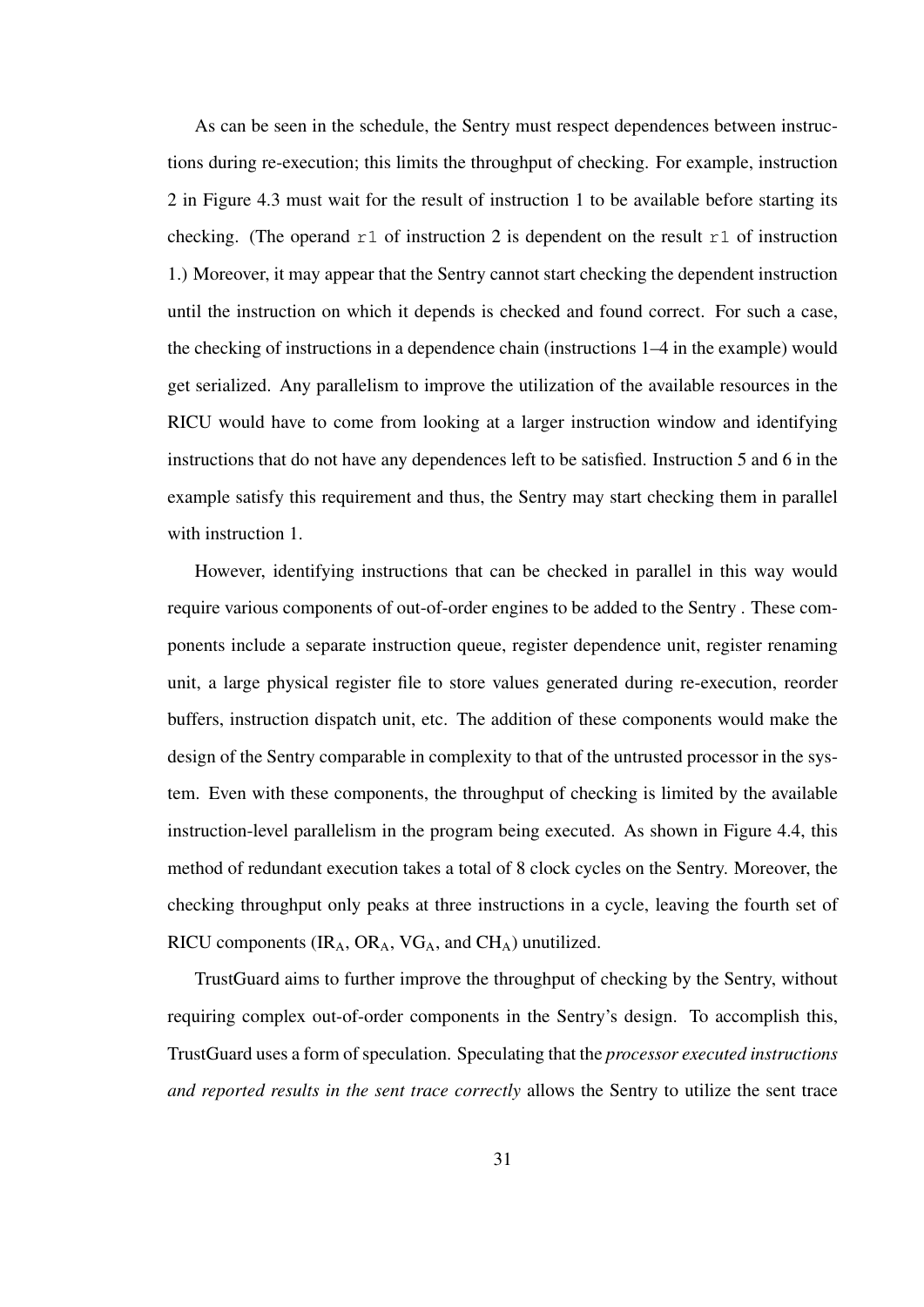As can be seen in the schedule, the Sentry must respect dependences between instructions during re-execution; this limits the throughput of checking. For example, instruction 2 in Figure 4.3 must wait for the result of instruction 1 to be available before starting its checking. (The operand  $r1$  of instruction 2 is dependent on the result  $r1$  of instruction 1.) Moreover, it may appear that the Sentry cannot start checking the dependent instruction until the instruction on which it depends is checked and found correct. For such a case, the checking of instructions in a dependence chain (instructions 1–4 in the example) would get serialized. Any parallelism to improve the utilization of the available resources in the RICU would have to come from looking at a larger instruction window and identifying instructions that do not have any dependences left to be satisfied. Instruction 5 and 6 in the example satisfy this requirement and thus, the Sentry may start checking them in parallel with instruction 1.

However, identifying instructions that can be checked in parallel in this way would require various components of out-of-order engines to be added to the Sentry . These components include a separate instruction queue, register dependence unit, register renaming unit, a large physical register file to store values generated during re-execution, reorder buffers, instruction dispatch unit, etc. The addition of these components would make the design of the Sentry comparable in complexity to that of the untrusted processor in the system. Even with these components, the throughput of checking is limited by the available instruction-level parallelism in the program being executed. As shown in Figure 4.4, this method of redundant execution takes a total of 8 clock cycles on the Sentry. Moreover, the checking throughput only peaks at three instructions in a cycle, leaving the fourth set of RICU components  $\rm (IR_A, OR_A, VG_A, and CH_A)$  unutilized.

TrustGuard aims to further improve the throughput of checking by the Sentry, without requiring complex out-of-order components in the Sentry's design. To accomplish this, TrustGuard uses a form of speculation. Speculating that the *processor executed instructions and reported results in the sent trace correctly* allows the Sentry to utilize the sent trace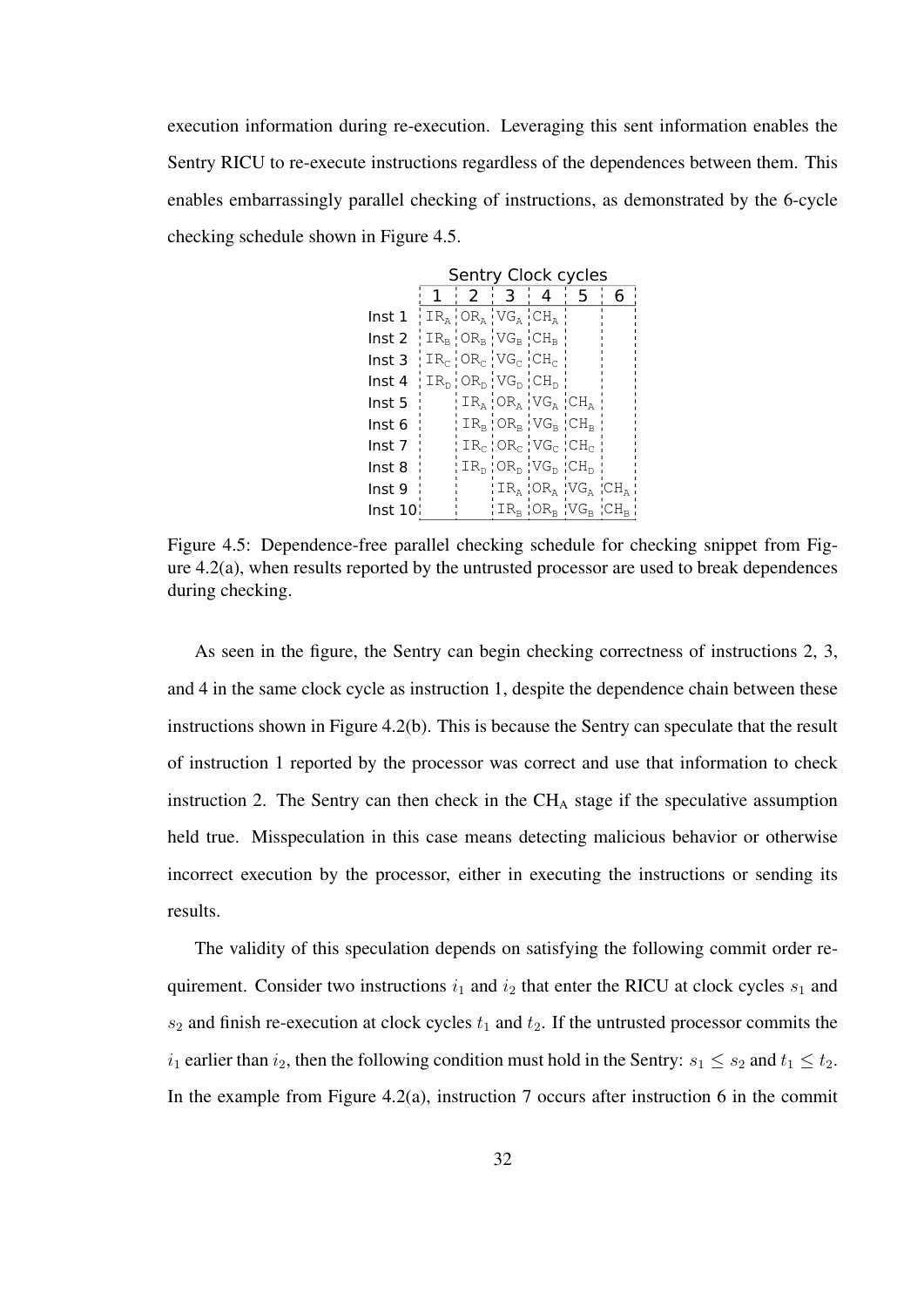execution information during re-execution. Leveraging this sent information enables the Sentry RICU to re-execute instructions regardless of the dependences between them. This enables embarrassingly parallel checking of instructions, as demonstrated by the 6-cycle checking schedule shown in Figure 4.5.

|                   | Sentry Clock cycles |   |                                                          |                                                                                     |   |   |
|-------------------|---------------------|---|----------------------------------------------------------|-------------------------------------------------------------------------------------|---|---|
|                   | 1                   | 2 | . 3.                                                     | 4                                                                                   | 5 | 6 |
| Inst 1            |                     |   | $IR_A$ $OR_A$ $VG_A$ $CH_A$                              |                                                                                     |   |   |
| Inst 2            |                     |   | $IR_B$ $OR_B$ $VG_B$ $CH_B$                              |                                                                                     |   |   |
| Inst <sub>3</sub> |                     |   | $IR_{C}$ $OR_{C}$ $VG_{C}$ $CH_{C}$                      |                                                                                     |   |   |
| Inst 4            |                     |   | $IR_{D}$ OR <sub>D</sub> VG <sub>D</sub> CH <sub>D</sub> |                                                                                     |   |   |
| Inst 5            |                     |   |                                                          | $IR_A$ $OR_A$ $VG_A$ $CH_A$                                                         |   |   |
| Inst 6            |                     |   |                                                          | $IR_{\scriptscriptstyle{\rm B}}$ 'OR <sub>B</sub> 'VG <sub>B</sub> 'CH <sub>B</sub> |   |   |
| Inst 7            |                     |   |                                                          | $!$ IR $_{c}$ 'OR $_{c}$ 'VG $_{c}$ 'CH $_{c}$                                      |   |   |
| Inst 8            |                     |   |                                                          | $IR_{D}$ ¦ O $R_{D}$ ¦ V $G_{D}$ ¦ C $H_{D}$                                        |   |   |
| Inst 9            |                     |   |                                                          | $ IR_{A} OR_{A} VG_{A} CH_{A}$                                                      |   |   |
| Inst 10¦          |                     |   |                                                          | $ IR_B OR_B VG_B CH_B $                                                             |   |   |

Figure 4.5: Dependence-free parallel checking schedule for checking snippet from Figure 4.2(a), when results reported by the untrusted processor are used to break dependences during checking.

As seen in the figure, the Sentry can begin checking correctness of instructions 2, 3, and 4 in the same clock cycle as instruction 1, despite the dependence chain between these instructions shown in Figure 4.2(b). This is because the Sentry can speculate that the result of instruction 1 reported by the processor was correct and use that information to check instruction 2. The Sentry can then check in the  $CH_A$  stage if the speculative assumption held true. Misspeculation in this case means detecting malicious behavior or otherwise incorrect execution by the processor, either in executing the instructions or sending its results.

The validity of this speculation depends on satisfying the following commit order requirement. Consider two instructions  $i_1$  and  $i_2$  that enter the RICU at clock cycles  $s_1$  and  $s_2$  and finish re-execution at clock cycles  $t_1$  and  $t_2$ . If the untrusted processor commits the  $i_1$  earlier than  $i_2$ , then the following condition must hold in the Sentry:  $s_1 \leq s_2$  and  $t_1 \leq t_2$ . In the example from Figure 4.2(a), instruction 7 occurs after instruction 6 in the commit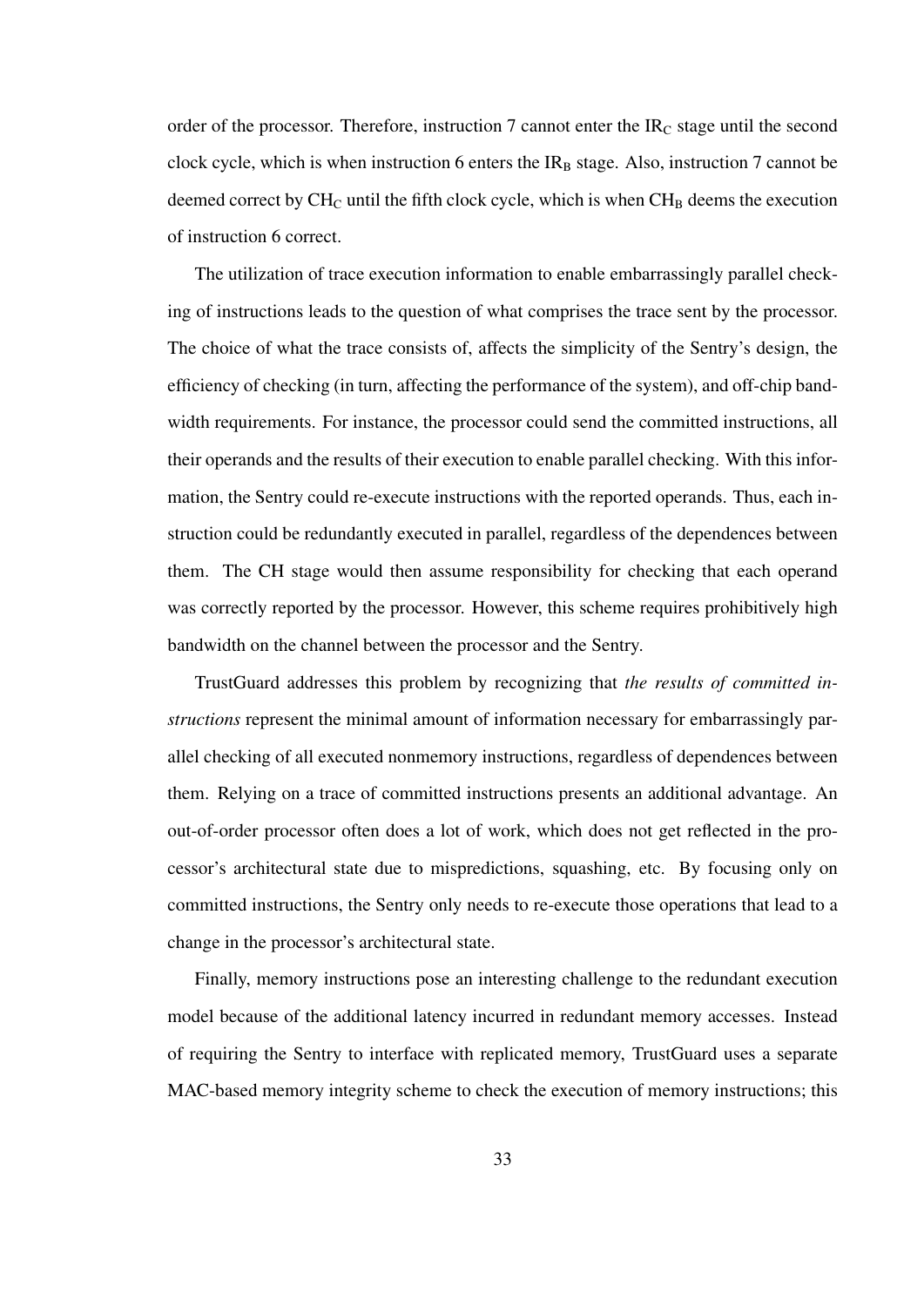order of the processor. Therefore, instruction 7 cannot enter the  $IR<sub>C</sub>$  stage until the second clock cycle, which is when instruction 6 enters the  $IR_B$  stage. Also, instruction 7 cannot be deemed correct by  $CH_C$  until the fifth clock cycle, which is when  $CH_B$  deems the execution of instruction 6 correct.

The utilization of trace execution information to enable embarrassingly parallel checking of instructions leads to the question of what comprises the trace sent by the processor. The choice of what the trace consists of, affects the simplicity of the Sentry's design, the efficiency of checking (in turn, affecting the performance of the system), and off-chip bandwidth requirements. For instance, the processor could send the committed instructions, all their operands and the results of their execution to enable parallel checking. With this information, the Sentry could re-execute instructions with the reported operands. Thus, each instruction could be redundantly executed in parallel, regardless of the dependences between them. The CH stage would then assume responsibility for checking that each operand was correctly reported by the processor. However, this scheme requires prohibitively high bandwidth on the channel between the processor and the Sentry.

TrustGuard addresses this problem by recognizing that *the results of committed instructions* represent the minimal amount of information necessary for embarrassingly parallel checking of all executed nonmemory instructions, regardless of dependences between them. Relying on a trace of committed instructions presents an additional advantage. An out-of-order processor often does a lot of work, which does not get reflected in the processor's architectural state due to mispredictions, squashing, etc. By focusing only on committed instructions, the Sentry only needs to re-execute those operations that lead to a change in the processor's architectural state.

Finally, memory instructions pose an interesting challenge to the redundant execution model because of the additional latency incurred in redundant memory accesses. Instead of requiring the Sentry to interface with replicated memory, TrustGuard uses a separate MAC-based memory integrity scheme to check the execution of memory instructions; this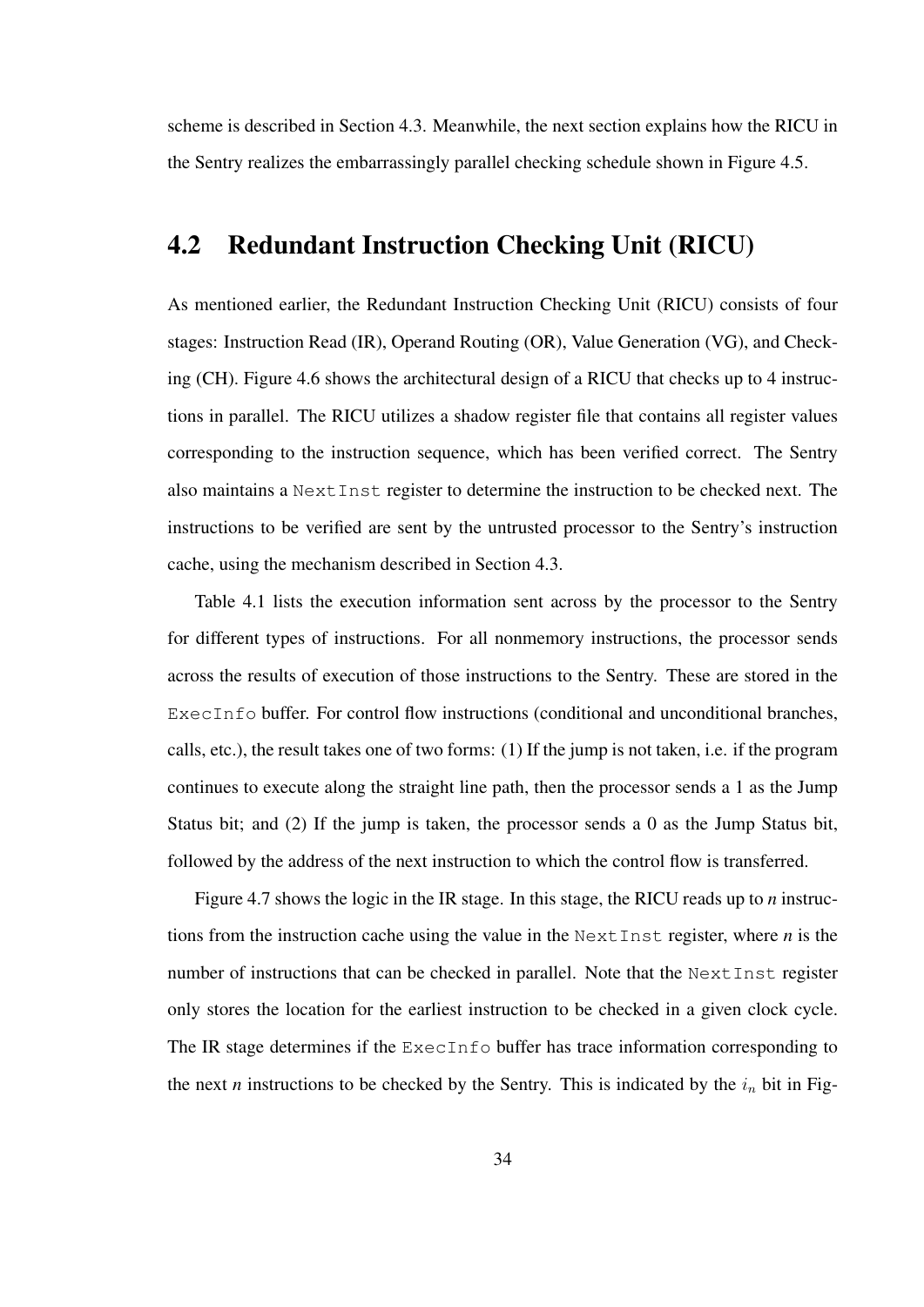scheme is described in Section 4.3. Meanwhile, the next section explains how the RICU in the Sentry realizes the embarrassingly parallel checking schedule shown in Figure 4.5.

### 4.2 Redundant Instruction Checking Unit (RICU)

As mentioned earlier, the Redundant Instruction Checking Unit (RICU) consists of four stages: Instruction Read (IR), Operand Routing (OR), Value Generation (VG), and Checking (CH). Figure 4.6 shows the architectural design of a RICU that checks up to 4 instructions in parallel. The RICU utilizes a shadow register file that contains all register values corresponding to the instruction sequence, which has been verified correct. The Sentry also maintains a NextInst register to determine the instruction to be checked next. The instructions to be verified are sent by the untrusted processor to the Sentry's instruction cache, using the mechanism described in Section 4.3.

Table 4.1 lists the execution information sent across by the processor to the Sentry for different types of instructions. For all nonmemory instructions, the processor sends across the results of execution of those instructions to the Sentry. These are stored in the ExecInfo buffer. For control flow instructions (conditional and unconditional branches, calls, etc.), the result takes one of two forms: (1) If the jump is not taken, i.e. if the program continues to execute along the straight line path, then the processor sends a 1 as the Jump Status bit; and (2) If the jump is taken, the processor sends a 0 as the Jump Status bit, followed by the address of the next instruction to which the control flow is transferred.

Figure 4.7 shows the logic in the IR stage. In this stage, the RICU reads up to *n* instructions from the instruction cache using the value in the NextInst register, where *n* is the number of instructions that can be checked in parallel. Note that the NextInst register only stores the location for the earliest instruction to be checked in a given clock cycle. The IR stage determines if the ExecInfo buffer has trace information corresponding to the next *n* instructions to be checked by the Sentry. This is indicated by the  $i_n$  bit in Fig-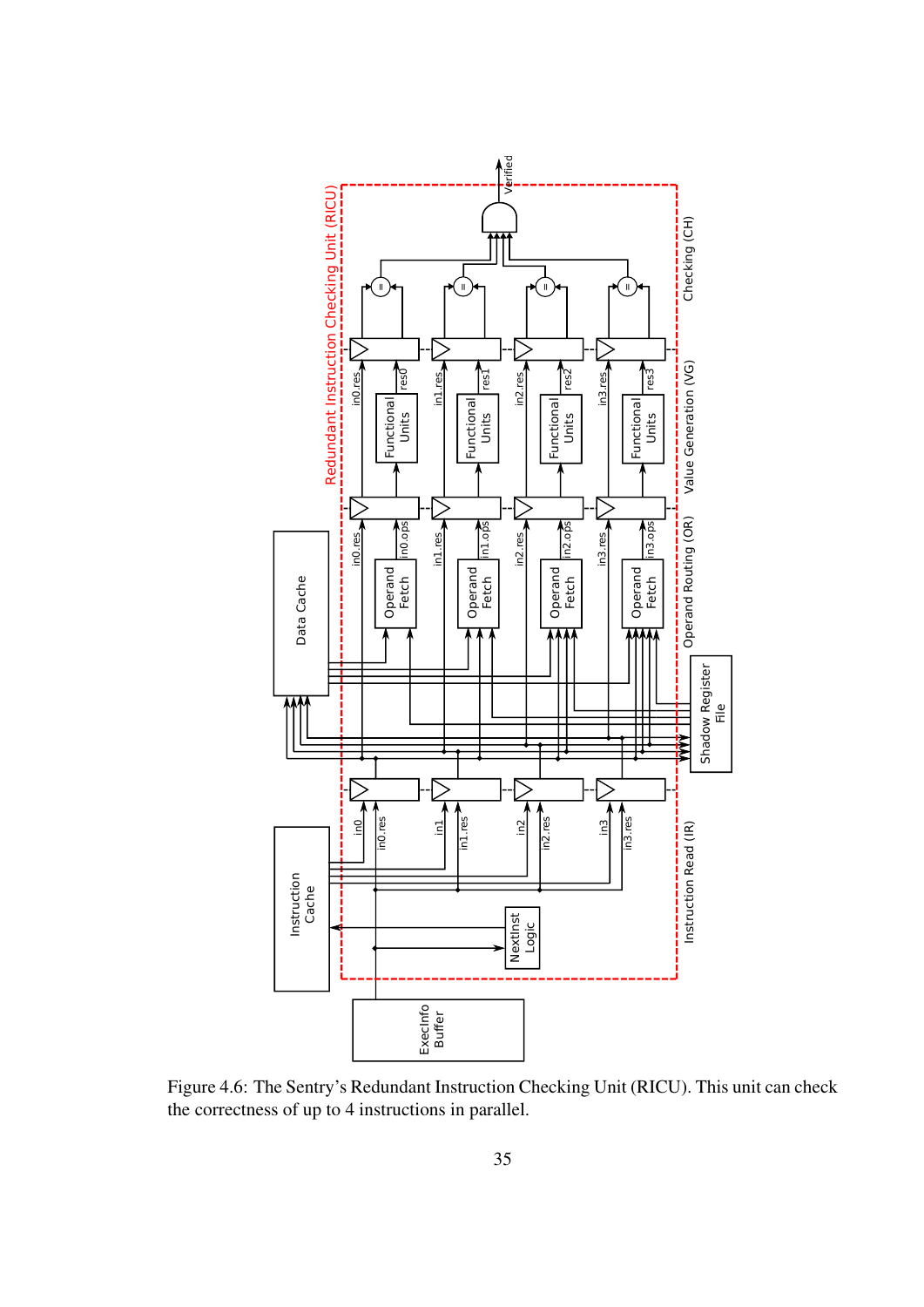

Figure 4.6: The Sentry's Redundant Instruction Checking Unit (RICU). This unit can check the correctness of up to 4 instructions in parallel.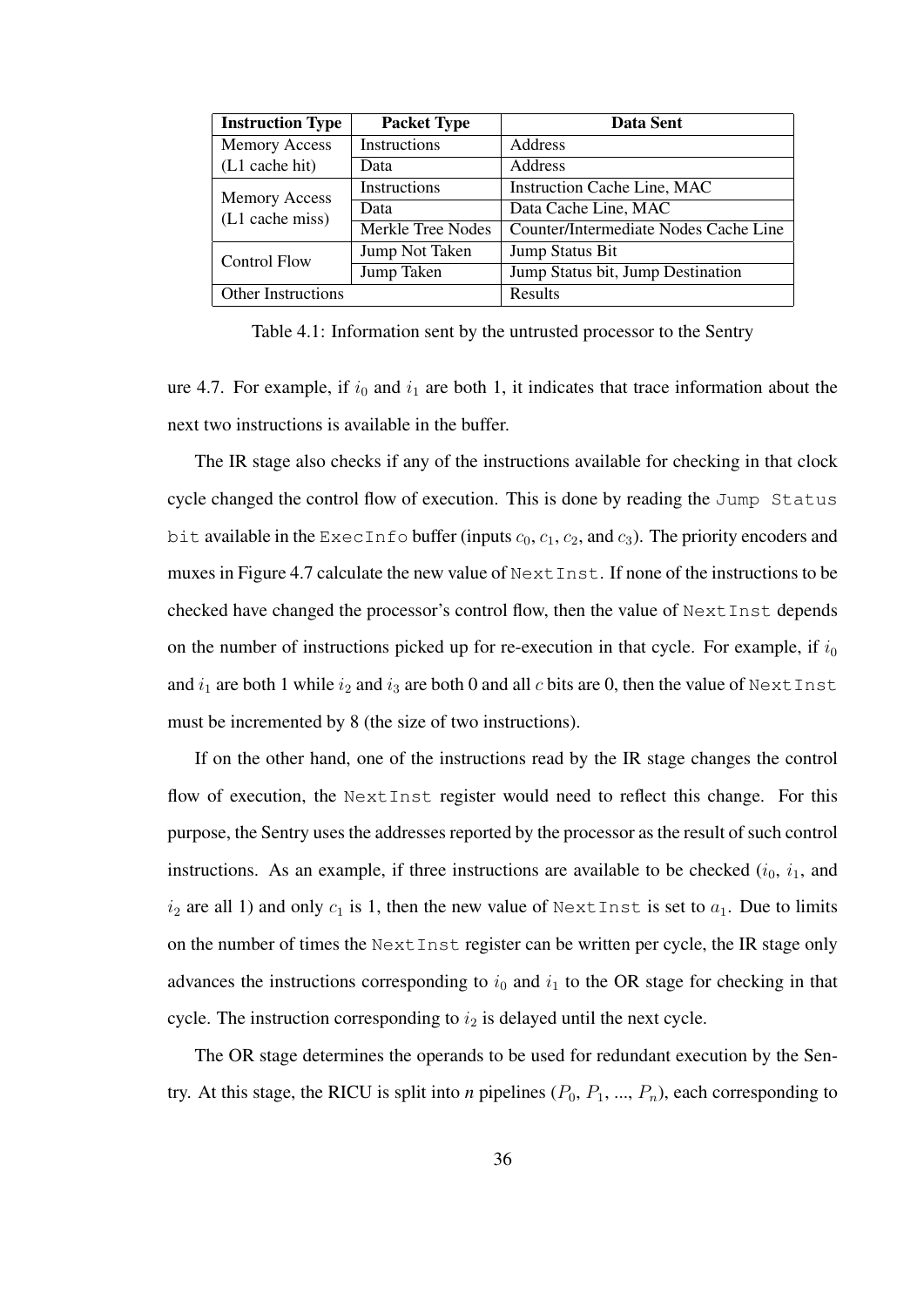| <b>Instruction Type</b>   | <b>Packet Type</b> | Data Sent                             |
|---------------------------|--------------------|---------------------------------------|
| <b>Memory Access</b>      | Instructions       | Address                               |
| (L1 cache hit)            | Data               | Address                               |
| <b>Memory Access</b>      | Instructions       | <b>Instruction Cache Line, MAC</b>    |
| (L1 cache miss)           | Data               | Data Cache Line, MAC                  |
|                           | Merkle Tree Nodes  | Counter/Intermediate Nodes Cache Line |
| <b>Control Flow</b>       | Jump Not Taken     | Jump Status Bit                       |
|                           | Jump Taken         | Jump Status bit, Jump Destination     |
| <b>Other Instructions</b> |                    | Results                               |

Table 4.1: Information sent by the untrusted processor to the Sentry

ure 4.7. For example, if  $i_0$  and  $i_1$  are both 1, it indicates that trace information about the next two instructions is available in the buffer.

The IR stage also checks if any of the instructions available for checking in that clock cycle changed the control flow of execution. This is done by reading the Jump Status bit available in the ExecInfo buffer (inputs  $c_0$ ,  $c_1$ ,  $c_2$ , and  $c_3$ ). The priority encoders and muxes in Figure 4.7 calculate the new value of NextInst. If none of the instructions to be checked have changed the processor's control flow, then the value of NextInst depends on the number of instructions picked up for re-execution in that cycle. For example, if  $i_0$ and  $i_1$  are both 1 while  $i_2$  and  $i_3$  are both 0 and all c bits are 0, then the value of NextInst must be incremented by 8 (the size of two instructions).

If on the other hand, one of the instructions read by the IR stage changes the control flow of execution, the NextInst register would need to reflect this change. For this purpose, the Sentry uses the addresses reported by the processor as the result of such control instructions. As an example, if three instructions are available to be checked  $(i_0, i_1,$  and  $i_2$  are all 1) and only  $c_1$  is 1, then the new value of NextInst is set to  $a_1$ . Due to limits on the number of times the NextInst register can be written per cycle, the IR stage only advances the instructions corresponding to  $i_0$  and  $i_1$  to the OR stage for checking in that cycle. The instruction corresponding to  $i_2$  is delayed until the next cycle.

The OR stage determines the operands to be used for redundant execution by the Sentry. At this stage, the RICU is split into *n* pipelines  $(P_0, P_1, ..., P_n)$ , each corresponding to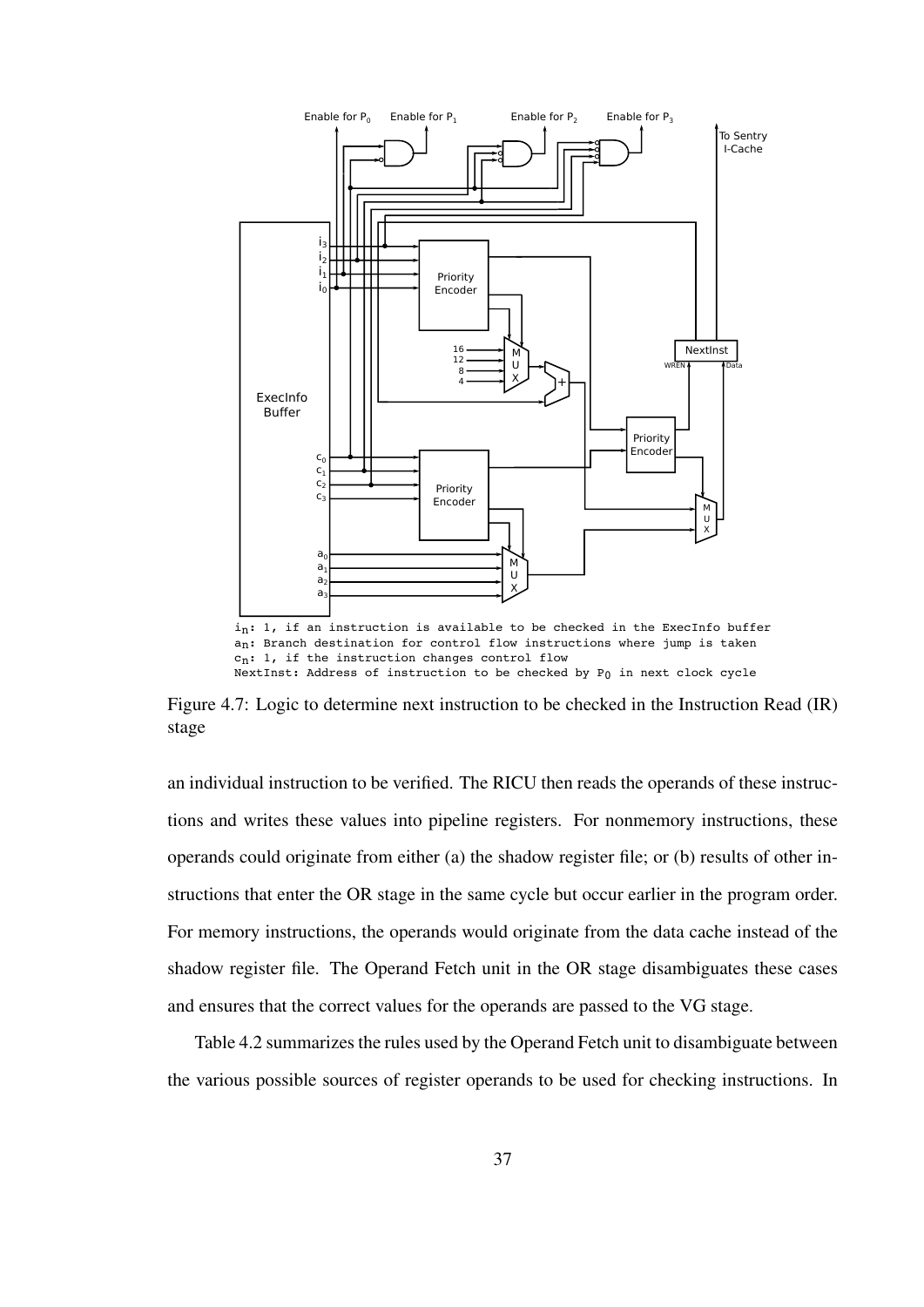

an: Branch destination for control flow instructions where jump is taken  $c_n$ : 1, if the instruction changes control flow NextInst: Address of instruction to be checked by P0 in next clock cycle

Figure 4.7: Logic to determine next instruction to be checked in the Instruction Read (IR) stage

an individual instruction to be verified. The RICU then reads the operands of these instructions and writes these values into pipeline registers. For nonmemory instructions, these operands could originate from either (a) the shadow register file; or (b) results of other instructions that enter the OR stage in the same cycle but occur earlier in the program order. For memory instructions, the operands would originate from the data cache instead of the shadow register file. The Operand Fetch unit in the OR stage disambiguates these cases and ensures that the correct values for the operands are passed to the VG stage.

Table 4.2 summarizes the rules used by the Operand Fetch unit to disambiguate between the various possible sources of register operands to be used for checking instructions. In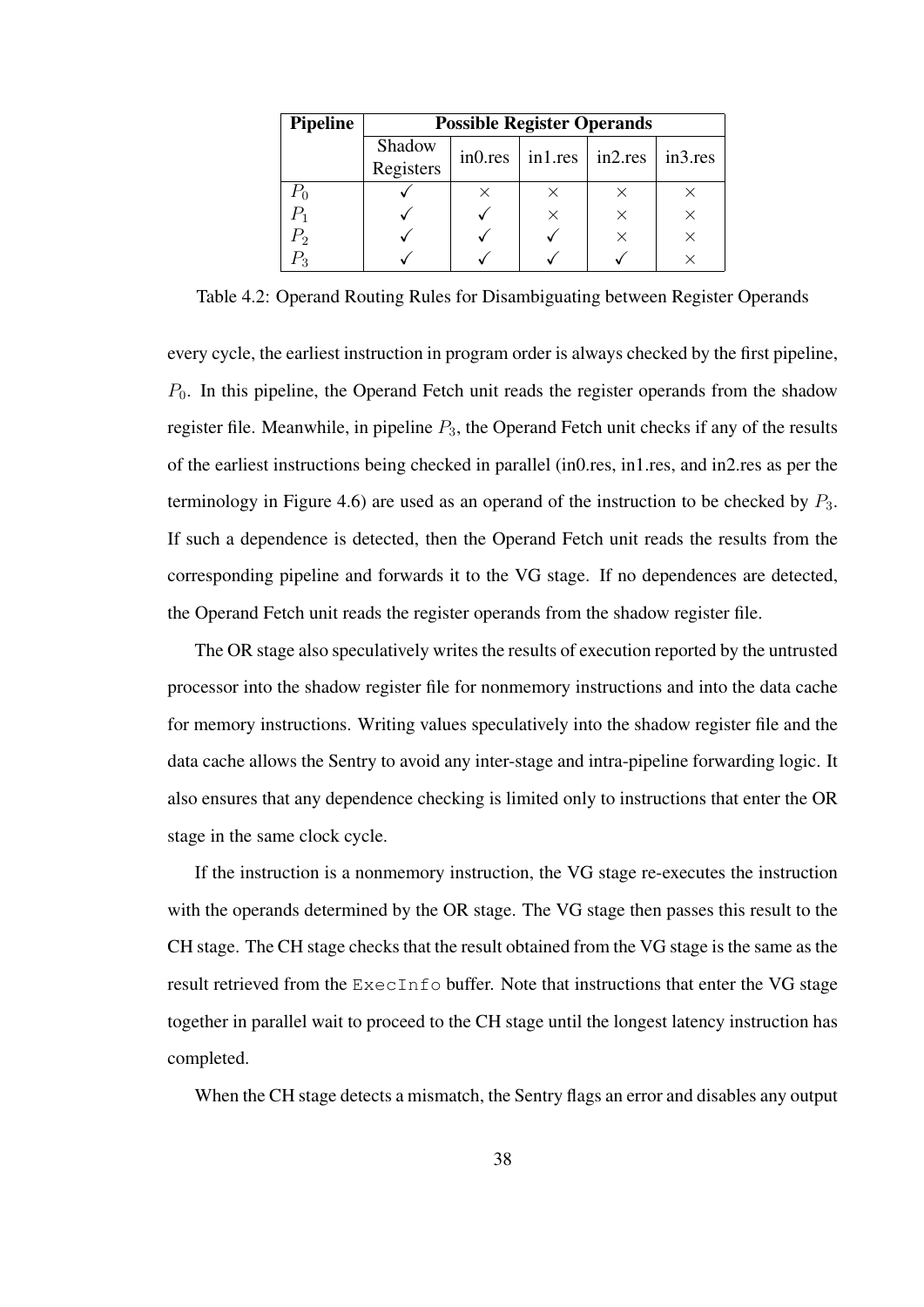| <b>Pipeline</b> | <b>Possible Register Operands</b> |          |                                 |          |          |  |  |
|-----------------|-----------------------------------|----------|---------------------------------|----------|----------|--|--|
|                 | Shadow<br>Registers               | in0res   | $\vert$ in1.res $\vert$ in2.res |          | in3.res  |  |  |
| $P_0$           |                                   | $\times$ | ×                               |          |          |  |  |
|                 |                                   |          | ×                               | $\times$ | X        |  |  |
| $P_{2}$         |                                   |          |                                 |          | $\times$ |  |  |
|                 |                                   |          |                                 |          |          |  |  |

Table 4.2: Operand Routing Rules for Disambiguating between Register Operands

every cycle, the earliest instruction in program order is always checked by the first pipeline,  $P_0$ . In this pipeline, the Operand Fetch unit reads the register operands from the shadow register file. Meanwhile, in pipeline  $P_3$ , the Operand Fetch unit checks if any of the results of the earliest instructions being checked in parallel (in0.res, in1.res, and in2.res as per the terminology in Figure 4.6) are used as an operand of the instruction to be checked by  $P_3$ . If such a dependence is detected, then the Operand Fetch unit reads the results from the corresponding pipeline and forwards it to the VG stage. If no dependences are detected, the Operand Fetch unit reads the register operands from the shadow register file.

The OR stage also speculatively writes the results of execution reported by the untrusted processor into the shadow register file for nonmemory instructions and into the data cache for memory instructions. Writing values speculatively into the shadow register file and the data cache allows the Sentry to avoid any inter-stage and intra-pipeline forwarding logic. It also ensures that any dependence checking is limited only to instructions that enter the OR stage in the same clock cycle.

If the instruction is a nonmemory instruction, the VG stage re-executes the instruction with the operands determined by the OR stage. The VG stage then passes this result to the CH stage. The CH stage checks that the result obtained from the VG stage is the same as the result retrieved from the ExecInfo buffer. Note that instructions that enter the VG stage together in parallel wait to proceed to the CH stage until the longest latency instruction has completed.

When the CH stage detects a mismatch, the Sentry flags an error and disables any output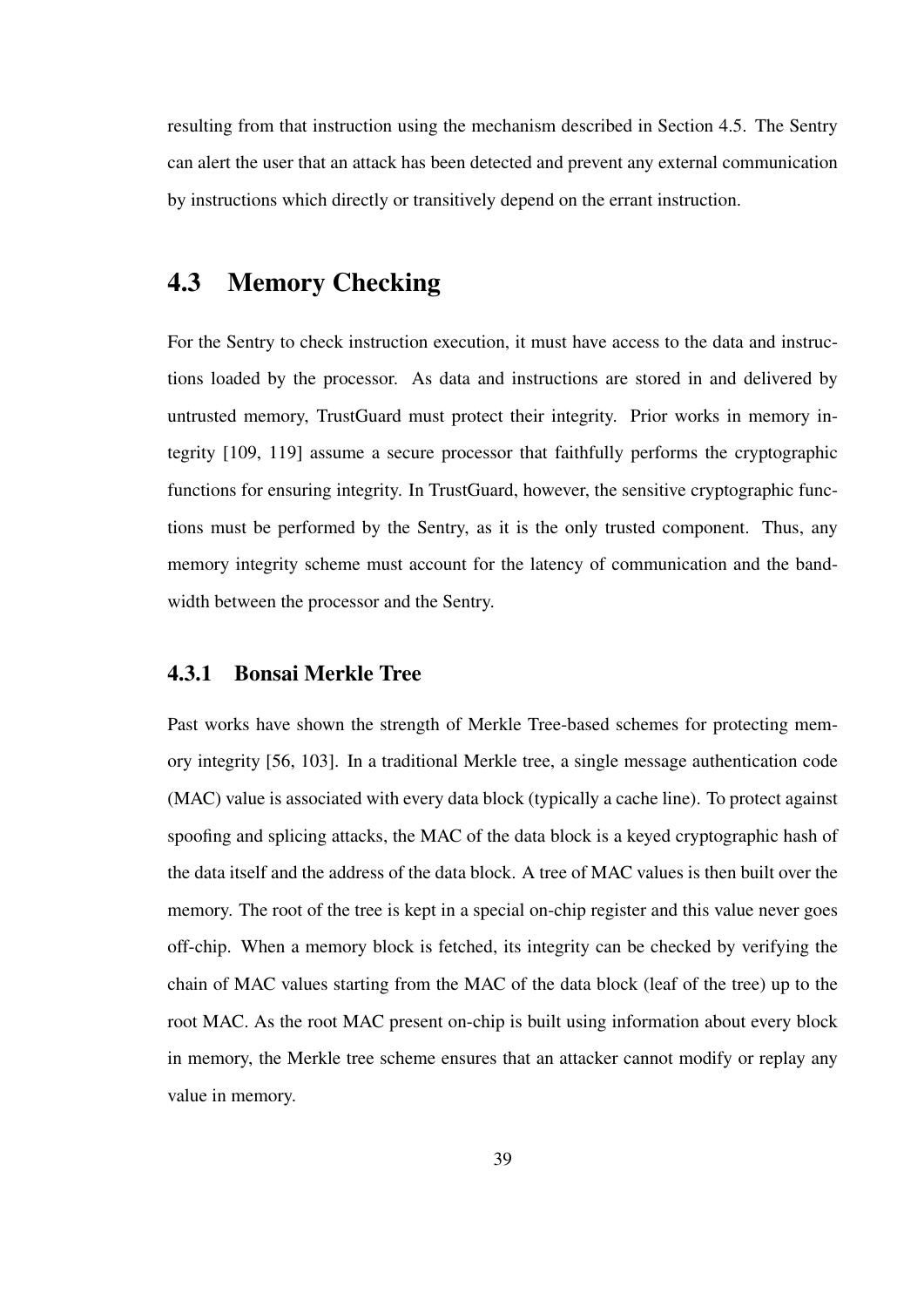resulting from that instruction using the mechanism described in Section 4.5. The Sentry can alert the user that an attack has been detected and prevent any external communication by instructions which directly or transitively depend on the errant instruction.

# 4.3 Memory Checking

For the Sentry to check instruction execution, it must have access to the data and instructions loaded by the processor. As data and instructions are stored in and delivered by untrusted memory, TrustGuard must protect their integrity. Prior works in memory integrity [109, 119] assume a secure processor that faithfully performs the cryptographic functions for ensuring integrity. In TrustGuard, however, the sensitive cryptographic functions must be performed by the Sentry, as it is the only trusted component. Thus, any memory integrity scheme must account for the latency of communication and the bandwidth between the processor and the Sentry.

#### 4.3.1 Bonsai Merkle Tree

Past works have shown the strength of Merkle Tree-based schemes for protecting memory integrity [56, 103]. In a traditional Merkle tree, a single message authentication code (MAC) value is associated with every data block (typically a cache line). To protect against spoofing and splicing attacks, the MAC of the data block is a keyed cryptographic hash of the data itself and the address of the data block. A tree of MAC values is then built over the memory. The root of the tree is kept in a special on-chip register and this value never goes off-chip. When a memory block is fetched, its integrity can be checked by verifying the chain of MAC values starting from the MAC of the data block (leaf of the tree) up to the root MAC. As the root MAC present on-chip is built using information about every block in memory, the Merkle tree scheme ensures that an attacker cannot modify or replay any value in memory.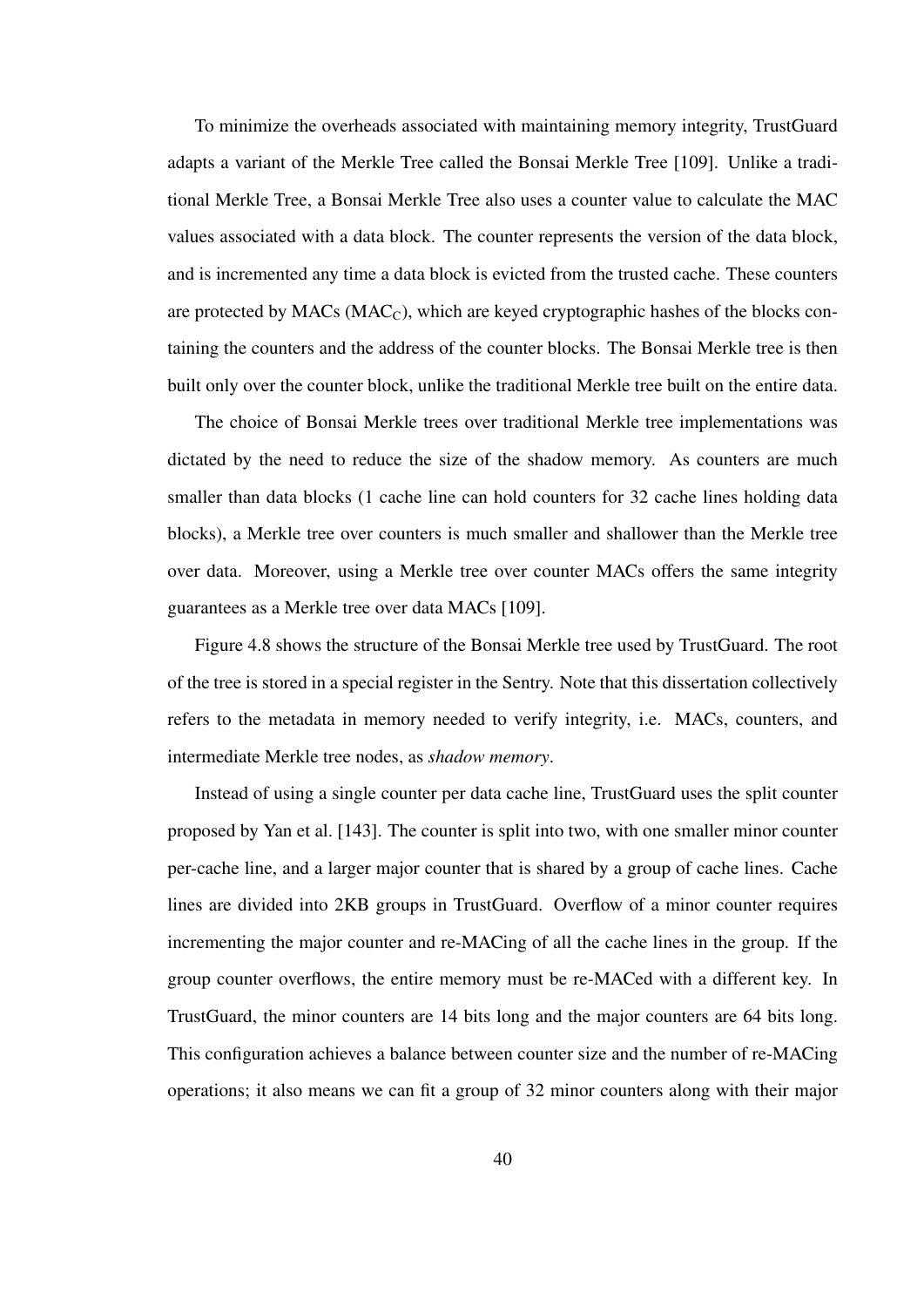To minimize the overheads associated with maintaining memory integrity, TrustGuard adapts a variant of the Merkle Tree called the Bonsai Merkle Tree [109]. Unlike a traditional Merkle Tree, a Bonsai Merkle Tree also uses a counter value to calculate the MAC values associated with a data block. The counter represents the version of the data block, and is incremented any time a data block is evicted from the trusted cache. These counters are protected by  $MAC_{C}$ , which are keyed cryptographic hashes of the blocks containing the counters and the address of the counter blocks. The Bonsai Merkle tree is then built only over the counter block, unlike the traditional Merkle tree built on the entire data.

The choice of Bonsai Merkle trees over traditional Merkle tree implementations was dictated by the need to reduce the size of the shadow memory. As counters are much smaller than data blocks (1 cache line can hold counters for 32 cache lines holding data blocks), a Merkle tree over counters is much smaller and shallower than the Merkle tree over data. Moreover, using a Merkle tree over counter MACs offers the same integrity guarantees as a Merkle tree over data MACs [109].

Figure 4.8 shows the structure of the Bonsai Merkle tree used by TrustGuard. The root of the tree is stored in a special register in the Sentry. Note that this dissertation collectively refers to the metadata in memory needed to verify integrity, i.e. MACs, counters, and intermediate Merkle tree nodes, as *shadow memory*.

Instead of using a single counter per data cache line, TrustGuard uses the split counter proposed by Yan et al. [143]. The counter is split into two, with one smaller minor counter per-cache line, and a larger major counter that is shared by a group of cache lines. Cache lines are divided into 2KB groups in TrustGuard. Overflow of a minor counter requires incrementing the major counter and re-MACing of all the cache lines in the group. If the group counter overflows, the entire memory must be re-MACed with a different key. In TrustGuard, the minor counters are 14 bits long and the major counters are 64 bits long. This configuration achieves a balance between counter size and the number of re-MACing operations; it also means we can fit a group of 32 minor counters along with their major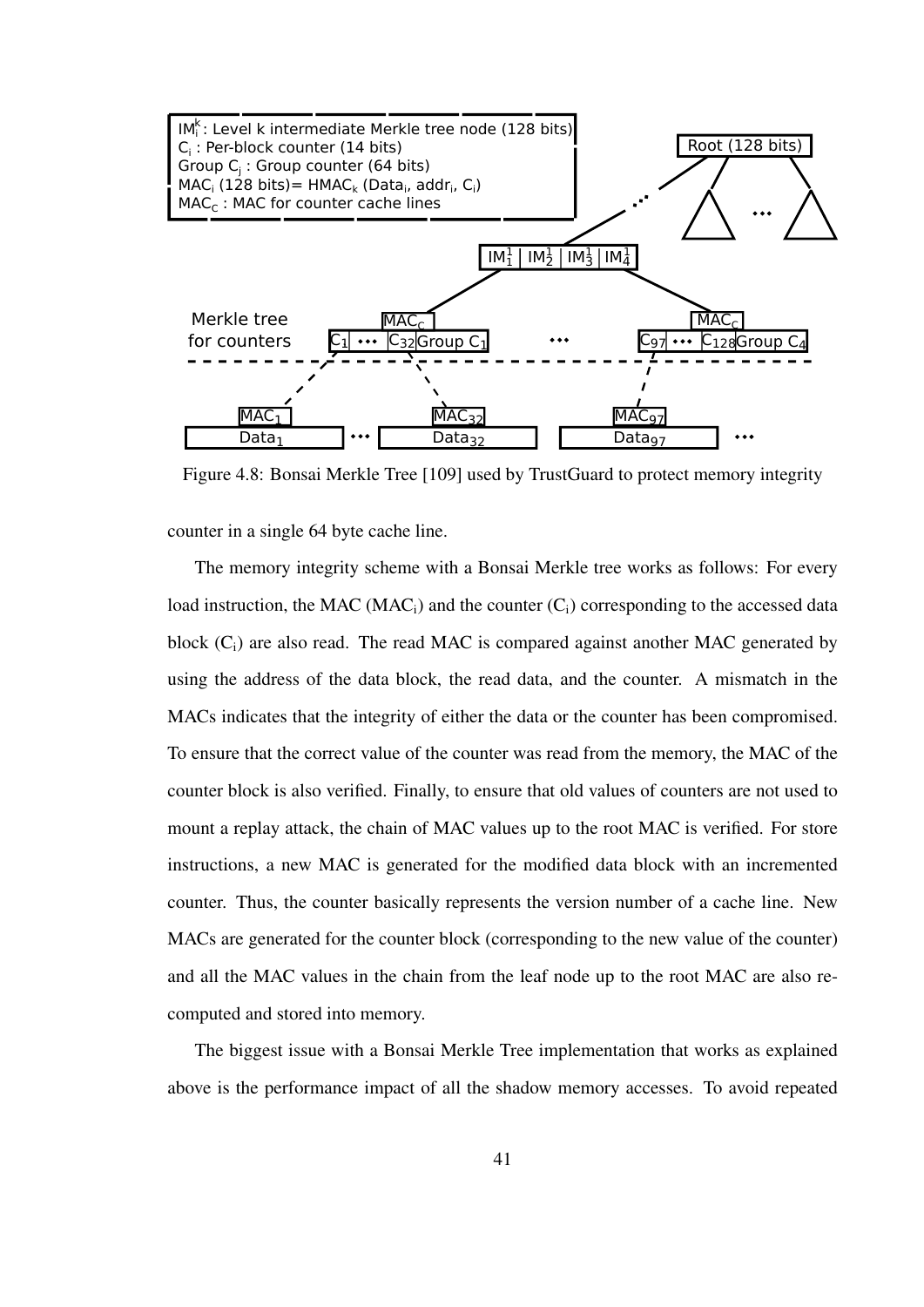

Figure 4.8: Bonsai Merkle Tree [109] used by TrustGuard to protect memory integrity

counter in a single 64 byte cache line.

The memory integrity scheme with a Bonsai Merkle tree works as follows: For every load instruction, the MAC (MAC<sub>i</sub>) and the counter  $(C_i)$  corresponding to the accessed data block  $(C_i)$  are also read. The read MAC is compared against another MAC generated by using the address of the data block, the read data, and the counter. A mismatch in the MACs indicates that the integrity of either the data or the counter has been compromised. To ensure that the correct value of the counter was read from the memory, the MAC of the counter block is also verified. Finally, to ensure that old values of counters are not used to mount a replay attack, the chain of MAC values up to the root MAC is verified. For store instructions, a new MAC is generated for the modified data block with an incremented counter. Thus, the counter basically represents the version number of a cache line. New MACs are generated for the counter block (corresponding to the new value of the counter) and all the MAC values in the chain from the leaf node up to the root MAC are also recomputed and stored into memory.

The biggest issue with a Bonsai Merkle Tree implementation that works as explained above is the performance impact of all the shadow memory accesses. To avoid repeated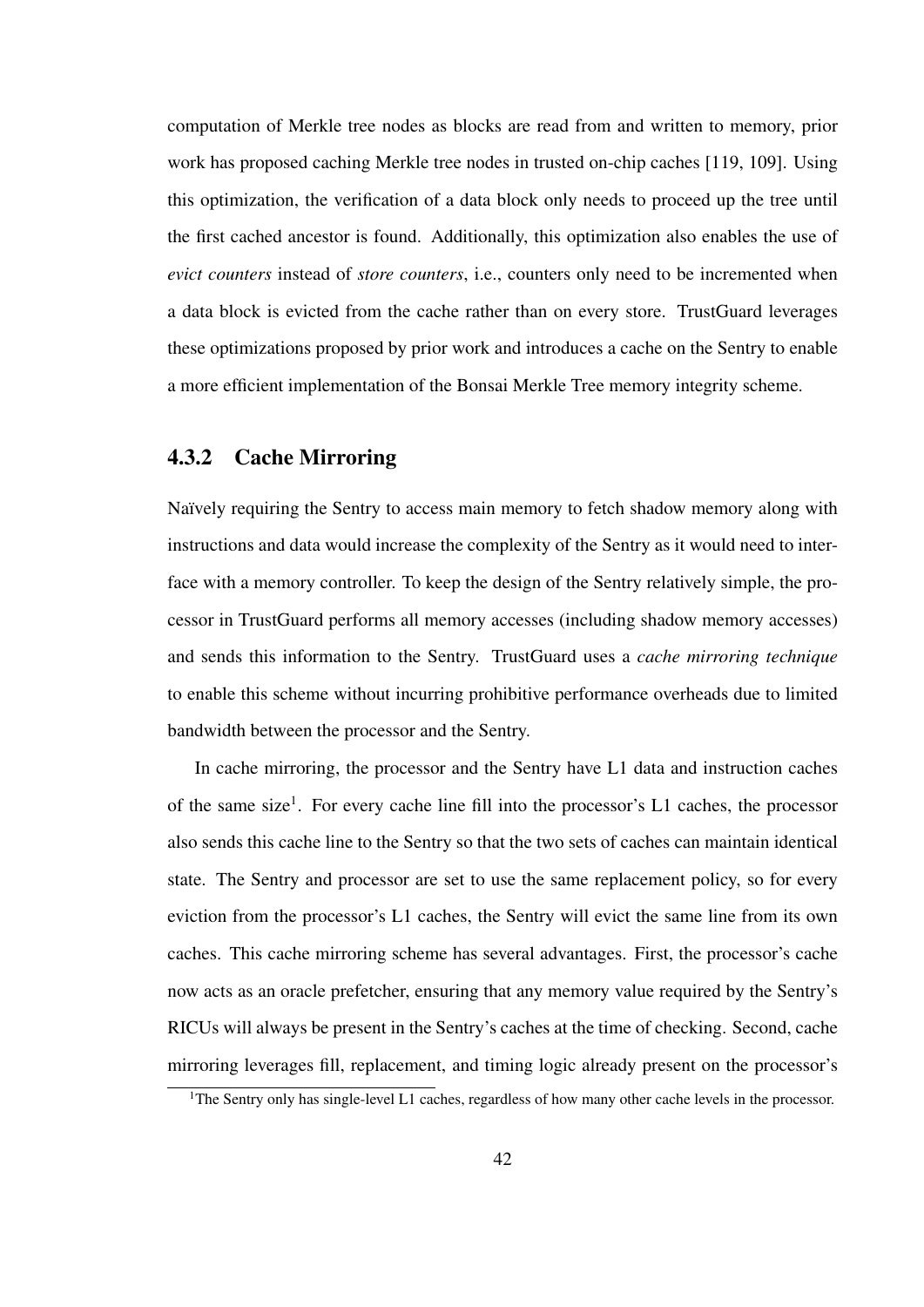computation of Merkle tree nodes as blocks are read from and written to memory, prior work has proposed caching Merkle tree nodes in trusted on-chip caches [119, 109]. Using this optimization, the verification of a data block only needs to proceed up the tree until the first cached ancestor is found. Additionally, this optimization also enables the use of *evict counters* instead of *store counters*, i.e., counters only need to be incremented when a data block is evicted from the cache rather than on every store. TrustGuard leverages these optimizations proposed by prior work and introduces a cache on the Sentry to enable a more efficient implementation of the Bonsai Merkle Tree memory integrity scheme.

#### 4.3.2 Cache Mirroring

Naïvely requiring the Sentry to access main memory to fetch shadow memory along with instructions and data would increase the complexity of the Sentry as it would need to interface with a memory controller. To keep the design of the Sentry relatively simple, the processor in TrustGuard performs all memory accesses (including shadow memory accesses) and sends this information to the Sentry. TrustGuard uses a *cache mirroring technique* to enable this scheme without incurring prohibitive performance overheads due to limited bandwidth between the processor and the Sentry.

In cache mirroring, the processor and the Sentry have L1 data and instruction caches of the same size<sup>1</sup>. For every cache line fill into the processor's L1 caches, the processor also sends this cache line to the Sentry so that the two sets of caches can maintain identical state. The Sentry and processor are set to use the same replacement policy, so for every eviction from the processor's L1 caches, the Sentry will evict the same line from its own caches. This cache mirroring scheme has several advantages. First, the processor's cache now acts as an oracle prefetcher, ensuring that any memory value required by the Sentry's RICUs will always be present in the Sentry's caches at the time of checking. Second, cache mirroring leverages fill, replacement, and timing logic already present on the processor's

<sup>&</sup>lt;sup>1</sup>The Sentry only has single-level L1 caches, regardless of how many other cache levels in the processor.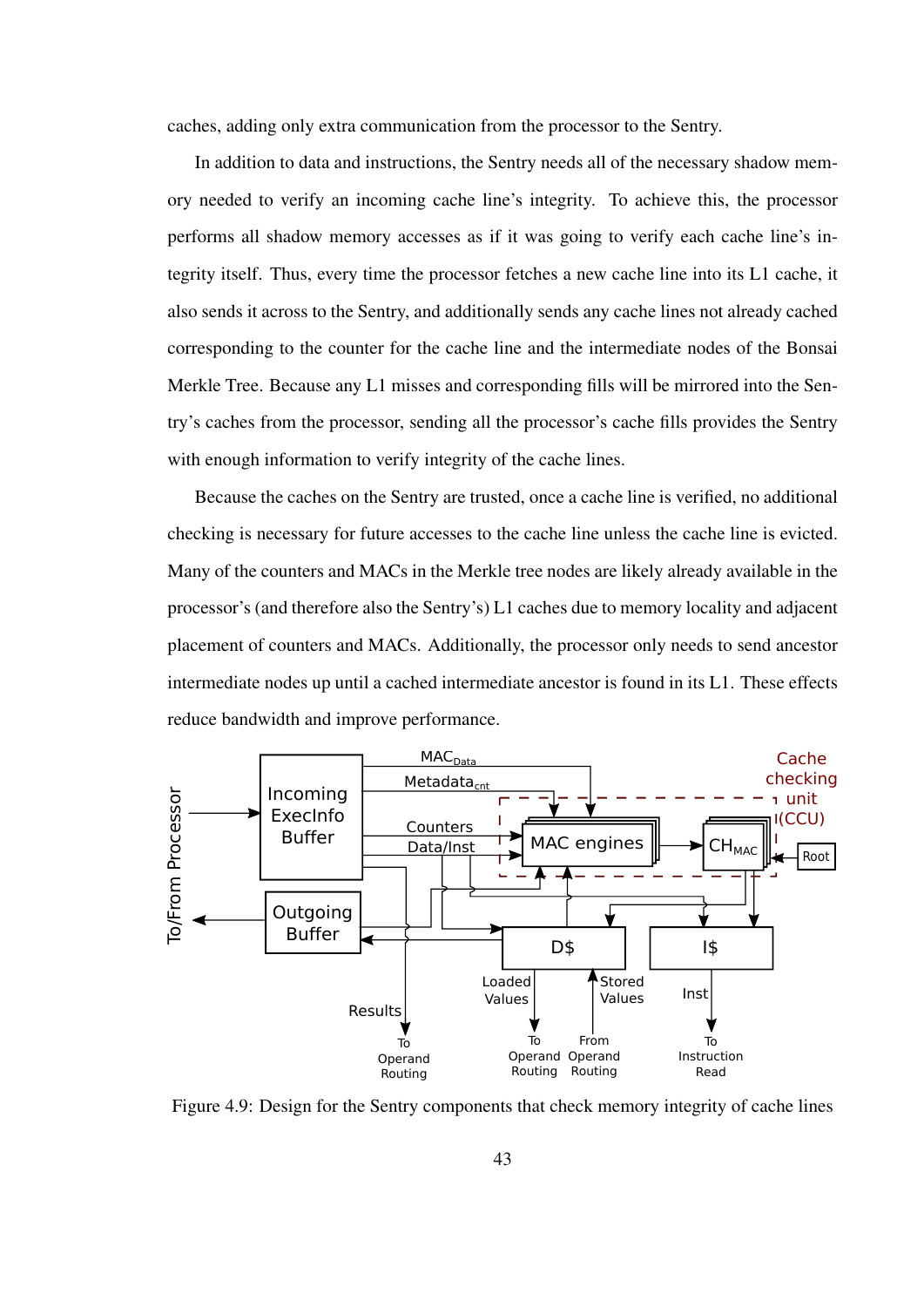caches, adding only extra communication from the processor to the Sentry.

In addition to data and instructions, the Sentry needs all of the necessary shadow memory needed to verify an incoming cache line's integrity. To achieve this, the processor performs all shadow memory accesses as if it was going to verify each cache line's integrity itself. Thus, every time the processor fetches a new cache line into its L1 cache, it also sends it across to the Sentry, and additionally sends any cache lines not already cached corresponding to the counter for the cache line and the intermediate nodes of the Bonsai Merkle Tree. Because any L1 misses and corresponding fills will be mirrored into the Sentry's caches from the processor, sending all the processor's cache fills provides the Sentry with enough information to verify integrity of the cache lines.

Because the caches on the Sentry are trusted, once a cache line is verified, no additional checking is necessary for future accesses to the cache line unless the cache line is evicted. Many of the counters and MACs in the Merkle tree nodes are likely already available in the processor's (and therefore also the Sentry's) L1 caches due to memory locality and adjacent placement of counters and MACs. Additionally, the processor only needs to send ancestor intermediate nodes up until a cached intermediate ancestor is found in its L1. These effects reduce bandwidth and improve performance.



Figure 4.9: Design for the Sentry components that check memory integrity of cache lines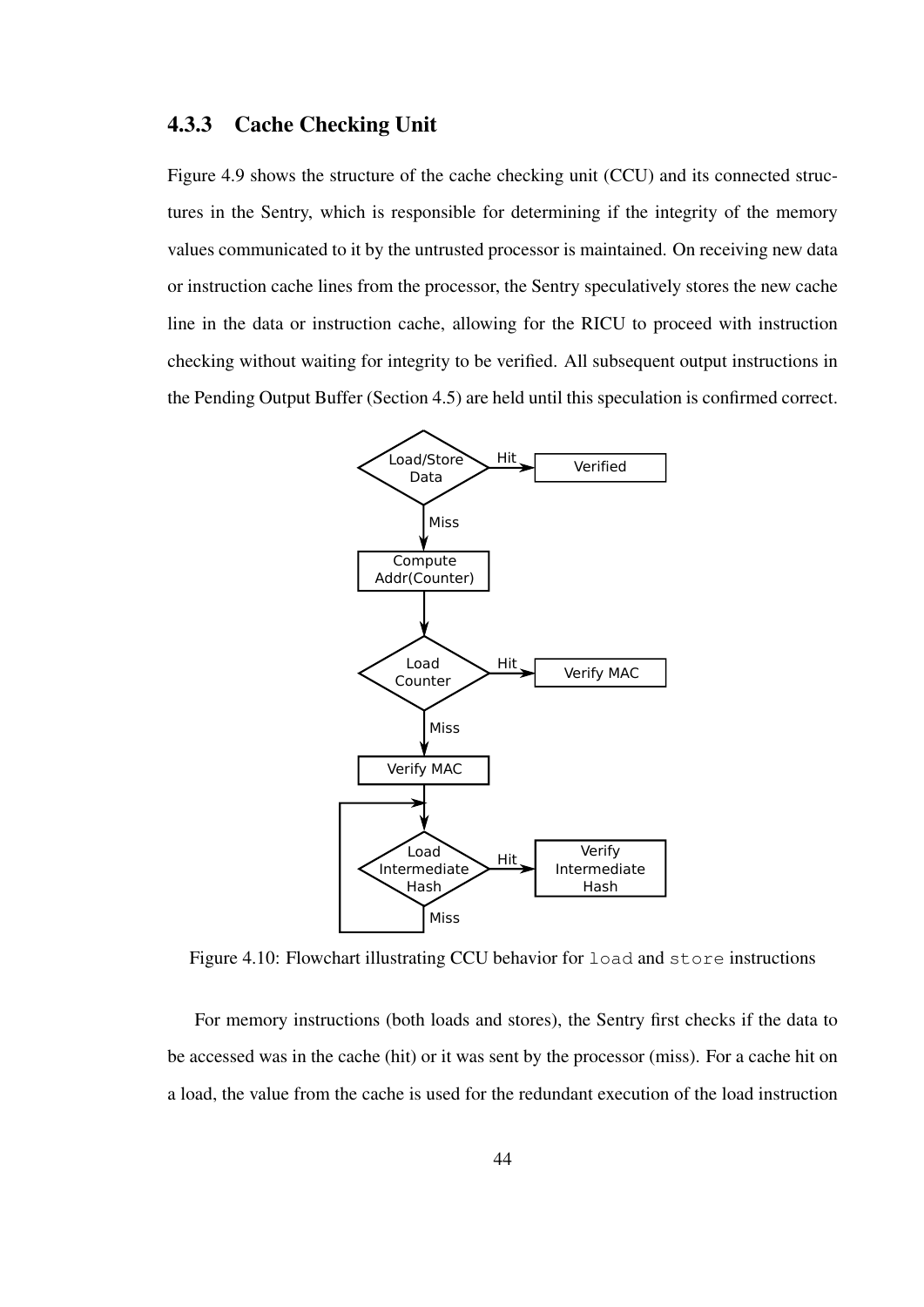#### 4.3.3 Cache Checking Unit

Figure 4.9 shows the structure of the cache checking unit (CCU) and its connected structures in the Sentry, which is responsible for determining if the integrity of the memory values communicated to it by the untrusted processor is maintained. On receiving new data or instruction cache lines from the processor, the Sentry speculatively stores the new cache line in the data or instruction cache, allowing for the RICU to proceed with instruction checking without waiting for integrity to be verified. All subsequent output instructions in the Pending Output Buffer (Section 4.5) are held until this speculation is confirmed correct.



Figure 4.10: Flowchart illustrating CCU behavior for load and store instructions

For memory instructions (both loads and stores), the Sentry first checks if the data to be accessed was in the cache (hit) or it was sent by the processor (miss). For a cache hit on a load, the value from the cache is used for the redundant execution of the load instruction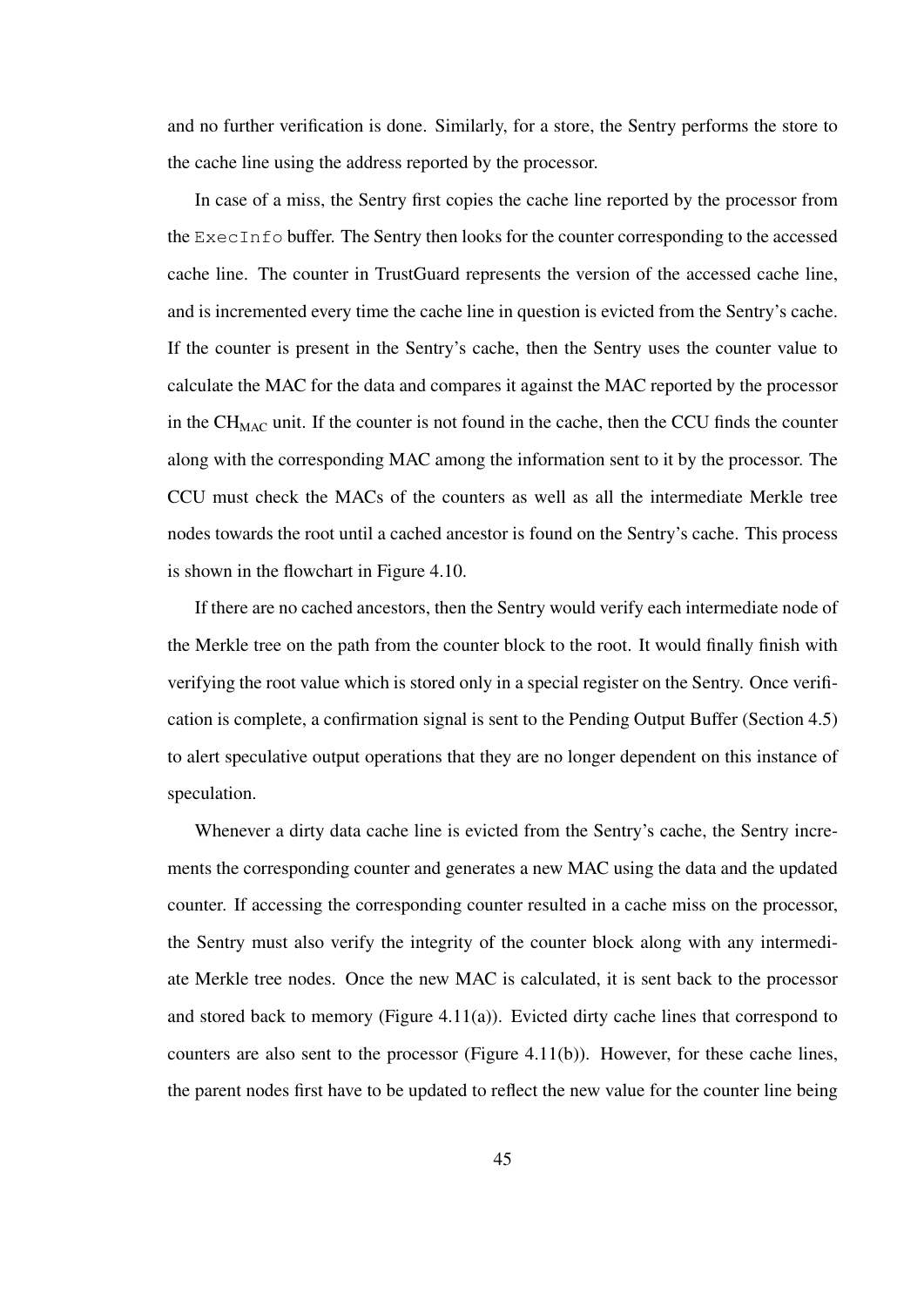and no further verification is done. Similarly, for a store, the Sentry performs the store to the cache line using the address reported by the processor.

In case of a miss, the Sentry first copies the cache line reported by the processor from the ExecInfo buffer. The Sentry then looks for the counter corresponding to the accessed cache line. The counter in TrustGuard represents the version of the accessed cache line, and is incremented every time the cache line in question is evicted from the Sentry's cache. If the counter is present in the Sentry's cache, then the Sentry uses the counter value to calculate the MAC for the data and compares it against the MAC reported by the processor in the  $CH_{MAC}$  unit. If the counter is not found in the cache, then the CCU finds the counter along with the corresponding MAC among the information sent to it by the processor. The CCU must check the MACs of the counters as well as all the intermediate Merkle tree nodes towards the root until a cached ancestor is found on the Sentry's cache. This process is shown in the flowchart in Figure 4.10.

If there are no cached ancestors, then the Sentry would verify each intermediate node of the Merkle tree on the path from the counter block to the root. It would finally finish with verifying the root value which is stored only in a special register on the Sentry. Once verification is complete, a confirmation signal is sent to the Pending Output Buffer (Section 4.5) to alert speculative output operations that they are no longer dependent on this instance of speculation.

Whenever a dirty data cache line is evicted from the Sentry's cache, the Sentry increments the corresponding counter and generates a new MAC using the data and the updated counter. If accessing the corresponding counter resulted in a cache miss on the processor, the Sentry must also verify the integrity of the counter block along with any intermediate Merkle tree nodes. Once the new MAC is calculated, it is sent back to the processor and stored back to memory (Figure 4.11(a)). Evicted dirty cache lines that correspond to counters are also sent to the processor (Figure 4.11(b)). However, for these cache lines, the parent nodes first have to be updated to reflect the new value for the counter line being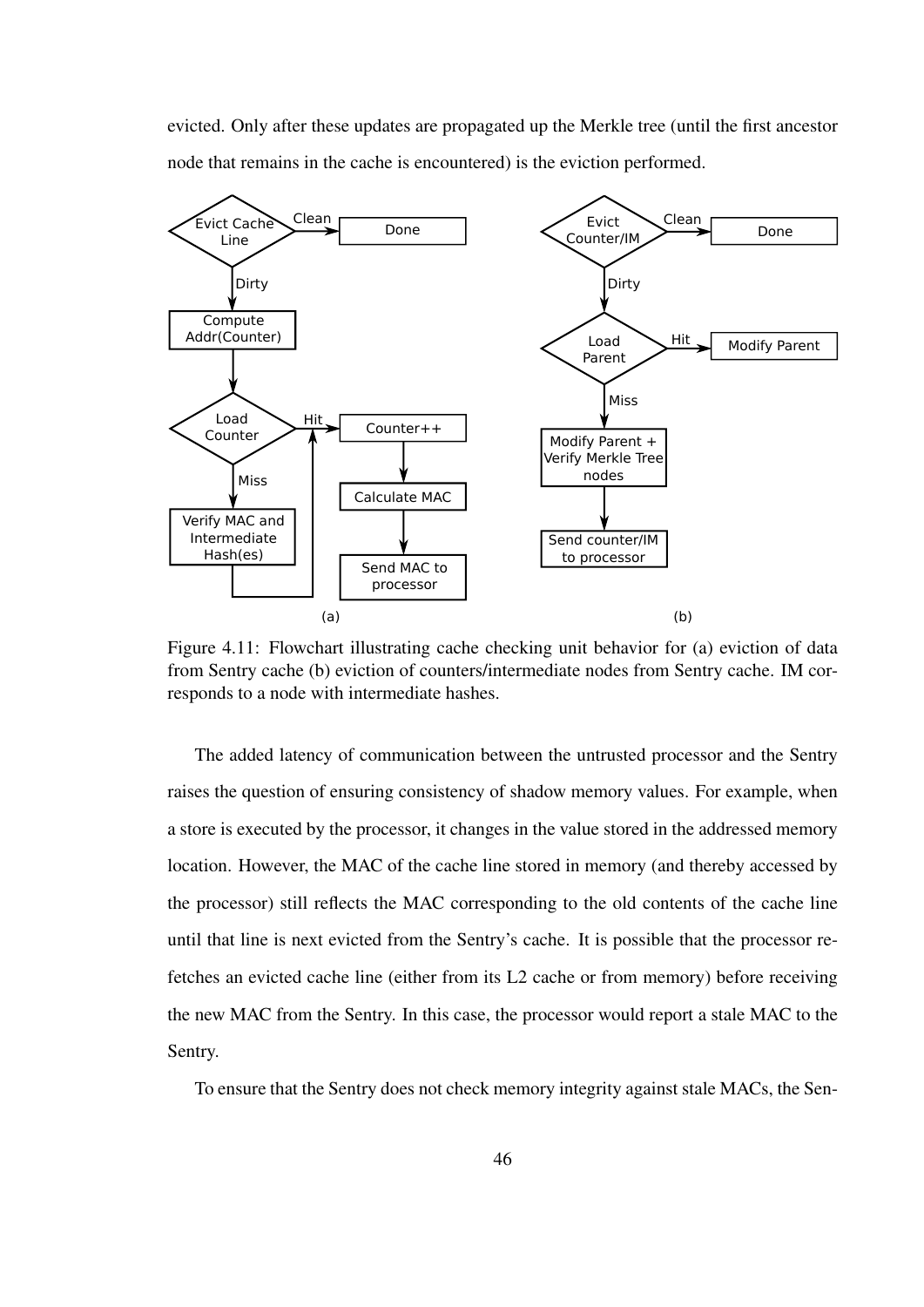evicted. Only after these updates are propagated up the Merkle tree (until the first ancestor node that remains in the cache is encountered) is the eviction performed.



Figure 4.11: Flowchart illustrating cache checking unit behavior for (a) eviction of data from Sentry cache (b) eviction of counters/intermediate nodes from Sentry cache. IM corresponds to a node with intermediate hashes.

The added latency of communication between the untrusted processor and the Sentry raises the question of ensuring consistency of shadow memory values. For example, when a store is executed by the processor, it changes in the value stored in the addressed memory location. However, the MAC of the cache line stored in memory (and thereby accessed by the processor) still reflects the MAC corresponding to the old contents of the cache line until that line is next evicted from the Sentry's cache. It is possible that the processor refetches an evicted cache line (either from its L2 cache or from memory) before receiving the new MAC from the Sentry. In this case, the processor would report a stale MAC to the Sentry.

To ensure that the Sentry does not check memory integrity against stale MACs, the Sen-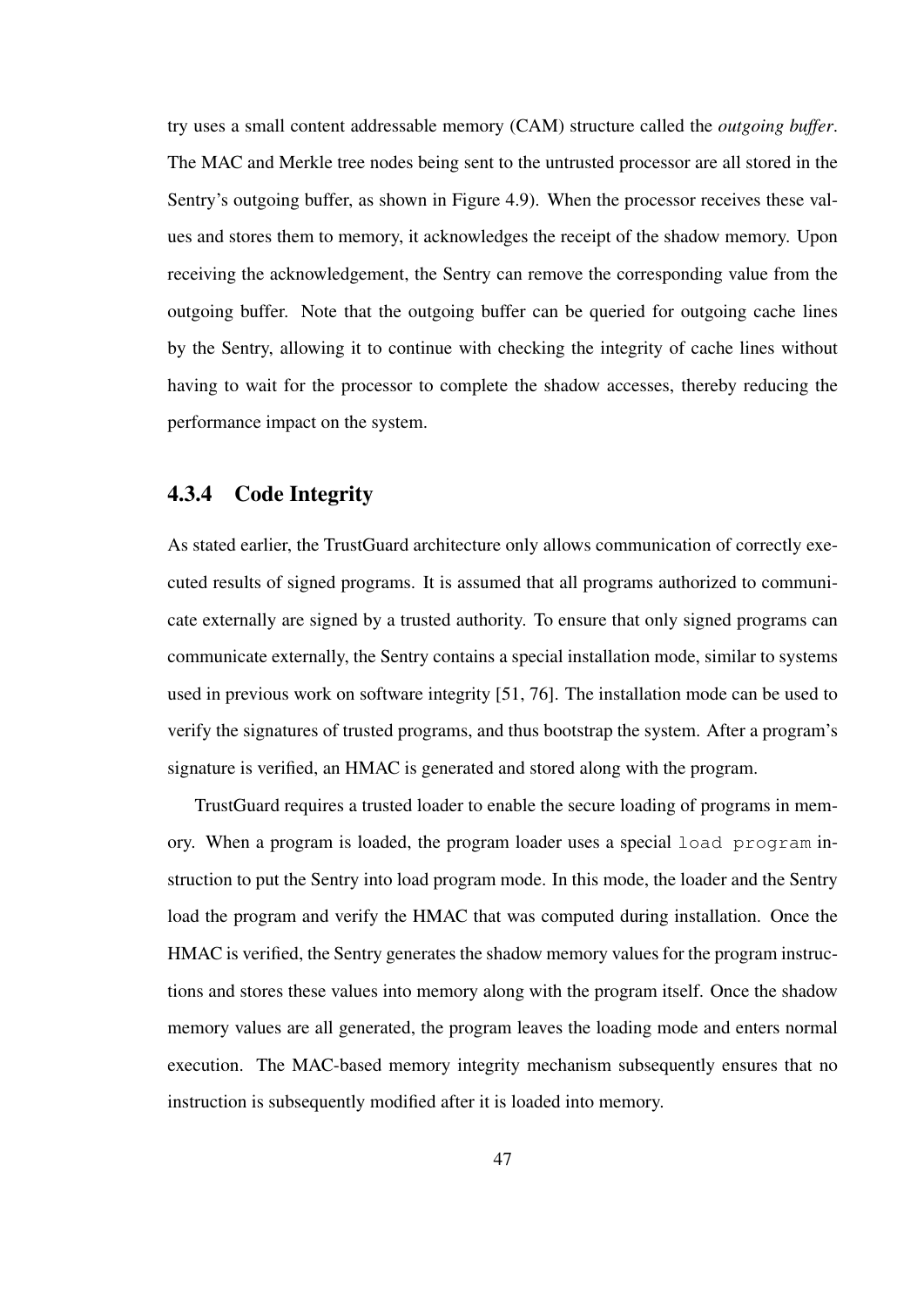try uses a small content addressable memory (CAM) structure called the *outgoing buffer*. The MAC and Merkle tree nodes being sent to the untrusted processor are all stored in the Sentry's outgoing buffer, as shown in Figure 4.9). When the processor receives these values and stores them to memory, it acknowledges the receipt of the shadow memory. Upon receiving the acknowledgement, the Sentry can remove the corresponding value from the outgoing buffer. Note that the outgoing buffer can be queried for outgoing cache lines by the Sentry, allowing it to continue with checking the integrity of cache lines without having to wait for the processor to complete the shadow accesses, thereby reducing the performance impact on the system.

#### 4.3.4 Code Integrity

As stated earlier, the TrustGuard architecture only allows communication of correctly executed results of signed programs. It is assumed that all programs authorized to communicate externally are signed by a trusted authority. To ensure that only signed programs can communicate externally, the Sentry contains a special installation mode, similar to systems used in previous work on software integrity [51, 76]. The installation mode can be used to verify the signatures of trusted programs, and thus bootstrap the system. After a program's signature is verified, an HMAC is generated and stored along with the program.

TrustGuard requires a trusted loader to enable the secure loading of programs in memory. When a program is loaded, the program loader uses a special load program instruction to put the Sentry into load program mode. In this mode, the loader and the Sentry load the program and verify the HMAC that was computed during installation. Once the HMAC is verified, the Sentry generates the shadow memory values for the program instructions and stores these values into memory along with the program itself. Once the shadow memory values are all generated, the program leaves the loading mode and enters normal execution. The MAC-based memory integrity mechanism subsequently ensures that no instruction is subsequently modified after it is loaded into memory.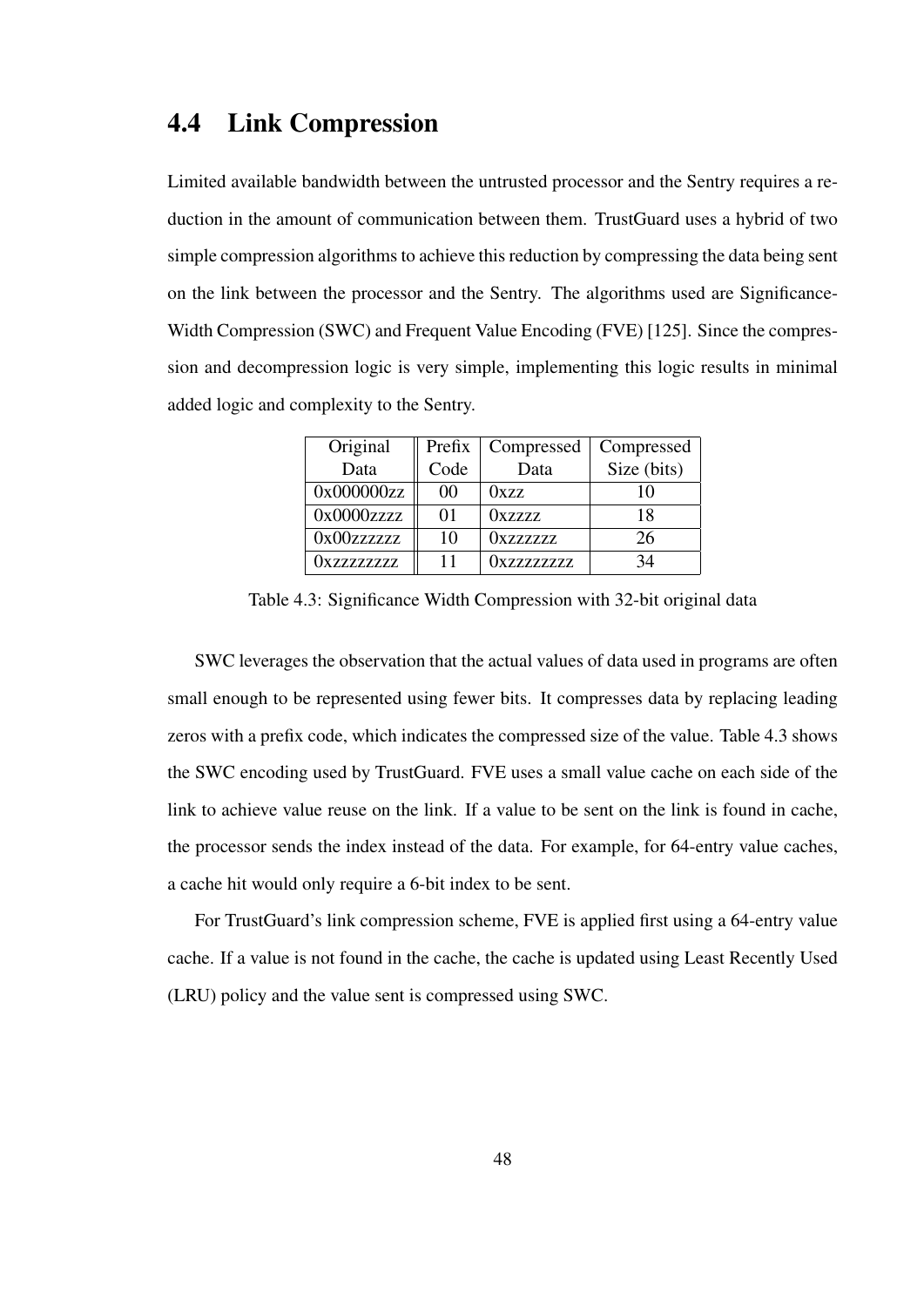## 4.4 Link Compression

Limited available bandwidth between the untrusted processor and the Sentry requires a reduction in the amount of communication between them. TrustGuard uses a hybrid of two simple compression algorithms to achieve this reduction by compressing the data being sent on the link between the processor and the Sentry. The algorithms used are Significance-Width Compression (SWC) and Frequent Value Encoding (FVE) [125]. Since the compression and decompression logic is very simple, implementing this logic results in minimal added logic and complexity to the Sentry.

| Original                  | Prefix | Compressed       | Compressed  |
|---------------------------|--------|------------------|-------------|
| Data                      | Code   | Data             | Size (bits) |
| 0x000000zz                | 00     | 0xzz             | 10          |
| 0x0000zzzz                | 01     | 0xzzzz           | 18          |
| 0x00zzzzzz                | 10     | <b>Oxzzzzzzz</b> | 26          |
| <i><b>Oxzzzzzzzzz</b></i> |        | 0xzzzzzzzz       | 34          |

Table 4.3: Significance Width Compression with 32-bit original data

SWC leverages the observation that the actual values of data used in programs are often small enough to be represented using fewer bits. It compresses data by replacing leading zeros with a prefix code, which indicates the compressed size of the value. Table 4.3 shows the SWC encoding used by TrustGuard. FVE uses a small value cache on each side of the link to achieve value reuse on the link. If a value to be sent on the link is found in cache, the processor sends the index instead of the data. For example, for 64-entry value caches, a cache hit would only require a 6-bit index to be sent.

For TrustGuard's link compression scheme, FVE is applied first using a 64-entry value cache. If a value is not found in the cache, the cache is updated using Least Recently Used (LRU) policy and the value sent is compressed using SWC.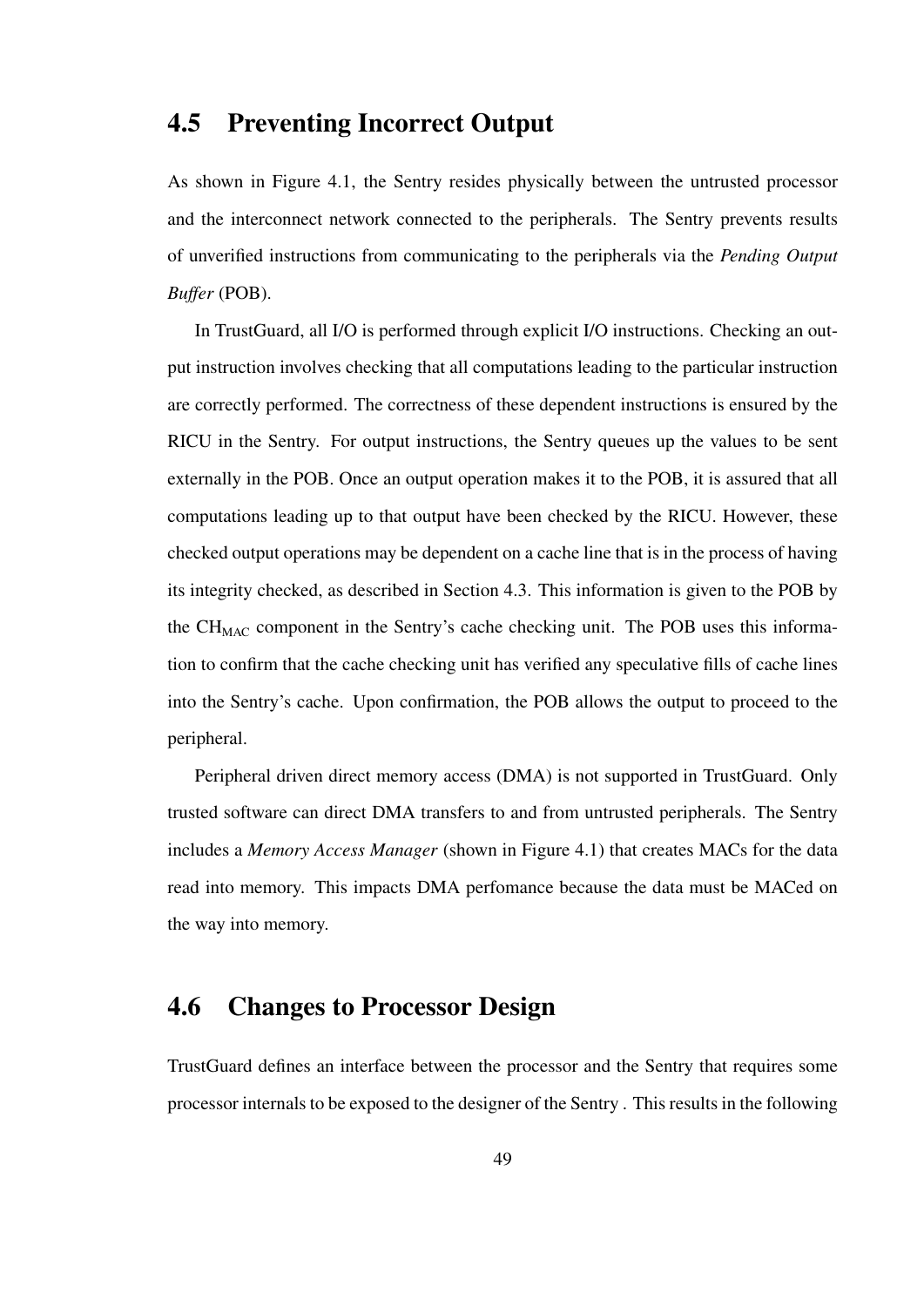## 4.5 Preventing Incorrect Output

As shown in Figure 4.1, the Sentry resides physically between the untrusted processor and the interconnect network connected to the peripherals. The Sentry prevents results of unverified instructions from communicating to the peripherals via the *Pending Output Buffer* (POB).

In TrustGuard, all I/O is performed through explicit I/O instructions. Checking an output instruction involves checking that all computations leading to the particular instruction are correctly performed. The correctness of these dependent instructions is ensured by the RICU in the Sentry. For output instructions, the Sentry queues up the values to be sent externally in the POB. Once an output operation makes it to the POB, it is assured that all computations leading up to that output have been checked by the RICU. However, these checked output operations may be dependent on a cache line that is in the process of having its integrity checked, as described in Section 4.3. This information is given to the POB by the  $CH<sub>MAC</sub>$  component in the Sentry's cache checking unit. The POB uses this information to confirm that the cache checking unit has verified any speculative fills of cache lines into the Sentry's cache. Upon confirmation, the POB allows the output to proceed to the peripheral.

Peripheral driven direct memory access (DMA) is not supported in TrustGuard. Only trusted software can direct DMA transfers to and from untrusted peripherals. The Sentry includes a *Memory Access Manager* (shown in Figure 4.1) that creates MACs for the data read into memory. This impacts DMA perfomance because the data must be MACed on the way into memory.

# 4.6 Changes to Processor Design

TrustGuard defines an interface between the processor and the Sentry that requires some processor internals to be exposed to the designer of the Sentry . This results in the following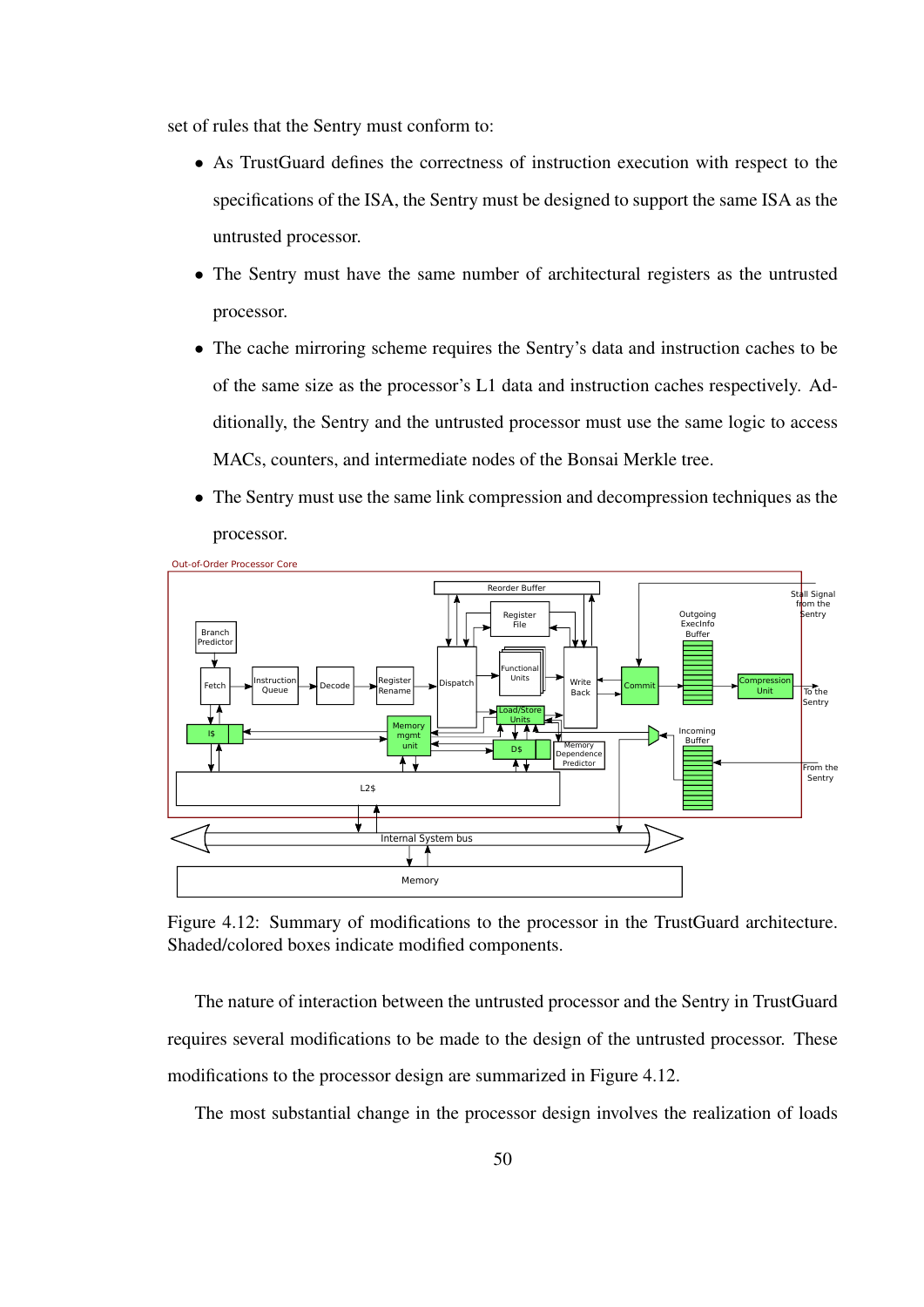set of rules that the Sentry must conform to:

- As TrustGuard defines the correctness of instruction execution with respect to the specifications of the ISA, the Sentry must be designed to support the same ISA as the untrusted processor.
- The Sentry must have the same number of architectural registers as the untrusted processor.
- The cache mirroring scheme requires the Sentry's data and instruction caches to be of the same size as the processor's L1 data and instruction caches respectively. Additionally, the Sentry and the untrusted processor must use the same logic to access MACs, counters, and intermediate nodes of the Bonsai Merkle tree.
- The Sentry must use the same link compression and decompression techniques as the processor.



Figure 4.12: Summary of modifications to the processor in the TrustGuard architecture. Shaded/colored boxes indicate modified components.

The nature of interaction between the untrusted processor and the Sentry in TrustGuard requires several modifications to be made to the design of the untrusted processor. These modifications to the processor design are summarized in Figure 4.12.

The most substantial change in the processor design involves the realization of loads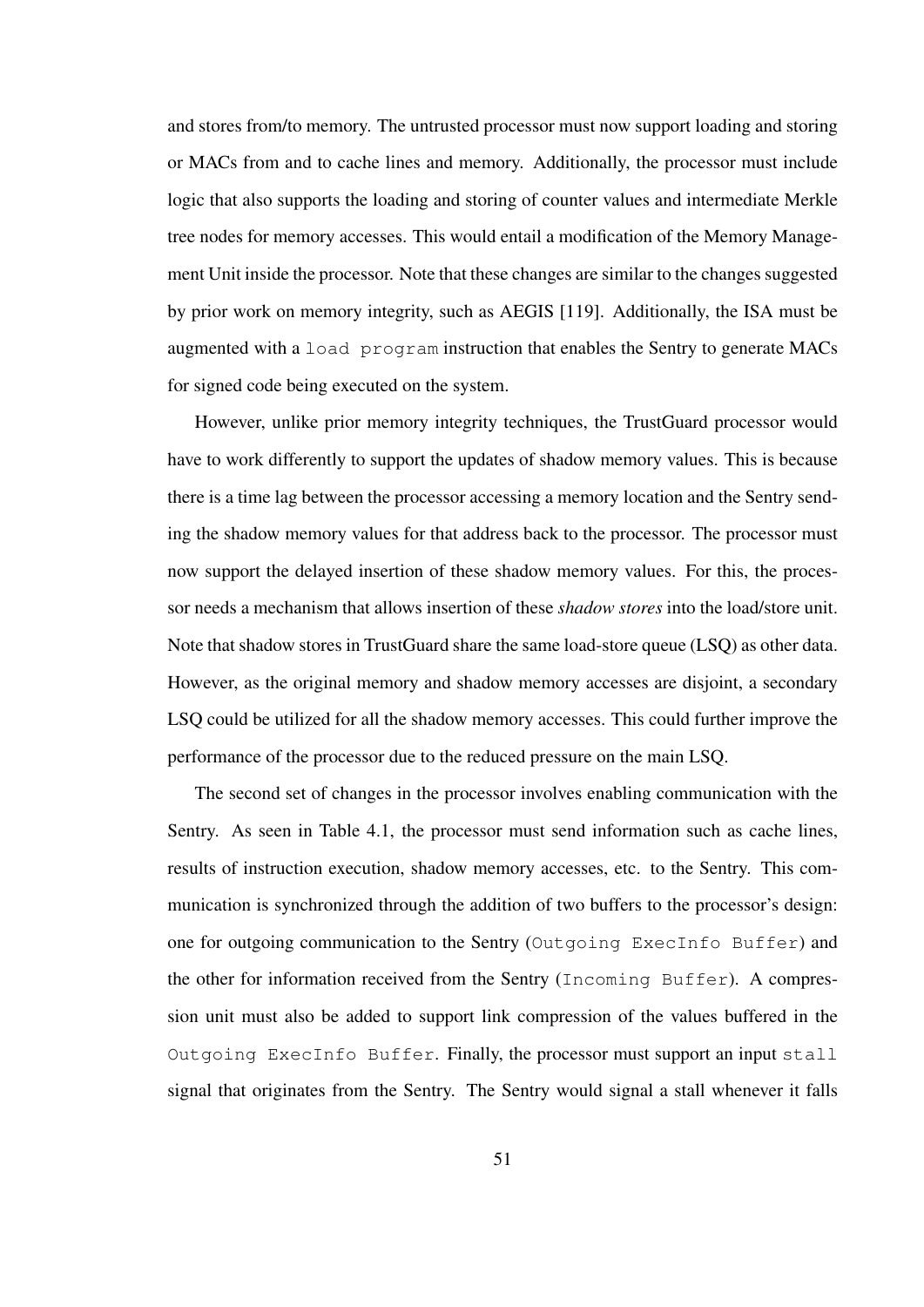and stores from/to memory. The untrusted processor must now support loading and storing or MACs from and to cache lines and memory. Additionally, the processor must include logic that also supports the loading and storing of counter values and intermediate Merkle tree nodes for memory accesses. This would entail a modification of the Memory Management Unit inside the processor. Note that these changes are similar to the changes suggested by prior work on memory integrity, such as AEGIS [119]. Additionally, the ISA must be augmented with a load program instruction that enables the Sentry to generate MACs for signed code being executed on the system.

However, unlike prior memory integrity techniques, the TrustGuard processor would have to work differently to support the updates of shadow memory values. This is because there is a time lag between the processor accessing a memory location and the Sentry sending the shadow memory values for that address back to the processor. The processor must now support the delayed insertion of these shadow memory values. For this, the processor needs a mechanism that allows insertion of these *shadow stores* into the load/store unit. Note that shadow stores in TrustGuard share the same load-store queue (LSQ) as other data. However, as the original memory and shadow memory accesses are disjoint, a secondary LSQ could be utilized for all the shadow memory accesses. This could further improve the performance of the processor due to the reduced pressure on the main LSQ.

The second set of changes in the processor involves enabling communication with the Sentry. As seen in Table 4.1, the processor must send information such as cache lines, results of instruction execution, shadow memory accesses, etc. to the Sentry. This communication is synchronized through the addition of two buffers to the processor's design: one for outgoing communication to the Sentry (Outgoing ExecInfo Buffer) and the other for information received from the Sentry (Incoming Buffer). A compression unit must also be added to support link compression of the values buffered in the Outgoing ExecInfo Buffer. Finally, the processor must support an input stall signal that originates from the Sentry. The Sentry would signal a stall whenever it falls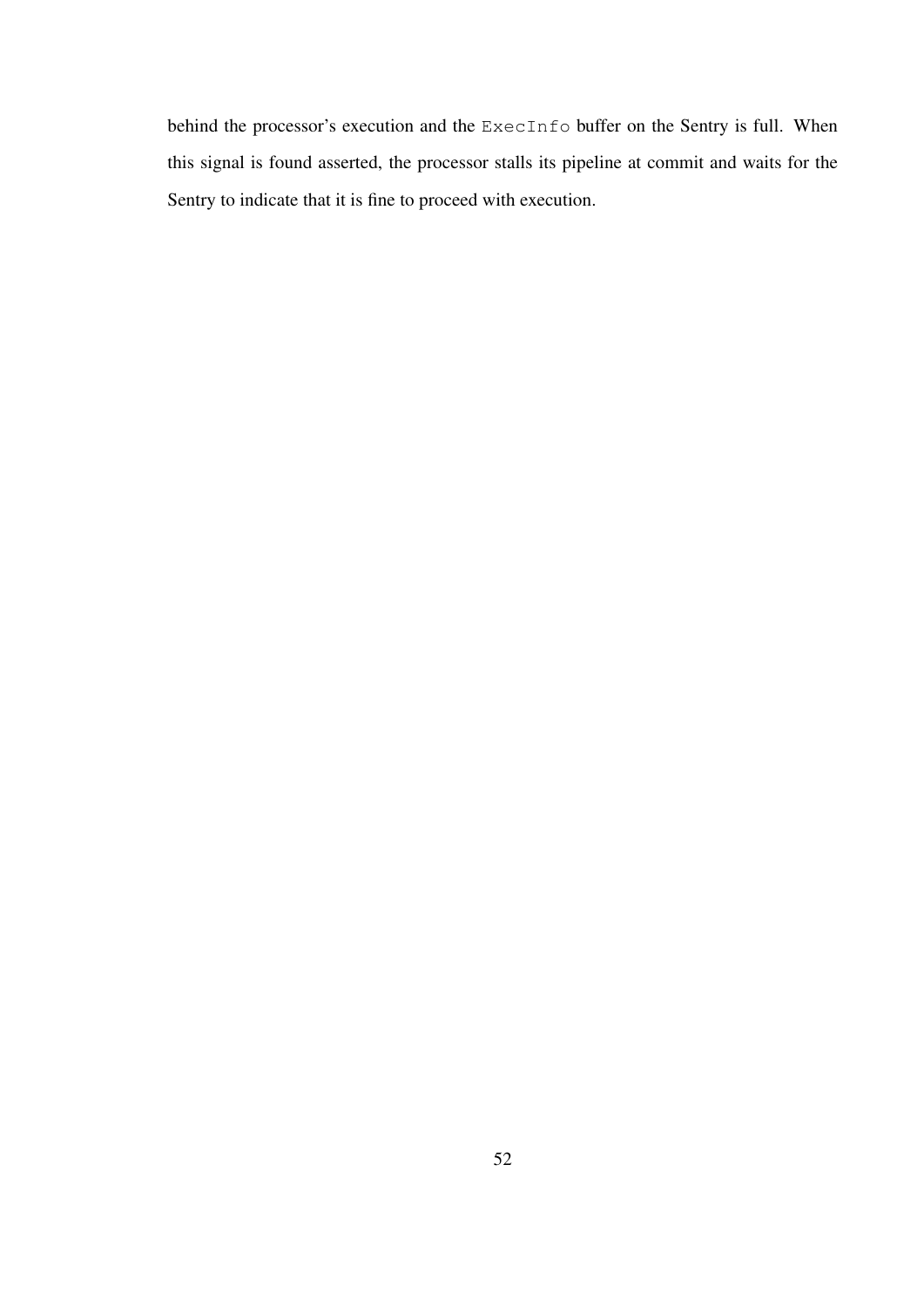behind the processor's execution and the ExecInfo buffer on the Sentry is full. When this signal is found asserted, the processor stalls its pipeline at commit and waits for the Sentry to indicate that it is fine to proceed with execution.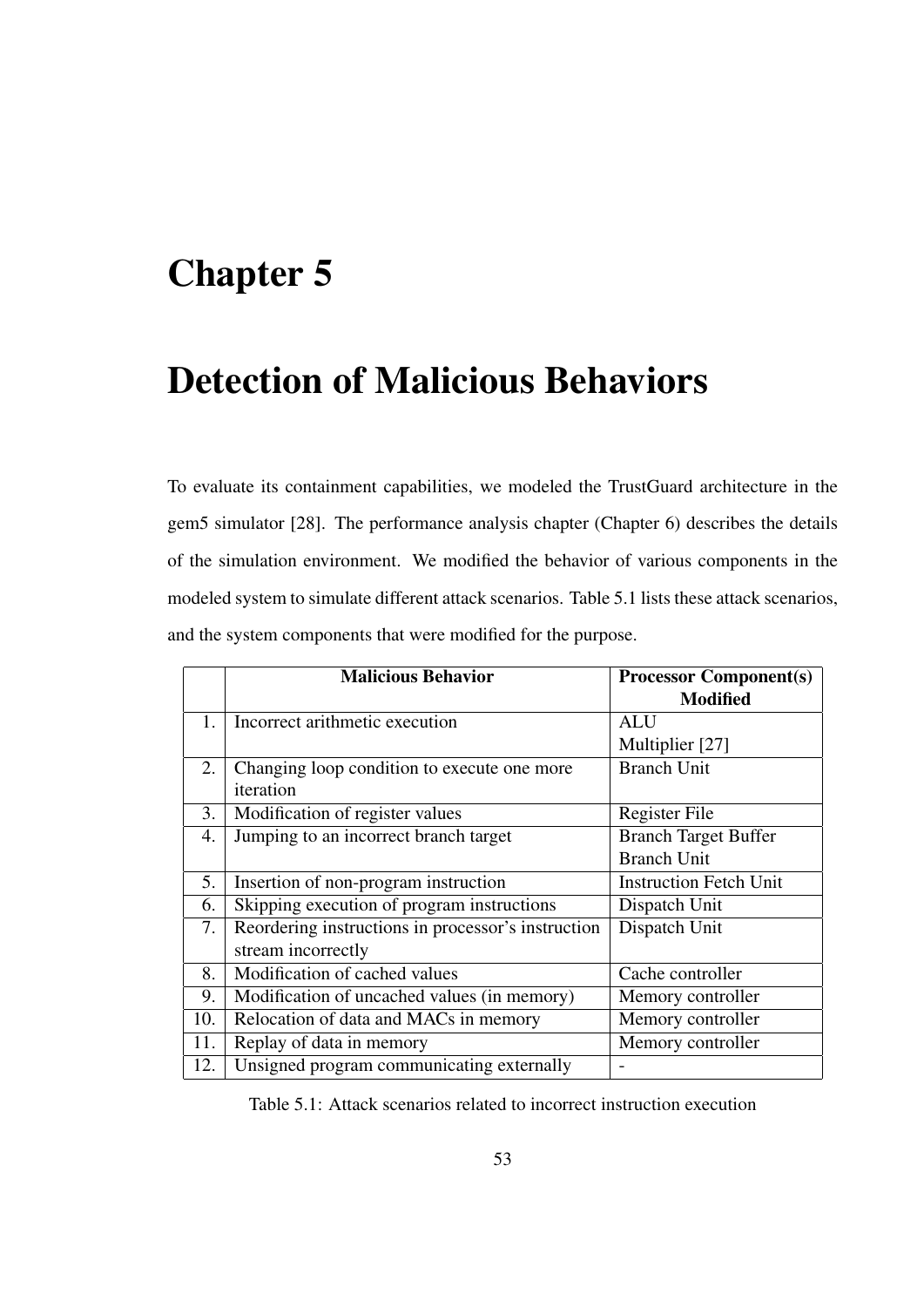# Chapter 5

# Detection of Malicious Behaviors

To evaluate its containment capabilities, we modeled the TrustGuard architecture in the gem5 simulator [28]. The performance analysis chapter (Chapter 6) describes the details of the simulation environment. We modified the behavior of various components in the modeled system to simulate different attack scenarios. Table 5.1 lists these attack scenarios, and the system components that were modified for the purpose.

|     | <b>Malicious Behavior</b>                          | <b>Processor Component(s)</b> |
|-----|----------------------------------------------------|-------------------------------|
|     |                                                    | <b>Modified</b>               |
| 1.  | Incorrect arithmetic execution                     | ALU                           |
|     |                                                    | Multiplier [27]               |
| 2.  | Changing loop condition to execute one more        | <b>Branch Unit</b>            |
|     | iteration                                          |                               |
| 3.  | Modification of register values                    | Register File                 |
| 4.  | Jumping to an incorrect branch target              | <b>Branch Target Buffer</b>   |
|     |                                                    | <b>Branch Unit</b>            |
| 5.  | Insertion of non-program instruction               | <b>Instruction Fetch Unit</b> |
| 6.  | Skipping execution of program instructions         | Dispatch Unit                 |
| 7.  | Reordering instructions in processor's instruction | Dispatch Unit                 |
|     | stream incorrectly                                 |                               |
| 8.  | Modification of cached values                      | Cache controller              |
| 9.  | Modification of uncached values (in memory)        | Memory controller             |
| 10. | Relocation of data and MACs in memory              | Memory controller             |
| 11. | Replay of data in memory                           | Memory controller             |
| 12. | Unsigned program communicating externally          |                               |

Table 5.1: Attack scenarios related to incorrect instruction execution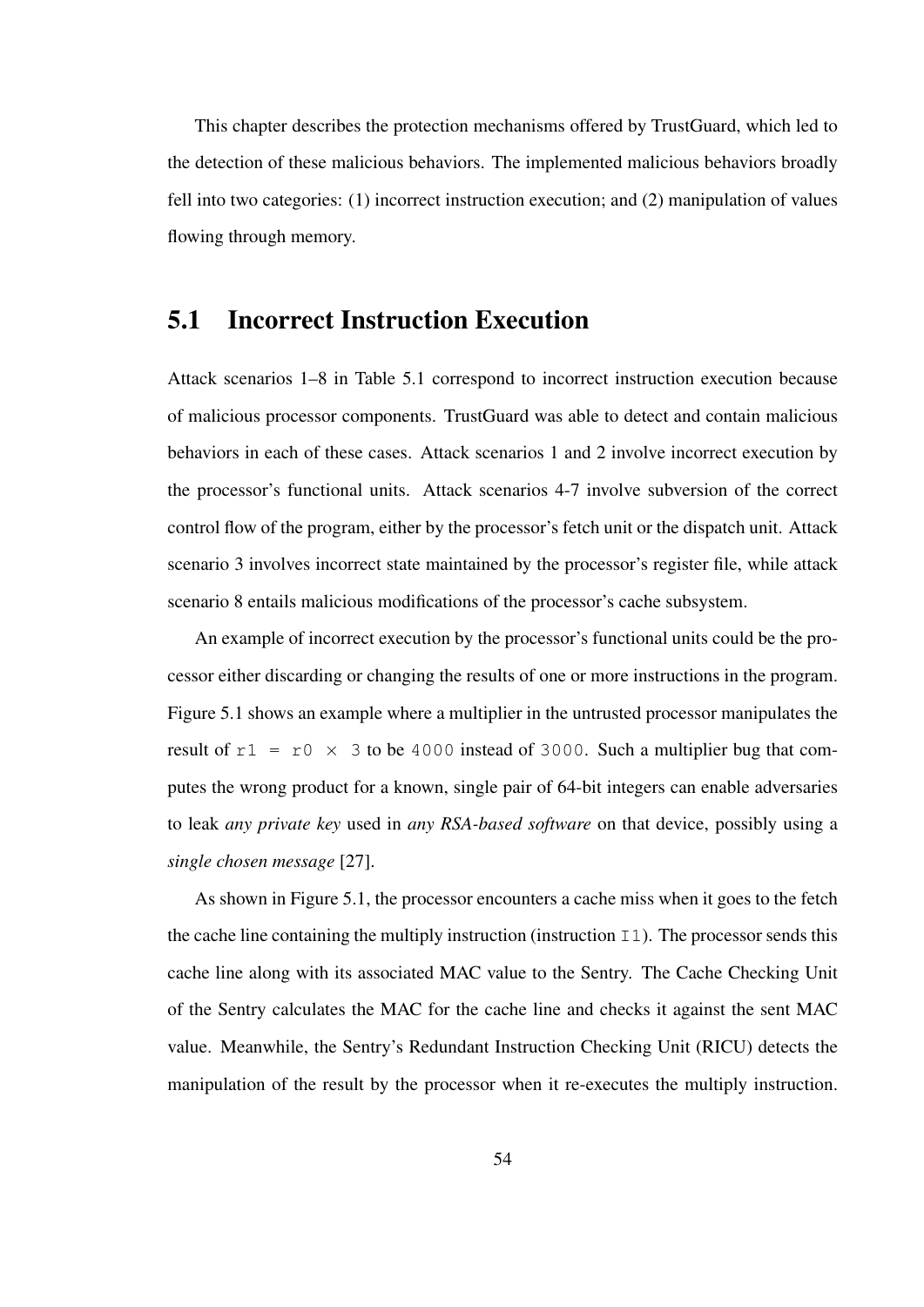This chapter describes the protection mechanisms offered by TrustGuard, which led to the detection of these malicious behaviors. The implemented malicious behaviors broadly fell into two categories: (1) incorrect instruction execution; and (2) manipulation of values flowing through memory.

#### 5.1 Incorrect Instruction Execution

Attack scenarios 1–8 in Table 5.1 correspond to incorrect instruction execution because of malicious processor components. TrustGuard was able to detect and contain malicious behaviors in each of these cases. Attack scenarios 1 and 2 involve incorrect execution by the processor's functional units. Attack scenarios 4-7 involve subversion of the correct control flow of the program, either by the processor's fetch unit or the dispatch unit. Attack scenario 3 involves incorrect state maintained by the processor's register file, while attack scenario 8 entails malicious modifications of the processor's cache subsystem.

An example of incorrect execution by the processor's functional units could be the processor either discarding or changing the results of one or more instructions in the program. Figure 5.1 shows an example where a multiplier in the untrusted processor manipulates the result of  $r1 = r0 \times 3$  to be 4000 instead of 3000. Such a multiplier bug that computes the wrong product for a known, single pair of 64-bit integers can enable adversaries to leak *any private key* used in *any RSA-based software* on that device, possibly using a *single chosen message* [27].

As shown in Figure 5.1, the processor encounters a cache miss when it goes to the fetch the cache line containing the multiply instruction (instruction  $\text{I1}$ ). The processor sends this cache line along with its associated MAC value to the Sentry. The Cache Checking Unit of the Sentry calculates the MAC for the cache line and checks it against the sent MAC value. Meanwhile, the Sentry's Redundant Instruction Checking Unit (RICU) detects the manipulation of the result by the processor when it re-executes the multiply instruction.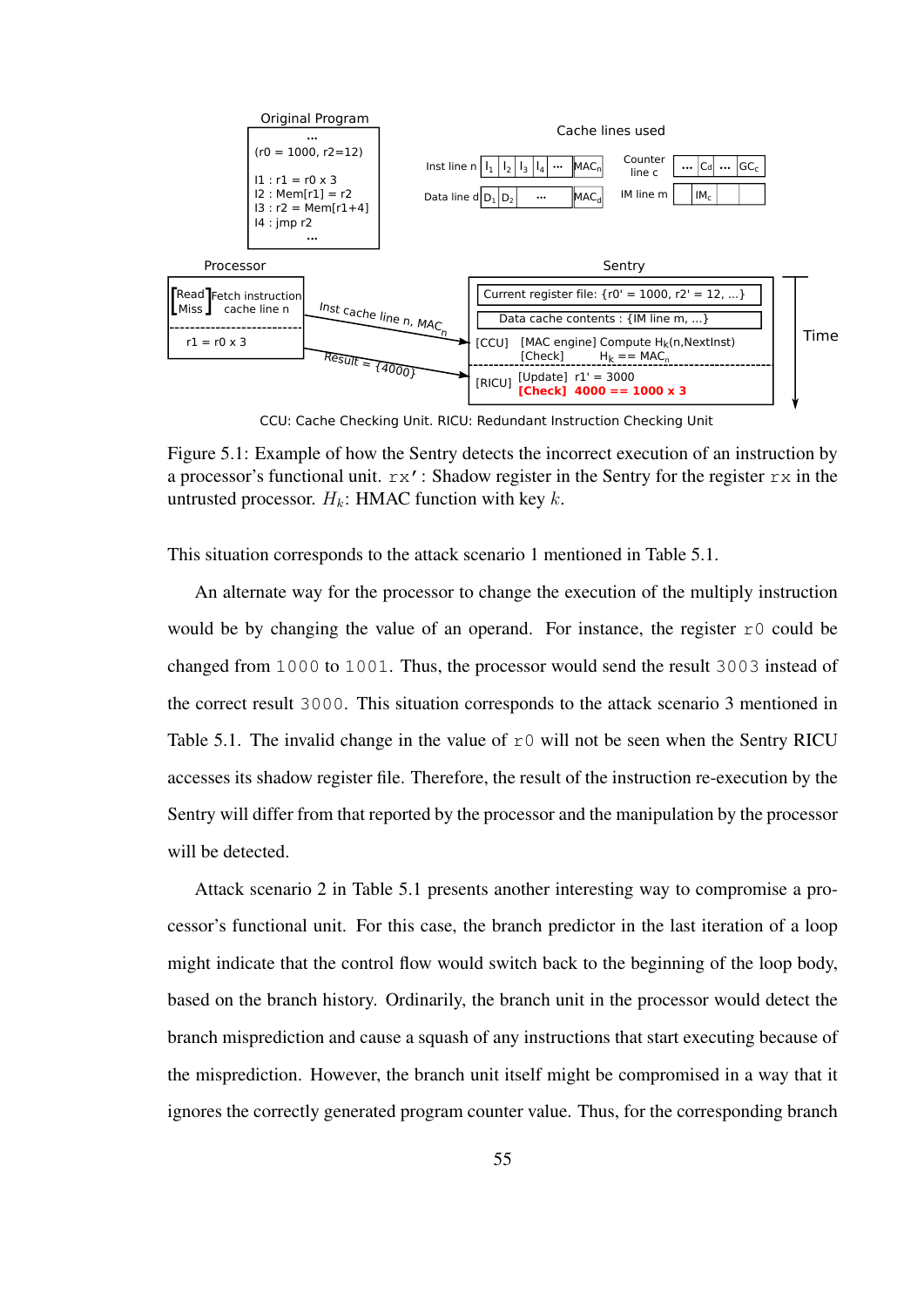

CCU: Cache Checking Unit. RICU: Redundant Instruction Checking Unit

This situation corresponds to the attack scenario 1 mentioned in Table 5.1.

An alternate way for the processor to change the execution of the multiply instruction would be by changing the value of an operand. For instance, the register  $r0$  could be changed from 1000 to 1001. Thus, the processor would send the result 3003 instead of the correct result 3000. This situation corresponds to the attack scenario 3 mentioned in Table 5.1. The invalid change in the value of  $r0$  will not be seen when the Sentry RICU accesses its shadow register file. Therefore, the result of the instruction re-execution by the Sentry will differ from that reported by the processor and the manipulation by the processor will be detected.

Attack scenario 2 in Table 5.1 presents another interesting way to compromise a processor's functional unit. For this case, the branch predictor in the last iteration of a loop might indicate that the control flow would switch back to the beginning of the loop body, based on the branch history. Ordinarily, the branch unit in the processor would detect the branch misprediction and cause a squash of any instructions that start executing because of the misprediction. However, the branch unit itself might be compromised in a way that it ignores the correctly generated program counter value. Thus, for the corresponding branch

Figure 5.1: Example of how the Sentry detects the incorrect execution of an instruction by a processor's functional unit.  $rx'$ : Shadow register in the Sentry for the register  $rx$  in the untrusted processor.  $H_k$ : HMAC function with key k.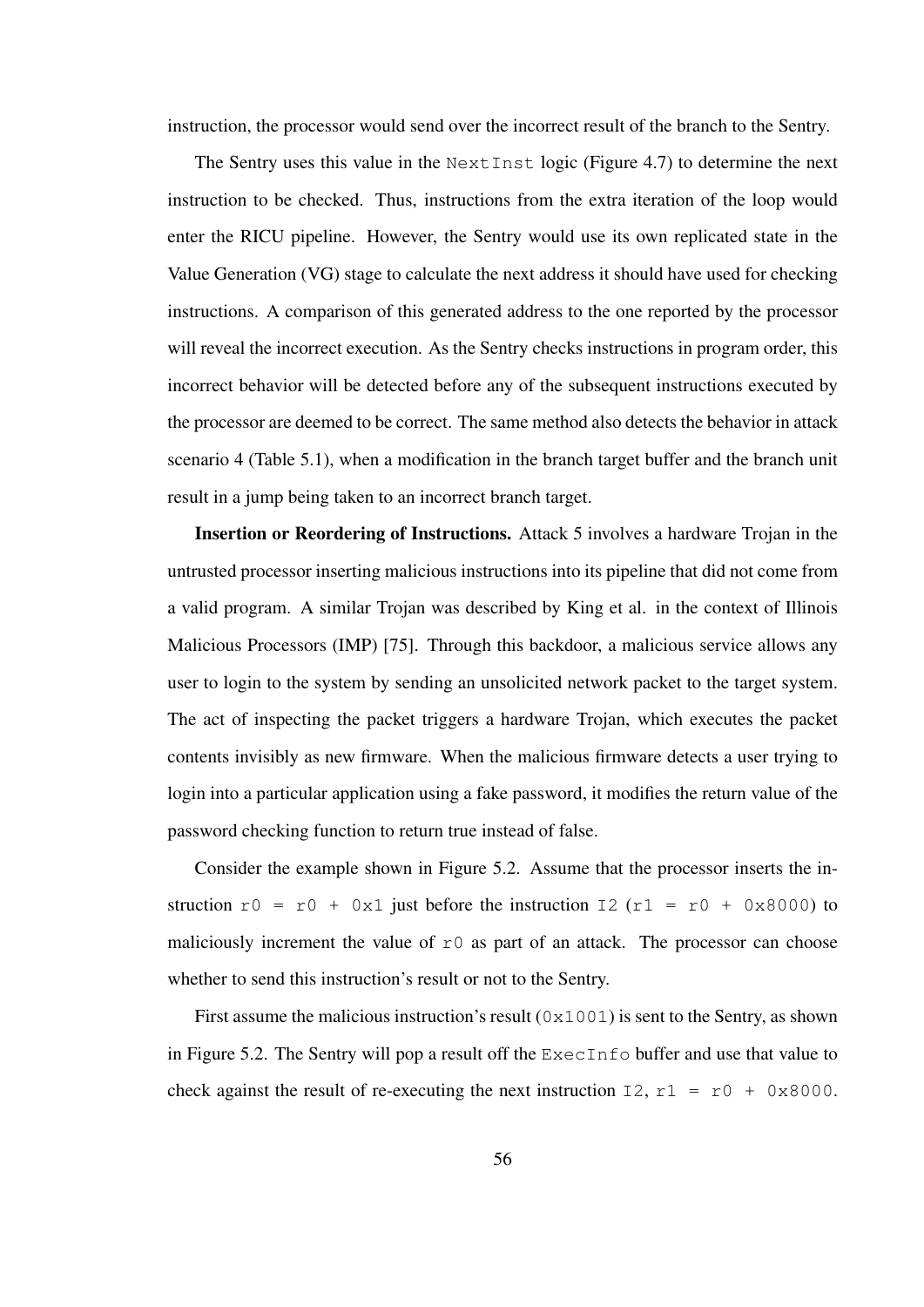instruction, the processor would send over the incorrect result of the branch to the Sentry.

The Sentry uses this value in the Next Inst logic (Figure 4.7) to determine the next instruction to be checked. Thus, instructions from the extra iteration of the loop would enter the RICU pipeline. However, the Sentry would use its own replicated state in the Value Generation (VG) stage to calculate the next address it should have used for checking instructions. A comparison of this generated address to the one reported by the processor will reveal the incorrect execution. As the Sentry checks instructions in program order, this incorrect behavior will be detected before any of the subsequent instructions executed by the processor are deemed to be correct. The same method also detects the behavior in attack scenario 4 (Table 5.1), when a modification in the branch target buffer and the branch unit result in a jump being taken to an incorrect branch target.

Insertion or Reordering of Instructions. Attack 5 involves a hardware Trojan in the untrusted processor inserting malicious instructions into its pipeline that did not come from a valid program. A similar Trojan was described by King et al. in the context of Illinois Malicious Processors (IMP) [75]. Through this backdoor, a malicious service allows any user to login to the system by sending an unsolicited network packet to the target system. The act of inspecting the packet triggers a hardware Trojan, which executes the packet contents invisibly as new firmware. When the malicious firmware detects a user trying to login into a particular application using a fake password, it modifies the return value of the password checking function to return true instead of false.

Consider the example shown in Figure 5.2. Assume that the processor inserts the instruction  $r0 = r0 + 0x1$  just before the instruction  $I2(r1 = r0 + 0x8000)$  to maliciously increment the value of  $r \circ a$  as part of an attack. The processor can choose whether to send this instruction's result or not to the Sentry.

First assume the malicious instruction's result  $(0 \times 1001)$  is sent to the Sentry, as shown in Figure 5.2. The Sentry will pop a result off the ExecInfo buffer and use that value to check against the result of re-executing the next instruction  $I2$ ,  $r1 = r0 + 0x8000$ .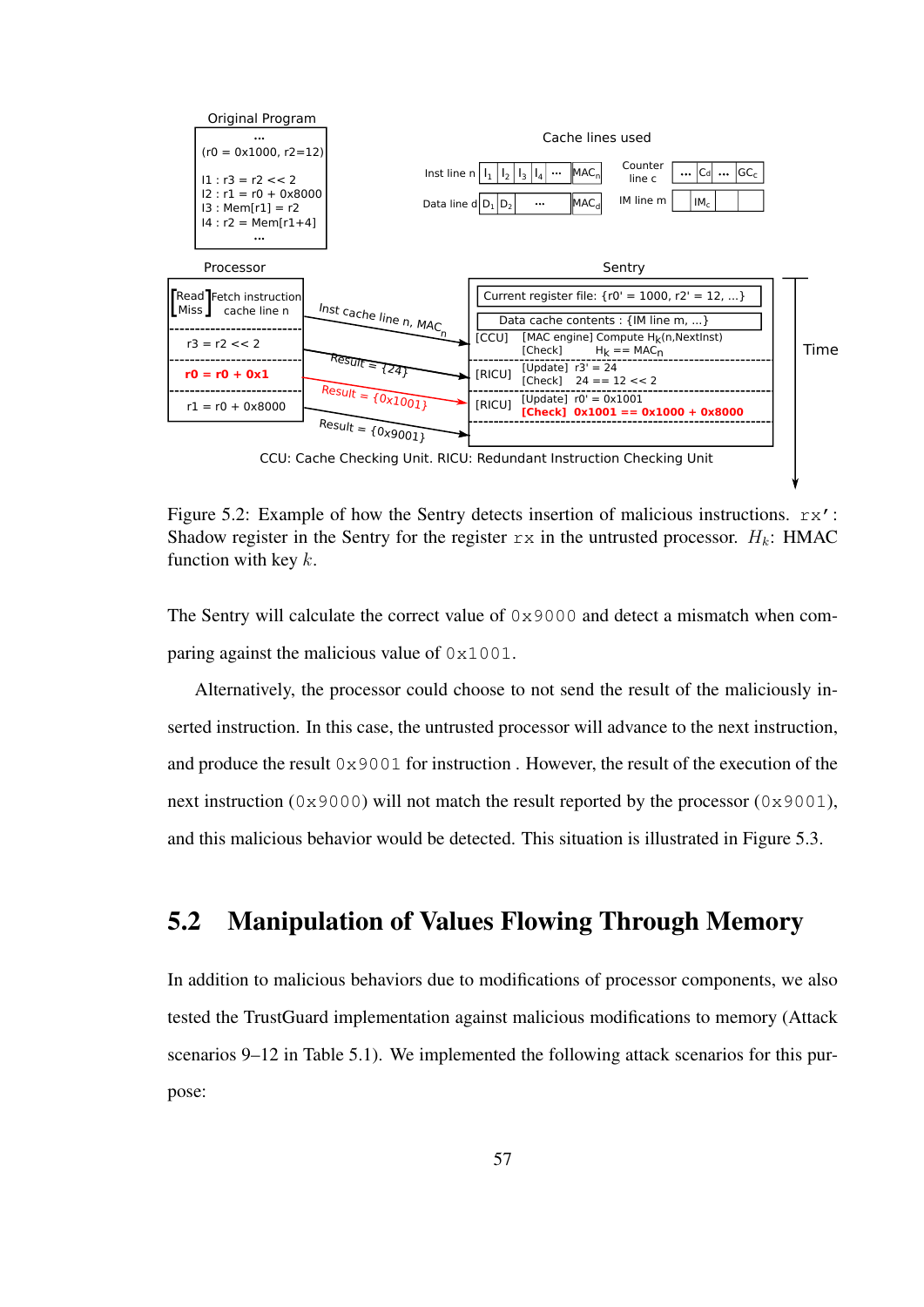

Figure 5.2: Example of how the Sentry detects insertion of malicious instructions.  $rx'$ : Shadow register in the Sentry for the register  $rx$  in the untrusted processor.  $H_k$ : HMAC function with key  $k$ .

The Sentry will calculate the correct value of  $0 \times 9000$  and detect a mismatch when comparing against the malicious value of 0x1001.

Alternatively, the processor could choose to not send the result of the maliciously inserted instruction. In this case, the untrusted processor will advance to the next instruction, and produce the result 0x9001 for instruction . However, the result of the execution of the next instruction ( $0x9000$ ) will not match the result reported by the processor ( $0x9001$ ), and this malicious behavior would be detected. This situation is illustrated in Figure 5.3.

### 5.2 Manipulation of Values Flowing Through Memory

In addition to malicious behaviors due to modifications of processor components, we also tested the TrustGuard implementation against malicious modifications to memory (Attack scenarios 9–12 in Table 5.1). We implemented the following attack scenarios for this purpose: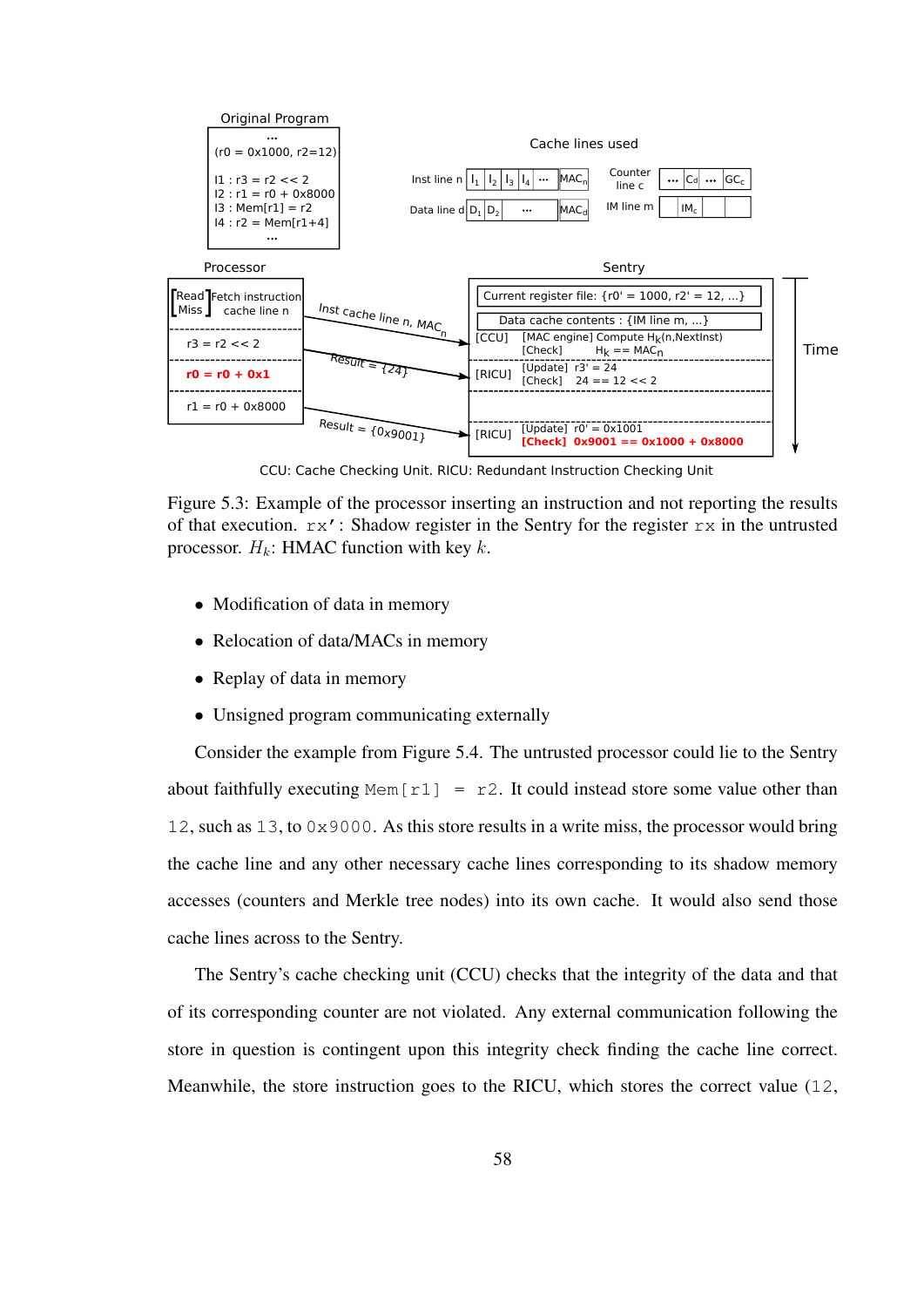

CCU: Cache Checking Unit. RICU: Redundant Instruction Checking Unit

Figure 5.3: Example of the processor inserting an instruction and not reporting the results of that execution.  $rx'$ : Shadow register in the Sentry for the register  $rx$  in the untrusted processor.  $H_k$ : HMAC function with key k.

- Modification of data in memory
- Relocation of data/MACs in memory
- Replay of data in memory
- Unsigned program communicating externally

Consider the example from Figure 5.4. The untrusted processor could lie to the Sentry about faithfully executing Mem  $[r1] = r2$ . It could instead store some value other than 12, such as 13, to 0x9000. As this store results in a write miss, the processor would bring the cache line and any other necessary cache lines corresponding to its shadow memory accesses (counters and Merkle tree nodes) into its own cache. It would also send those cache lines across to the Sentry.

The Sentry's cache checking unit (CCU) checks that the integrity of the data and that of its corresponding counter are not violated. Any external communication following the store in question is contingent upon this integrity check finding the cache line correct. Meanwhile, the store instruction goes to the RICU, which stores the correct value (12,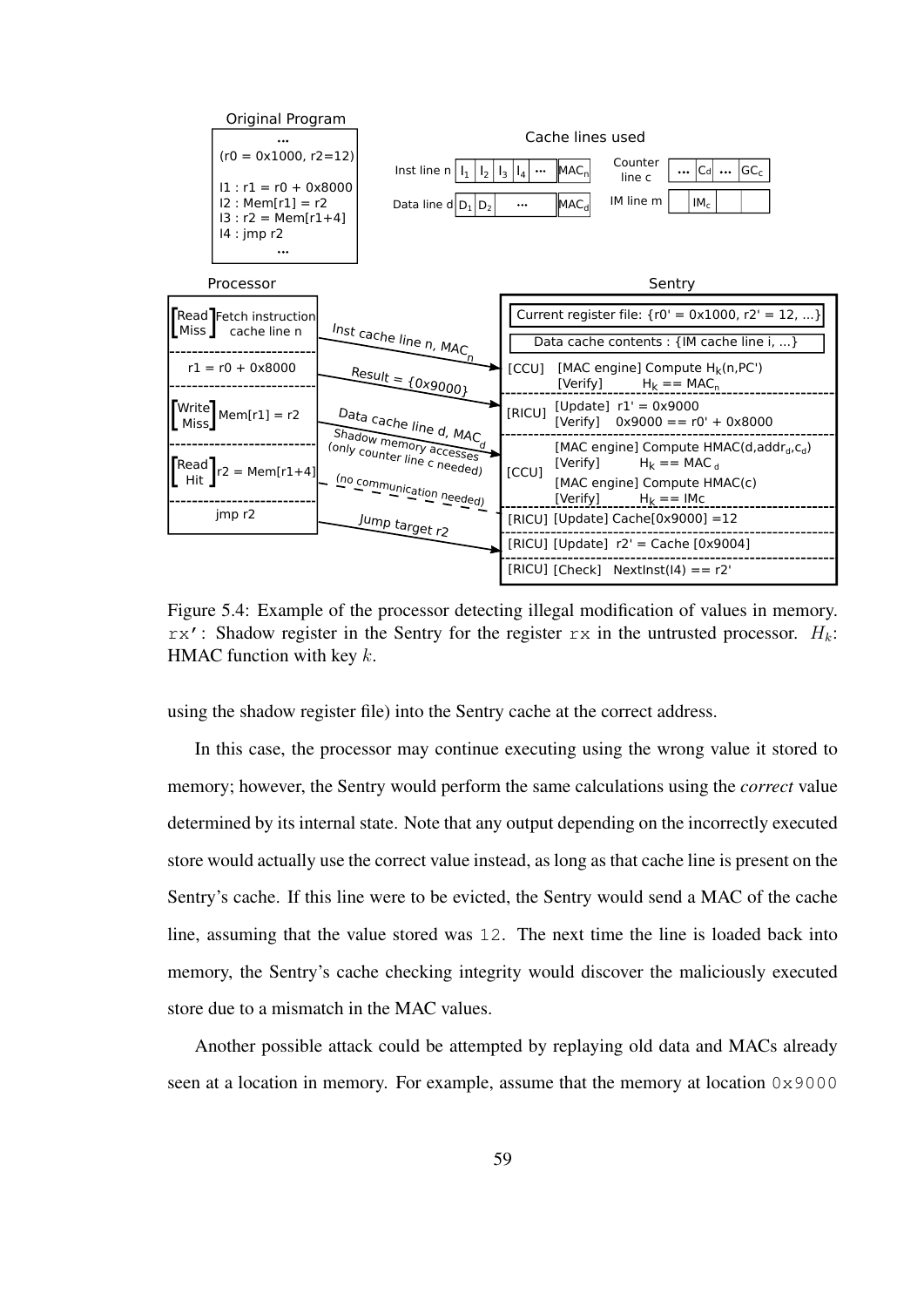

Figure 5.4: Example of the processor detecting illegal modification of values in memory.  $rx'$ : Shadow register in the Sentry for the register  $rx$  in the untrusted processor.  $H_k$ : HMAC function with key  $k$ .

using the shadow register file) into the Sentry cache at the correct address.

In this case, the processor may continue executing using the wrong value it stored to memory; however, the Sentry would perform the same calculations using the *correct* value determined by its internal state. Note that any output depending on the incorrectly executed store would actually use the correct value instead, as long as that cache line is present on the Sentry's cache. If this line were to be evicted, the Sentry would send a MAC of the cache line, assuming that the value stored was 12. The next time the line is loaded back into memory, the Sentry's cache checking integrity would discover the maliciously executed store due to a mismatch in the MAC values.

Another possible attack could be attempted by replaying old data and MACs already seen at a location in memory. For example, assume that the memory at location 0x9000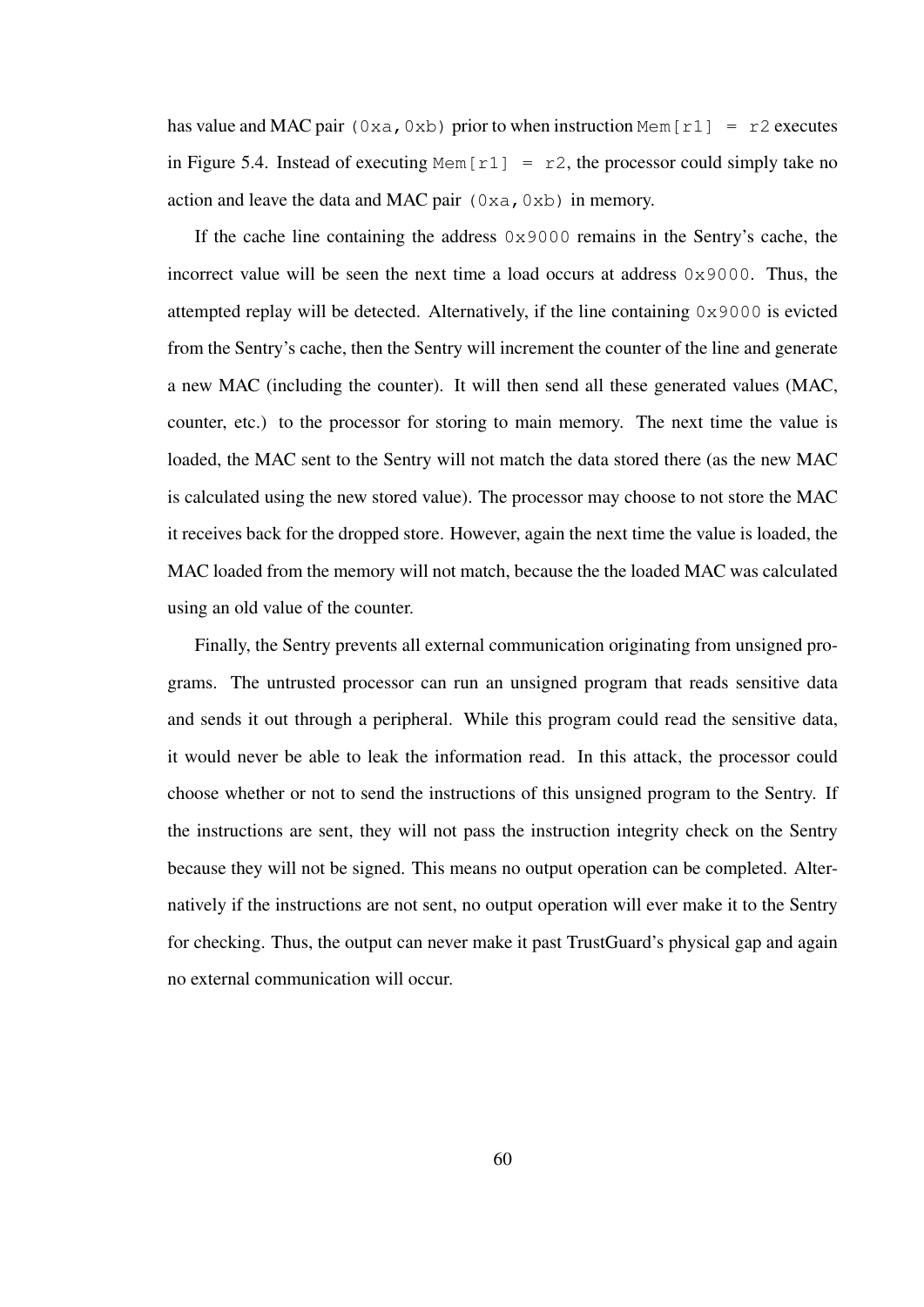has value and MAC pair (0xa,0xb) prior to when instruction Mem [r1] = r2 executes in Figure 5.4. Instead of executing Mem  $[r1] = r2$ , the processor could simply take no action and leave the data and MAC pair  $(0 \times a, 0 \times b)$  in memory.

If the cache line containing the address 0x9000 remains in the Sentry's cache, the incorrect value will be seen the next time a load occurs at address  $0 \times 9000$ . Thus, the attempted replay will be detected. Alternatively, if the line containing 0x9000 is evicted from the Sentry's cache, then the Sentry will increment the counter of the line and generate a new MAC (including the counter). It will then send all these generated values (MAC, counter, etc.) to the processor for storing to main memory. The next time the value is loaded, the MAC sent to the Sentry will not match the data stored there (as the new MAC is calculated using the new stored value). The processor may choose to not store the MAC it receives back for the dropped store. However, again the next time the value is loaded, the MAC loaded from the memory will not match, because the the loaded MAC was calculated using an old value of the counter.

Finally, the Sentry prevents all external communication originating from unsigned programs. The untrusted processor can run an unsigned program that reads sensitive data and sends it out through a peripheral. While this program could read the sensitive data, it would never be able to leak the information read. In this attack, the processor could choose whether or not to send the instructions of this unsigned program to the Sentry. If the instructions are sent, they will not pass the instruction integrity check on the Sentry because they will not be signed. This means no output operation can be completed. Alternatively if the instructions are not sent, no output operation will ever make it to the Sentry for checking. Thus, the output can never make it past TrustGuard's physical gap and again no external communication will occur.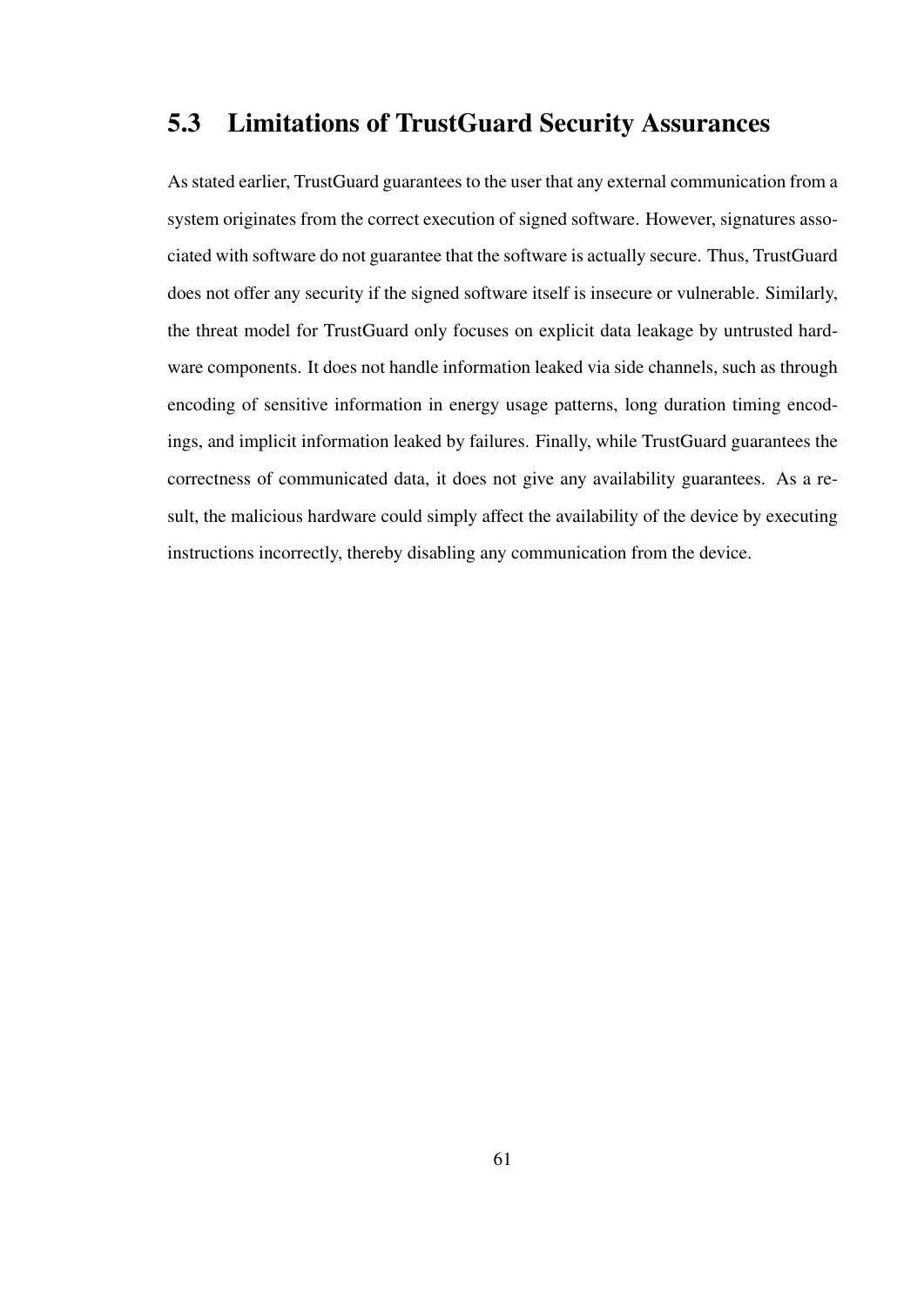# 5.3 Limitations of TrustGuard Security Assurances

As stated earlier, TrustGuard guarantees to the user that any external communication from a system originates from the correct execution of signed software. However, signatures associated with software do not guarantee that the software is actually secure. Thus, TrustGuard does not offer any security if the signed software itself is insecure or vulnerable. Similarly, the threat model for TrustGuard only focuses on explicit data leakage by untrusted hardware components. It does not handle information leaked via side channels, such as through encoding of sensitive information in energy usage patterns, long duration timing encodings, and implicit information leaked by failures. Finally, while TrustGuard guarantees the correctness of communicated data, it does not give any availability guarantees. As a result, the malicious hardware could simply affect the availability of the device by executing instructions incorrectly, thereby disabling any communication from the device.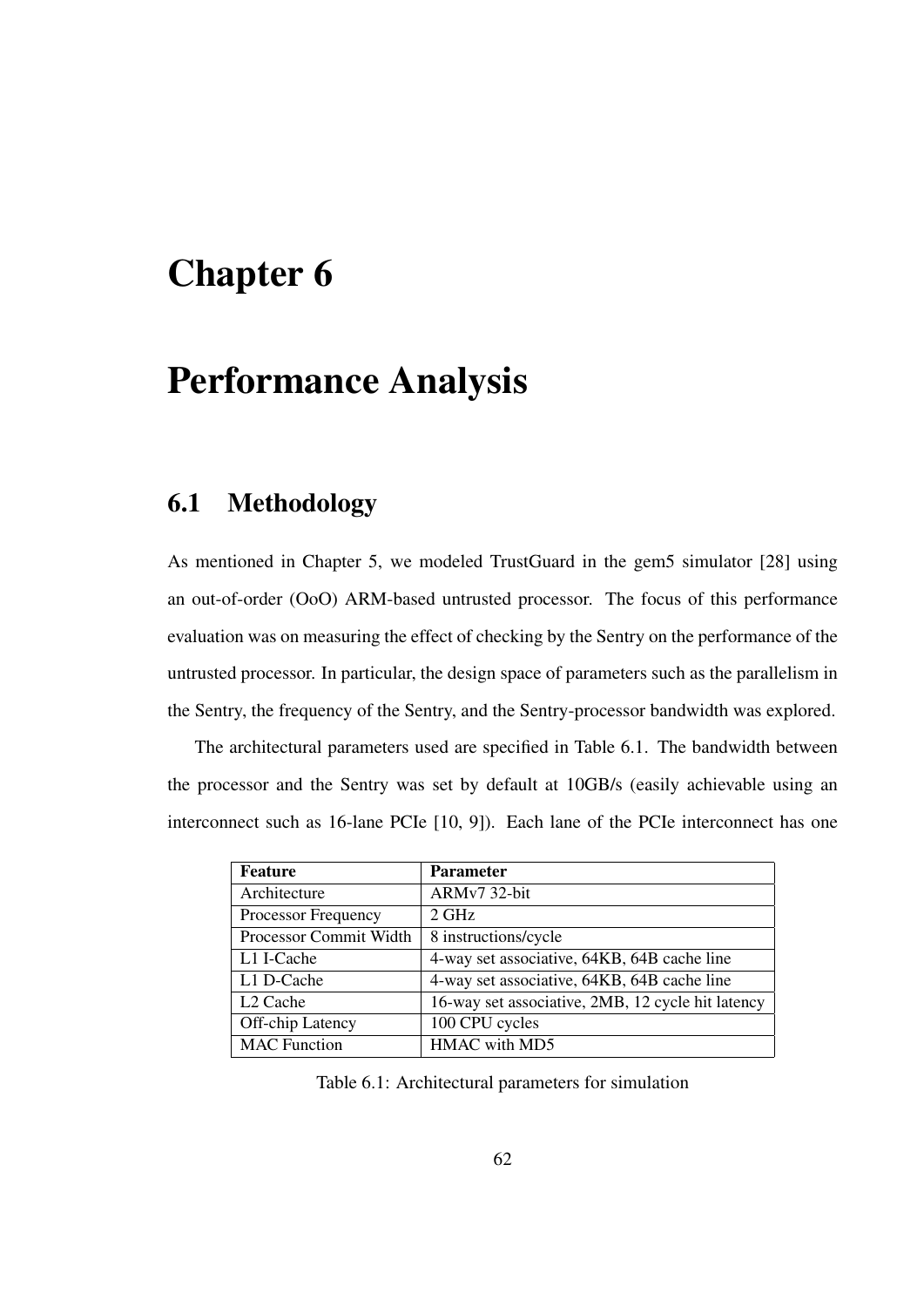# Chapter 6

# Performance Analysis

# 6.1 Methodology

As mentioned in Chapter 5, we modeled TrustGuard in the gem5 simulator [28] using an out-of-order (OoO) ARM-based untrusted processor. The focus of this performance evaluation was on measuring the effect of checking by the Sentry on the performance of the untrusted processor. In particular, the design space of parameters such as the parallelism in the Sentry, the frequency of the Sentry, and the Sentry-processor bandwidth was explored.

The architectural parameters used are specified in Table 6.1. The bandwidth between the processor and the Sentry was set by default at 10GB/s (easily achievable using an interconnect such as 16-lane PCIe [10, 9]). Each lane of the PCIe interconnect has one

| <b>Feature</b>         | <b>Parameter</b>                                  |
|------------------------|---------------------------------------------------|
| Architecture           | ARMv7 32-bit                                      |
| Processor Frequency    | $2 \text{ GHz}$                                   |
| Processor Commit Width | 8 instructions/cycle                              |
| L1 I-Cache             | 4-way set associative, 64KB, 64B cache line       |
| L1 D-Cache             | 4-way set associative, 64KB, 64B cache line       |
| L <sub>2</sub> Cache   | 16-way set associative, 2MB, 12 cycle hit latency |
| Off-chip Latency       | 100 CPU cycles                                    |
| <b>MAC</b> Function    | HMAC with MD5                                     |

Table 6.1: Architectural parameters for simulation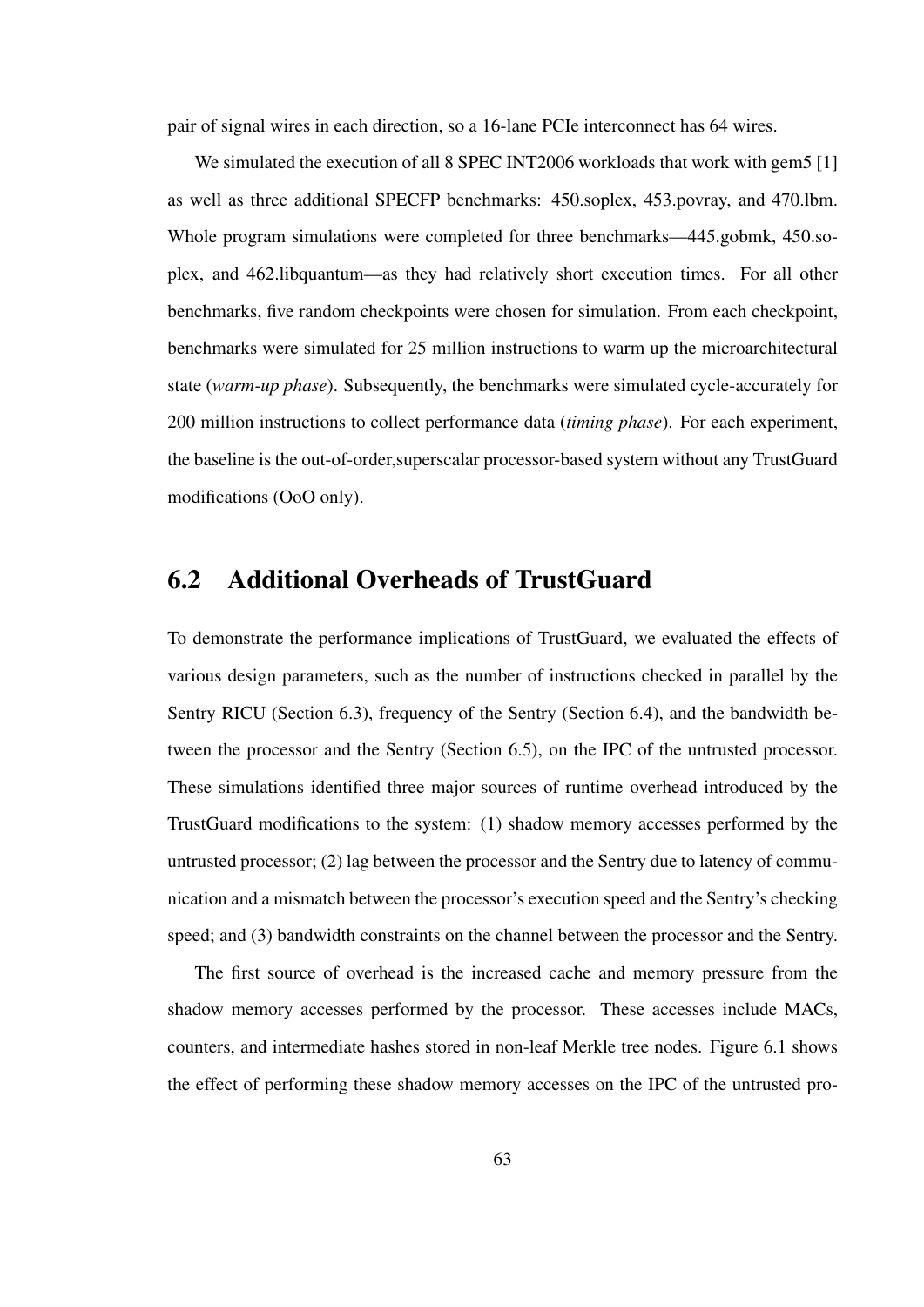pair of signal wires in each direction, so a 16-lane PCIe interconnect has 64 wires.

We simulated the execution of all 8 SPEC INT2006 workloads that work with gem5 [1] as well as three additional SPECFP benchmarks: 450.soplex, 453.povray, and 470.lbm. Whole program simulations were completed for three benchmarks—445.gobmk, 450.soplex, and 462.libquantum—as they had relatively short execution times. For all other benchmarks, five random checkpoints were chosen for simulation. From each checkpoint, benchmarks were simulated for 25 million instructions to warm up the microarchitectural state (*warm-up phase*). Subsequently, the benchmarks were simulated cycle-accurately for 200 million instructions to collect performance data (*timing phase*). For each experiment, the baseline is the out-of-order,superscalar processor-based system without any TrustGuard modifications (OoO only).

#### 6.2 Additional Overheads of TrustGuard

To demonstrate the performance implications of TrustGuard, we evaluated the effects of various design parameters, such as the number of instructions checked in parallel by the Sentry RICU (Section 6.3), frequency of the Sentry (Section 6.4), and the bandwidth between the processor and the Sentry (Section 6.5), on the IPC of the untrusted processor. These simulations identified three major sources of runtime overhead introduced by the TrustGuard modifications to the system: (1) shadow memory accesses performed by the untrusted processor; (2) lag between the processor and the Sentry due to latency of communication and a mismatch between the processor's execution speed and the Sentry's checking speed; and (3) bandwidth constraints on the channel between the processor and the Sentry.

The first source of overhead is the increased cache and memory pressure from the shadow memory accesses performed by the processor. These accesses include MACs, counters, and intermediate hashes stored in non-leaf Merkle tree nodes. Figure 6.1 shows the effect of performing these shadow memory accesses on the IPC of the untrusted pro-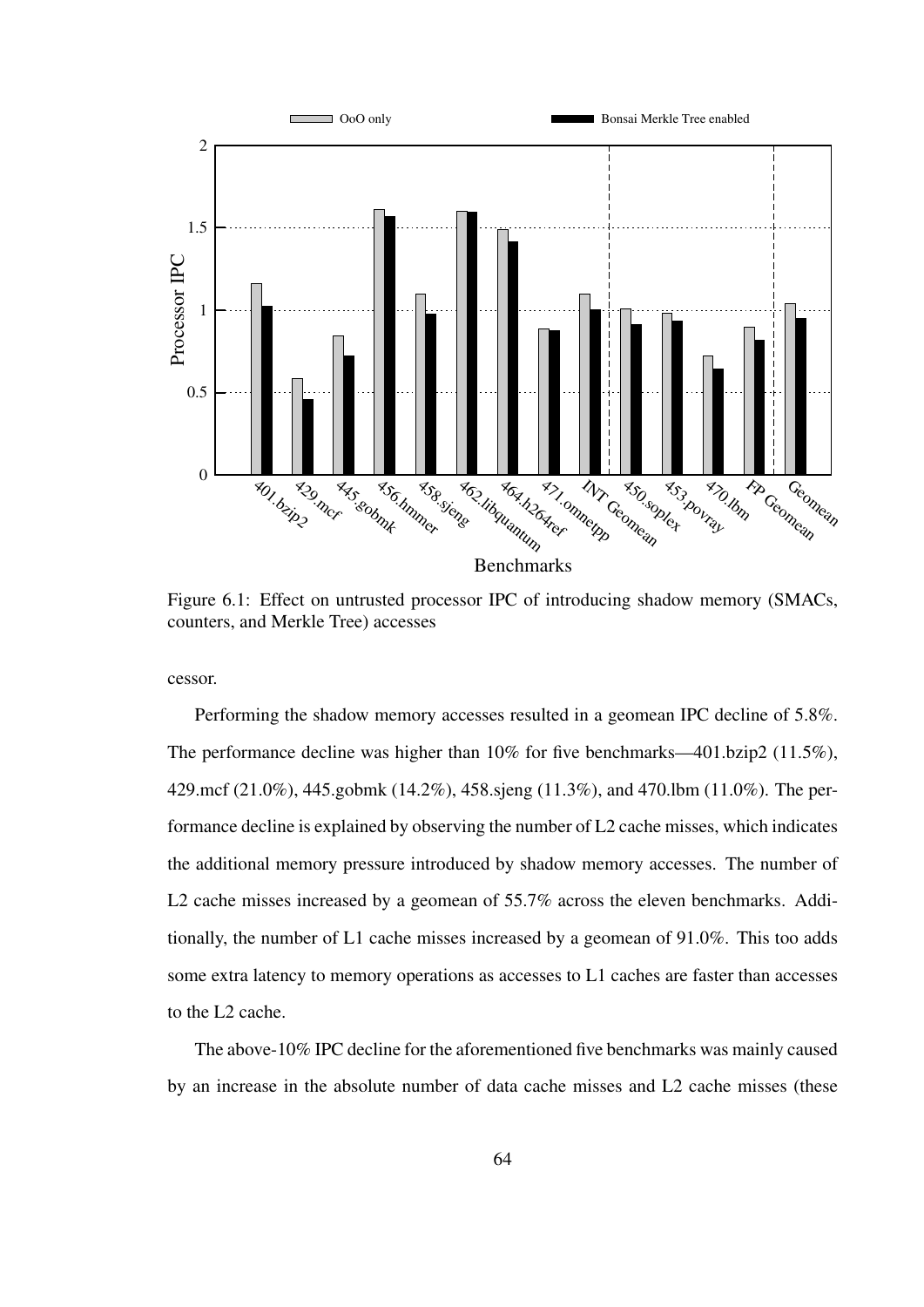

Figure 6.1: Effect on untrusted processor IPC of introducing shadow memory (SMACs, counters, and Merkle Tree) accesses

cessor.

Performing the shadow memory accesses resulted in a geomean IPC decline of 5.8%. The performance decline was higher than 10% for five benchmarks—401.bzip2 (11.5%), 429.mcf (21.0%), 445.gobmk (14.2%), 458.sjeng (11.3%), and 470.lbm (11.0%). The performance decline is explained by observing the number of L2 cache misses, which indicates the additional memory pressure introduced by shadow memory accesses. The number of L2 cache misses increased by a geomean of 55.7% across the eleven benchmarks. Additionally, the number of L1 cache misses increased by a geomean of 91.0%. This too adds some extra latency to memory operations as accesses to L1 caches are faster than accesses to the L2 cache.

The above-10% IPC decline for the aforementioned five benchmarks was mainly caused by an increase in the absolute number of data cache misses and L2 cache misses (these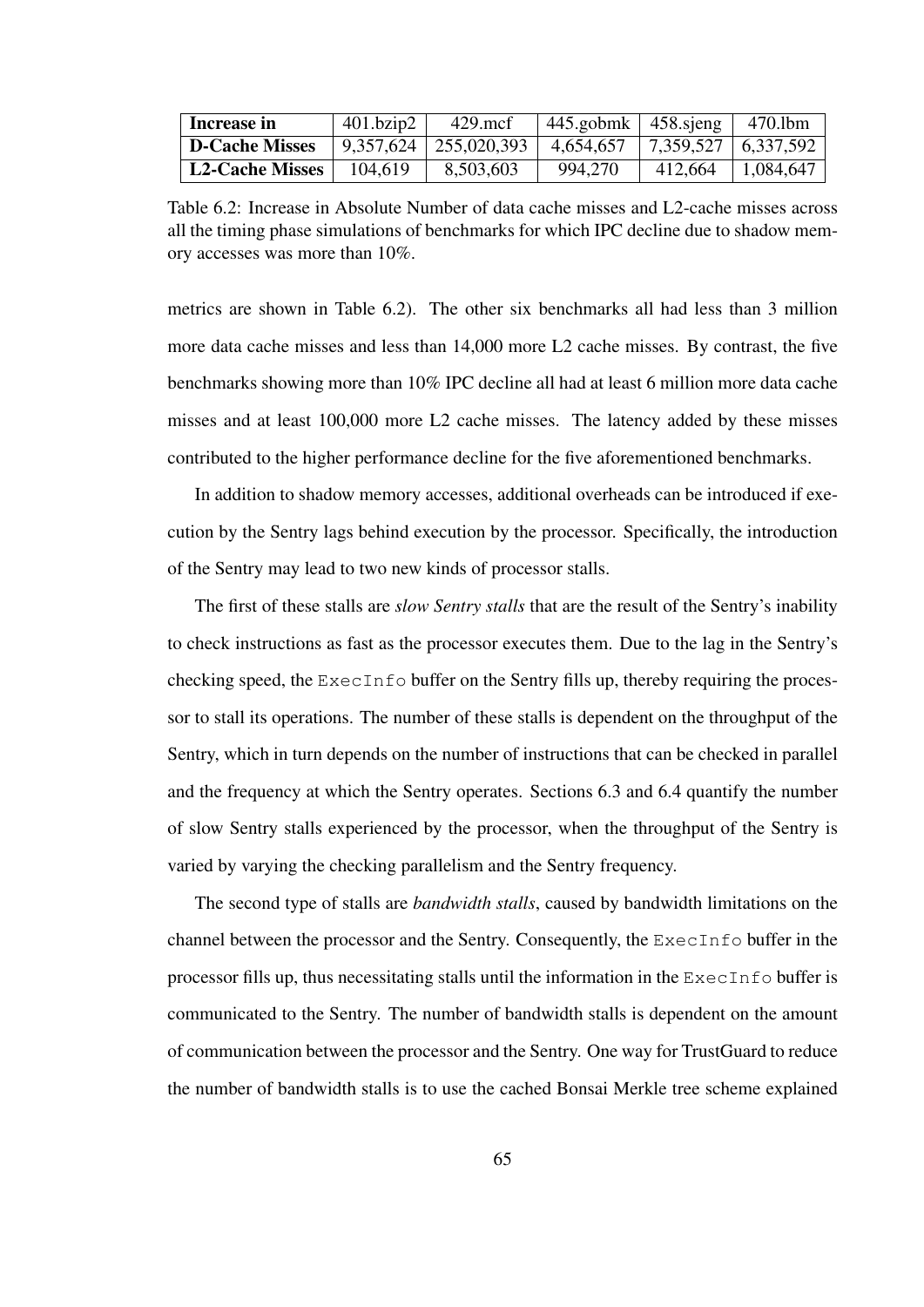| <b>Increase in</b>     | 401.bzip2 | 429.mcf                               | $445$ .gobmk   458.sjeng |                       | 470.lbm               |
|------------------------|-----------|---------------------------------------|--------------------------|-----------------------|-----------------------|
| <b>D-Cache Misses</b>  |           | $9,357,624$   255,020,393   4,654,657 |                          | 7,359,527   6,337,592 |                       |
| <b>L2-Cache Misses</b> | 104.619   | 8,503,603                             | 994,270                  |                       | $412,664$   1,084,647 |

Table 6.2: Increase in Absolute Number of data cache misses and L2-cache misses across all the timing phase simulations of benchmarks for which IPC decline due to shadow memory accesses was more than 10%.

metrics are shown in Table 6.2). The other six benchmarks all had less than 3 million more data cache misses and less than 14,000 more L2 cache misses. By contrast, the five benchmarks showing more than 10% IPC decline all had at least 6 million more data cache misses and at least 100,000 more L2 cache misses. The latency added by these misses contributed to the higher performance decline for the five aforementioned benchmarks.

In addition to shadow memory accesses, additional overheads can be introduced if execution by the Sentry lags behind execution by the processor. Specifically, the introduction of the Sentry may lead to two new kinds of processor stalls.

The first of these stalls are *slow Sentry stalls* that are the result of the Sentry's inability to check instructions as fast as the processor executes them. Due to the lag in the Sentry's checking speed, the ExecInfo buffer on the Sentry fills up, thereby requiring the processor to stall its operations. The number of these stalls is dependent on the throughput of the Sentry, which in turn depends on the number of instructions that can be checked in parallel and the frequency at which the Sentry operates. Sections 6.3 and 6.4 quantify the number of slow Sentry stalls experienced by the processor, when the throughput of the Sentry is varied by varying the checking parallelism and the Sentry frequency.

The second type of stalls are *bandwidth stalls*, caused by bandwidth limitations on the channel between the processor and the Sentry. Consequently, the ExecInfo buffer in the processor fills up, thus necessitating stalls until the information in the  $\text{ExecInfo}$  buffer is communicated to the Sentry. The number of bandwidth stalls is dependent on the amount of communication between the processor and the Sentry. One way for TrustGuard to reduce the number of bandwidth stalls is to use the cached Bonsai Merkle tree scheme explained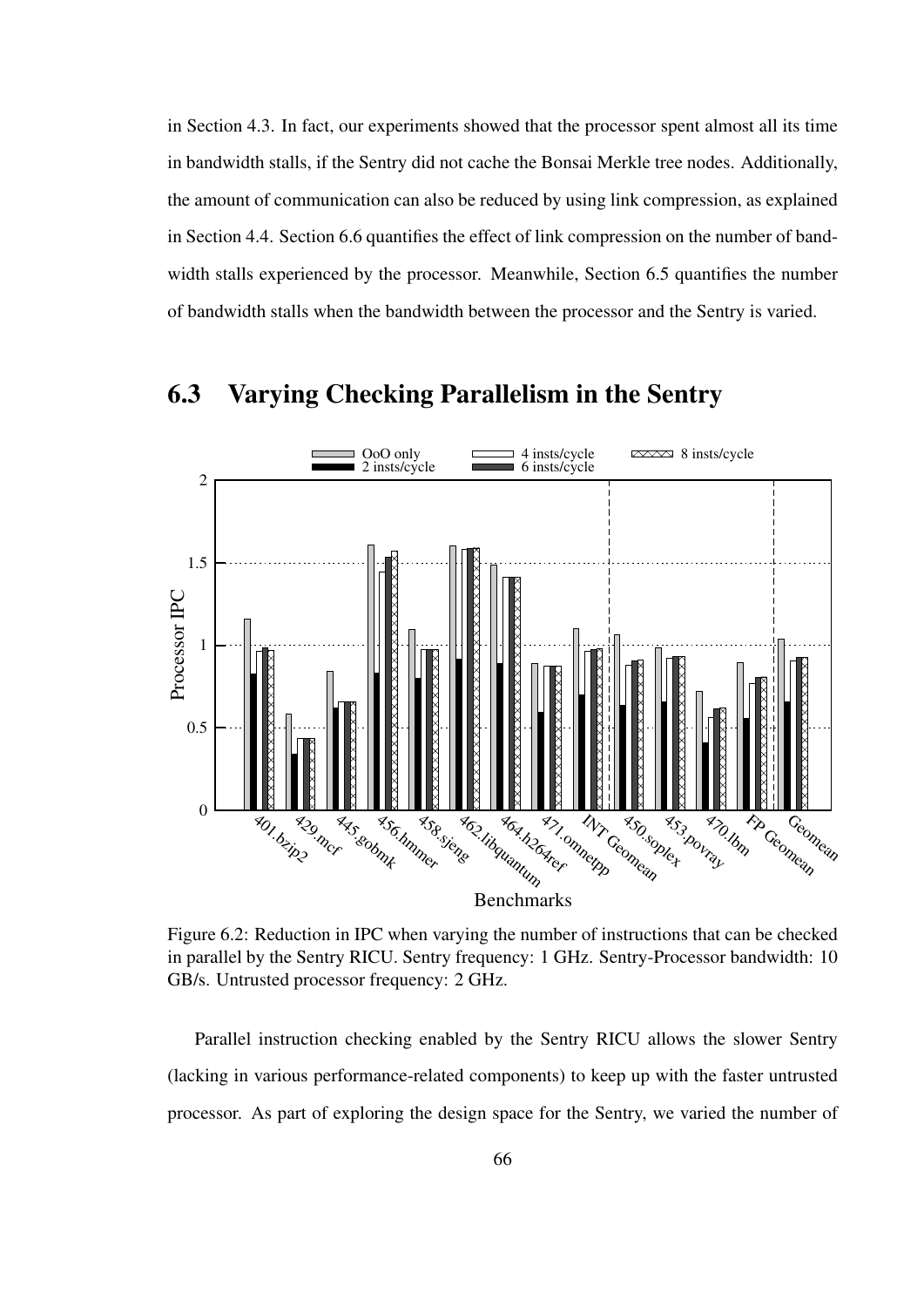in Section 4.3. In fact, our experiments showed that the processor spent almost all its time in bandwidth stalls, if the Sentry did not cache the Bonsai Merkle tree nodes. Additionally, the amount of communication can also be reduced by using link compression, as explained in Section 4.4. Section 6.6 quantifies the effect of link compression on the number of bandwidth stalls experienced by the processor. Meanwhile, Section 6.5 quantifies the number of bandwidth stalls when the bandwidth between the processor and the Sentry is varied.



#### 6.3 Varying Checking Parallelism in the Sentry

Figure 6.2: Reduction in IPC when varying the number of instructions that can be checked in parallel by the Sentry RICU. Sentry frequency: 1 GHz. Sentry-Processor bandwidth: 10 GB/s. Untrusted processor frequency: 2 GHz.

Parallel instruction checking enabled by the Sentry RICU allows the slower Sentry (lacking in various performance-related components) to keep up with the faster untrusted processor. As part of exploring the design space for the Sentry, we varied the number of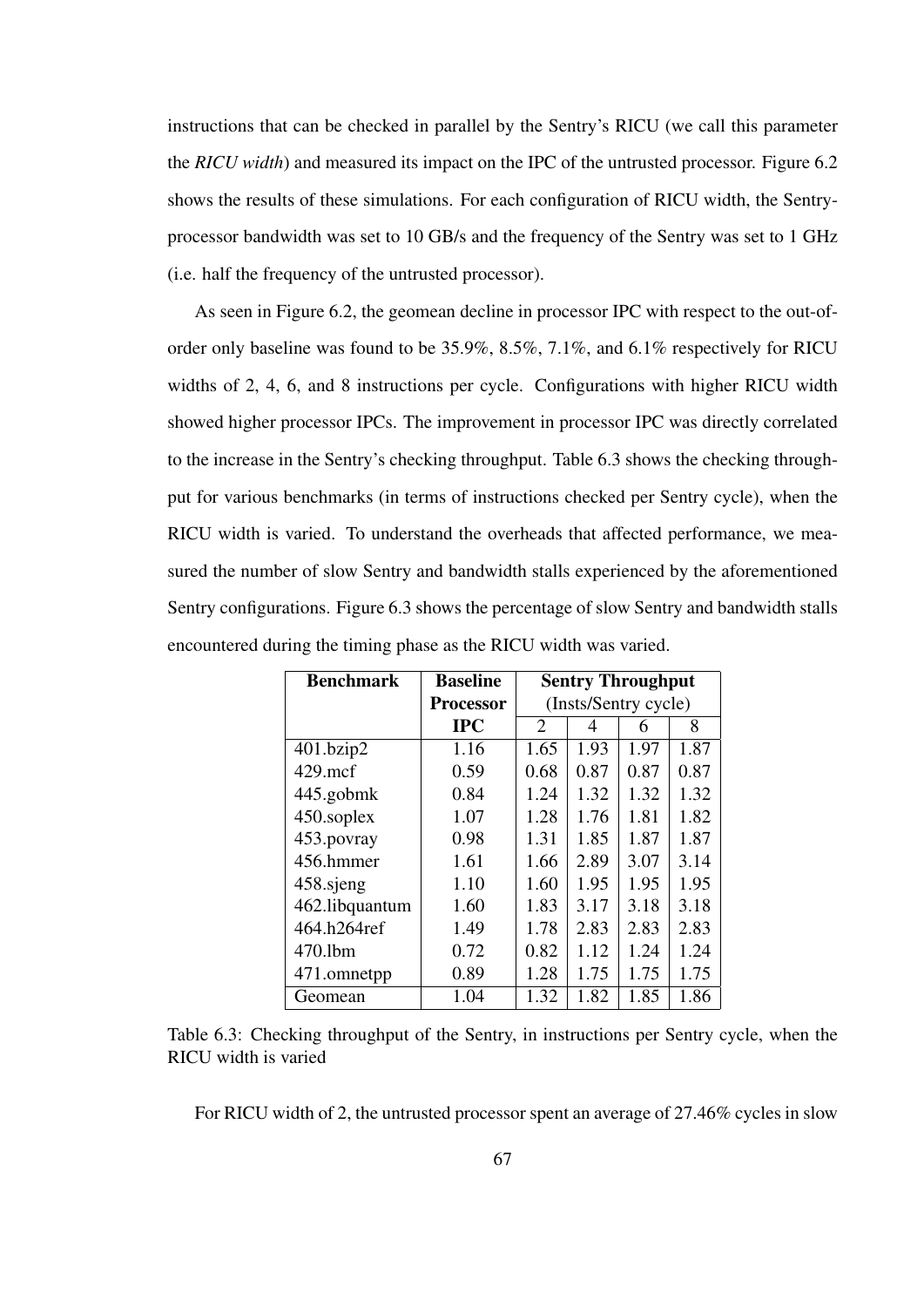instructions that can be checked in parallel by the Sentry's RICU (we call this parameter the *RICU width*) and measured its impact on the IPC of the untrusted processor. Figure 6.2 shows the results of these simulations. For each configuration of RICU width, the Sentryprocessor bandwidth was set to 10 GB/s and the frequency of the Sentry was set to 1 GHz (i.e. half the frequency of the untrusted processor).

As seen in Figure 6.2, the geomean decline in processor IPC with respect to the out-oforder only baseline was found to be 35.9%, 8.5%, 7.1%, and 6.1% respectively for RICU widths of 2, 4, 6, and 8 instructions per cycle. Configurations with higher RICU width showed higher processor IPCs. The improvement in processor IPC was directly correlated to the increase in the Sentry's checking throughput. Table 6.3 shows the checking throughput for various benchmarks (in terms of instructions checked per Sentry cycle), when the RICU width is varied. To understand the overheads that affected performance, we measured the number of slow Sentry and bandwidth stalls experienced by the aforementioned Sentry configurations. Figure 6.3 shows the percentage of slow Sentry and bandwidth stalls encountered during the timing phase as the RICU width was varied.

| <b>Benchmark</b> | <b>Baseline</b>  | <b>Sentry Throughput</b> |      |      |      |
|------------------|------------------|--------------------------|------|------|------|
|                  | <b>Processor</b> | (Insts/Sentry cycle)     |      |      |      |
|                  | <b>IPC</b>       | 2                        | 4    | 6    | 8    |
| 401.bzip2        | 1.16             | 1.65                     | 1.93 | 1.97 | 1.87 |
| $429$ .mcf       | 0.59             | 0.68                     | 0.87 | 0.87 | 0.87 |
| 445.gobmk        | 0.84             | 1.24                     | 1.32 | 1.32 | 1.32 |
| 450.soplex       | 1.07             | 1.28                     | 1.76 | 1.81 | 1.82 |
| 453.povray       | 0.98             | 1.31                     | 1.85 | 1.87 | 1.87 |
| 456.hmmer        | 1.61             | 1.66                     | 2.89 | 3.07 | 3.14 |
| 458.sjeng        | 1.10             | 1.60                     | 1.95 | 1.95 | 1.95 |
| 462.libquantum   | 1.60             | 1.83                     | 3.17 | 3.18 | 3.18 |
| 464.h264ref      | 1.49             | 1.78                     | 2.83 | 2.83 | 2.83 |
| 470.1bm          | 0.72             | 0.82                     | 1.12 | 1.24 | 1.24 |
| 471.omnetpp      | 0.89             | 1.28                     | 1.75 | 1.75 | 1.75 |
| Geomean          | 1.04             | 1.32                     | 1.82 | 1.85 | 1.86 |

Table 6.3: Checking throughput of the Sentry, in instructions per Sentry cycle, when the RICU width is varied

For RICU width of 2, the untrusted processor spent an average of 27.46% cycles in slow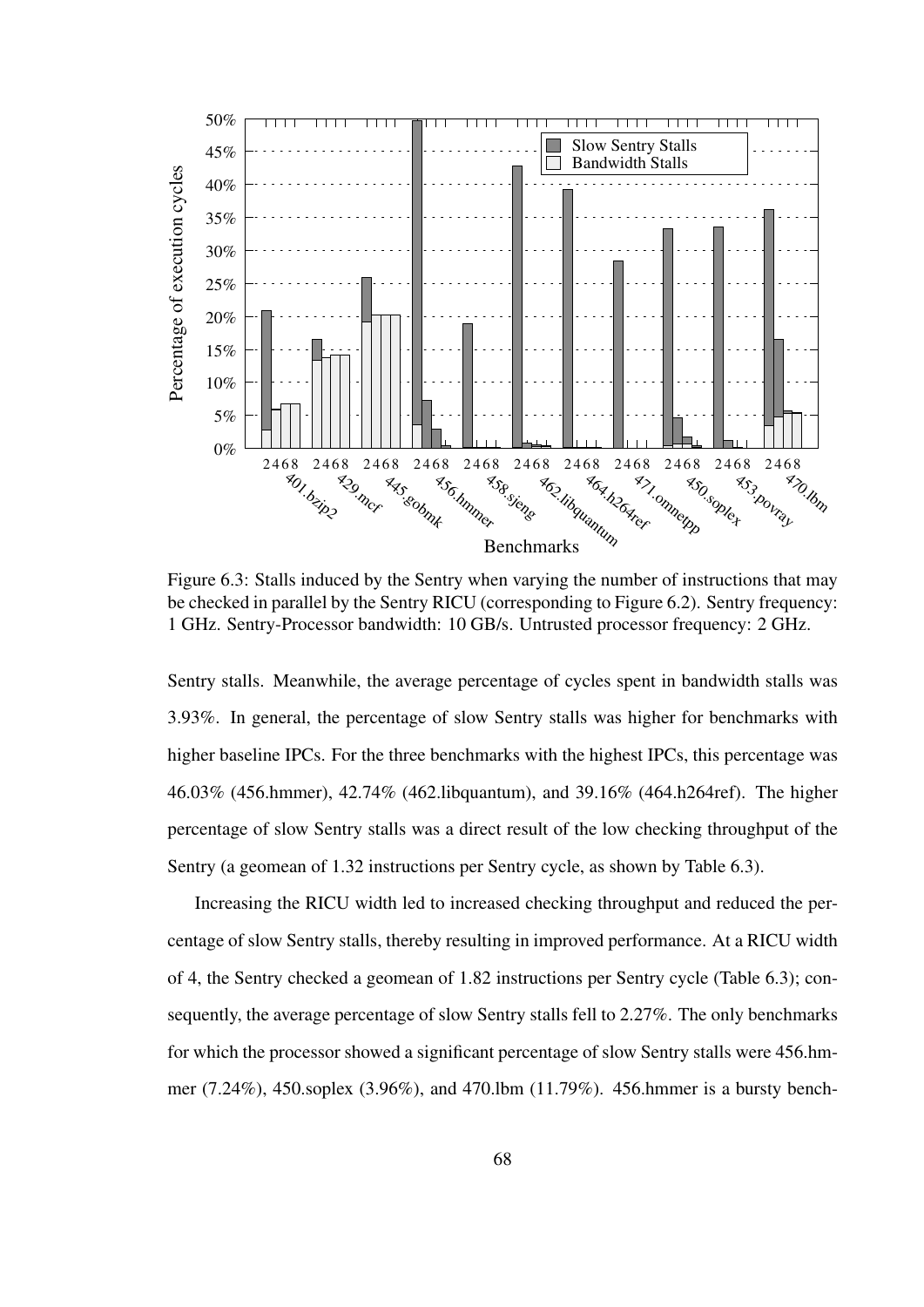

Figure 6.3: Stalls induced by the Sentry when varying the number of instructions that may be checked in parallel by the Sentry RICU (corresponding to Figure 6.2). Sentry frequency: 1 GHz. Sentry-Processor bandwidth: 10 GB/s. Untrusted processor frequency: 2 GHz.

Sentry stalls. Meanwhile, the average percentage of cycles spent in bandwidth stalls was 3.93%. In general, the percentage of slow Sentry stalls was higher for benchmarks with higher baseline IPCs. For the three benchmarks with the highest IPCs, this percentage was 46.03% (456.hmmer), 42.74% (462.libquantum), and 39.16% (464.h264ref). The higher percentage of slow Sentry stalls was a direct result of the low checking throughput of the Sentry (a geomean of 1.32 instructions per Sentry cycle, as shown by Table 6.3).

Increasing the RICU width led to increased checking throughput and reduced the percentage of slow Sentry stalls, thereby resulting in improved performance. At a RICU width of 4, the Sentry checked a geomean of 1.82 instructions per Sentry cycle (Table 6.3); consequently, the average percentage of slow Sentry stalls fell to 2.27%. The only benchmarks for which the processor showed a significant percentage of slow Sentry stalls were 456.hmmer (7.24%), 450.soplex (3.96%), and 470.lbm (11.79%). 456.hmmer is a bursty bench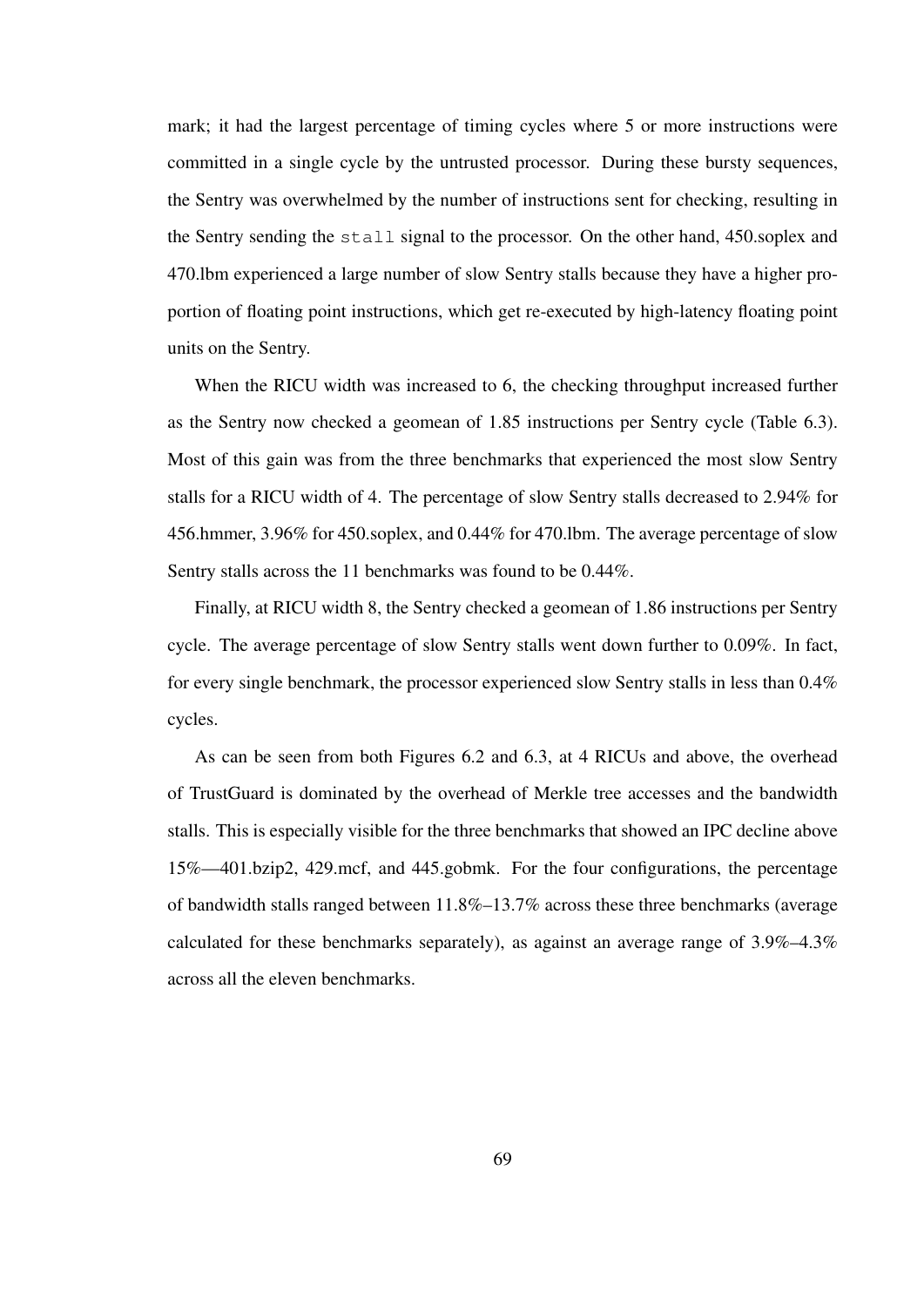mark; it had the largest percentage of timing cycles where 5 or more instructions were committed in a single cycle by the untrusted processor. During these bursty sequences, the Sentry was overwhelmed by the number of instructions sent for checking, resulting in the Sentry sending the stall signal to the processor. On the other hand, 450.soplex and 470.lbm experienced a large number of slow Sentry stalls because they have a higher proportion of floating point instructions, which get re-executed by high-latency floating point units on the Sentry.

When the RICU width was increased to 6, the checking throughput increased further as the Sentry now checked a geomean of 1.85 instructions per Sentry cycle (Table 6.3). Most of this gain was from the three benchmarks that experienced the most slow Sentry stalls for a RICU width of 4. The percentage of slow Sentry stalls decreased to 2.94% for 456.hmmer, 3.96% for 450.soplex, and 0.44% for 470.lbm. The average percentage of slow Sentry stalls across the 11 benchmarks was found to be 0.44%.

Finally, at RICU width 8, the Sentry checked a geomean of 1.86 instructions per Sentry cycle. The average percentage of slow Sentry stalls went down further to 0.09%. In fact, for every single benchmark, the processor experienced slow Sentry stalls in less than 0.4% cycles.

As can be seen from both Figures 6.2 and 6.3, at 4 RICUs and above, the overhead of TrustGuard is dominated by the overhead of Merkle tree accesses and the bandwidth stalls. This is especially visible for the three benchmarks that showed an IPC decline above 15%—401.bzip2, 429.mcf, and 445.gobmk. For the four configurations, the percentage of bandwidth stalls ranged between 11.8%–13.7% across these three benchmarks (average calculated for these benchmarks separately), as against an average range of 3.9%–4.3% across all the eleven benchmarks.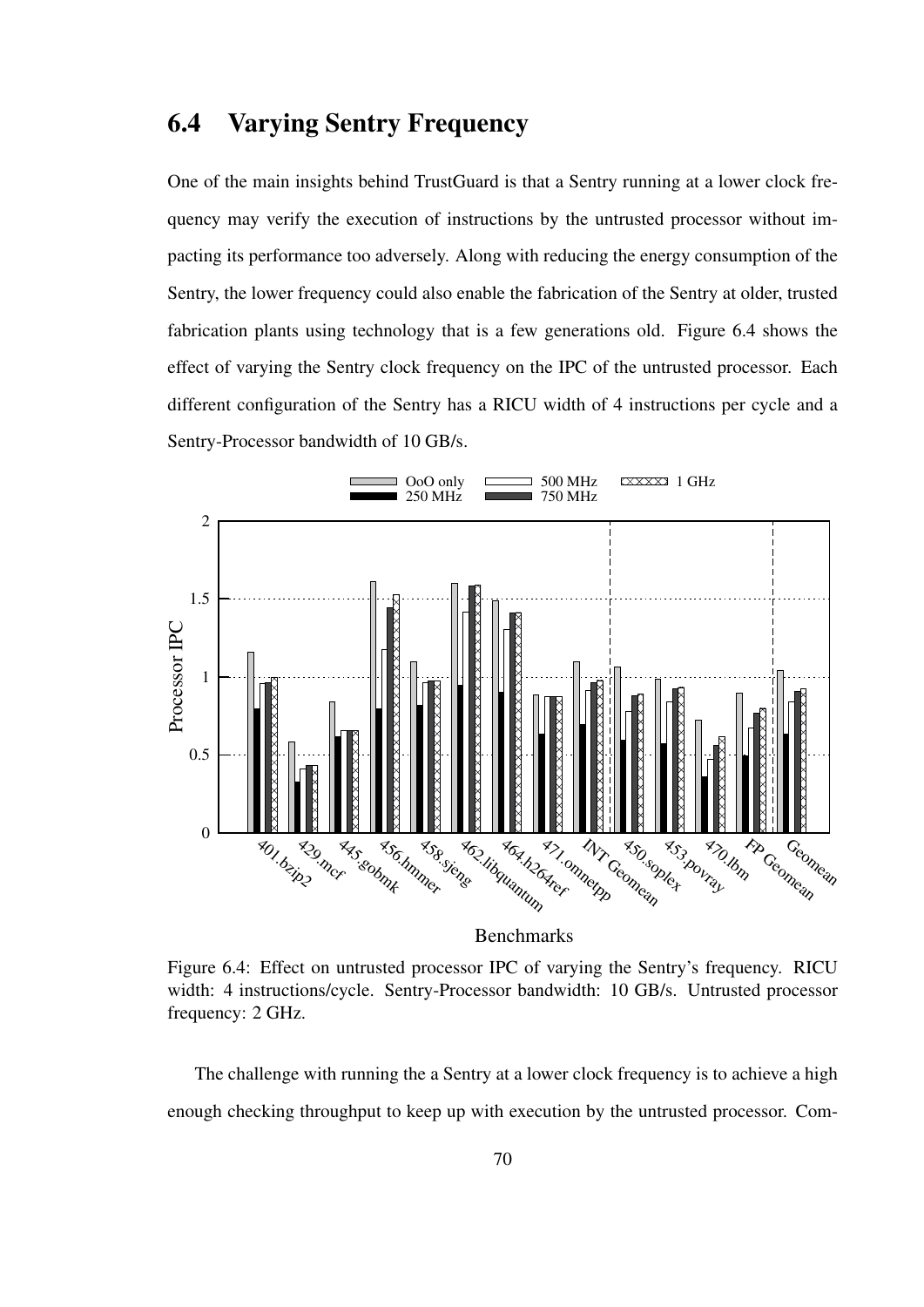## 6.4 Varying Sentry Frequency

One of the main insights behind TrustGuard is that a Sentry running at a lower clock frequency may verify the execution of instructions by the untrusted processor without impacting its performance too adversely. Along with reducing the energy consumption of the Sentry, the lower frequency could also enable the fabrication of the Sentry at older, trusted fabrication plants using technology that is a few generations old. Figure 6.4 shows the effect of varying the Sentry clock frequency on the IPC of the untrusted processor. Each different configuration of the Sentry has a RICU width of 4 instructions per cycle and a Sentry-Processor bandwidth of 10 GB/s.



Figure 6.4: Effect on untrusted processor IPC of varying the Sentry's frequency. RICU width: 4 instructions/cycle. Sentry-Processor bandwidth: 10 GB/s. Untrusted processor frequency: 2 GHz.

The challenge with running the a Sentry at a lower clock frequency is to achieve a high enough checking throughput to keep up with execution by the untrusted processor. Com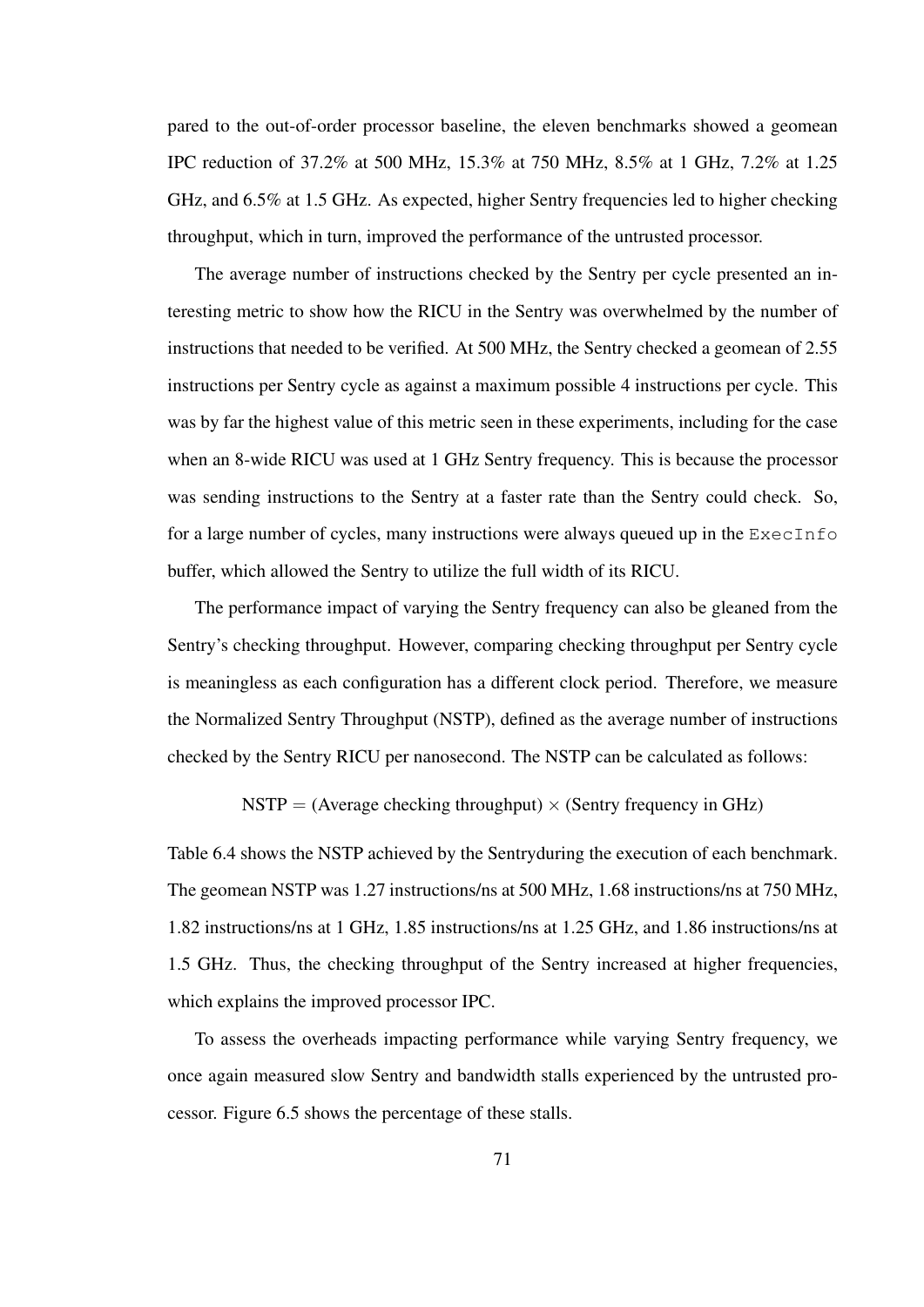pared to the out-of-order processor baseline, the eleven benchmarks showed a geomean IPC reduction of 37.2% at 500 MHz, 15.3% at 750 MHz, 8.5% at 1 GHz, 7.2% at 1.25 GHz, and 6.5% at 1.5 GHz. As expected, higher Sentry frequencies led to higher checking throughput, which in turn, improved the performance of the untrusted processor.

The average number of instructions checked by the Sentry per cycle presented an interesting metric to show how the RICU in the Sentry was overwhelmed by the number of instructions that needed to be verified. At 500 MHz, the Sentry checked a geomean of 2.55 instructions per Sentry cycle as against a maximum possible 4 instructions per cycle. This was by far the highest value of this metric seen in these experiments, including for the case when an 8-wide RICU was used at 1 GHz Sentry frequency. This is because the processor was sending instructions to the Sentry at a faster rate than the Sentry could check. So, for a large number of cycles, many instructions were always queued up in the ExecInfo buffer, which allowed the Sentry to utilize the full width of its RICU.

The performance impact of varying the Sentry frequency can also be gleaned from the Sentry's checking throughput. However, comparing checking throughput per Sentry cycle is meaningless as each configuration has a different clock period. Therefore, we measure the Normalized Sentry Throughput (NSTP), defined as the average number of instructions checked by the Sentry RICU per nanosecond. The NSTP can be calculated as follows:

NSTP = (Average checking throughput)  $\times$  (Sentry frequency in GHz)

Table 6.4 shows the NSTP achieved by the Sentryduring the execution of each benchmark. The geomean NSTP was 1.27 instructions/ns at 500 MHz, 1.68 instructions/ns at 750 MHz, 1.82 instructions/ns at 1 GHz, 1.85 instructions/ns at 1.25 GHz, and 1.86 instructions/ns at 1.5 GHz. Thus, the checking throughput of the Sentry increased at higher frequencies, which explains the improved processor IPC.

To assess the overheads impacting performance while varying Sentry frequency, we once again measured slow Sentry and bandwidth stalls experienced by the untrusted processor. Figure 6.5 shows the percentage of these stalls.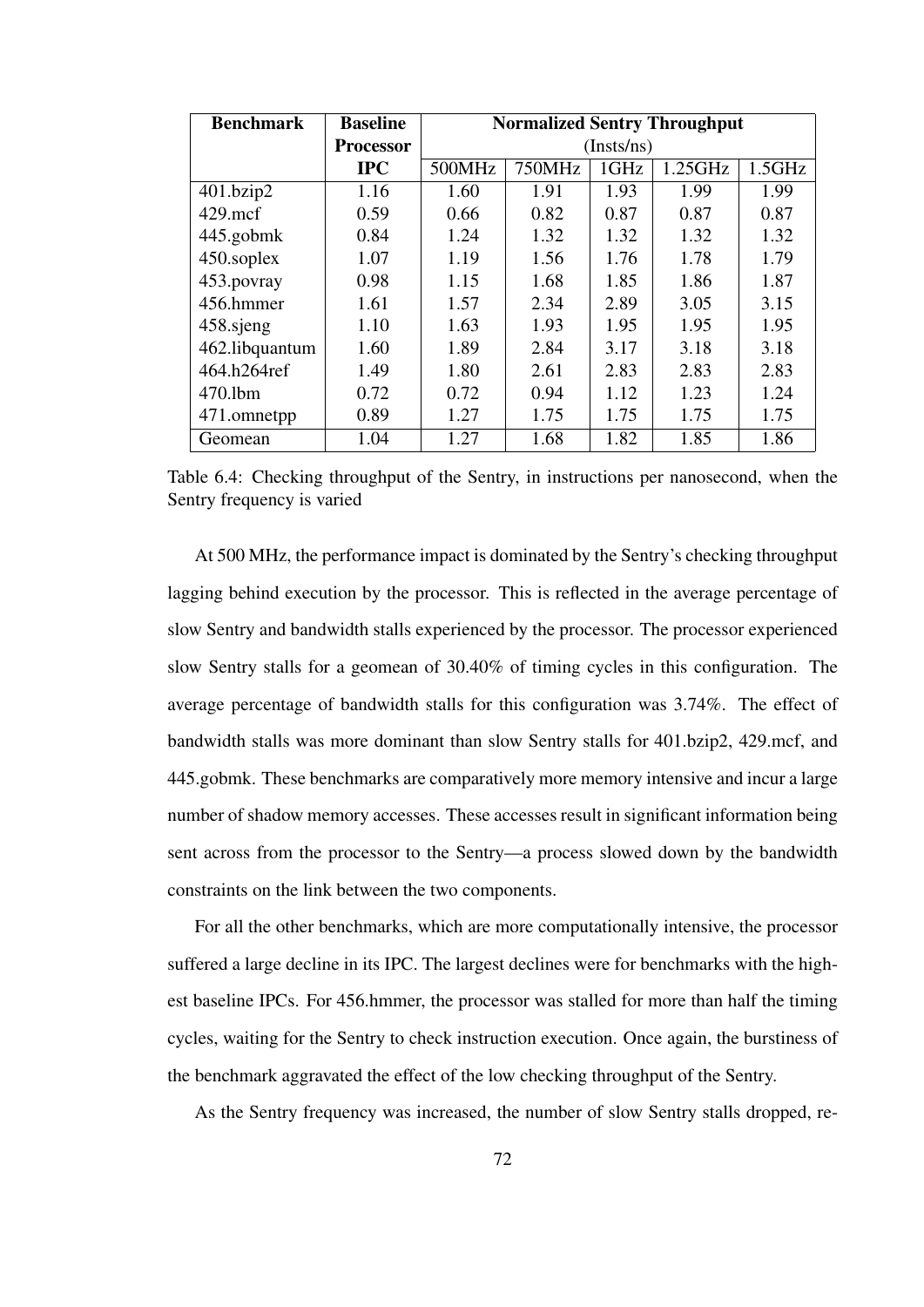| <b>Benchmark</b> | <b>Baseline</b> | <b>Normalized Sentry Throughput</b> |        |      |         |        |
|------------------|-----------------|-------------------------------------|--------|------|---------|--------|
|                  | Processor       | (Insts/ns)                          |        |      |         |        |
|                  | $\bf IPC$       | 500MHz                              | 750MHz | 1GHz | 1.25GHz | 1.5GHz |
| 401.bzip2        | 1.16            | 1.60                                | 1.91   | 1.93 | 1.99    | 1.99   |
| $429$ .mcf       | 0.59            | 0.66                                | 0.82   | 0.87 | 0.87    | 0.87   |
| 445.gobmk        | 0.84            | 1.24                                | 1.32   | 1.32 | 1.32    | 1.32   |
| 450.soplex       | 1.07            | 1.19                                | 1.56   | 1.76 | 1.78    | 1.79   |
| 453.povray       | 0.98            | 1.15                                | 1.68   | 1.85 | 1.86    | 1.87   |
| 456.hmmer        | 1.61            | 1.57                                | 2.34   | 2.89 | 3.05    | 3.15   |
| 458.sjeng        | 1.10            | 1.63                                | 1.93   | 1.95 | 1.95    | 1.95   |
| 462.libquantum   | 1.60            | 1.89                                | 2.84   | 3.17 | 3.18    | 3.18   |
| 464.h264ref      | 1.49            | 1.80                                | 2.61   | 2.83 | 2.83    | 2.83   |
| $470$ .lbm       | 0.72            | 0.72                                | 0.94   | 1.12 | 1.23    | 1.24   |
| 471.omnetpp      | 0.89            | 1.27                                | 1.75   | 1.75 | 1.75    | 1.75   |
| Geomean          | 1.04            | 1.27                                | 1.68   | 1.82 | 1.85    | 1.86   |

Table 6.4: Checking throughput of the Sentry, in instructions per nanosecond, when the Sentry frequency is varied

At 500 MHz, the performance impact is dominated by the Sentry's checking throughput lagging behind execution by the processor. This is reflected in the average percentage of slow Sentry and bandwidth stalls experienced by the processor. The processor experienced slow Sentry stalls for a geomean of 30.40% of timing cycles in this configuration. The average percentage of bandwidth stalls for this configuration was 3.74%. The effect of bandwidth stalls was more dominant than slow Sentry stalls for 401.bzip2, 429.mcf, and 445.gobmk. These benchmarks are comparatively more memory intensive and incur a large number of shadow memory accesses. These accesses result in significant information being sent across from the processor to the Sentry—a process slowed down by the bandwidth constraints on the link between the two components.

For all the other benchmarks, which are more computationally intensive, the processor suffered a large decline in its IPC. The largest declines were for benchmarks with the highest baseline IPCs. For 456.hmmer, the processor was stalled for more than half the timing cycles, waiting for the Sentry to check instruction execution. Once again, the burstiness of the benchmark aggravated the effect of the low checking throughput of the Sentry.

As the Sentry frequency was increased, the number of slow Sentry stalls dropped, re-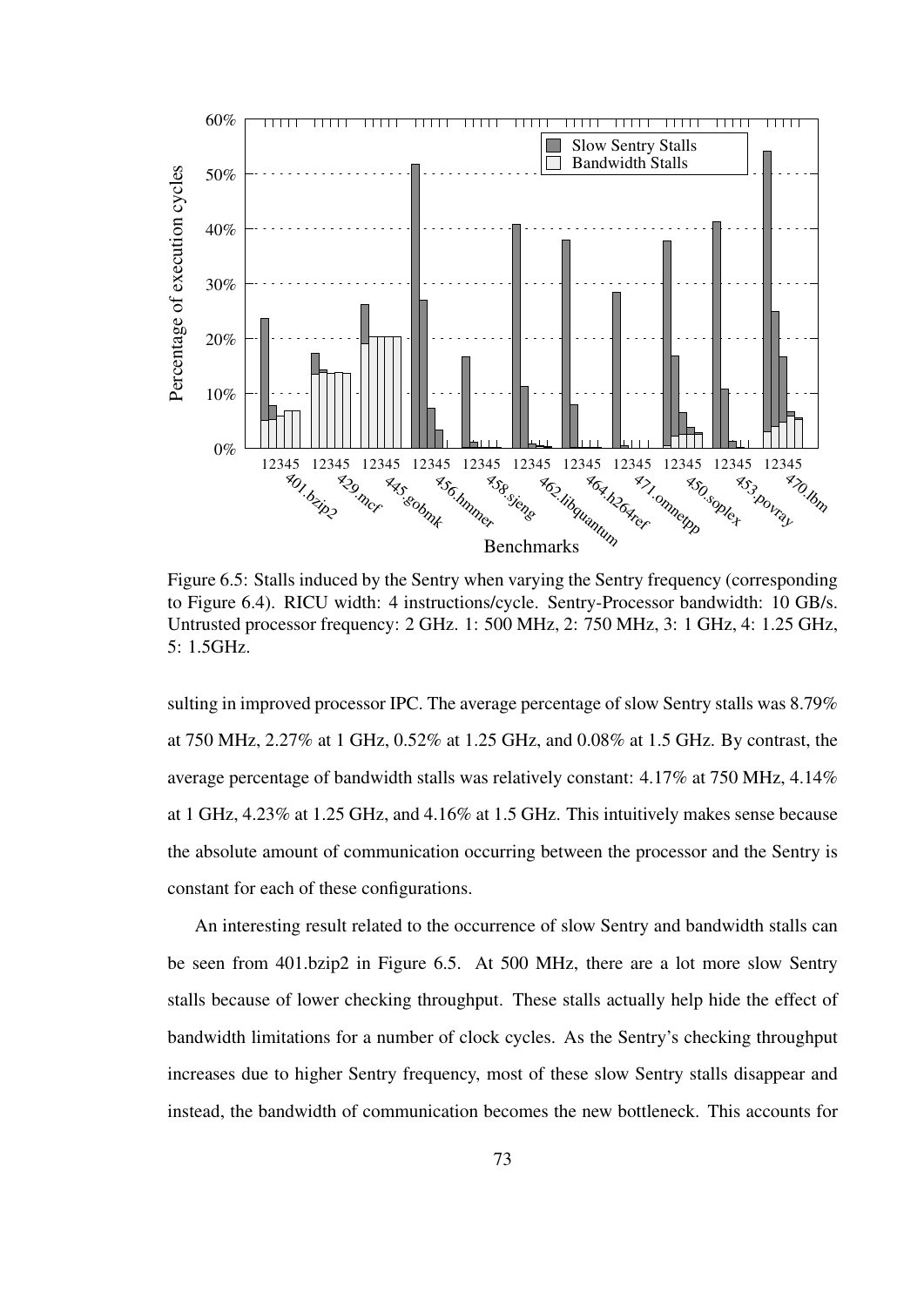

Figure 6.5: Stalls induced by the Sentry when varying the Sentry frequency (corresponding to Figure 6.4). RICU width: 4 instructions/cycle. Sentry-Processor bandwidth: 10 GB/s. Untrusted processor frequency: 2 GHz. 1: 500 MHz, 2: 750 MHz, 3: 1 GHz, 4: 1.25 GHz, 5: 1.5GHz.

sulting in improved processor IPC. The average percentage of slow Sentry stalls was 8.79% at 750 MHz, 2.27% at 1 GHz, 0.52% at 1.25 GHz, and 0.08% at 1.5 GHz. By contrast, the average percentage of bandwidth stalls was relatively constant: 4.17% at 750 MHz, 4.14% at 1 GHz, 4.23% at 1.25 GHz, and 4.16% at 1.5 GHz. This intuitively makes sense because the absolute amount of communication occurring between the processor and the Sentry is constant for each of these configurations.

An interesting result related to the occurrence of slow Sentry and bandwidth stalls can be seen from 401.bzip2 in Figure 6.5. At 500 MHz, there are a lot more slow Sentry stalls because of lower checking throughput. These stalls actually help hide the effect of bandwidth limitations for a number of clock cycles. As the Sentry's checking throughput increases due to higher Sentry frequency, most of these slow Sentry stalls disappear and instead, the bandwidth of communication becomes the new bottleneck. This accounts for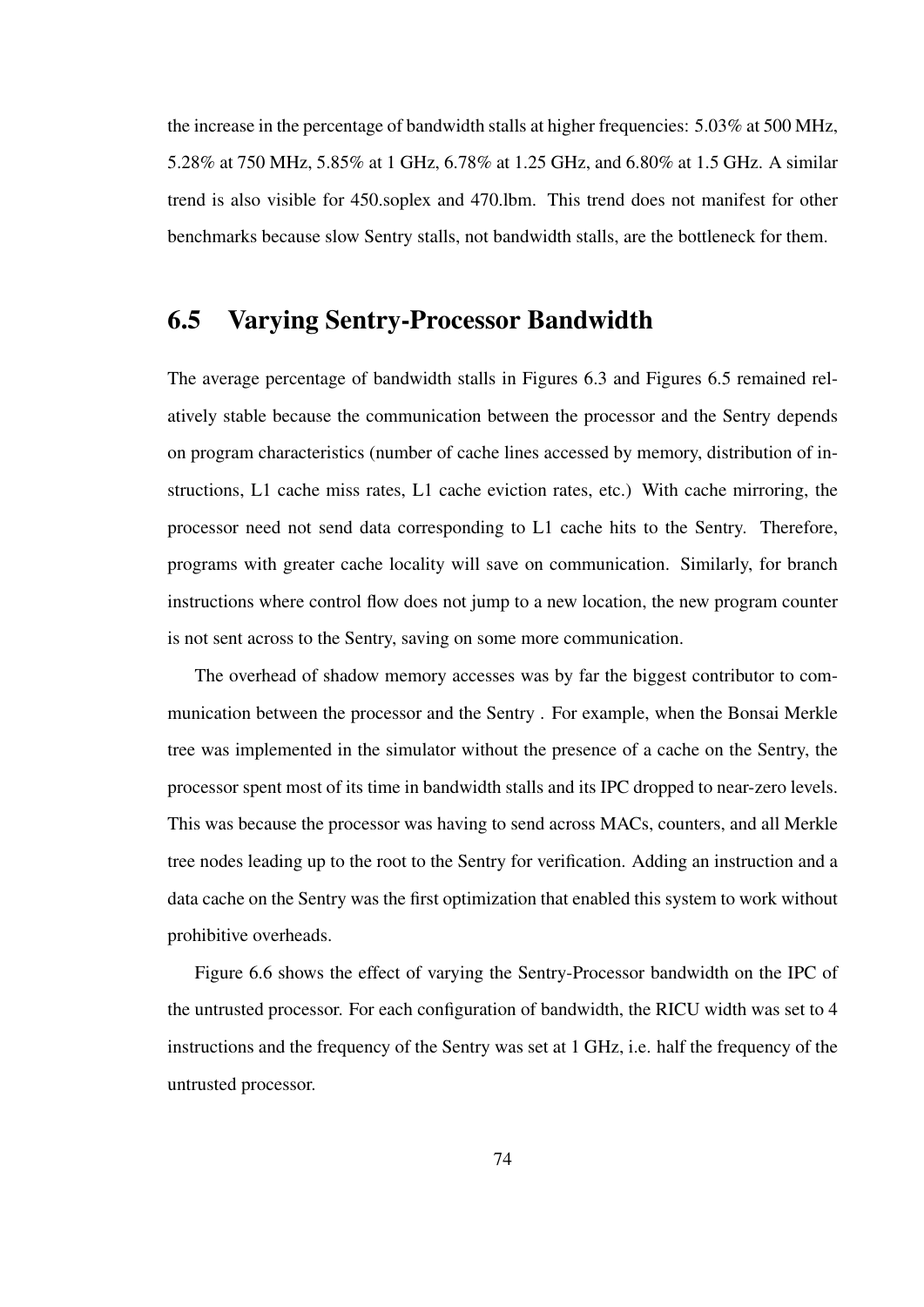the increase in the percentage of bandwidth stalls at higher frequencies: 5.03% at 500 MHz, 5.28% at 750 MHz, 5.85% at 1 GHz, 6.78% at 1.25 GHz, and 6.80% at 1.5 GHz. A similar trend is also visible for 450.soplex and 470.lbm. This trend does not manifest for other benchmarks because slow Sentry stalls, not bandwidth stalls, are the bottleneck for them.

#### 6.5 Varying Sentry-Processor Bandwidth

The average percentage of bandwidth stalls in Figures 6.3 and Figures 6.5 remained relatively stable because the communication between the processor and the Sentry depends on program characteristics (number of cache lines accessed by memory, distribution of instructions, L1 cache miss rates, L1 cache eviction rates, etc.) With cache mirroring, the processor need not send data corresponding to L1 cache hits to the Sentry. Therefore, programs with greater cache locality will save on communication. Similarly, for branch instructions where control flow does not jump to a new location, the new program counter is not sent across to the Sentry, saving on some more communication.

The overhead of shadow memory accesses was by far the biggest contributor to communication between the processor and the Sentry . For example, when the Bonsai Merkle tree was implemented in the simulator without the presence of a cache on the Sentry, the processor spent most of its time in bandwidth stalls and its IPC dropped to near-zero levels. This was because the processor was having to send across MACs, counters, and all Merkle tree nodes leading up to the root to the Sentry for verification. Adding an instruction and a data cache on the Sentry was the first optimization that enabled this system to work without prohibitive overheads.

Figure 6.6 shows the effect of varying the Sentry-Processor bandwidth on the IPC of the untrusted processor. For each configuration of bandwidth, the RICU width was set to 4 instructions and the frequency of the Sentry was set at 1 GHz, i.e. half the frequency of the untrusted processor.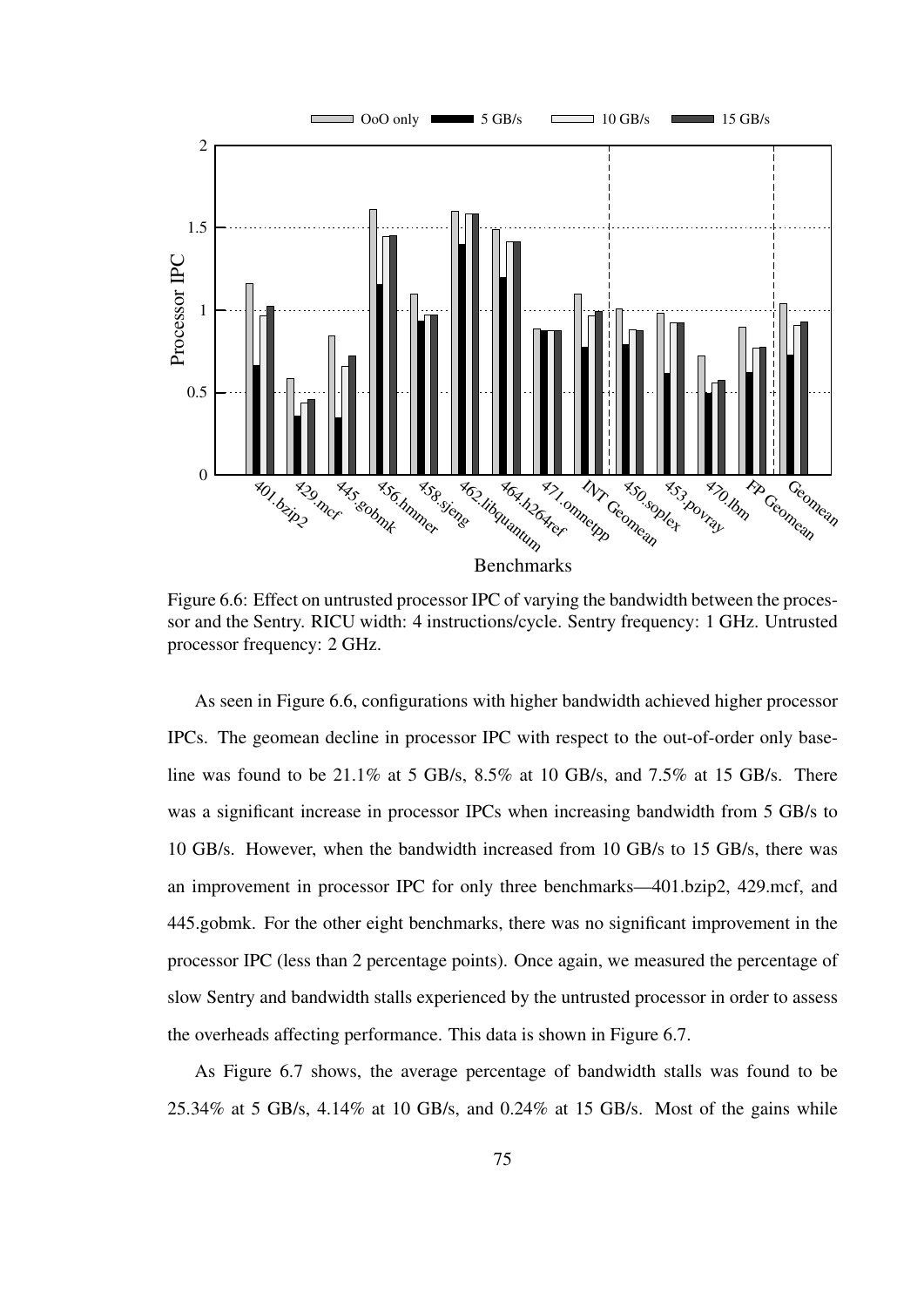

Figure 6.6: Effect on untrusted processor IPC of varying the bandwidth between the processor and the Sentry. RICU width: 4 instructions/cycle. Sentry frequency: 1 GHz. Untrusted processor frequency: 2 GHz.

As seen in Figure 6.6, configurations with higher bandwidth achieved higher processor IPCs. The geomean decline in processor IPC with respect to the out-of-order only baseline was found to be 21.1% at 5 GB/s, 8.5% at 10 GB/s, and 7.5% at 15 GB/s. There was a significant increase in processor IPCs when increasing bandwidth from 5 GB/s to 10 GB/s. However, when the bandwidth increased from 10 GB/s to 15 GB/s, there was an improvement in processor IPC for only three benchmarks—401.bzip2, 429.mcf, and 445.gobmk. For the other eight benchmarks, there was no significant improvement in the processor IPC (less than 2 percentage points). Once again, we measured the percentage of slow Sentry and bandwidth stalls experienced by the untrusted processor in order to assess the overheads affecting performance. This data is shown in Figure 6.7.

As Figure 6.7 shows, the average percentage of bandwidth stalls was found to be 25.34% at 5 GB/s, 4.14% at 10 GB/s, and 0.24% at 15 GB/s. Most of the gains while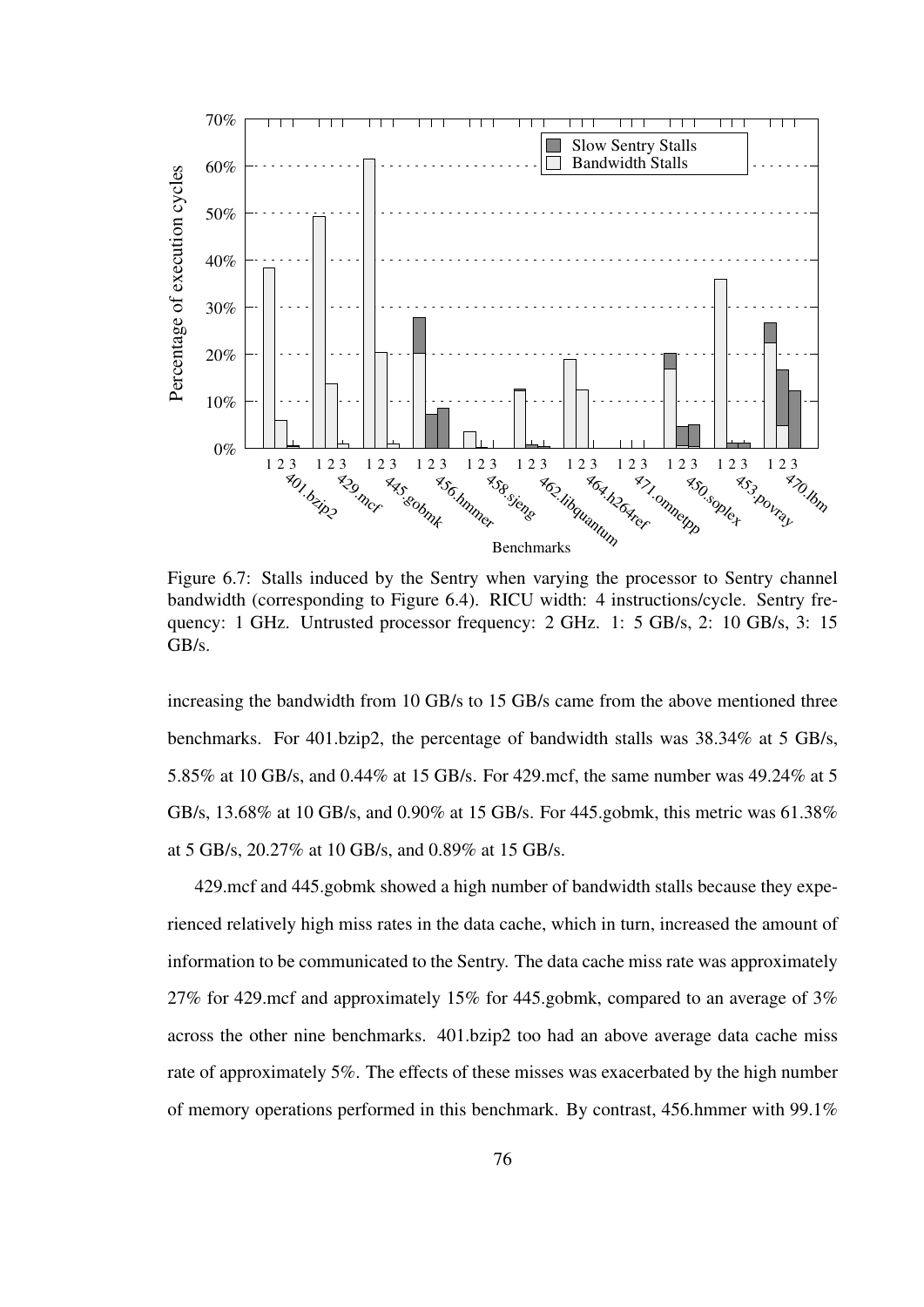

Figure 6.7: Stalls induced by the Sentry when varying the processor to Sentry channel bandwidth (corresponding to Figure 6.4). RICU width: 4 instructions/cycle. Sentry frequency: 1 GHz. Untrusted processor frequency: 2 GHz. 1: 5 GB/s, 2: 10 GB/s, 3: 15 GB/s.

increasing the bandwidth from 10 GB/s to 15 GB/s came from the above mentioned three benchmarks. For 401.bzip2, the percentage of bandwidth stalls was 38.34% at 5 GB/s, 5.85% at 10 GB/s, and 0.44% at 15 GB/s. For 429.mcf, the same number was 49.24% at 5 GB/s, 13.68% at 10 GB/s, and 0.90% at 15 GB/s. For 445.gobmk, this metric was 61.38% at 5 GB/s, 20.27% at 10 GB/s, and 0.89% at 15 GB/s.

429.mcf and 445.gobmk showed a high number of bandwidth stalls because they experienced relatively high miss rates in the data cache, which in turn, increased the amount of information to be communicated to the Sentry. The data cache miss rate was approximately 27% for 429.mcf and approximately 15% for 445.gobmk, compared to an average of 3% across the other nine benchmarks. 401.bzip2 too had an above average data cache miss rate of approximately 5%. The effects of these misses was exacerbated by the high number of memory operations performed in this benchmark. By contrast, 456.hmmer with 99.1%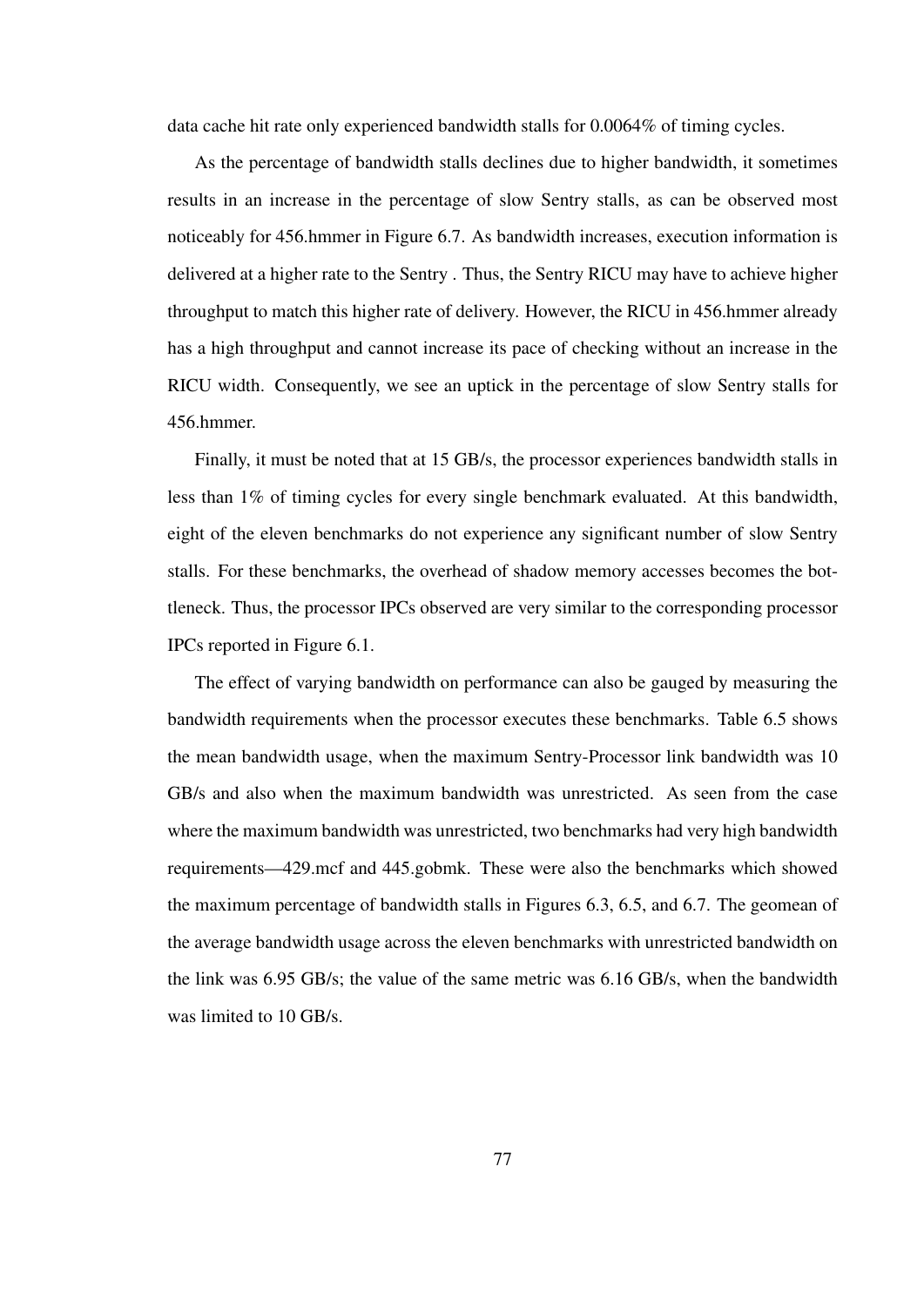data cache hit rate only experienced bandwidth stalls for 0.0064% of timing cycles.

As the percentage of bandwidth stalls declines due to higher bandwidth, it sometimes results in an increase in the percentage of slow Sentry stalls, as can be observed most noticeably for 456.hmmer in Figure 6.7. As bandwidth increases, execution information is delivered at a higher rate to the Sentry . Thus, the Sentry RICU may have to achieve higher throughput to match this higher rate of delivery. However, the RICU in 456.hmmer already has a high throughput and cannot increase its pace of checking without an increase in the RICU width. Consequently, we see an uptick in the percentage of slow Sentry stalls for 456.hmmer.

Finally, it must be noted that at 15 GB/s, the processor experiences bandwidth stalls in less than 1% of timing cycles for every single benchmark evaluated. At this bandwidth, eight of the eleven benchmarks do not experience any significant number of slow Sentry stalls. For these benchmarks, the overhead of shadow memory accesses becomes the bottleneck. Thus, the processor IPCs observed are very similar to the corresponding processor IPCs reported in Figure 6.1.

The effect of varying bandwidth on performance can also be gauged by measuring the bandwidth requirements when the processor executes these benchmarks. Table 6.5 shows the mean bandwidth usage, when the maximum Sentry-Processor link bandwidth was 10 GB/s and also when the maximum bandwidth was unrestricted. As seen from the case where the maximum bandwidth was unrestricted, two benchmarks had very high bandwidth requirements—429.mcf and 445.gobmk. These were also the benchmarks which showed the maximum percentage of bandwidth stalls in Figures 6.3, 6.5, and 6.7. The geomean of the average bandwidth usage across the eleven benchmarks with unrestricted bandwidth on the link was 6.95 GB/s; the value of the same metric was 6.16 GB/s, when the bandwidth was limited to 10 GB/s.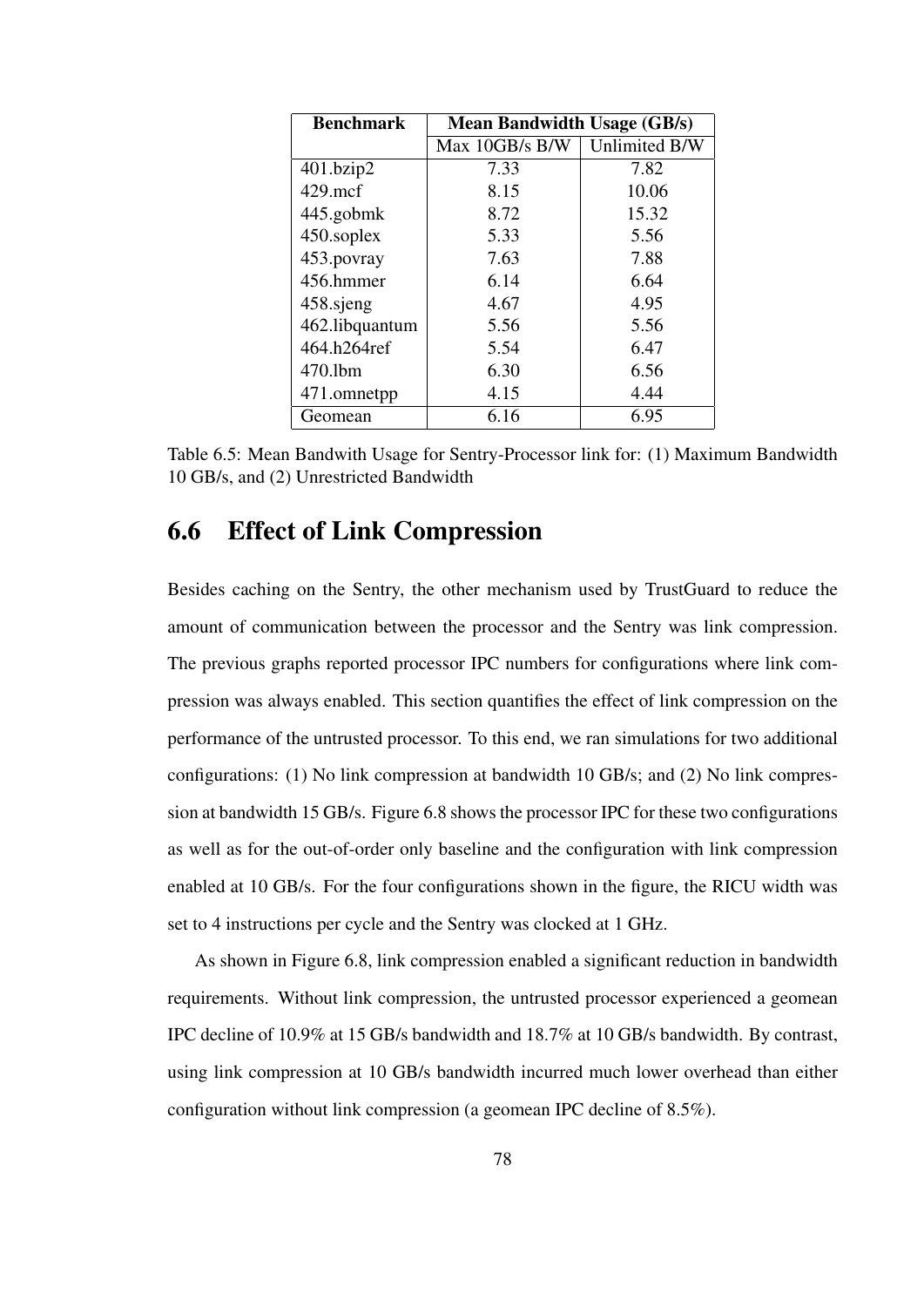| <b>Benchmark</b> | <b>Mean Bandwidth Usage (GB/s)</b> |               |  |  |
|------------------|------------------------------------|---------------|--|--|
|                  | Max 10GB/s B/W                     | Unlimited B/W |  |  |
| 401.bzip2        | 7.33                               | 7.82          |  |  |
| $429$ .mcf       | 8.15                               | 10.06         |  |  |
| 445.gobmk        | 8.72                               | 15.32         |  |  |
| 450.soplex       | 5.33                               | 5.56          |  |  |
| 453.povray       | 7.63                               | 7.88          |  |  |
| 456.hmmer        | 6.14                               | 6.64          |  |  |
| 458.sjeng        | 4.67                               | 4.95          |  |  |
| 462.libquantum   | 5.56                               | 5.56          |  |  |
| 464.h264ref      | 5.54                               | 6.47          |  |  |
| 470.1bm          | 6.30                               | 6.56          |  |  |
| 471.omnetpp      | 4.15                               | 4.44          |  |  |
| Geomean          | 6.16                               | 6.95          |  |  |

Table 6.5: Mean Bandwith Usage for Sentry-Processor link for: (1) Maximum Bandwidth 10 GB/s, and (2) Unrestricted Bandwidth

## 6.6 Effect of Link Compression

Besides caching on the Sentry, the other mechanism used by TrustGuard to reduce the amount of communication between the processor and the Sentry was link compression. The previous graphs reported processor IPC numbers for configurations where link compression was always enabled. This section quantifies the effect of link compression on the performance of the untrusted processor. To this end, we ran simulations for two additional configurations: (1) No link compression at bandwidth 10 GB/s; and (2) No link compression at bandwidth 15 GB/s. Figure 6.8 shows the processor IPC for these two configurations as well as for the out-of-order only baseline and the configuration with link compression enabled at 10 GB/s. For the four configurations shown in the figure, the RICU width was set to 4 instructions per cycle and the Sentry was clocked at 1 GHz.

As shown in Figure 6.8, link compression enabled a significant reduction in bandwidth requirements. Without link compression, the untrusted processor experienced a geomean IPC decline of 10.9% at 15 GB/s bandwidth and 18.7% at 10 GB/s bandwidth. By contrast, using link compression at 10 GB/s bandwidth incurred much lower overhead than either configuration without link compression (a geomean IPC decline of 8.5%).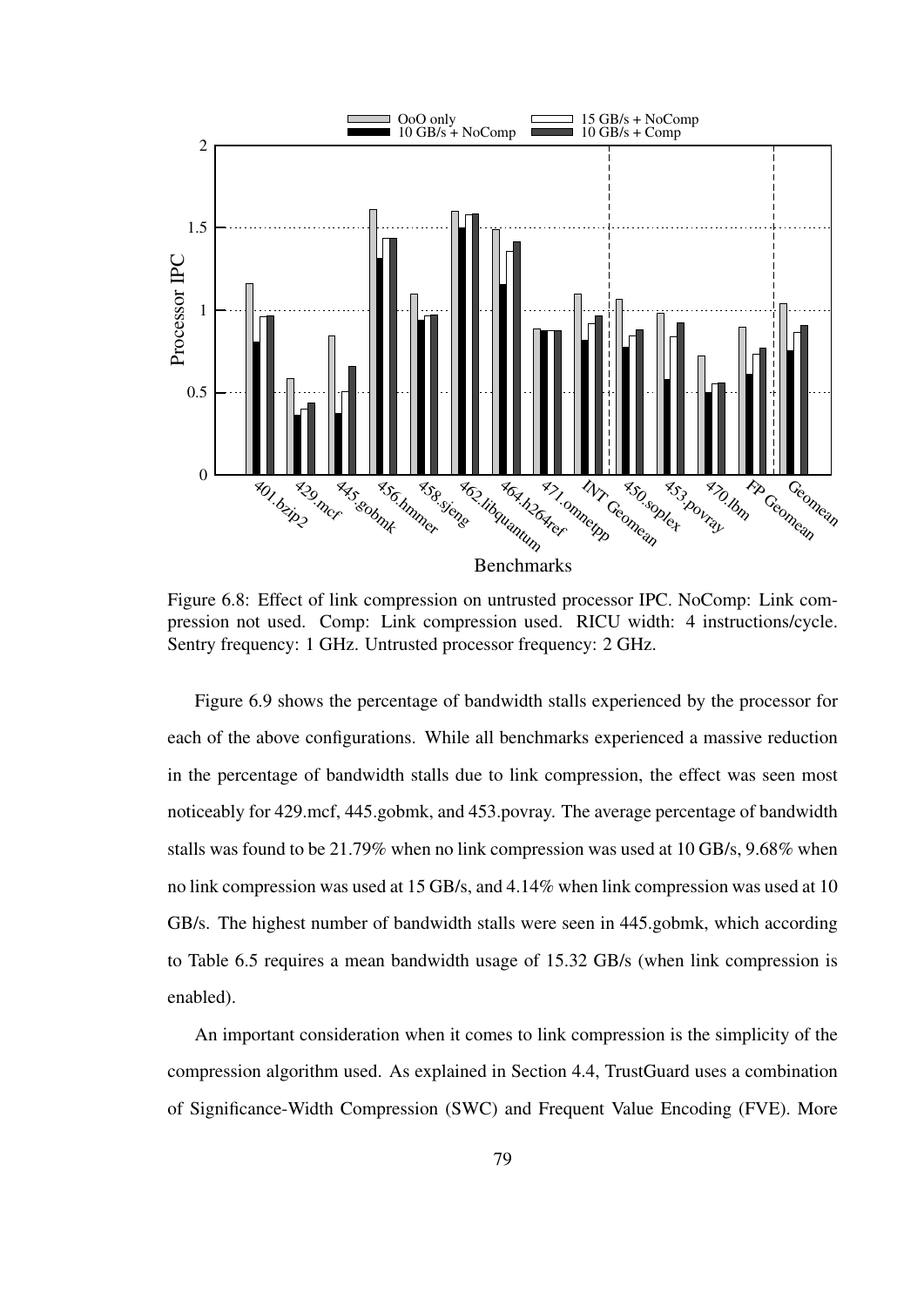

Figure 6.8: Effect of link compression on untrusted processor IPC. NoComp: Link compression not used. Comp: Link compression used. RICU width: 4 instructions/cycle. Sentry frequency: 1 GHz. Untrusted processor frequency: 2 GHz.

Figure 6.9 shows the percentage of bandwidth stalls experienced by the processor for each of the above configurations. While all benchmarks experienced a massive reduction in the percentage of bandwidth stalls due to link compression, the effect was seen most noticeably for 429.mcf, 445.gobmk, and 453.povray. The average percentage of bandwidth stalls was found to be 21.79% when no link compression was used at 10 GB/s, 9.68% when no link compression was used at 15 GB/s, and 4.14% when link compression was used at 10 GB/s. The highest number of bandwidth stalls were seen in 445.gobmk, which according to Table 6.5 requires a mean bandwidth usage of 15.32 GB/s (when link compression is enabled).

An important consideration when it comes to link compression is the simplicity of the compression algorithm used. As explained in Section 4.4, TrustGuard uses a combination of Significance-Width Compression (SWC) and Frequent Value Encoding (FVE). More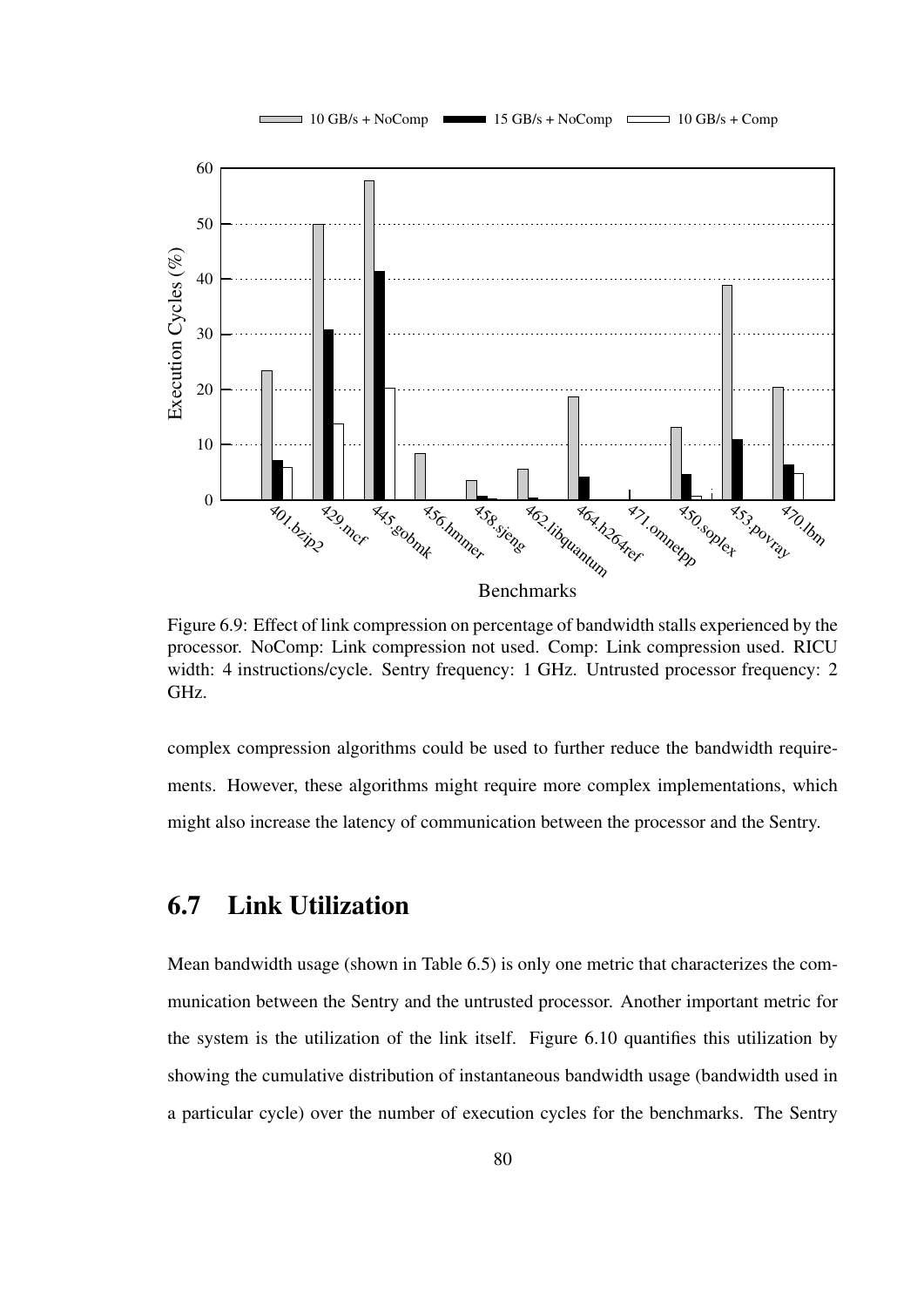

Figure 6.9: Effect of link compression on percentage of bandwidth stalls experienced by the processor. NoComp: Link compression not used. Comp: Link compression used. RICU width: 4 instructions/cycle. Sentry frequency: 1 GHz. Untrusted processor frequency: 2 GHz.

complex compression algorithms could be used to further reduce the bandwidth requirements. However, these algorithms might require more complex implementations, which might also increase the latency of communication between the processor and the Sentry.

#### 6.7 Link Utilization

Mean bandwidth usage (shown in Table 6.5) is only one metric that characterizes the communication between the Sentry and the untrusted processor. Another important metric for the system is the utilization of the link itself. Figure 6.10 quantifies this utilization by showing the cumulative distribution of instantaneous bandwidth usage (bandwidth used in a particular cycle) over the number of execution cycles for the benchmarks. The Sentry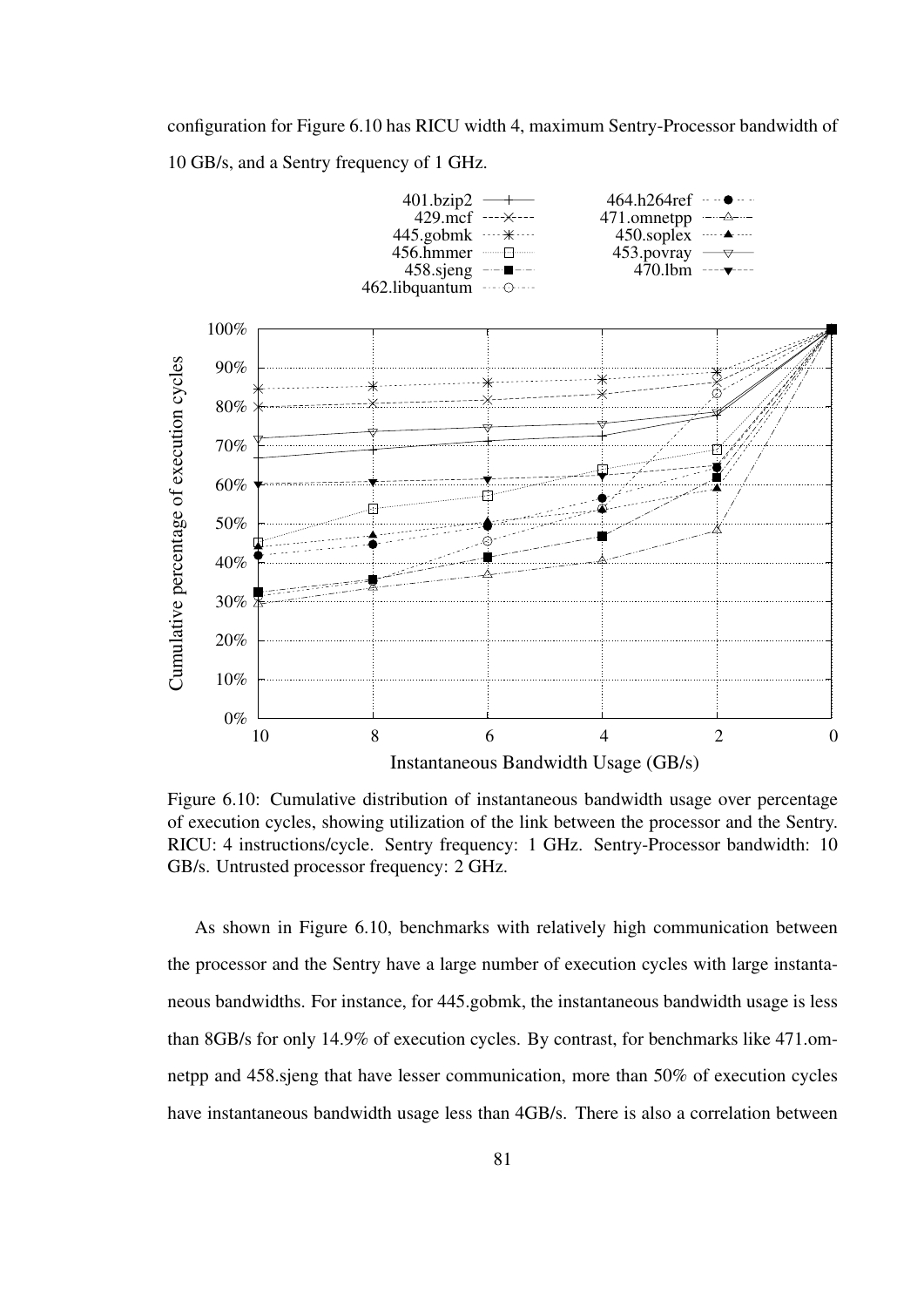configuration for Figure 6.10 has RICU width 4, maximum Sentry-Processor bandwidth of 10 GB/s, and a Sentry frequency of 1 GHz.



Figure 6.10: Cumulative distribution of instantaneous bandwidth usage over percentage of execution cycles, showing utilization of the link between the processor and the Sentry. RICU: 4 instructions/cycle. Sentry frequency: 1 GHz. Sentry-Processor bandwidth: 10 GB/s. Untrusted processor frequency: 2 GHz.

As shown in Figure 6.10, benchmarks with relatively high communication between the processor and the Sentry have a large number of execution cycles with large instantaneous bandwidths. For instance, for 445.gobmk, the instantaneous bandwidth usage is less than 8GB/s for only 14.9% of execution cycles. By contrast, for benchmarks like 471.omnetpp and 458.sjeng that have lesser communication, more than 50% of execution cycles have instantaneous bandwidth usage less than 4GB/s. There is also a correlation between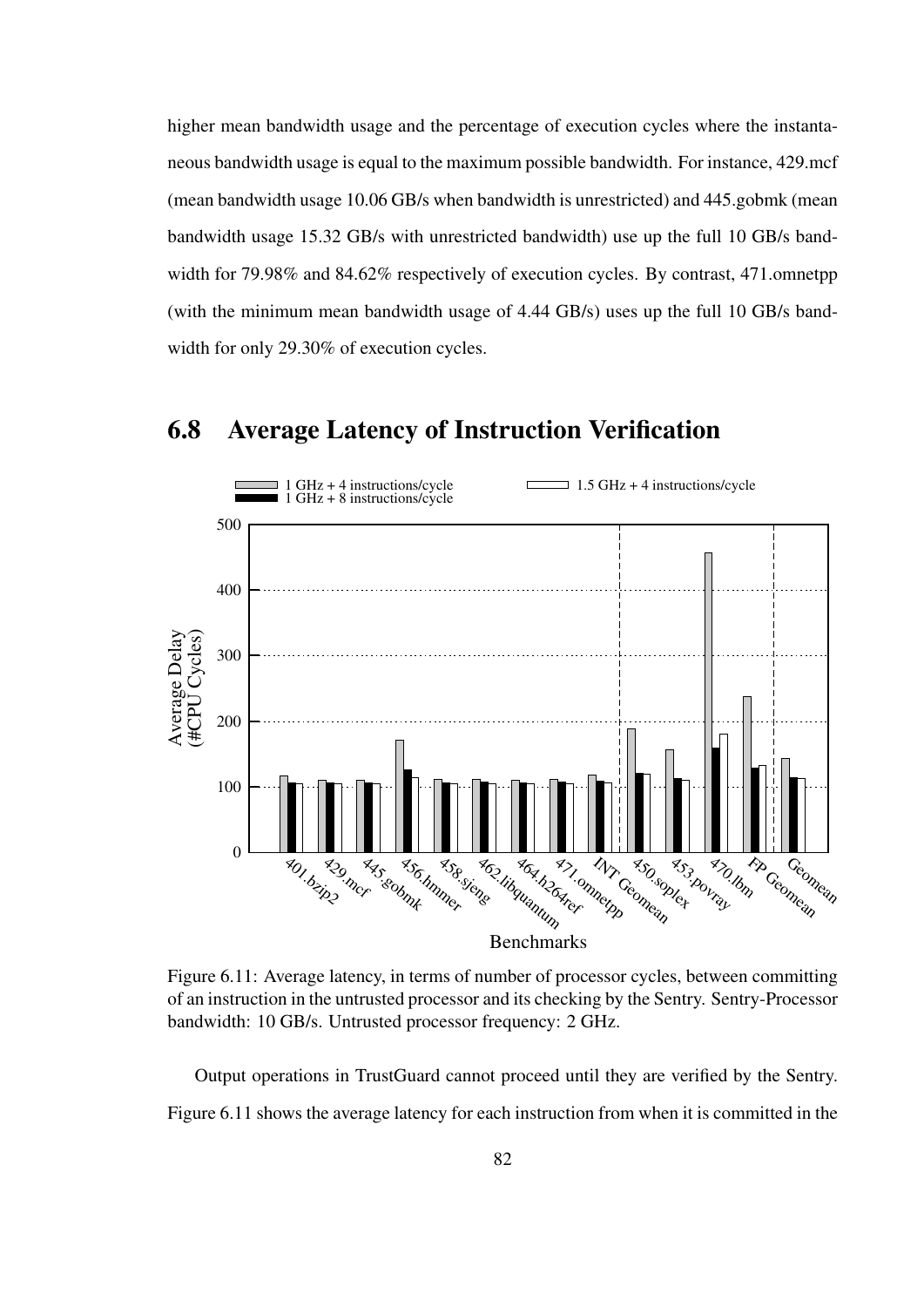higher mean bandwidth usage and the percentage of execution cycles where the instantaneous bandwidth usage is equal to the maximum possible bandwidth. For instance, 429.mcf (mean bandwidth usage 10.06 GB/s when bandwidth is unrestricted) and 445.gobmk (mean bandwidth usage 15.32 GB/s with unrestricted bandwidth) use up the full 10 GB/s bandwidth for 79.98% and 84.62% respectively of execution cycles. By contrast, 471.omnetpp (with the minimum mean bandwidth usage of 4.44 GB/s) uses up the full 10 GB/s bandwidth for only 29.30% of execution cycles.



#### 6.8 Average Latency of Instruction Verification

Figure 6.11: Average latency, in terms of number of processor cycles, between committing of an instruction in the untrusted processor and its checking by the Sentry. Sentry-Processor bandwidth: 10 GB/s. Untrusted processor frequency: 2 GHz.

Output operations in TrustGuard cannot proceed until they are verified by the Sentry. Figure 6.11 shows the average latency for each instruction from when it is committed in the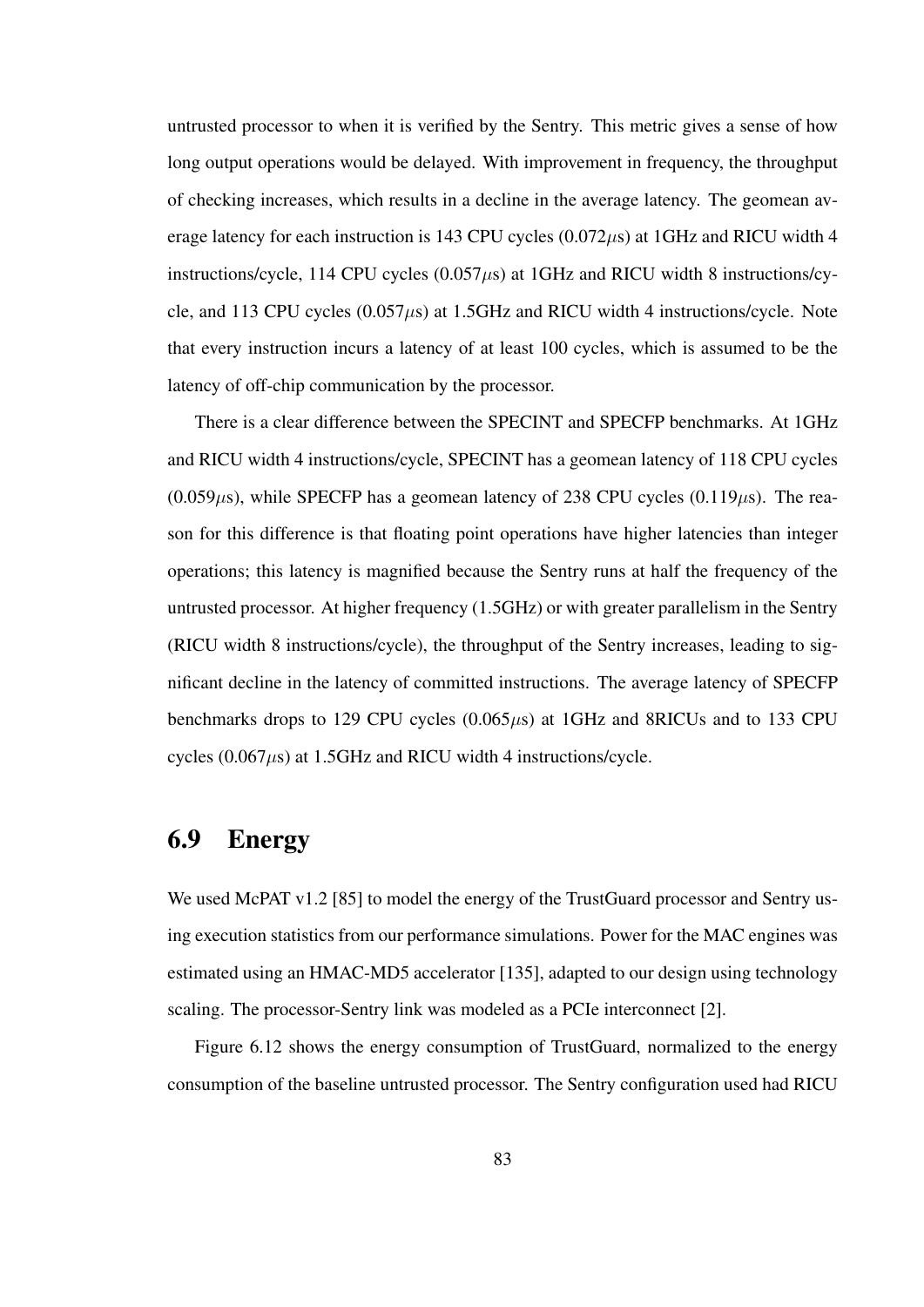untrusted processor to when it is verified by the Sentry. This metric gives a sense of how long output operations would be delayed. With improvement in frequency, the throughput of checking increases, which results in a decline in the average latency. The geomean average latency for each instruction is 143 CPU cycles  $(0.072 \mu s)$  at 1GHz and RICU width 4 instructions/cycle, 114 CPU cycles  $(0.057\mu s)$  at 1GHz and RICU width 8 instructions/cycle, and 113 CPU cycles  $(0.057\mu s)$  at 1.5GHz and RICU width 4 instructions/cycle. Note that every instruction incurs a latency of at least 100 cycles, which is assumed to be the latency of off-chip communication by the processor.

There is a clear difference between the SPECINT and SPECFP benchmarks. At 1GHz and RICU width 4 instructions/cycle, SPECINT has a geomean latency of 118 CPU cycles  $(0.059\mu s)$ , while SPECFP has a geomean latency of 238 CPU cycles  $(0.119\mu s)$ . The reason for this difference is that floating point operations have higher latencies than integer operations; this latency is magnified because the Sentry runs at half the frequency of the untrusted processor. At higher frequency (1.5GHz) or with greater parallelism in the Sentry (RICU width 8 instructions/cycle), the throughput of the Sentry increases, leading to significant decline in the latency of committed instructions. The average latency of SPECFP benchmarks drops to 129 CPU cycles  $(0.065\mu s)$  at 1GHz and 8RICUs and to 133 CPU cycles  $(0.067 \mu s)$  at 1.5GHz and RICU width 4 instructions/cycle.

#### 6.9 Energy

We used McPAT v1.2 [85] to model the energy of the TrustGuard processor and Sentry using execution statistics from our performance simulations. Power for the MAC engines was estimated using an HMAC-MD5 accelerator [135], adapted to our design using technology scaling. The processor-Sentry link was modeled as a PCIe interconnect [2].

Figure 6.12 shows the energy consumption of TrustGuard, normalized to the energy consumption of the baseline untrusted processor. The Sentry configuration used had RICU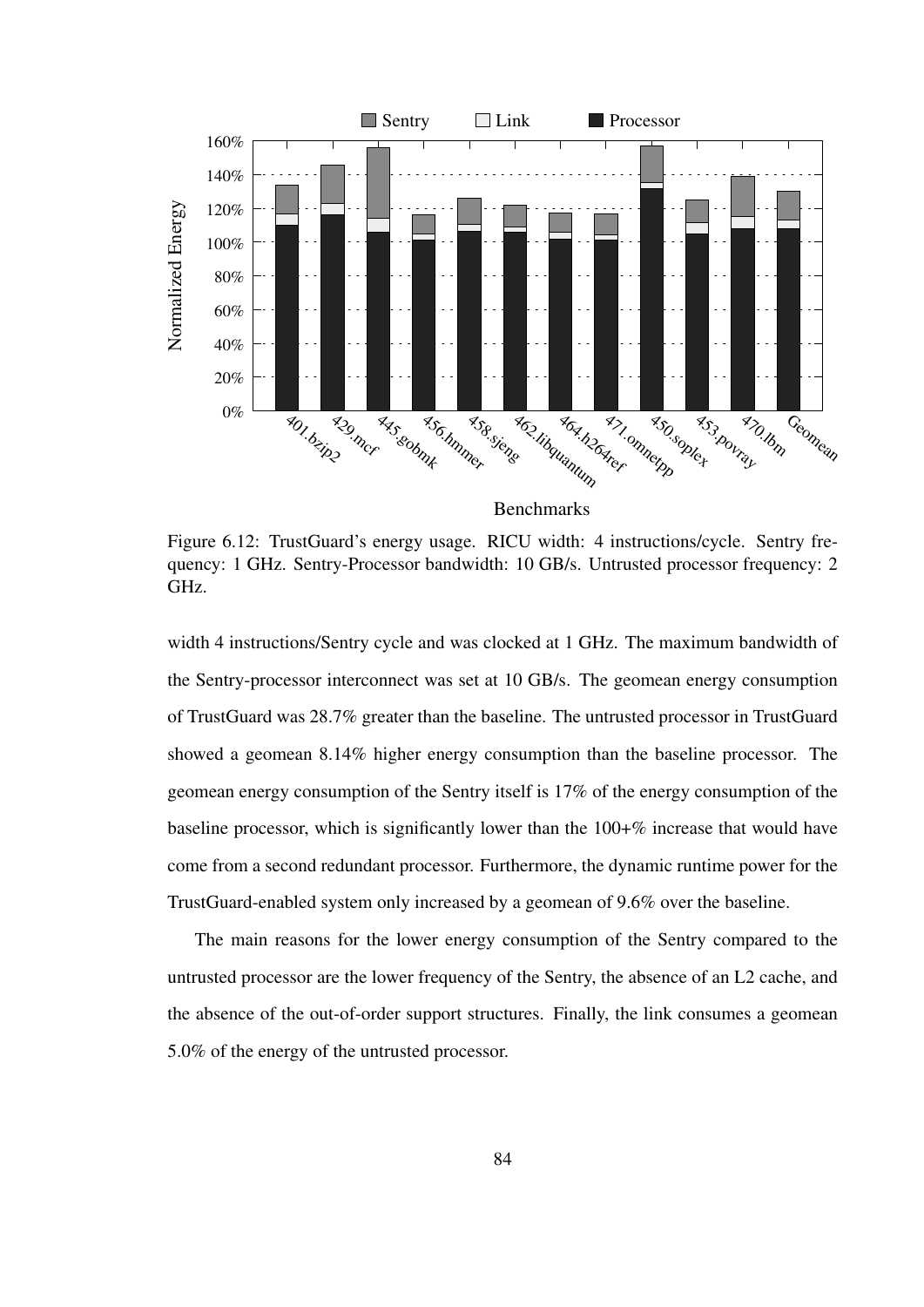

Benchmarks

Figure 6.12: TrustGuard's energy usage. RICU width: 4 instructions/cycle. Sentry frequency: 1 GHz. Sentry-Processor bandwidth: 10 GB/s. Untrusted processor frequency: 2 GHz.

width 4 instructions/Sentry cycle and was clocked at 1 GHz. The maximum bandwidth of the Sentry-processor interconnect was set at 10 GB/s. The geomean energy consumption of TrustGuard was 28.7% greater than the baseline. The untrusted processor in TrustGuard showed a geomean 8.14% higher energy consumption than the baseline processor. The geomean energy consumption of the Sentry itself is 17% of the energy consumption of the baseline processor, which is significantly lower than the 100+% increase that would have come from a second redundant processor. Furthermore, the dynamic runtime power for the TrustGuard-enabled system only increased by a geomean of 9.6% over the baseline.

The main reasons for the lower energy consumption of the Sentry compared to the untrusted processor are the lower frequency of the Sentry, the absence of an L2 cache, and the absence of the out-of-order support structures. Finally, the link consumes a geomean 5.0% of the energy of the untrusted processor.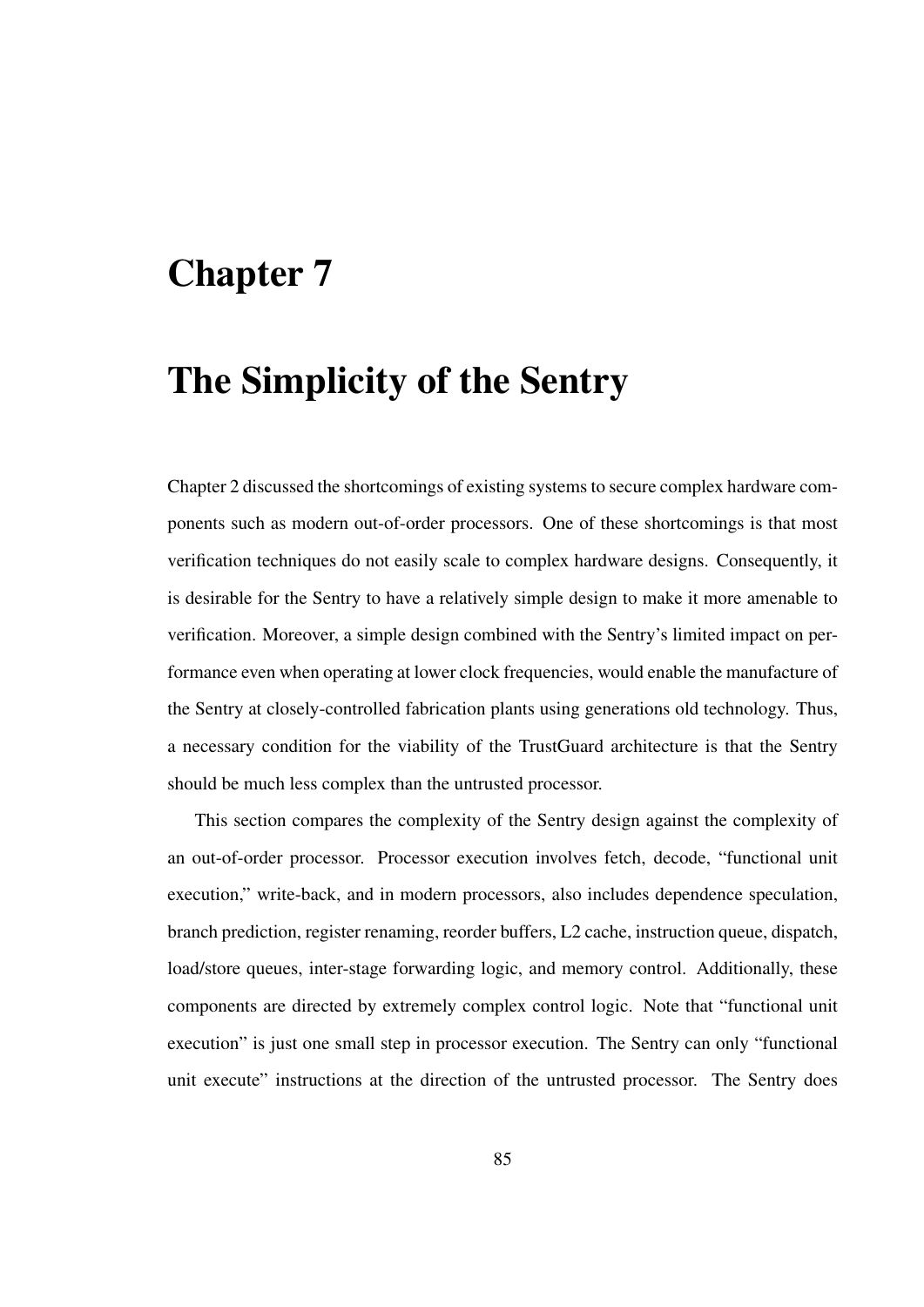# Chapter 7

# The Simplicity of the Sentry

Chapter 2 discussed the shortcomings of existing systems to secure complex hardware components such as modern out-of-order processors. One of these shortcomings is that most verification techniques do not easily scale to complex hardware designs. Consequently, it is desirable for the Sentry to have a relatively simple design to make it more amenable to verification. Moreover, a simple design combined with the Sentry's limited impact on performance even when operating at lower clock frequencies, would enable the manufacture of the Sentry at closely-controlled fabrication plants using generations old technology. Thus, a necessary condition for the viability of the TrustGuard architecture is that the Sentry should be much less complex than the untrusted processor.

This section compares the complexity of the Sentry design against the complexity of an out-of-order processor. Processor execution involves fetch, decode, "functional unit execution," write-back, and in modern processors, also includes dependence speculation, branch prediction, register renaming, reorder buffers, L2 cache, instruction queue, dispatch, load/store queues, inter-stage forwarding logic, and memory control. Additionally, these components are directed by extremely complex control logic. Note that "functional unit execution" is just one small step in processor execution. The Sentry can only "functional unit execute" instructions at the direction of the untrusted processor. The Sentry does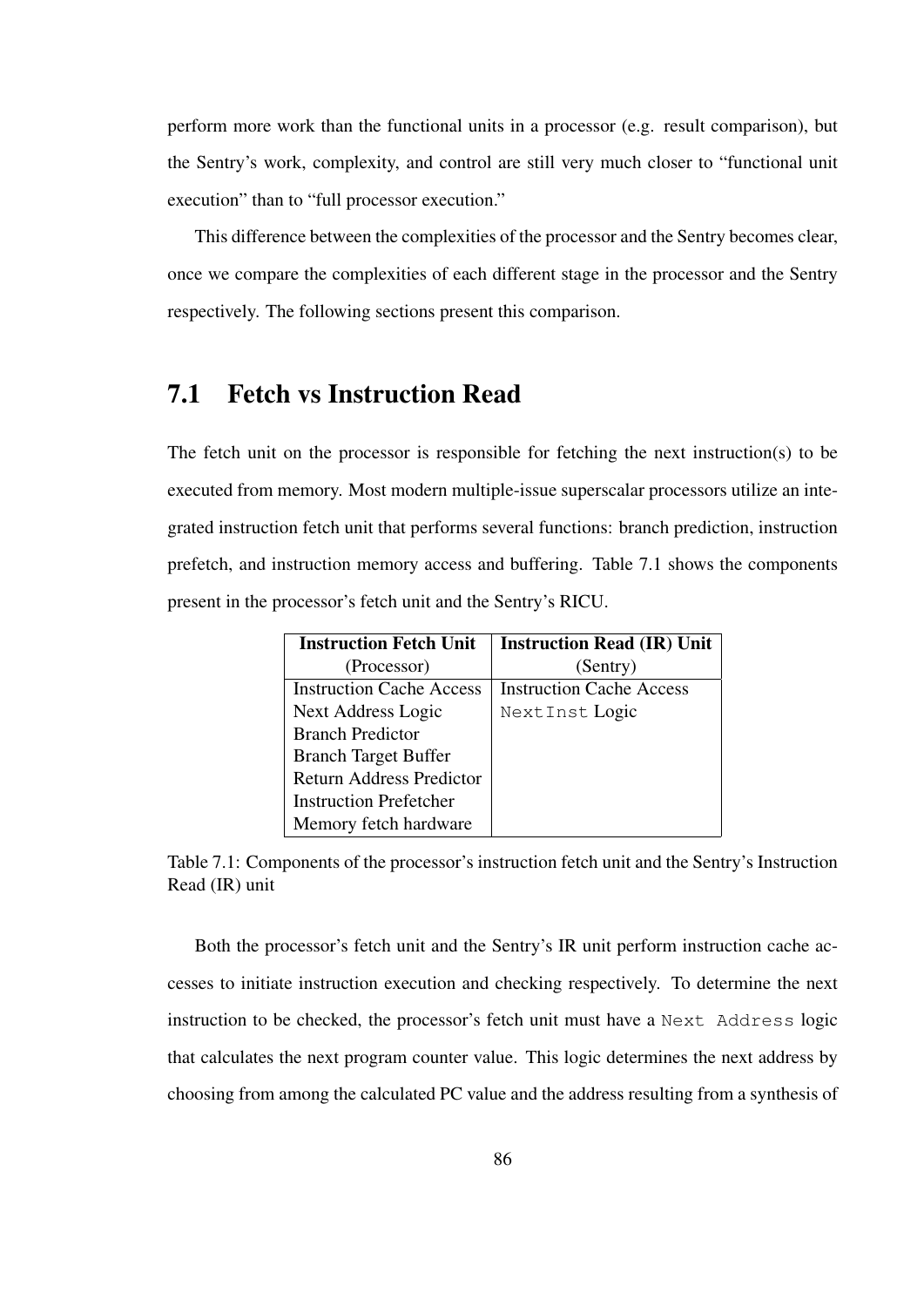perform more work than the functional units in a processor (e.g. result comparison), but the Sentry's work, complexity, and control are still very much closer to "functional unit execution" than to "full processor execution."

This difference between the complexities of the processor and the Sentry becomes clear, once we compare the complexities of each different stage in the processor and the Sentry respectively. The following sections present this comparison.

# 7.1 Fetch vs Instruction Read

The fetch unit on the processor is responsible for fetching the next instruction(s) to be executed from memory. Most modern multiple-issue superscalar processors utilize an integrated instruction fetch unit that performs several functions: branch prediction, instruction prefetch, and instruction memory access and buffering. Table 7.1 shows the components present in the processor's fetch unit and the Sentry's RICU.

| <b>Instruction Fetch Unit</b>   | <b>Instruction Read (IR) Unit</b> |
|---------------------------------|-----------------------------------|
| (Processor)                     | (Sentry)                          |
| <b>Instruction Cache Access</b> | <b>Instruction Cache Access</b>   |
| Next Address Logic              | Next Inst Logic                   |
| <b>Branch Predictor</b>         |                                   |
| <b>Branch Target Buffer</b>     |                                   |
| <b>Return Address Predictor</b> |                                   |
| <b>Instruction Prefetcher</b>   |                                   |
| Memory fetch hardware           |                                   |

Table 7.1: Components of the processor's instruction fetch unit and the Sentry's Instruction Read (IR) unit

Both the processor's fetch unit and the Sentry's IR unit perform instruction cache accesses to initiate instruction execution and checking respectively. To determine the next instruction to be checked, the processor's fetch unit must have a Next Address logic that calculates the next program counter value. This logic determines the next address by choosing from among the calculated PC value and the address resulting from a synthesis of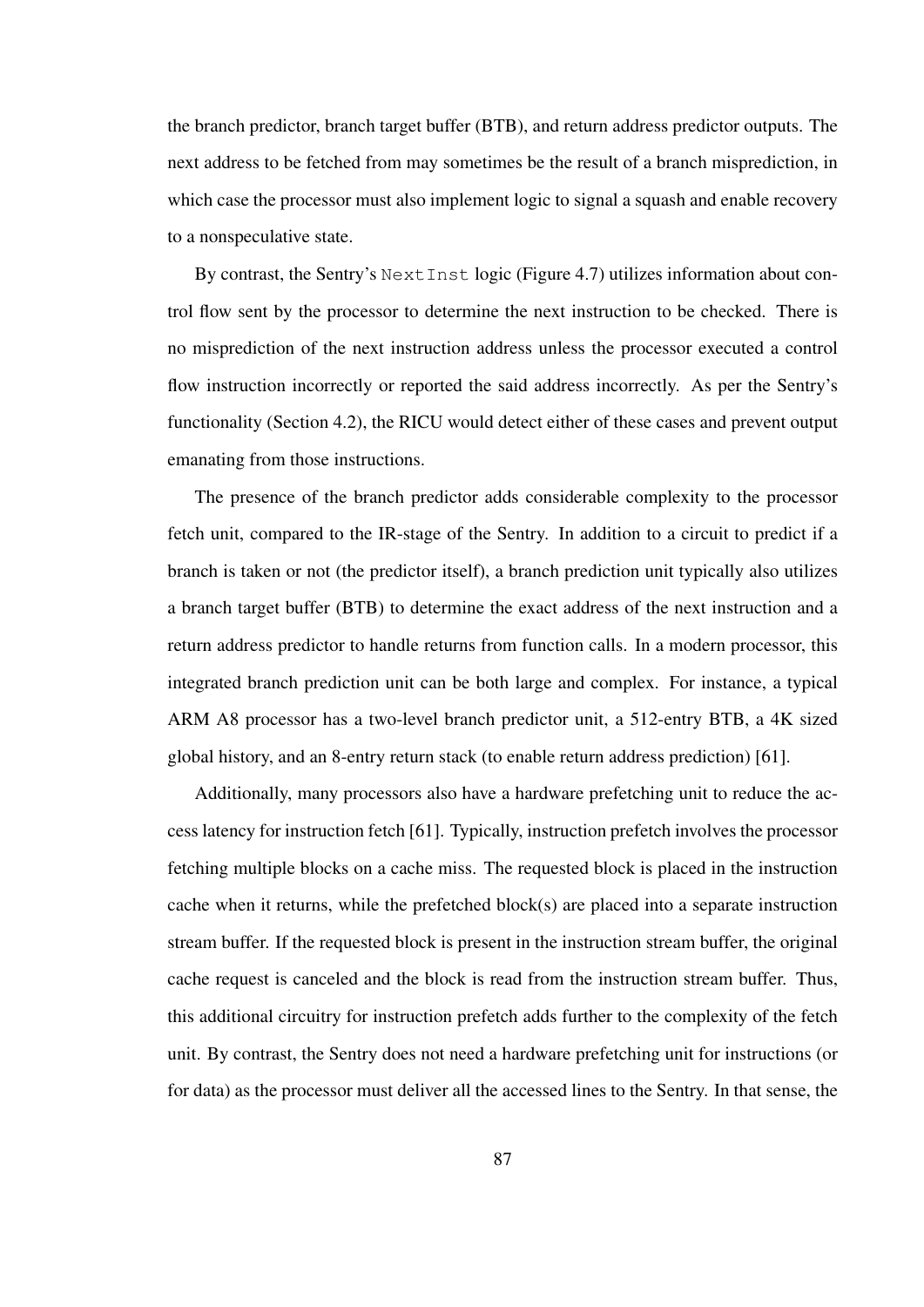the branch predictor, branch target buffer (BTB), and return address predictor outputs. The next address to be fetched from may sometimes be the result of a branch misprediction, in which case the processor must also implement logic to signal a squash and enable recovery to a nonspeculative state.

By contrast, the Sentry's NextInst logic (Figure 4.7) utilizes information about control flow sent by the processor to determine the next instruction to be checked. There is no misprediction of the next instruction address unless the processor executed a control flow instruction incorrectly or reported the said address incorrectly. As per the Sentry's functionality (Section 4.2), the RICU would detect either of these cases and prevent output emanating from those instructions.

The presence of the branch predictor adds considerable complexity to the processor fetch unit, compared to the IR-stage of the Sentry. In addition to a circuit to predict if a branch is taken or not (the predictor itself), a branch prediction unit typically also utilizes a branch target buffer (BTB) to determine the exact address of the next instruction and a return address predictor to handle returns from function calls. In a modern processor, this integrated branch prediction unit can be both large and complex. For instance, a typical ARM A8 processor has a two-level branch predictor unit, a 512-entry BTB, a 4K sized global history, and an 8-entry return stack (to enable return address prediction) [61].

Additionally, many processors also have a hardware prefetching unit to reduce the access latency for instruction fetch [61]. Typically, instruction prefetch involves the processor fetching multiple blocks on a cache miss. The requested block is placed in the instruction cache when it returns, while the prefetched block $(s)$  are placed into a separate instruction stream buffer. If the requested block is present in the instruction stream buffer, the original cache request is canceled and the block is read from the instruction stream buffer. Thus, this additional circuitry for instruction prefetch adds further to the complexity of the fetch unit. By contrast, the Sentry does not need a hardware prefetching unit for instructions (or for data) as the processor must deliver all the accessed lines to the Sentry. In that sense, the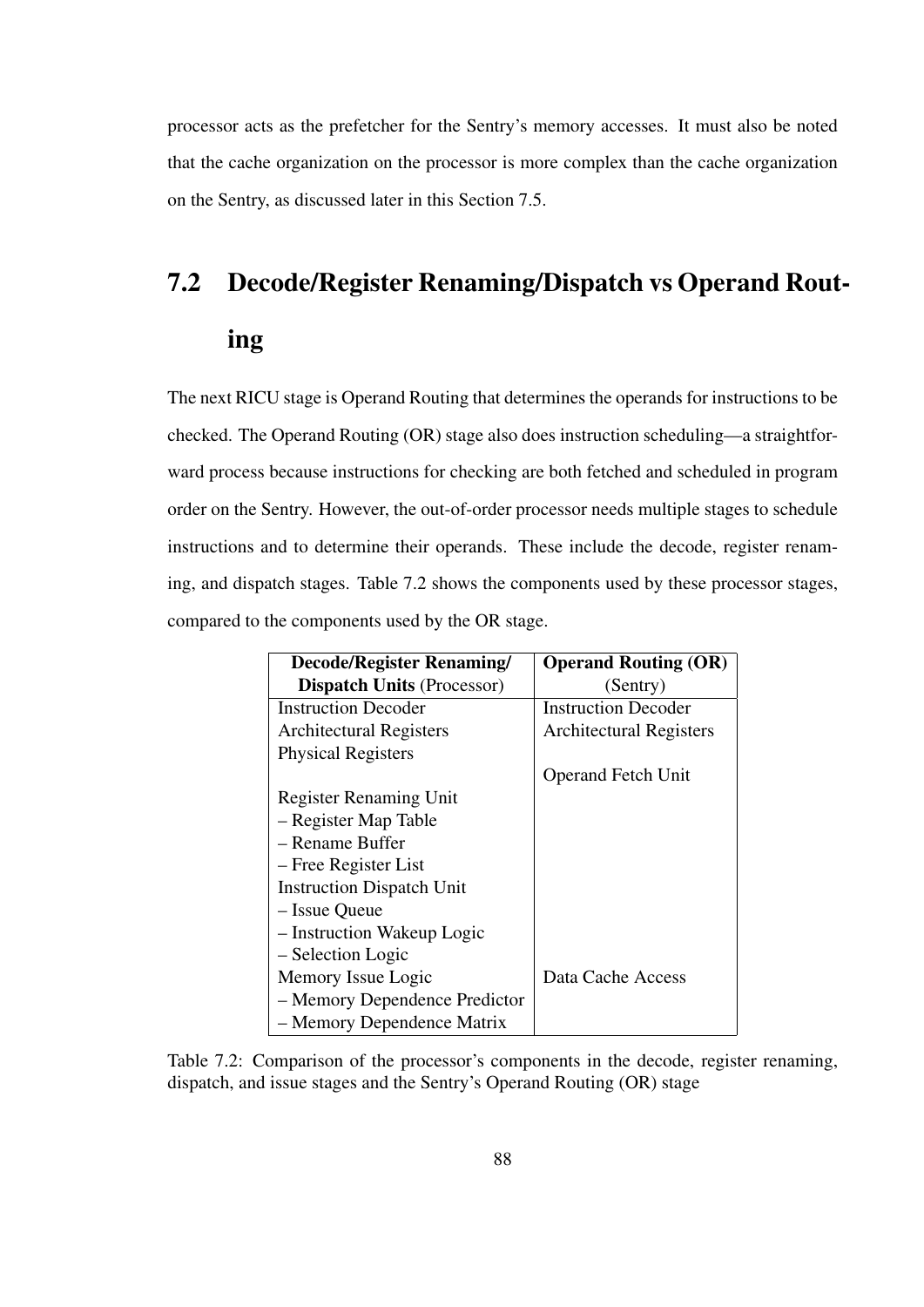processor acts as the prefetcher for the Sentry's memory accesses. It must also be noted that the cache organization on the processor is more complex than the cache organization on the Sentry, as discussed later in this Section 7.5.

# 7.2 Decode/Register Renaming/Dispatch vs Operand Rout-

## ing

The next RICU stage is Operand Routing that determines the operands for instructions to be checked. The Operand Routing (OR) stage also does instruction scheduling—a straightforward process because instructions for checking are both fetched and scheduled in program order on the Sentry. However, the out-of-order processor needs multiple stages to schedule instructions and to determine their operands. These include the decode, register renaming, and dispatch stages. Table 7.2 shows the components used by these processor stages, compared to the components used by the OR stage.

| <b>Decode/Register Renaming/</b>  | <b>Operand Routing (OR)</b>    |
|-----------------------------------|--------------------------------|
| <b>Dispatch Units (Processor)</b> | (Sentry)                       |
| <b>Instruction Decoder</b>        | <b>Instruction Decoder</b>     |
| <b>Architectural Registers</b>    | <b>Architectural Registers</b> |
| <b>Physical Registers</b>         |                                |
|                                   | <b>Operand Fetch Unit</b>      |
| <b>Register Renaming Unit</b>     |                                |
| - Register Map Table              |                                |
| – Rename Buffer                   |                                |
| – Free Register List              |                                |
| <b>Instruction Dispatch Unit</b>  |                                |
| - Issue Queue                     |                                |
| - Instruction Wakeup Logic        |                                |
| - Selection Logic                 |                                |
| Memory Issue Logic                | Data Cache Access              |
| - Memory Dependence Predictor     |                                |
| - Memory Dependence Matrix        |                                |

Table 7.2: Comparison of the processor's components in the decode, register renaming, dispatch, and issue stages and the Sentry's Operand Routing (OR) stage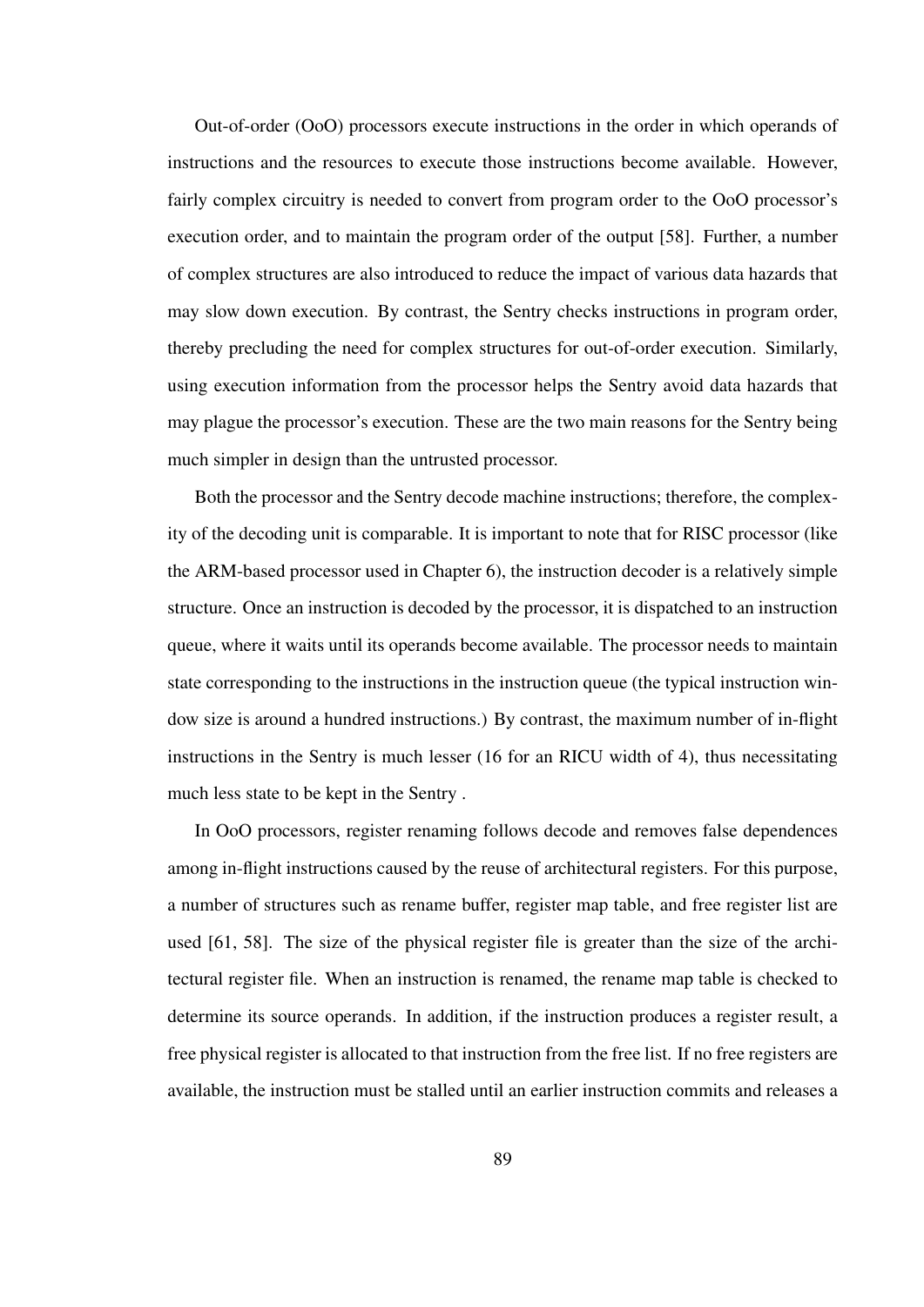Out-of-order (OoO) processors execute instructions in the order in which operands of instructions and the resources to execute those instructions become available. However, fairly complex circuitry is needed to convert from program order to the OoO processor's execution order, and to maintain the program order of the output [58]. Further, a number of complex structures are also introduced to reduce the impact of various data hazards that may slow down execution. By contrast, the Sentry checks instructions in program order, thereby precluding the need for complex structures for out-of-order execution. Similarly, using execution information from the processor helps the Sentry avoid data hazards that may plague the processor's execution. These are the two main reasons for the Sentry being much simpler in design than the untrusted processor.

Both the processor and the Sentry decode machine instructions; therefore, the complexity of the decoding unit is comparable. It is important to note that for RISC processor (like the ARM-based processor used in Chapter 6), the instruction decoder is a relatively simple structure. Once an instruction is decoded by the processor, it is dispatched to an instruction queue, where it waits until its operands become available. The processor needs to maintain state corresponding to the instructions in the instruction queue (the typical instruction window size is around a hundred instructions.) By contrast, the maximum number of in-flight instructions in the Sentry is much lesser (16 for an RICU width of 4), thus necessitating much less state to be kept in the Sentry .

In OoO processors, register renaming follows decode and removes false dependences among in-flight instructions caused by the reuse of architectural registers. For this purpose, a number of structures such as rename buffer, register map table, and free register list are used [61, 58]. The size of the physical register file is greater than the size of the architectural register file. When an instruction is renamed, the rename map table is checked to determine its source operands. In addition, if the instruction produces a register result, a free physical register is allocated to that instruction from the free list. If no free registers are available, the instruction must be stalled until an earlier instruction commits and releases a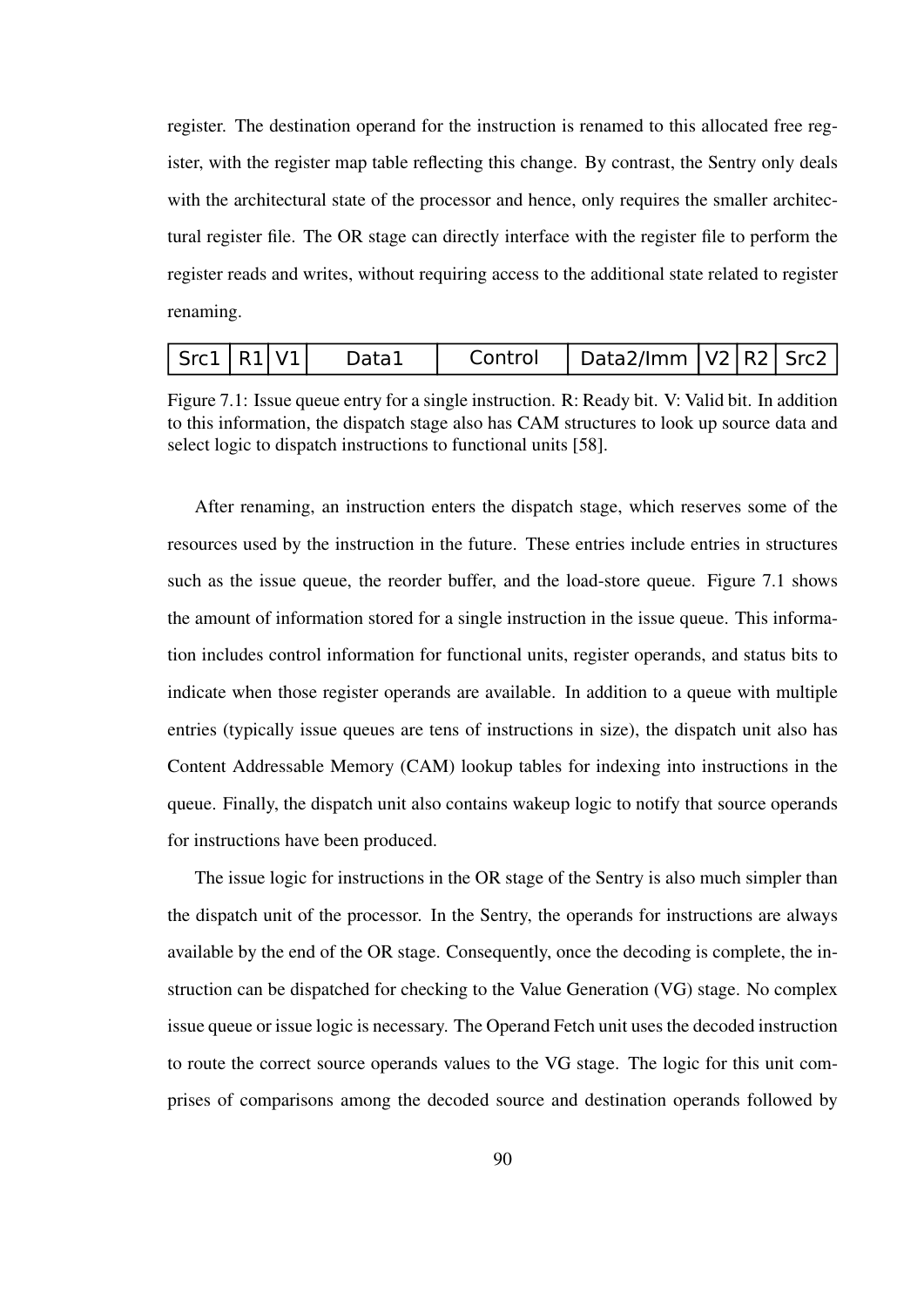register. The destination operand for the instruction is renamed to this allocated free register, with the register map table reflecting this change. By contrast, the Sentry only deals with the architectural state of the processor and hence, only requires the smaller architectural register file. The OR stage can directly interface with the register file to perform the register reads and writes, without requiring access to the additional state related to register renaming.

| Src1   R1   V1 |  |  | Data1 | Control | Data2/Imm   V2   R2   Src2 |  |  |  |
|----------------|--|--|-------|---------|----------------------------|--|--|--|
|----------------|--|--|-------|---------|----------------------------|--|--|--|

Figure 7.1: Issue queue entry for a single instruction. R: Ready bit. V: Valid bit. In addition to this information, the dispatch stage also has CAM structures to look up source data and select logic to dispatch instructions to functional units [58].

After renaming, an instruction enters the dispatch stage, which reserves some of the resources used by the instruction in the future. These entries include entries in structures such as the issue queue, the reorder buffer, and the load-store queue. Figure 7.1 shows the amount of information stored for a single instruction in the issue queue. This information includes control information for functional units, register operands, and status bits to indicate when those register operands are available. In addition to a queue with multiple entries (typically issue queues are tens of instructions in size), the dispatch unit also has Content Addressable Memory (CAM) lookup tables for indexing into instructions in the queue. Finally, the dispatch unit also contains wakeup logic to notify that source operands for instructions have been produced.

The issue logic for instructions in the OR stage of the Sentry is also much simpler than the dispatch unit of the processor. In the Sentry, the operands for instructions are always available by the end of the OR stage. Consequently, once the decoding is complete, the instruction can be dispatched for checking to the Value Generation (VG) stage. No complex issue queue or issue logic is necessary. The Operand Fetch unit uses the decoded instruction to route the correct source operands values to the VG stage. The logic for this unit comprises of comparisons among the decoded source and destination operands followed by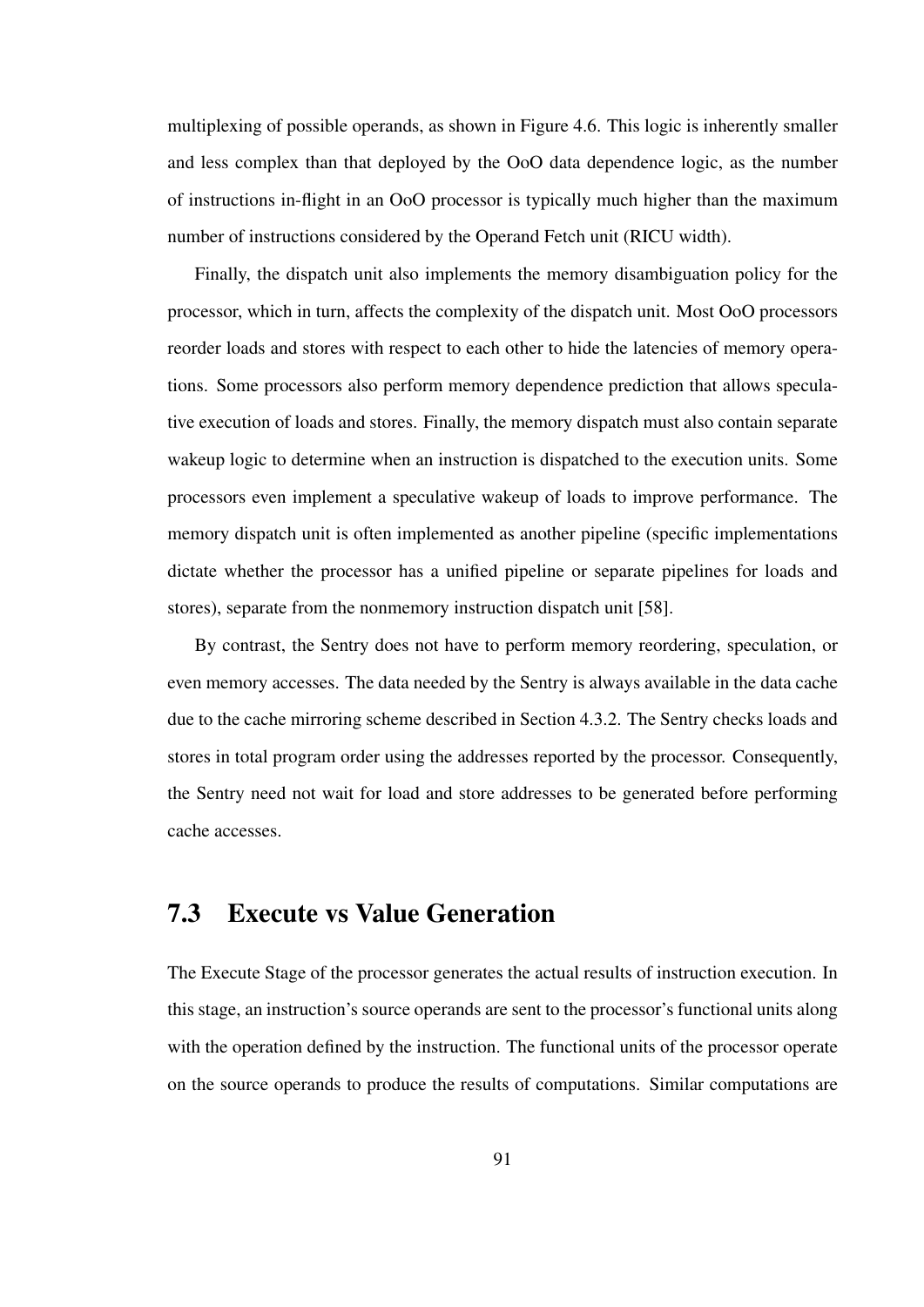multiplexing of possible operands, as shown in Figure 4.6. This logic is inherently smaller and less complex than that deployed by the OoO data dependence logic, as the number of instructions in-flight in an OoO processor is typically much higher than the maximum number of instructions considered by the Operand Fetch unit (RICU width).

Finally, the dispatch unit also implements the memory disambiguation policy for the processor, which in turn, affects the complexity of the dispatch unit. Most OoO processors reorder loads and stores with respect to each other to hide the latencies of memory operations. Some processors also perform memory dependence prediction that allows speculative execution of loads and stores. Finally, the memory dispatch must also contain separate wakeup logic to determine when an instruction is dispatched to the execution units. Some processors even implement a speculative wakeup of loads to improve performance. The memory dispatch unit is often implemented as another pipeline (specific implementations dictate whether the processor has a unified pipeline or separate pipelines for loads and stores), separate from the nonmemory instruction dispatch unit [58].

By contrast, the Sentry does not have to perform memory reordering, speculation, or even memory accesses. The data needed by the Sentry is always available in the data cache due to the cache mirroring scheme described in Section 4.3.2. The Sentry checks loads and stores in total program order using the addresses reported by the processor. Consequently, the Sentry need not wait for load and store addresses to be generated before performing cache accesses.

### 7.3 Execute vs Value Generation

The Execute Stage of the processor generates the actual results of instruction execution. In this stage, an instruction's source operands are sent to the processor's functional units along with the operation defined by the instruction. The functional units of the processor operate on the source operands to produce the results of computations. Similar computations are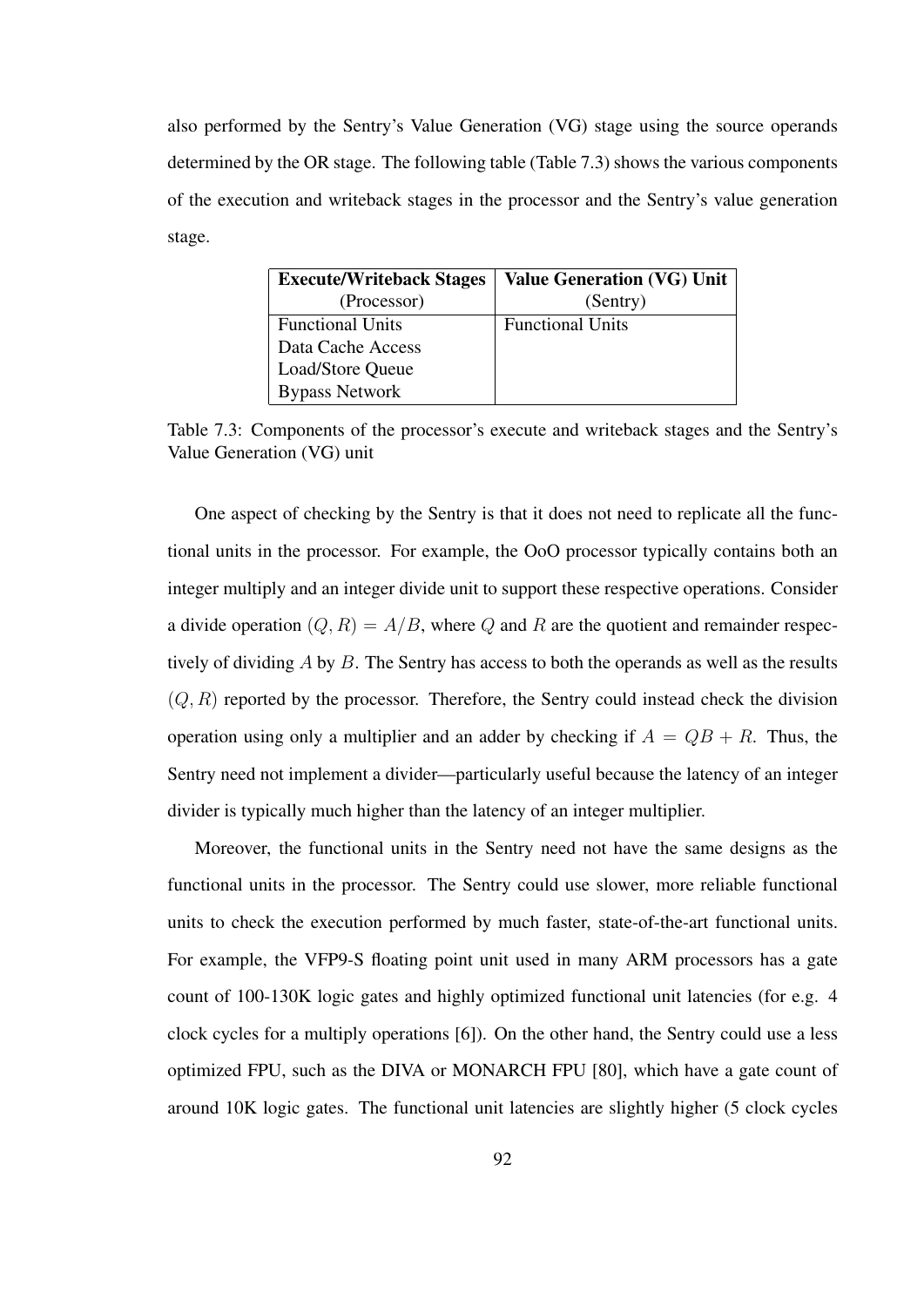also performed by the Sentry's Value Generation (VG) stage using the source operands determined by the OR stage. The following table (Table 7.3) shows the various components of the execution and writeback stages in the processor and the Sentry's value generation stage.

| <b>Execute/Writeback Stages</b> | <b>Value Generation (VG) Unit</b> |
|---------------------------------|-----------------------------------|
| (Processor)                     | (Sentry)                          |
| <b>Functional Units</b>         | <b>Functional Units</b>           |
| Data Cache Access               |                                   |
| Load/Store Queue                |                                   |
| <b>Bypass Network</b>           |                                   |

Table 7.3: Components of the processor's execute and writeback stages and the Sentry's Value Generation (VG) unit

One aspect of checking by the Sentry is that it does not need to replicate all the functional units in the processor. For example, the OoO processor typically contains both an integer multiply and an integer divide unit to support these respective operations. Consider a divide operation  $(Q, R) = A/B$ , where Q and R are the quotient and remainder respectively of dividing A by B. The Sentry has access to both the operands as well as the results  $(Q, R)$  reported by the processor. Therefore, the Sentry could instead check the division operation using only a multiplier and an adder by checking if  $A = QB + R$ . Thus, the Sentry need not implement a divider—particularly useful because the latency of an integer divider is typically much higher than the latency of an integer multiplier.

Moreover, the functional units in the Sentry need not have the same designs as the functional units in the processor. The Sentry could use slower, more reliable functional units to check the execution performed by much faster, state-of-the-art functional units. For example, the VFP9-S floating point unit used in many ARM processors has a gate count of 100-130K logic gates and highly optimized functional unit latencies (for e.g. 4 clock cycles for a multiply operations [6]). On the other hand, the Sentry could use a less optimized FPU, such as the DIVA or MONARCH FPU [80], which have a gate count of around 10K logic gates. The functional unit latencies are slightly higher (5 clock cycles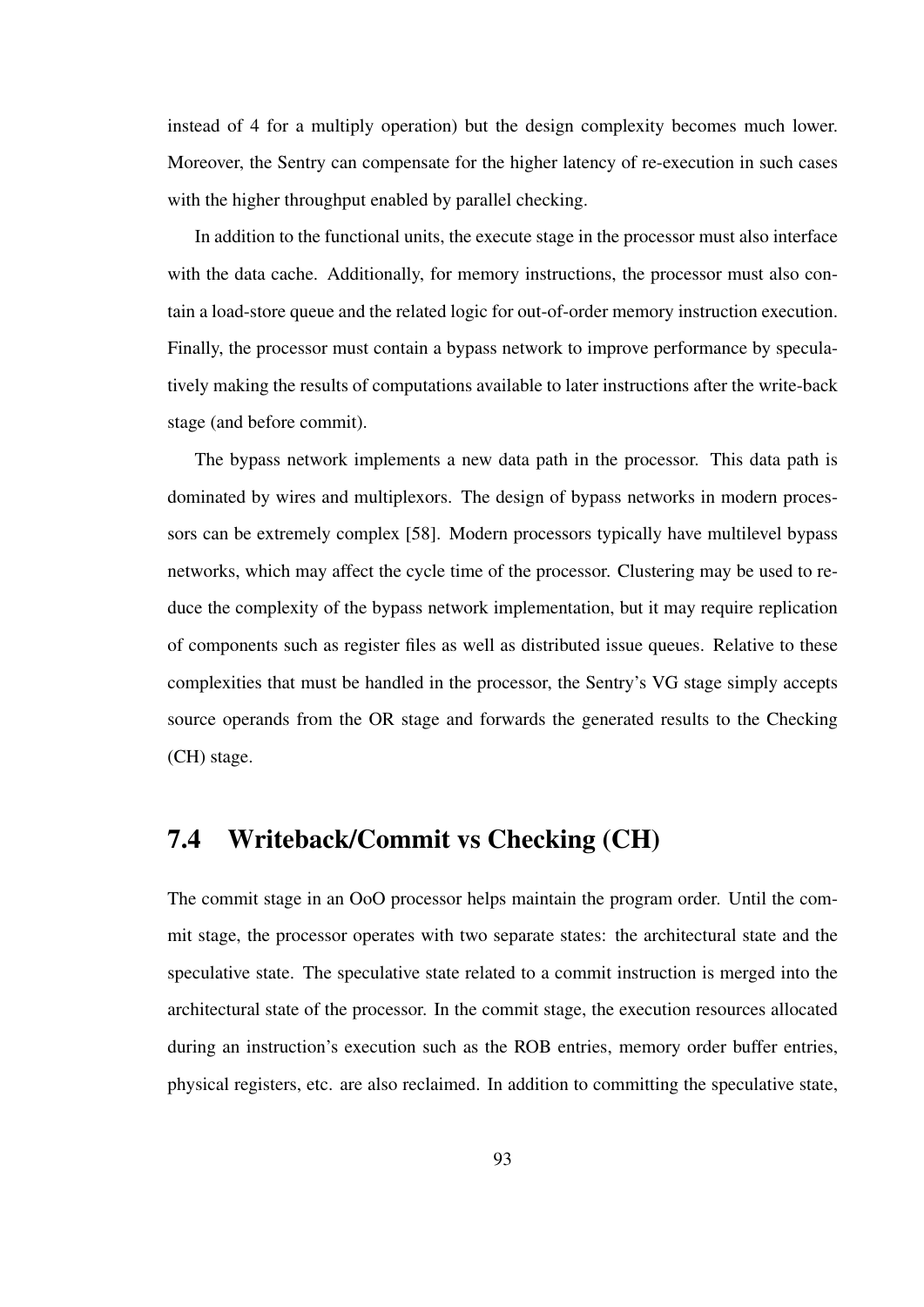instead of 4 for a multiply operation) but the design complexity becomes much lower. Moreover, the Sentry can compensate for the higher latency of re-execution in such cases with the higher throughput enabled by parallel checking.

In addition to the functional units, the execute stage in the processor must also interface with the data cache. Additionally, for memory instructions, the processor must also contain a load-store queue and the related logic for out-of-order memory instruction execution. Finally, the processor must contain a bypass network to improve performance by speculatively making the results of computations available to later instructions after the write-back stage (and before commit).

The bypass network implements a new data path in the processor. This data path is dominated by wires and multiplexors. The design of bypass networks in modern processors can be extremely complex [58]. Modern processors typically have multilevel bypass networks, which may affect the cycle time of the processor. Clustering may be used to reduce the complexity of the bypass network implementation, but it may require replication of components such as register files as well as distributed issue queues. Relative to these complexities that must be handled in the processor, the Sentry's VG stage simply accepts source operands from the OR stage and forwards the generated results to the Checking (CH) stage.

### 7.4 Writeback/Commit vs Checking (CH)

The commit stage in an OoO processor helps maintain the program order. Until the commit stage, the processor operates with two separate states: the architectural state and the speculative state. The speculative state related to a commit instruction is merged into the architectural state of the processor. In the commit stage, the execution resources allocated during an instruction's execution such as the ROB entries, memory order buffer entries, physical registers, etc. are also reclaimed. In addition to committing the speculative state,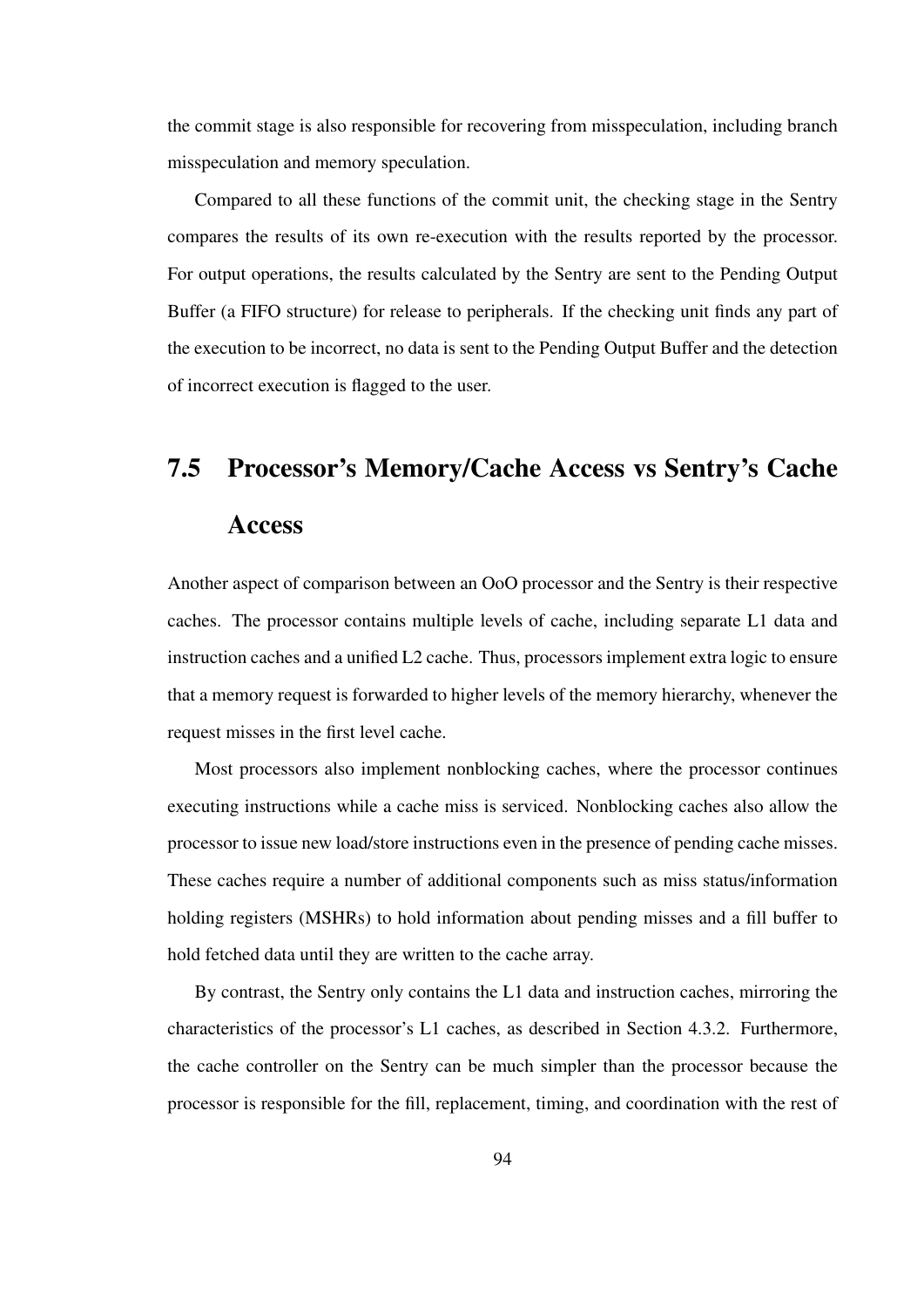the commit stage is also responsible for recovering from misspeculation, including branch misspeculation and memory speculation.

Compared to all these functions of the commit unit, the checking stage in the Sentry compares the results of its own re-execution with the results reported by the processor. For output operations, the results calculated by the Sentry are sent to the Pending Output Buffer (a FIFO structure) for release to peripherals. If the checking unit finds any part of the execution to be incorrect, no data is sent to the Pending Output Buffer and the detection of incorrect execution is flagged to the user.

# 7.5 Processor's Memory/Cache Access vs Sentry's Cache

#### **Access**

Another aspect of comparison between an OoO processor and the Sentry is their respective caches. The processor contains multiple levels of cache, including separate L1 data and instruction caches and a unified L2 cache. Thus, processors implement extra logic to ensure that a memory request is forwarded to higher levels of the memory hierarchy, whenever the request misses in the first level cache.

Most processors also implement nonblocking caches, where the processor continues executing instructions while a cache miss is serviced. Nonblocking caches also allow the processor to issue new load/store instructions even in the presence of pending cache misses. These caches require a number of additional components such as miss status/information holding registers (MSHRs) to hold information about pending misses and a fill buffer to hold fetched data until they are written to the cache array.

By contrast, the Sentry only contains the L1 data and instruction caches, mirroring the characteristics of the processor's L1 caches, as described in Section 4.3.2. Furthermore, the cache controller on the Sentry can be much simpler than the processor because the processor is responsible for the fill, replacement, timing, and coordination with the rest of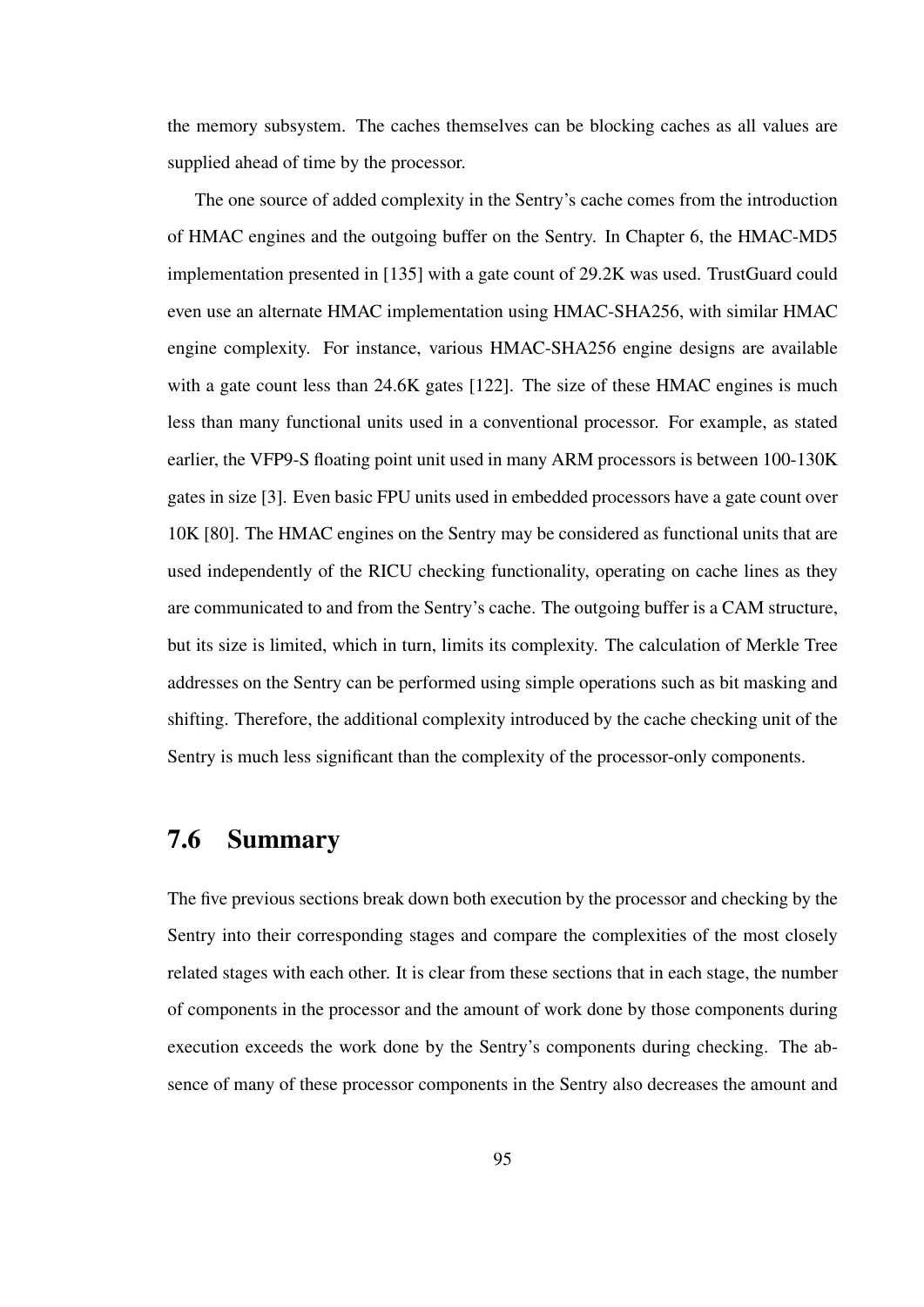the memory subsystem. The caches themselves can be blocking caches as all values are supplied ahead of time by the processor.

The one source of added complexity in the Sentry's cache comes from the introduction of HMAC engines and the outgoing buffer on the Sentry. In Chapter 6, the HMAC-MD5 implementation presented in [135] with a gate count of 29.2K was used. TrustGuard could even use an alternate HMAC implementation using HMAC-SHA256, with similar HMAC engine complexity. For instance, various HMAC-SHA256 engine designs are available with a gate count less than 24.6K gates [122]. The size of these HMAC engines is much less than many functional units used in a conventional processor. For example, as stated earlier, the VFP9-S floating point unit used in many ARM processors is between 100-130K gates in size [3]. Even basic FPU units used in embedded processors have a gate count over 10K [80]. The HMAC engines on the Sentry may be considered as functional units that are used independently of the RICU checking functionality, operating on cache lines as they are communicated to and from the Sentry's cache. The outgoing buffer is a CAM structure, but its size is limited, which in turn, limits its complexity. The calculation of Merkle Tree addresses on the Sentry can be performed using simple operations such as bit masking and shifting. Therefore, the additional complexity introduced by the cache checking unit of the Sentry is much less significant than the complexity of the processor-only components.

#### 7.6 Summary

The five previous sections break down both execution by the processor and checking by the Sentry into their corresponding stages and compare the complexities of the most closely related stages with each other. It is clear from these sections that in each stage, the number of components in the processor and the amount of work done by those components during execution exceeds the work done by the Sentry's components during checking. The absence of many of these processor components in the Sentry also decreases the amount and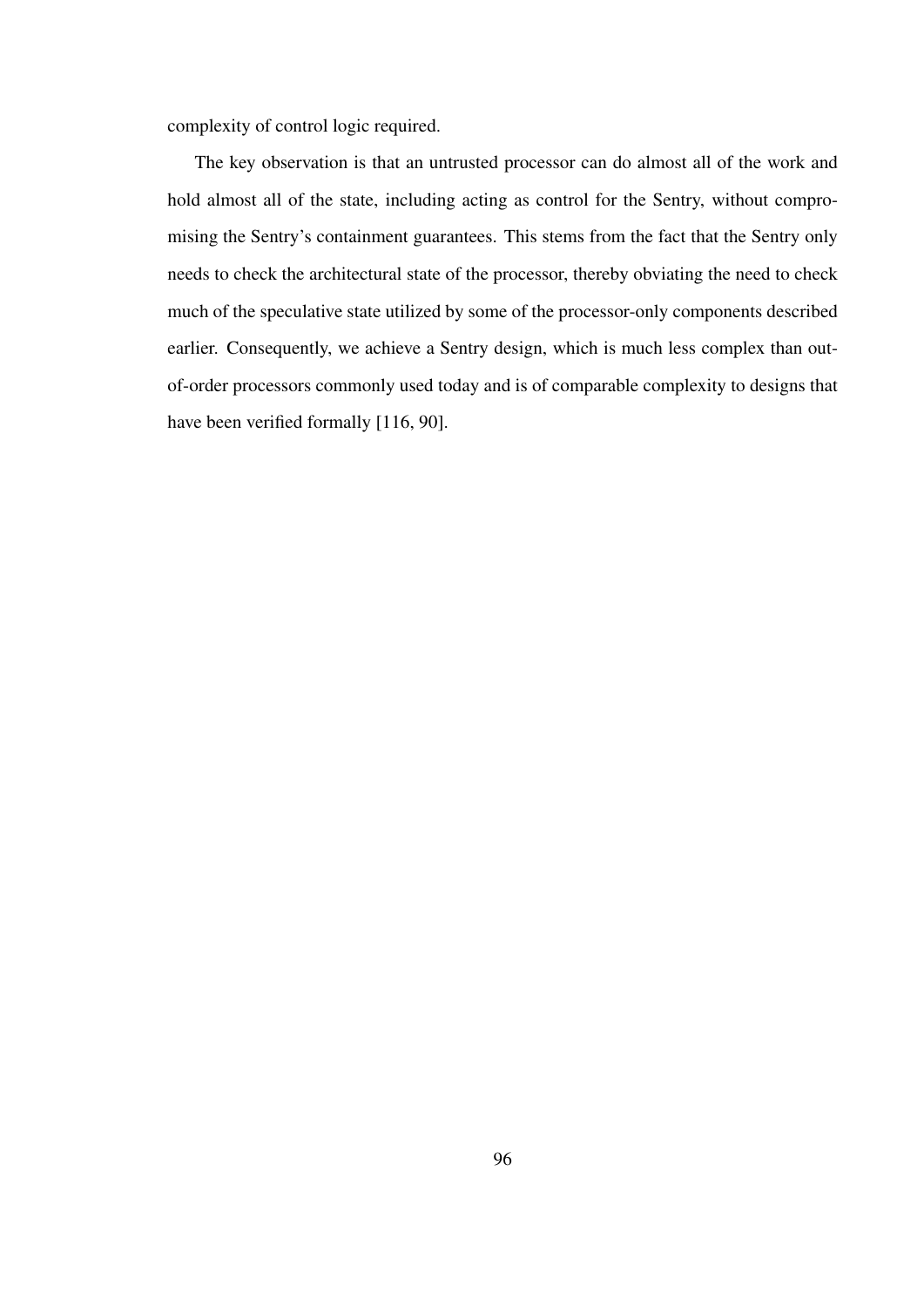complexity of control logic required.

The key observation is that an untrusted processor can do almost all of the work and hold almost all of the state, including acting as control for the Sentry, without compromising the Sentry's containment guarantees. This stems from the fact that the Sentry only needs to check the architectural state of the processor, thereby obviating the need to check much of the speculative state utilized by some of the processor-only components described earlier. Consequently, we achieve a Sentry design, which is much less complex than outof-order processors commonly used today and is of comparable complexity to designs that have been verified formally [116, 90].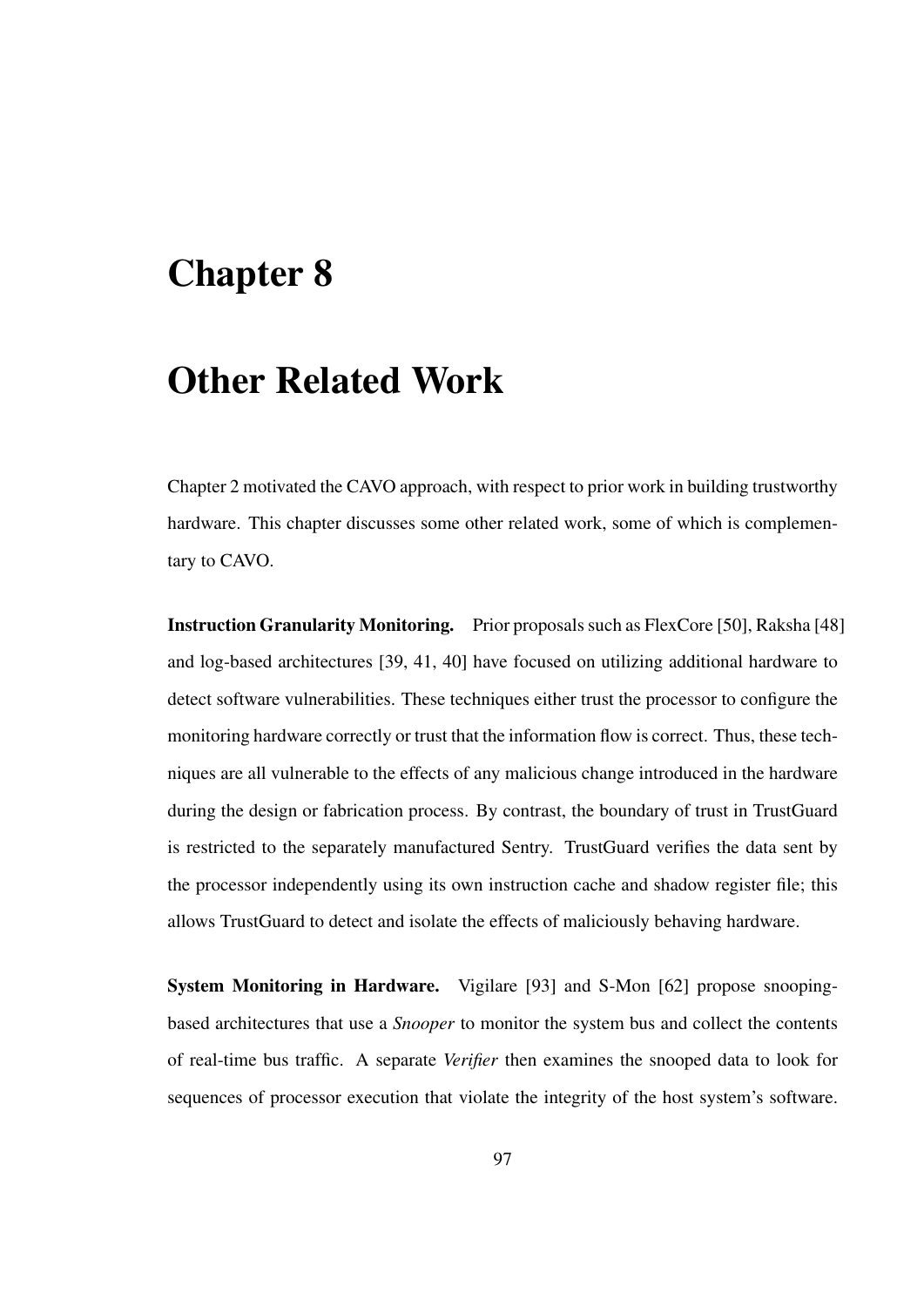# Chapter 8

### Other Related Work

Chapter 2 motivated the CAVO approach, with respect to prior work in building trustworthy hardware. This chapter discusses some other related work, some of which is complementary to CAVO.

Instruction Granularity Monitoring. Prior proposals such as FlexCore [50], Raksha [48] and log-based architectures [39, 41, 40] have focused on utilizing additional hardware to detect software vulnerabilities. These techniques either trust the processor to configure the monitoring hardware correctly or trust that the information flow is correct. Thus, these techniques are all vulnerable to the effects of any malicious change introduced in the hardware during the design or fabrication process. By contrast, the boundary of trust in TrustGuard is restricted to the separately manufactured Sentry. TrustGuard verifies the data sent by the processor independently using its own instruction cache and shadow register file; this allows TrustGuard to detect and isolate the effects of maliciously behaving hardware.

System Monitoring in Hardware. Vigilare [93] and S-Mon [62] propose snoopingbased architectures that use a *Snooper* to monitor the system bus and collect the contents of real-time bus traffic. A separate *Verifier* then examines the snooped data to look for sequences of processor execution that violate the integrity of the host system's software.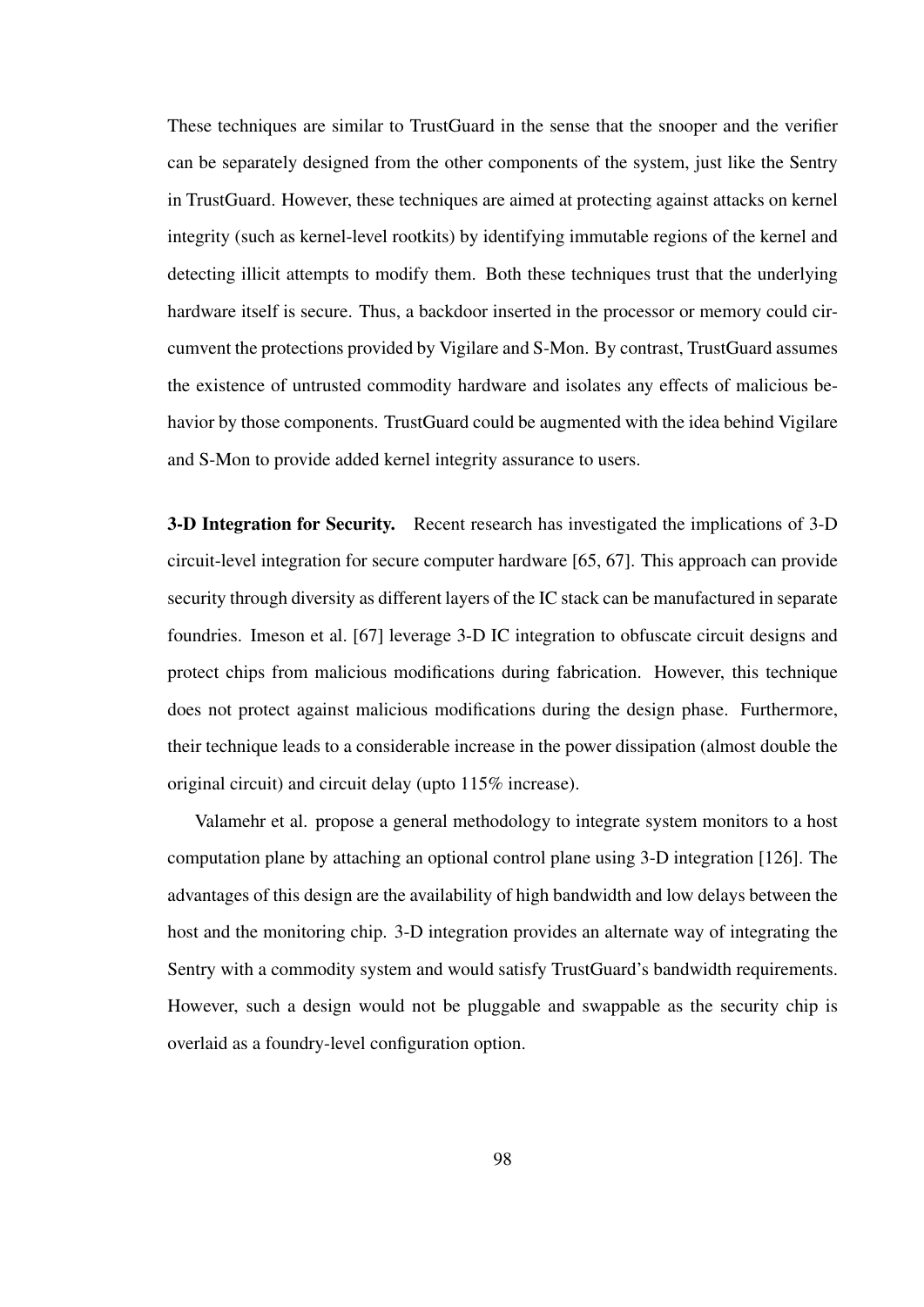These techniques are similar to TrustGuard in the sense that the snooper and the verifier can be separately designed from the other components of the system, just like the Sentry in TrustGuard. However, these techniques are aimed at protecting against attacks on kernel integrity (such as kernel-level rootkits) by identifying immutable regions of the kernel and detecting illicit attempts to modify them. Both these techniques trust that the underlying hardware itself is secure. Thus, a backdoor inserted in the processor or memory could circumvent the protections provided by Vigilare and S-Mon. By contrast, TrustGuard assumes the existence of untrusted commodity hardware and isolates any effects of malicious behavior by those components. TrustGuard could be augmented with the idea behind Vigilare and S-Mon to provide added kernel integrity assurance to users.

3-D Integration for Security. Recent research has investigated the implications of 3-D circuit-level integration for secure computer hardware [65, 67]. This approach can provide security through diversity as different layers of the IC stack can be manufactured in separate foundries. Imeson et al. [67] leverage 3-D IC integration to obfuscate circuit designs and protect chips from malicious modifications during fabrication. However, this technique does not protect against malicious modifications during the design phase. Furthermore, their technique leads to a considerable increase in the power dissipation (almost double the original circuit) and circuit delay (upto 115% increase).

Valamehr et al. propose a general methodology to integrate system monitors to a host computation plane by attaching an optional control plane using 3-D integration [126]. The advantages of this design are the availability of high bandwidth and low delays between the host and the monitoring chip. 3-D integration provides an alternate way of integrating the Sentry with a commodity system and would satisfy TrustGuard's bandwidth requirements. However, such a design would not be pluggable and swappable as the security chip is overlaid as a foundry-level configuration option.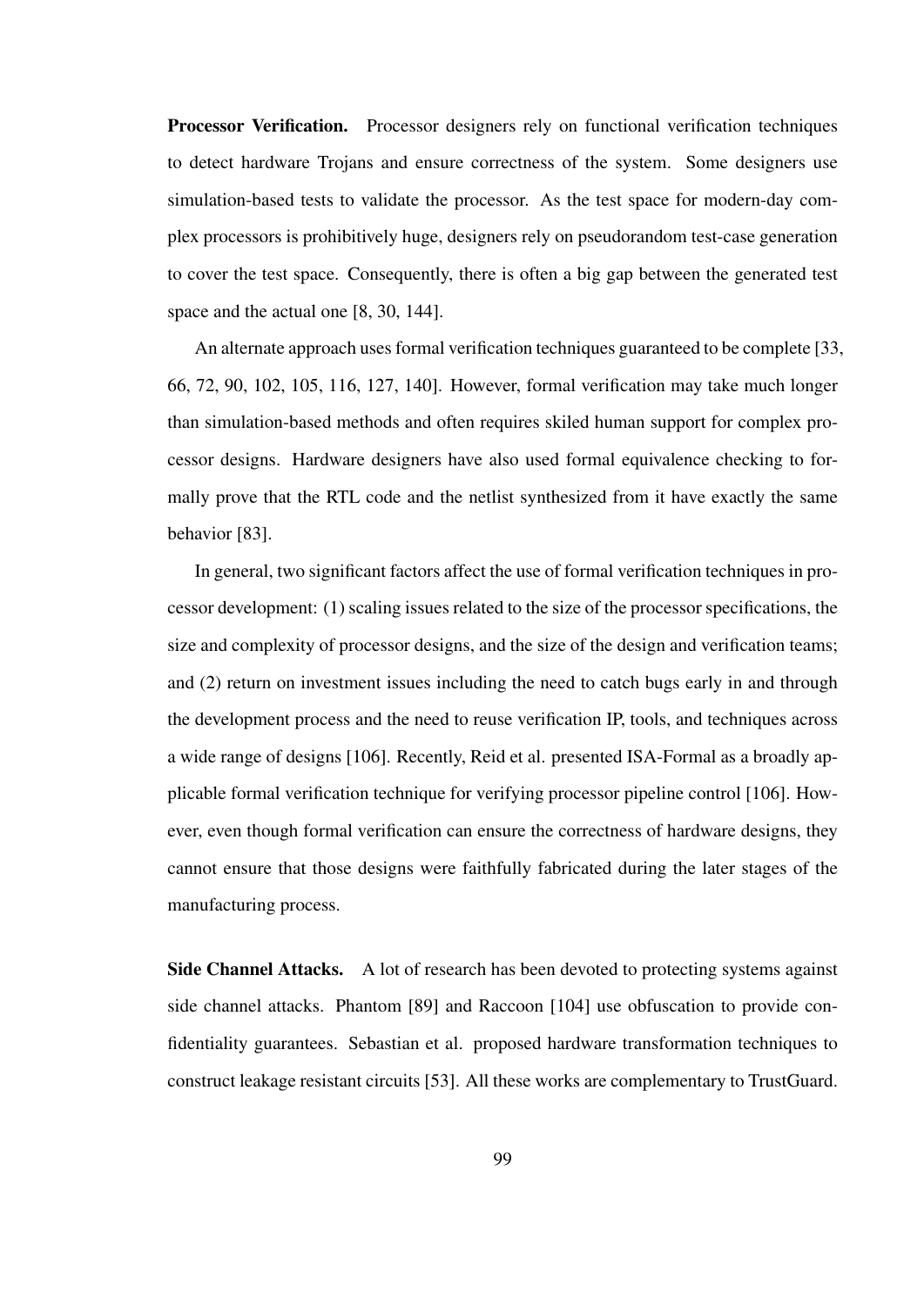Processor Verification. Processor designers rely on functional verification techniques to detect hardware Trojans and ensure correctness of the system. Some designers use simulation-based tests to validate the processor. As the test space for modern-day complex processors is prohibitively huge, designers rely on pseudorandom test-case generation to cover the test space. Consequently, there is often a big gap between the generated test space and the actual one [8, 30, 144].

An alternate approach uses formal verification techniques guaranteed to be complete [33, 66, 72, 90, 102, 105, 116, 127, 140]. However, formal verification may take much longer than simulation-based methods and often requires skiled human support for complex processor designs. Hardware designers have also used formal equivalence checking to formally prove that the RTL code and the netlist synthesized from it have exactly the same behavior [83].

In general, two significant factors affect the use of formal verification techniques in processor development: (1) scaling issues related to the size of the processor specifications, the size and complexity of processor designs, and the size of the design and verification teams; and (2) return on investment issues including the need to catch bugs early in and through the development process and the need to reuse verification IP, tools, and techniques across a wide range of designs [106]. Recently, Reid et al. presented ISA-Formal as a broadly applicable formal verification technique for verifying processor pipeline control [106]. However, even though formal verification can ensure the correctness of hardware designs, they cannot ensure that those designs were faithfully fabricated during the later stages of the manufacturing process.

Side Channel Attacks. A lot of research has been devoted to protecting systems against side channel attacks. Phantom [89] and Raccoon [104] use obfuscation to provide confidentiality guarantees. Sebastian et al. proposed hardware transformation techniques to construct leakage resistant circuits [53]. All these works are complementary to TrustGuard.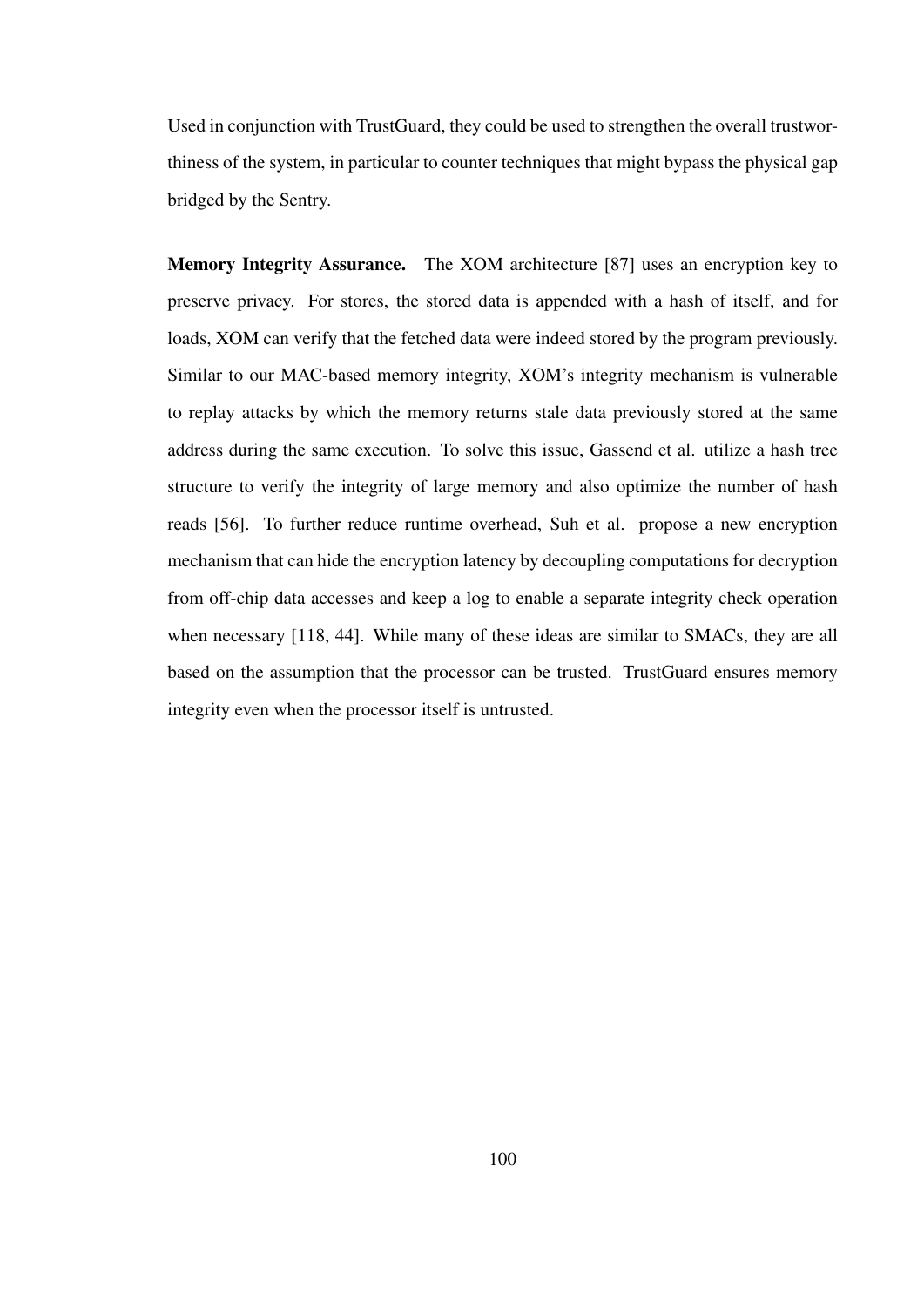Used in conjunction with TrustGuard, they could be used to strengthen the overall trustworthiness of the system, in particular to counter techniques that might bypass the physical gap bridged by the Sentry.

Memory Integrity Assurance. The XOM architecture [87] uses an encryption key to preserve privacy. For stores, the stored data is appended with a hash of itself, and for loads, XOM can verify that the fetched data were indeed stored by the program previously. Similar to our MAC-based memory integrity, XOM's integrity mechanism is vulnerable to replay attacks by which the memory returns stale data previously stored at the same address during the same execution. To solve this issue, Gassend et al. utilize a hash tree structure to verify the integrity of large memory and also optimize the number of hash reads [56]. To further reduce runtime overhead, Suh et al. propose a new encryption mechanism that can hide the encryption latency by decoupling computations for decryption from off-chip data accesses and keep a log to enable a separate integrity check operation when necessary [118, 44]. While many of these ideas are similar to SMACs, they are all based on the assumption that the processor can be trusted. TrustGuard ensures memory integrity even when the processor itself is untrusted.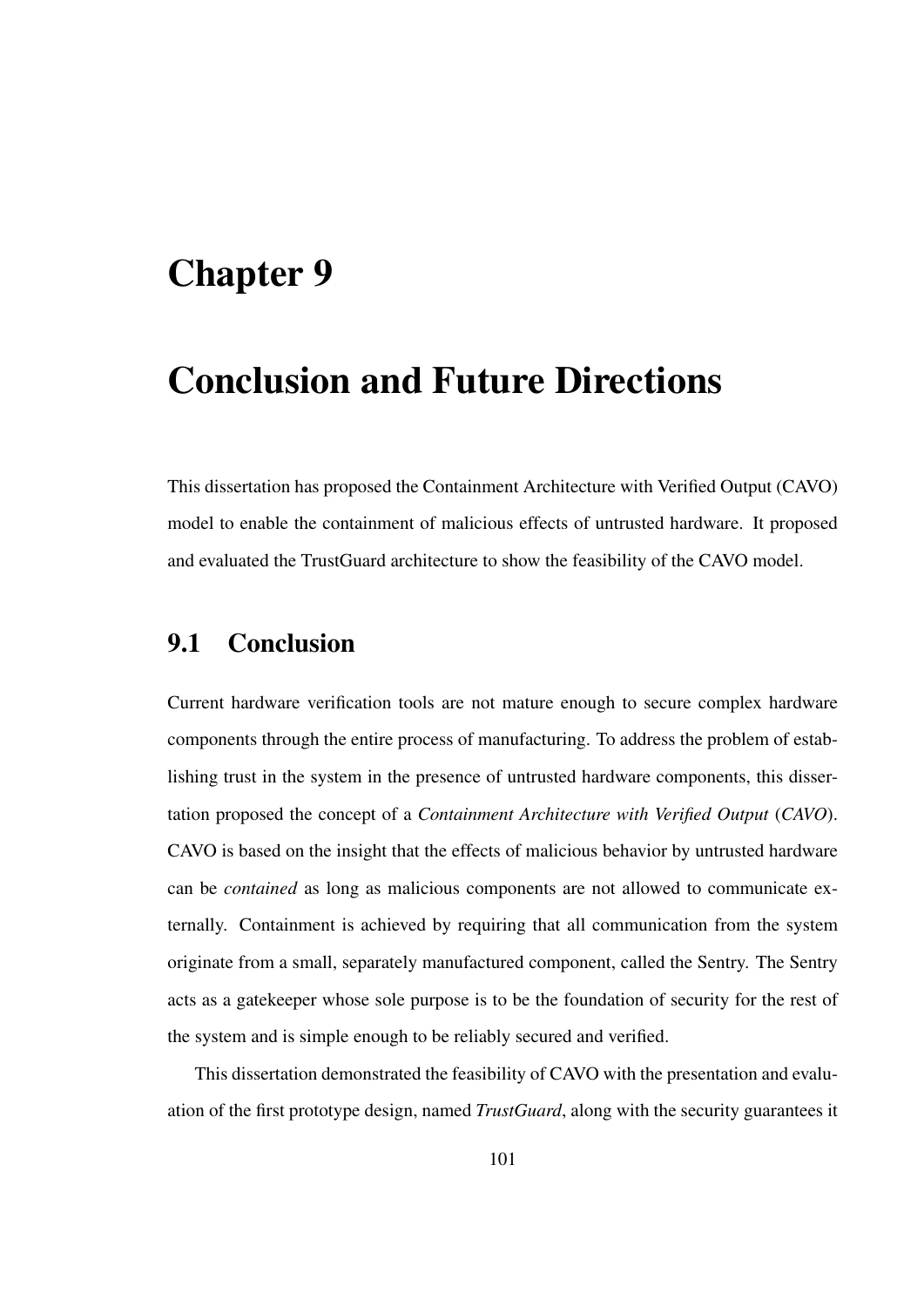### Chapter 9

# Conclusion and Future Directions

This dissertation has proposed the Containment Architecture with Verified Output (CAVO) model to enable the containment of malicious effects of untrusted hardware. It proposed and evaluated the TrustGuard architecture to show the feasibility of the CAVO model.

### 9.1 Conclusion

Current hardware verification tools are not mature enough to secure complex hardware components through the entire process of manufacturing. To address the problem of establishing trust in the system in the presence of untrusted hardware components, this dissertation proposed the concept of a *Containment Architecture with Verified Output* (*CAVO*). CAVO is based on the insight that the effects of malicious behavior by untrusted hardware can be *contained* as long as malicious components are not allowed to communicate externally. Containment is achieved by requiring that all communication from the system originate from a small, separately manufactured component, called the Sentry. The Sentry acts as a gatekeeper whose sole purpose is to be the foundation of security for the rest of the system and is simple enough to be reliably secured and verified.

This dissertation demonstrated the feasibility of CAVO with the presentation and evaluation of the first prototype design, named *TrustGuard*, along with the security guarantees it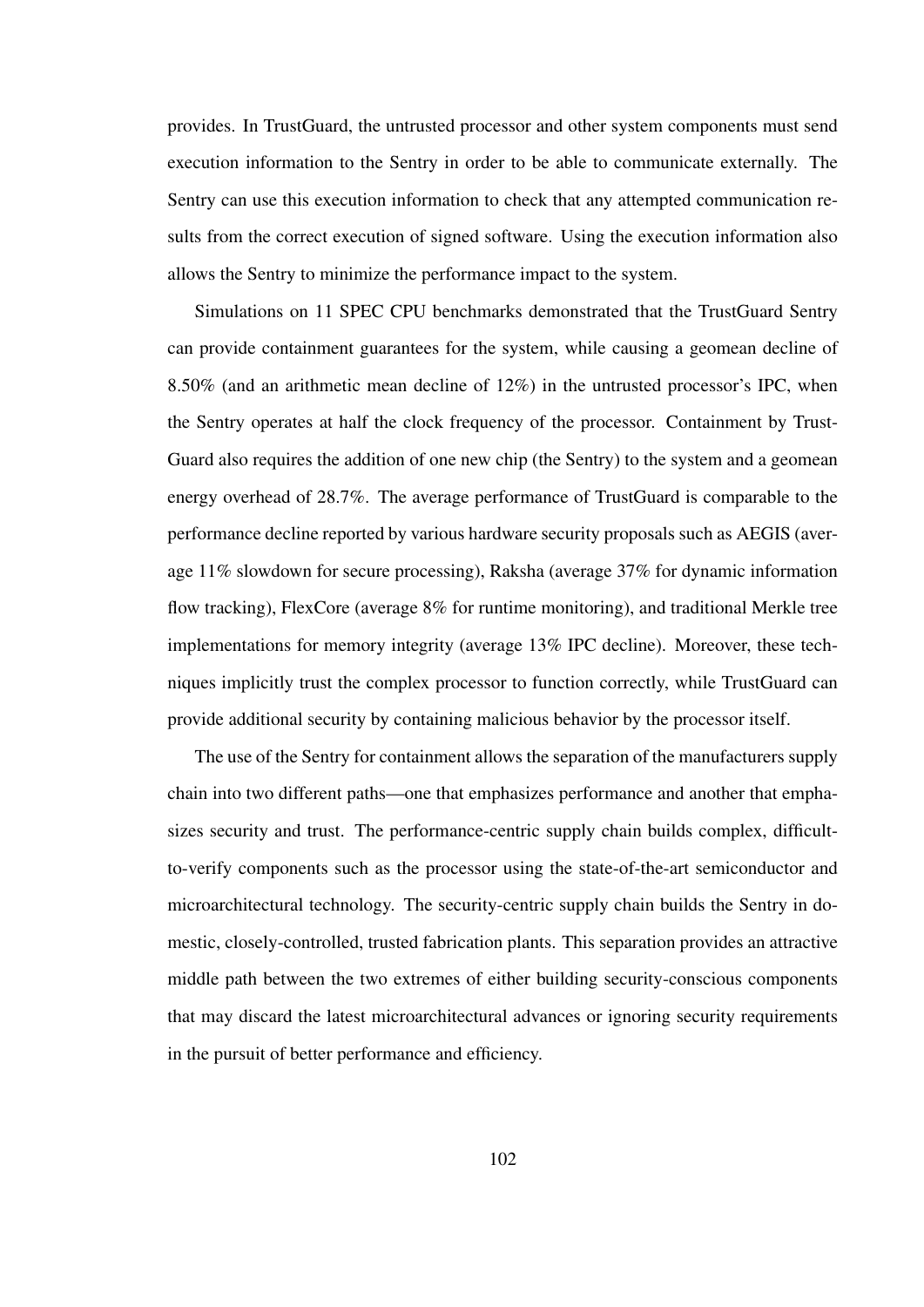provides. In TrustGuard, the untrusted processor and other system components must send execution information to the Sentry in order to be able to communicate externally. The Sentry can use this execution information to check that any attempted communication results from the correct execution of signed software. Using the execution information also allows the Sentry to minimize the performance impact to the system.

Simulations on 11 SPEC CPU benchmarks demonstrated that the TrustGuard Sentry can provide containment guarantees for the system, while causing a geomean decline of 8.50% (and an arithmetic mean decline of 12%) in the untrusted processor's IPC, when the Sentry operates at half the clock frequency of the processor. Containment by Trust-Guard also requires the addition of one new chip (the Sentry) to the system and a geomean energy overhead of 28.7%. The average performance of TrustGuard is comparable to the performance decline reported by various hardware security proposals such as AEGIS (average 11% slowdown for secure processing), Raksha (average 37% for dynamic information flow tracking), FlexCore (average 8% for runtime monitoring), and traditional Merkle tree implementations for memory integrity (average 13% IPC decline). Moreover, these techniques implicitly trust the complex processor to function correctly, while TrustGuard can provide additional security by containing malicious behavior by the processor itself.

The use of the Sentry for containment allows the separation of the manufacturers supply chain into two different paths—one that emphasizes performance and another that emphasizes security and trust. The performance-centric supply chain builds complex, difficultto-verify components such as the processor using the state-of-the-art semiconductor and microarchitectural technology. The security-centric supply chain builds the Sentry in domestic, closely-controlled, trusted fabrication plants. This separation provides an attractive middle path between the two extremes of either building security-conscious components that may discard the latest microarchitectural advances or ignoring security requirements in the pursuit of better performance and efficiency.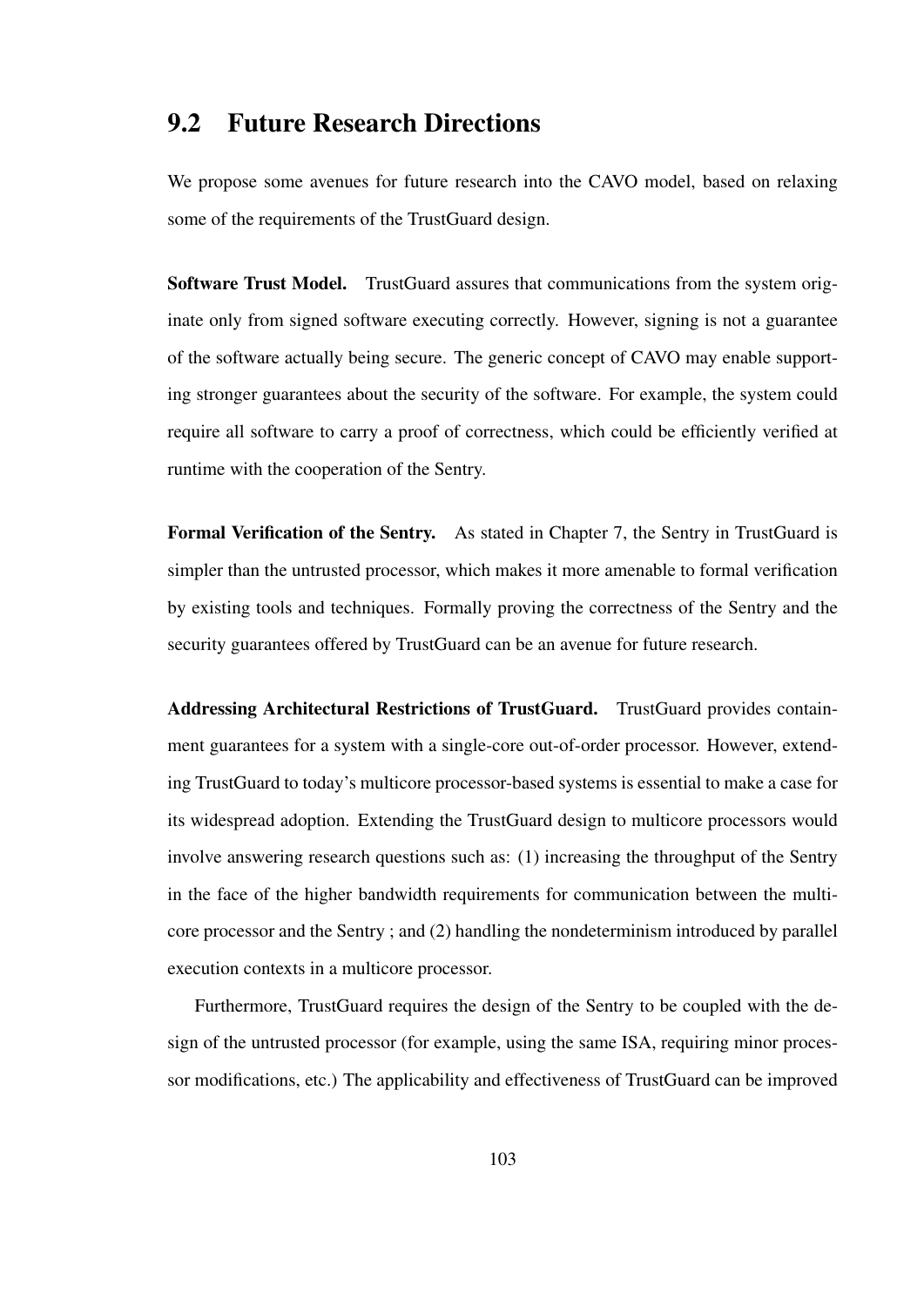### 9.2 Future Research Directions

We propose some avenues for future research into the CAVO model, based on relaxing some of the requirements of the TrustGuard design.

Software Trust Model. TrustGuard assures that communications from the system originate only from signed software executing correctly. However, signing is not a guarantee of the software actually being secure. The generic concept of CAVO may enable supporting stronger guarantees about the security of the software. For example, the system could require all software to carry a proof of correctness, which could be efficiently verified at runtime with the cooperation of the Sentry.

Formal Verification of the Sentry. As stated in Chapter 7, the Sentry in TrustGuard is simpler than the untrusted processor, which makes it more amenable to formal verification by existing tools and techniques. Formally proving the correctness of the Sentry and the security guarantees offered by TrustGuard can be an avenue for future research.

Addressing Architectural Restrictions of TrustGuard. TrustGuard provides containment guarantees for a system with a single-core out-of-order processor. However, extending TrustGuard to today's multicore processor-based systems is essential to make a case for its widespread adoption. Extending the TrustGuard design to multicore processors would involve answering research questions such as: (1) increasing the throughput of the Sentry in the face of the higher bandwidth requirements for communication between the multicore processor and the Sentry ; and (2) handling the nondeterminism introduced by parallel execution contexts in a multicore processor.

Furthermore, TrustGuard requires the design of the Sentry to be coupled with the design of the untrusted processor (for example, using the same ISA, requiring minor processor modifications, etc.) The applicability and effectiveness of TrustGuard can be improved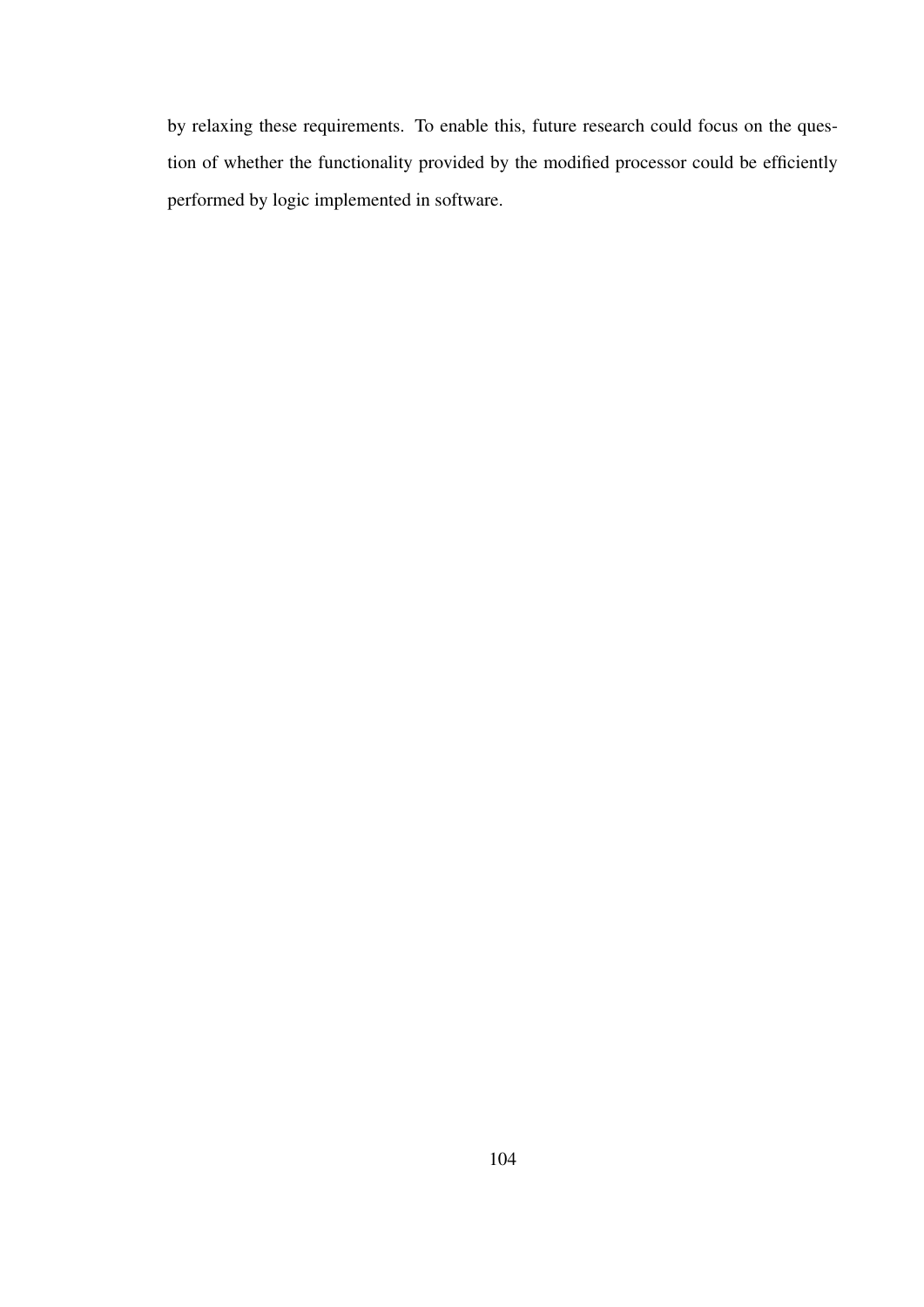by relaxing these requirements. To enable this, future research could focus on the question of whether the functionality provided by the modified processor could be efficiently performed by logic implemented in software.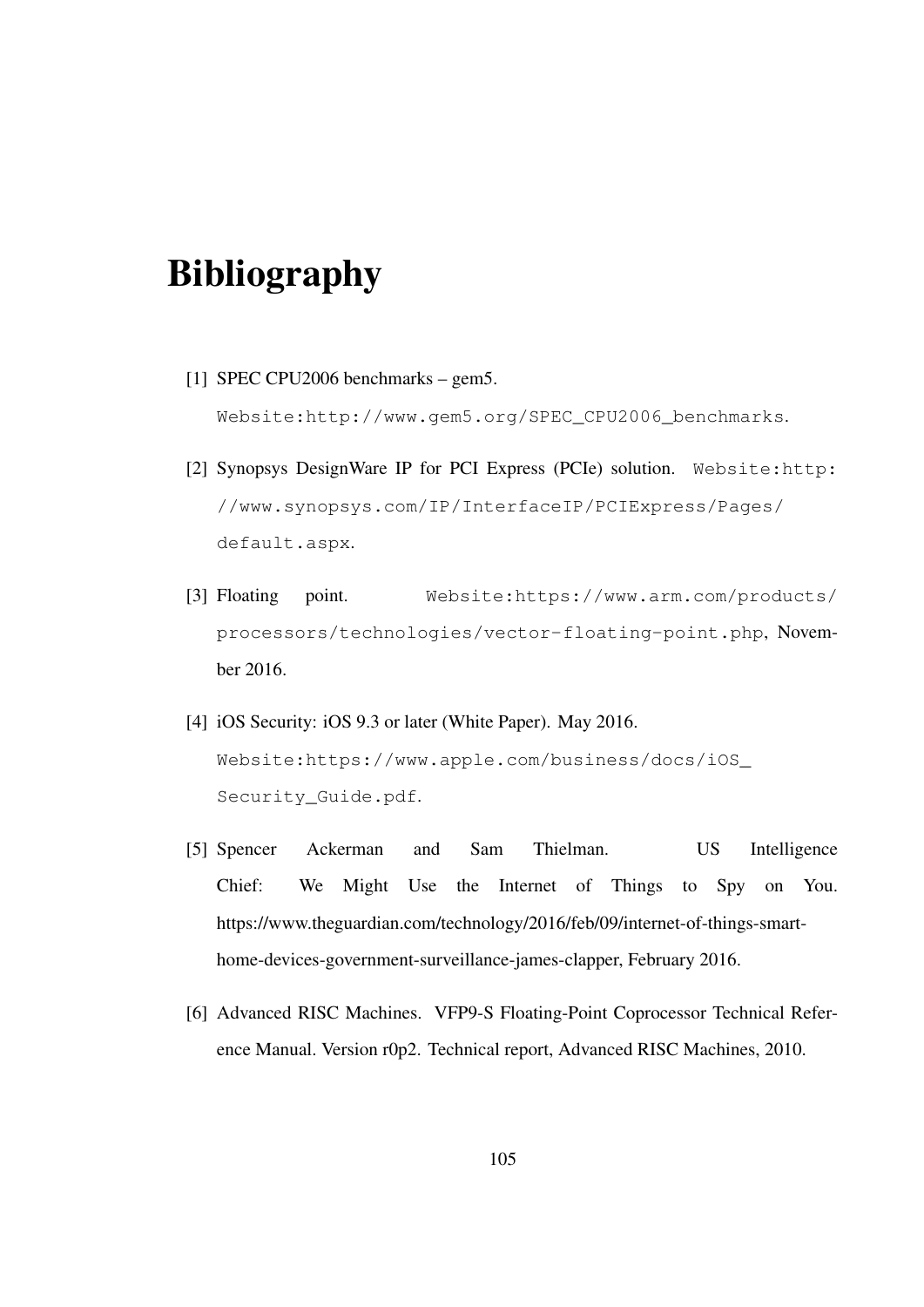# Bibliography

[1] SPEC CPU2006 benchmarks – gem5.

Website:http://www.gem5.org/SPEC\_CPU2006\_benchmarks.

- [2] Synopsys DesignWare IP for PCI Express (PCIe) solution. Website:http: //www.synopsys.com/IP/InterfaceIP/PCIExpress/Pages/ default.aspx.
- [3] Floating point. Website:https://www.arm.com/products/ processors/technologies/vector-floating-point.php, November 2016.
- [4] iOS Security: iOS 9.3 or later (White Paper). May 2016. Website:https://www.apple.com/business/docs/iOS\_ Security Guide.pdf.
- [5] Spencer Ackerman and Sam Thielman. US Intelligence Chief: We Might Use the Internet of Things to Spy on You. https://www.theguardian.com/technology/2016/feb/09/internet-of-things-smarthome-devices-government-surveillance-james-clapper, February 2016.
- [6] Advanced RISC Machines. VFP9-S Floating-Point Coprocessor Technical Reference Manual. Version r0p2. Technical report, Advanced RISC Machines, 2010.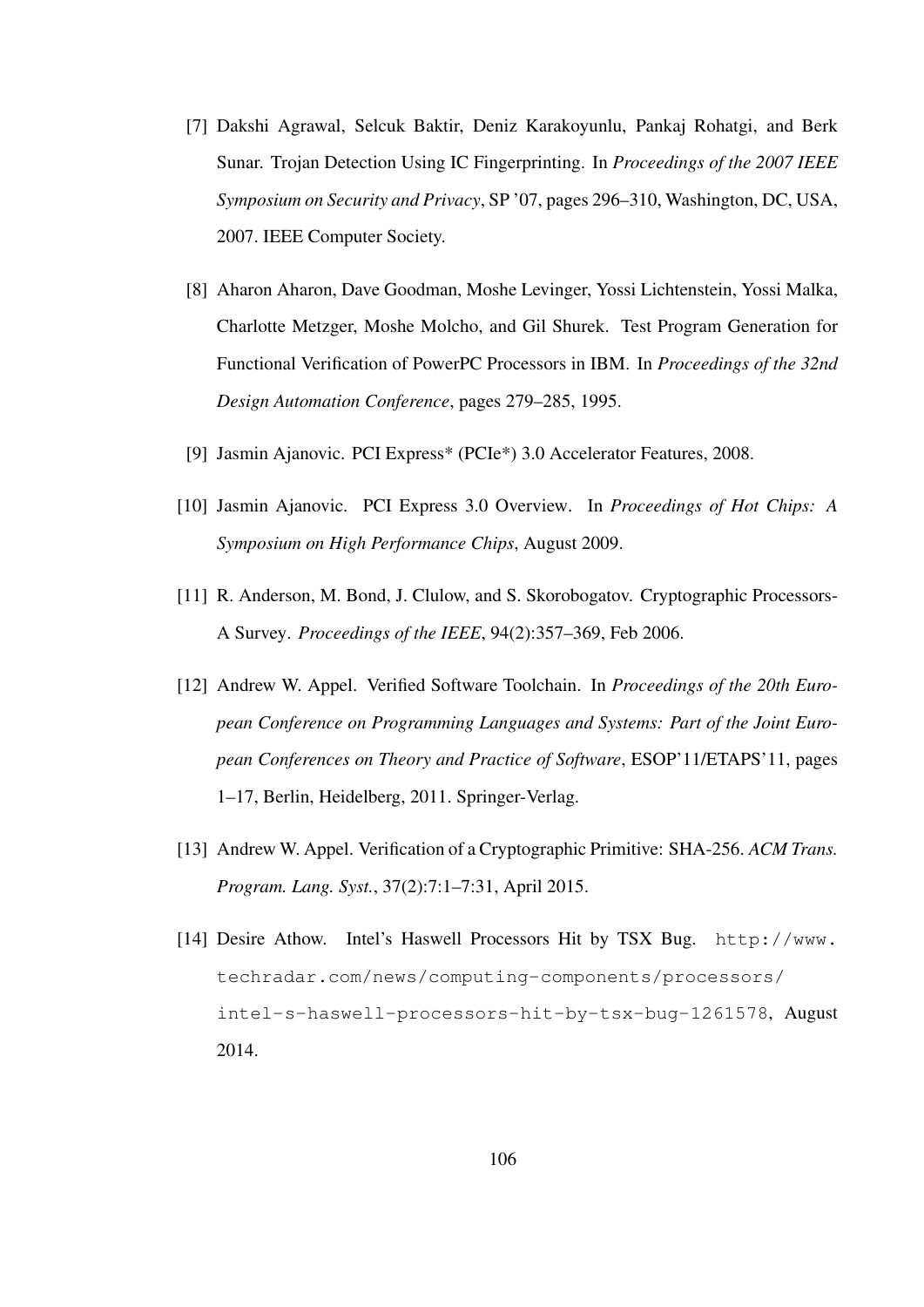- [7] Dakshi Agrawal, Selcuk Baktir, Deniz Karakoyunlu, Pankaj Rohatgi, and Berk Sunar. Trojan Detection Using IC Fingerprinting. In *Proceedings of the 2007 IEEE Symposium on Security and Privacy*, SP '07, pages 296–310, Washington, DC, USA, 2007. IEEE Computer Society.
- [8] Aharon Aharon, Dave Goodman, Moshe Levinger, Yossi Lichtenstein, Yossi Malka, Charlotte Metzger, Moshe Molcho, and Gil Shurek. Test Program Generation for Functional Verification of PowerPC Processors in IBM. In *Proceedings of the 32nd Design Automation Conference*, pages 279–285, 1995.
- [9] Jasmin Ajanovic. PCI Express\* (PCIe\*) 3.0 Accelerator Features, 2008.
- [10] Jasmin Ajanovic. PCI Express 3.0 Overview. In *Proceedings of Hot Chips: A Symposium on High Performance Chips*, August 2009.
- [11] R. Anderson, M. Bond, J. Clulow, and S. Skorobogatov. Cryptographic Processors-A Survey. *Proceedings of the IEEE*, 94(2):357–369, Feb 2006.
- [12] Andrew W. Appel. Verified Software Toolchain. In *Proceedings of the 20th European Conference on Programming Languages and Systems: Part of the Joint European Conferences on Theory and Practice of Software*, ESOP'11/ETAPS'11, pages 1–17, Berlin, Heidelberg, 2011. Springer-Verlag.
- [13] Andrew W. Appel. Verification of a Cryptographic Primitive: SHA-256. *ACM Trans. Program. Lang. Syst.*, 37(2):7:1–7:31, April 2015.
- [14] Desire Athow. Intel's Haswell Processors Hit by TSX Bug. http://www. techradar.com/news/computing-components/processors/ intel-s-haswell-processors-hit-by-tsx-bug-1261578, August 2014.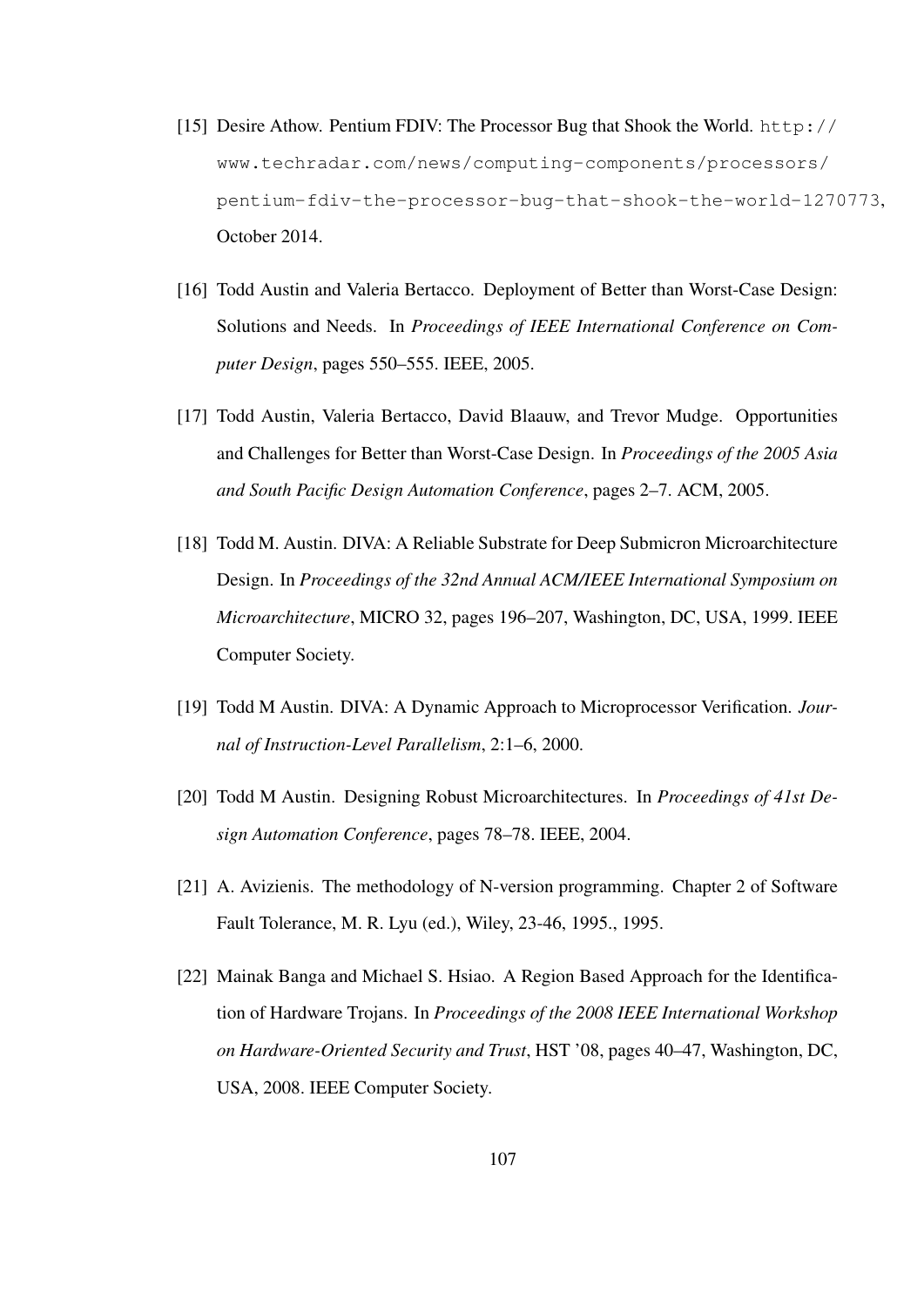- [15] Desire Athow. Pentium FDIV: The Processor Bug that Shook the World. http:// www.techradar.com/news/computing-components/processors/ pentium-fdiv-the-processor-bug-that-shook-the-world-1270773, October 2014.
- [16] Todd Austin and Valeria Bertacco. Deployment of Better than Worst-Case Design: Solutions and Needs. In *Proceedings of IEEE International Conference on Computer Design*, pages 550–555. IEEE, 2005.
- [17] Todd Austin, Valeria Bertacco, David Blaauw, and Trevor Mudge. Opportunities and Challenges for Better than Worst-Case Design. In *Proceedings of the 2005 Asia and South Pacific Design Automation Conference*, pages 2–7. ACM, 2005.
- [18] Todd M. Austin. DIVA: A Reliable Substrate for Deep Submicron Microarchitecture Design. In *Proceedings of the 32nd Annual ACM/IEEE International Symposium on Microarchitecture*, MICRO 32, pages 196–207, Washington, DC, USA, 1999. IEEE Computer Society.
- [19] Todd M Austin. DIVA: A Dynamic Approach to Microprocessor Verification. *Journal of Instruction-Level Parallelism*, 2:1–6, 2000.
- [20] Todd M Austin. Designing Robust Microarchitectures. In *Proceedings of 41st Design Automation Conference*, pages 78–78. IEEE, 2004.
- [21] A. Avizienis. The methodology of N-version programming. Chapter 2 of Software Fault Tolerance, M. R. Lyu (ed.), Wiley, 23-46, 1995., 1995.
- [22] Mainak Banga and Michael S. Hsiao. A Region Based Approach for the Identification of Hardware Trojans. In *Proceedings of the 2008 IEEE International Workshop on Hardware-Oriented Security and Trust*, HST '08, pages 40–47, Washington, DC, USA, 2008. IEEE Computer Society.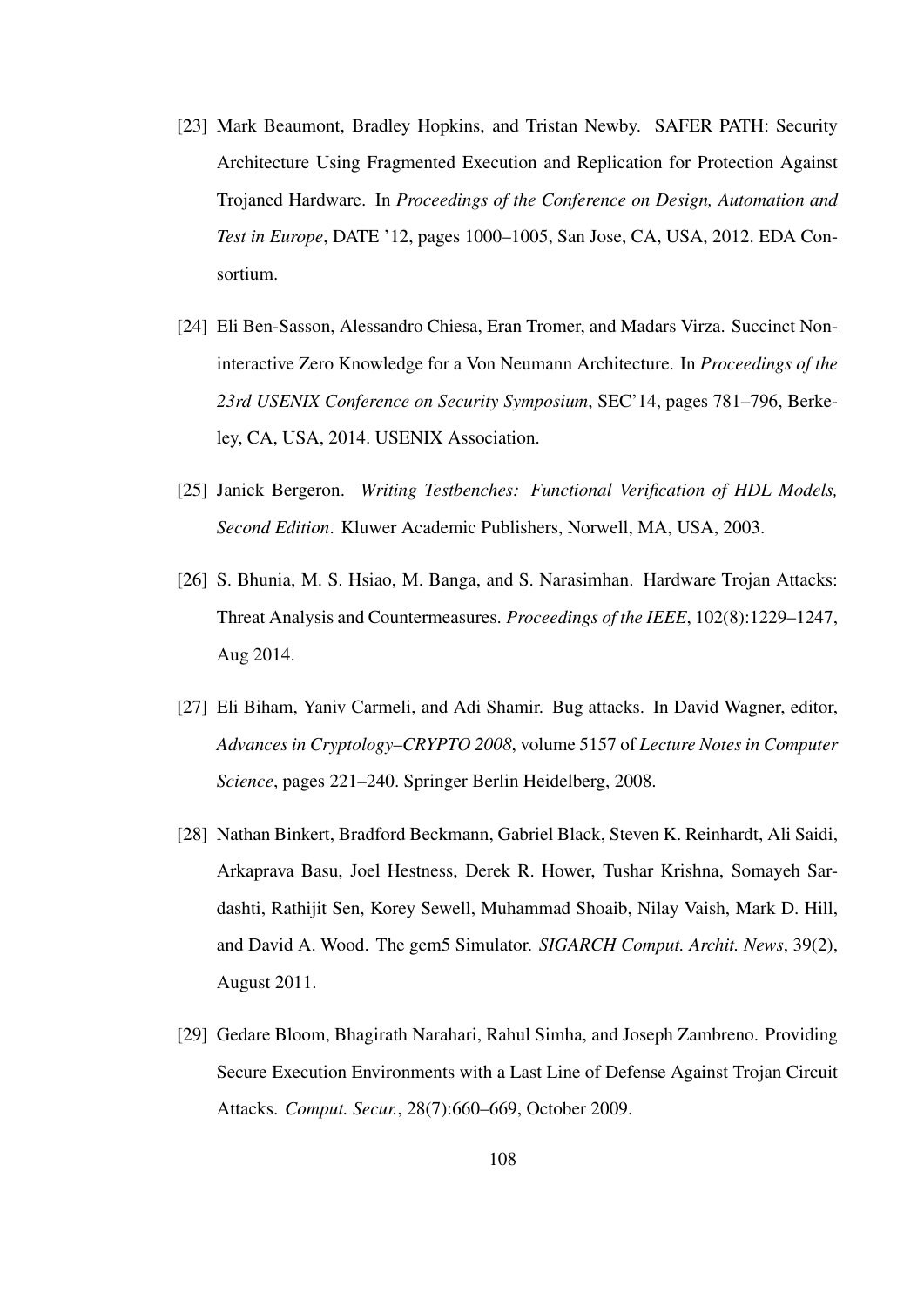- [23] Mark Beaumont, Bradley Hopkins, and Tristan Newby. SAFER PATH: Security Architecture Using Fragmented Execution and Replication for Protection Against Trojaned Hardware. In *Proceedings of the Conference on Design, Automation and Test in Europe*, DATE '12, pages 1000–1005, San Jose, CA, USA, 2012. EDA Consortium.
- [24] Eli Ben-Sasson, Alessandro Chiesa, Eran Tromer, and Madars Virza. Succinct Noninteractive Zero Knowledge for a Von Neumann Architecture. In *Proceedings of the 23rd USENIX Conference on Security Symposium*, SEC'14, pages 781–796, Berkeley, CA, USA, 2014. USENIX Association.
- [25] Janick Bergeron. *Writing Testbenches: Functional Verification of HDL Models, Second Edition*. Kluwer Academic Publishers, Norwell, MA, USA, 2003.
- [26] S. Bhunia, M. S. Hsiao, M. Banga, and S. Narasimhan. Hardware Trojan Attacks: Threat Analysis and Countermeasures. *Proceedings of the IEEE*, 102(8):1229–1247, Aug 2014.
- [27] Eli Biham, Yaniv Carmeli, and Adi Shamir. Bug attacks. In David Wagner, editor, *Advances in Cryptology–CRYPTO 2008*, volume 5157 of *Lecture Notes in Computer Science*, pages 221–240. Springer Berlin Heidelberg, 2008.
- [28] Nathan Binkert, Bradford Beckmann, Gabriel Black, Steven K. Reinhardt, Ali Saidi, Arkaprava Basu, Joel Hestness, Derek R. Hower, Tushar Krishna, Somayeh Sardashti, Rathijit Sen, Korey Sewell, Muhammad Shoaib, Nilay Vaish, Mark D. Hill, and David A. Wood. The gem5 Simulator. *SIGARCH Comput. Archit. News*, 39(2), August 2011.
- [29] Gedare Bloom, Bhagirath Narahari, Rahul Simha, and Joseph Zambreno. Providing Secure Execution Environments with a Last Line of Defense Against Trojan Circuit Attacks. *Comput. Secur.*, 28(7):660–669, October 2009.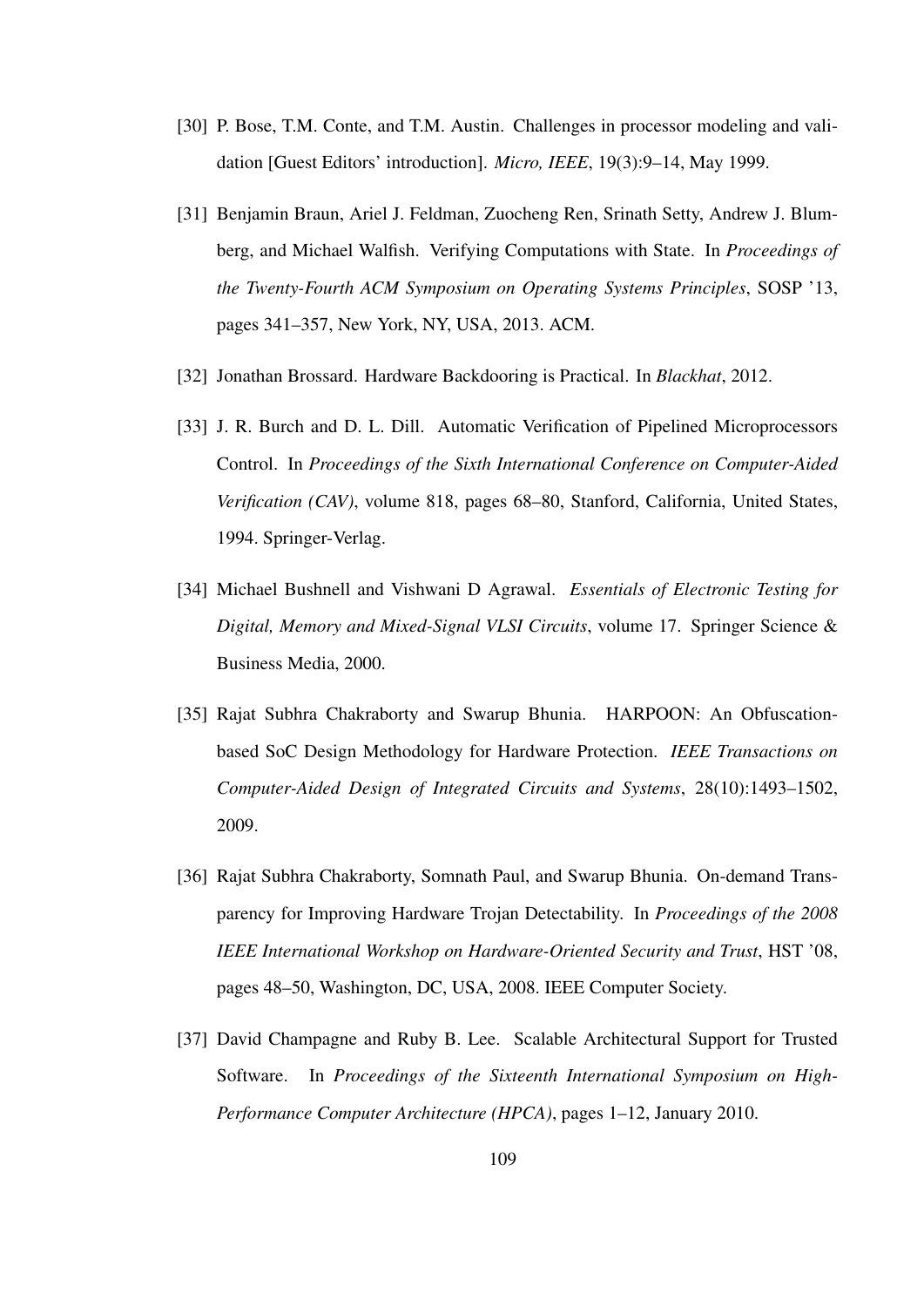- [30] P. Bose, T.M. Conte, and T.M. Austin. Challenges in processor modeling and validation [Guest Editors' introduction]. *Micro, IEEE*, 19(3):9–14, May 1999.
- [31] Benjamin Braun, Ariel J. Feldman, Zuocheng Ren, Srinath Setty, Andrew J. Blumberg, and Michael Walfish. Verifying Computations with State. In *Proceedings of the Twenty-Fourth ACM Symposium on Operating Systems Principles*, SOSP '13, pages 341–357, New York, NY, USA, 2013. ACM.
- [32] Jonathan Brossard. Hardware Backdooring is Practical. In *Blackhat*, 2012.
- [33] J. R. Burch and D. L. Dill. Automatic Verification of Pipelined Microprocessors Control. In *Proceedings of the Sixth International Conference on Computer-Aided Verification (CAV)*, volume 818, pages 68–80, Stanford, California, United States, 1994. Springer-Verlag.
- [34] Michael Bushnell and Vishwani D Agrawal. *Essentials of Electronic Testing for Digital, Memory and Mixed-Signal VLSI Circuits*, volume 17. Springer Science & Business Media, 2000.
- [35] Rajat Subhra Chakraborty and Swarup Bhunia. HARPOON: An Obfuscationbased SoC Design Methodology for Hardware Protection. *IEEE Transactions on Computer-Aided Design of Integrated Circuits and Systems*, 28(10):1493–1502, 2009.
- [36] Rajat Subhra Chakraborty, Somnath Paul, and Swarup Bhunia. On-demand Transparency for Improving Hardware Trojan Detectability. In *Proceedings of the 2008 IEEE International Workshop on Hardware-Oriented Security and Trust*, HST '08, pages 48–50, Washington, DC, USA, 2008. IEEE Computer Society.
- [37] David Champagne and Ruby B. Lee. Scalable Architectural Support for Trusted Software. In *Proceedings of the Sixteenth International Symposium on High-Performance Computer Architecture (HPCA)*, pages 1–12, January 2010.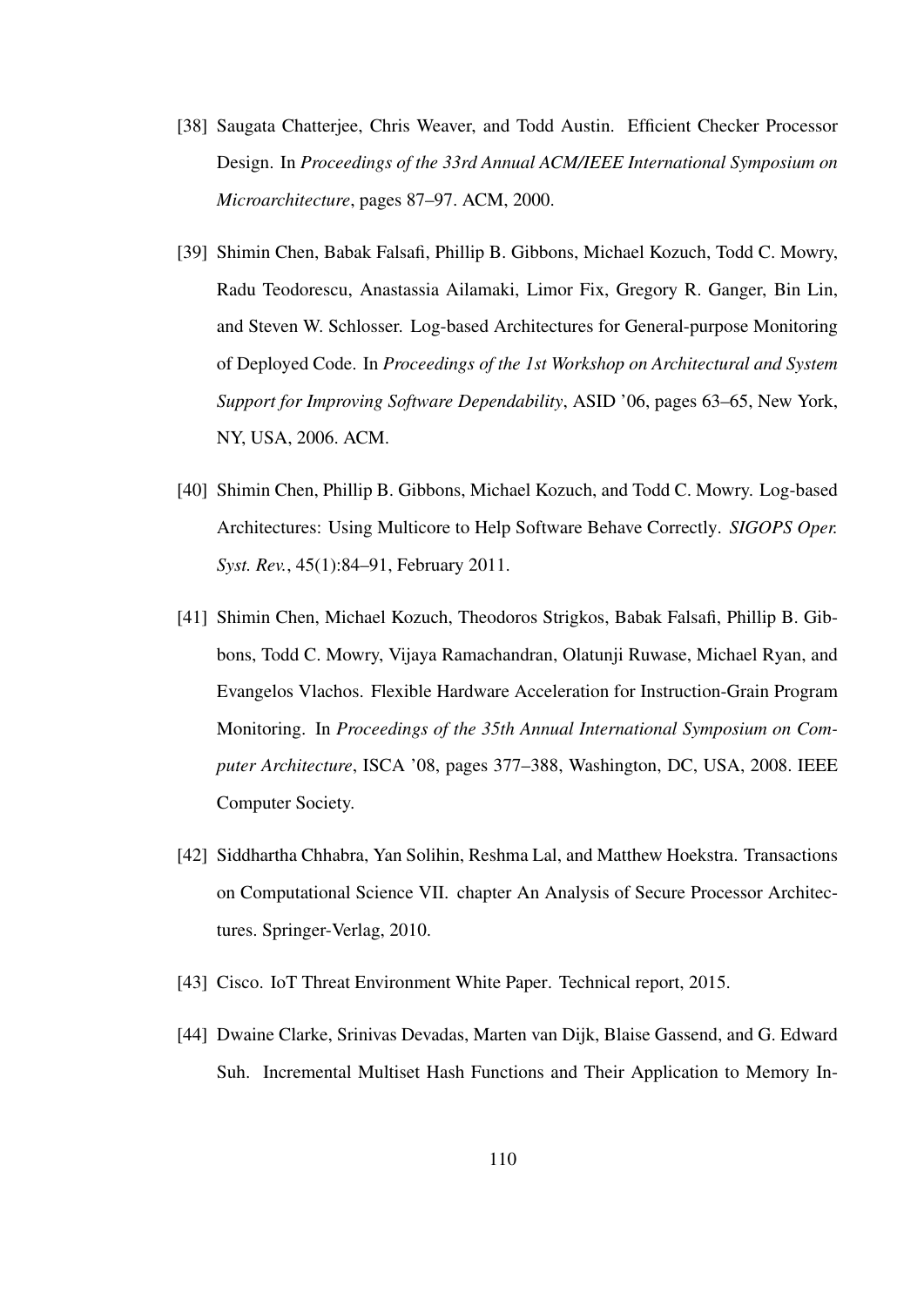- [38] Saugata Chatterjee, Chris Weaver, and Todd Austin. Efficient Checker Processor Design. In *Proceedings of the 33rd Annual ACM/IEEE International Symposium on Microarchitecture*, pages 87–97. ACM, 2000.
- [39] Shimin Chen, Babak Falsafi, Phillip B. Gibbons, Michael Kozuch, Todd C. Mowry, Radu Teodorescu, Anastassia Ailamaki, Limor Fix, Gregory R. Ganger, Bin Lin, and Steven W. Schlosser. Log-based Architectures for General-purpose Monitoring of Deployed Code. In *Proceedings of the 1st Workshop on Architectural and System Support for Improving Software Dependability*, ASID '06, pages 63–65, New York, NY, USA, 2006. ACM.
- [40] Shimin Chen, Phillip B. Gibbons, Michael Kozuch, and Todd C. Mowry. Log-based Architectures: Using Multicore to Help Software Behave Correctly. *SIGOPS Oper. Syst. Rev.*, 45(1):84–91, February 2011.
- [41] Shimin Chen, Michael Kozuch, Theodoros Strigkos, Babak Falsafi, Phillip B. Gibbons, Todd C. Mowry, Vijaya Ramachandran, Olatunji Ruwase, Michael Ryan, and Evangelos Vlachos. Flexible Hardware Acceleration for Instruction-Grain Program Monitoring. In *Proceedings of the 35th Annual International Symposium on Computer Architecture*, ISCA '08, pages 377–388, Washington, DC, USA, 2008. IEEE Computer Society.
- [42] Siddhartha Chhabra, Yan Solihin, Reshma Lal, and Matthew Hoekstra. Transactions on Computational Science VII. chapter An Analysis of Secure Processor Architectures. Springer-Verlag, 2010.
- [43] Cisco. IoT Threat Environment White Paper. Technical report, 2015.
- [44] Dwaine Clarke, Srinivas Devadas, Marten van Dijk, Blaise Gassend, and G. Edward Suh. Incremental Multiset Hash Functions and Their Application to Memory In-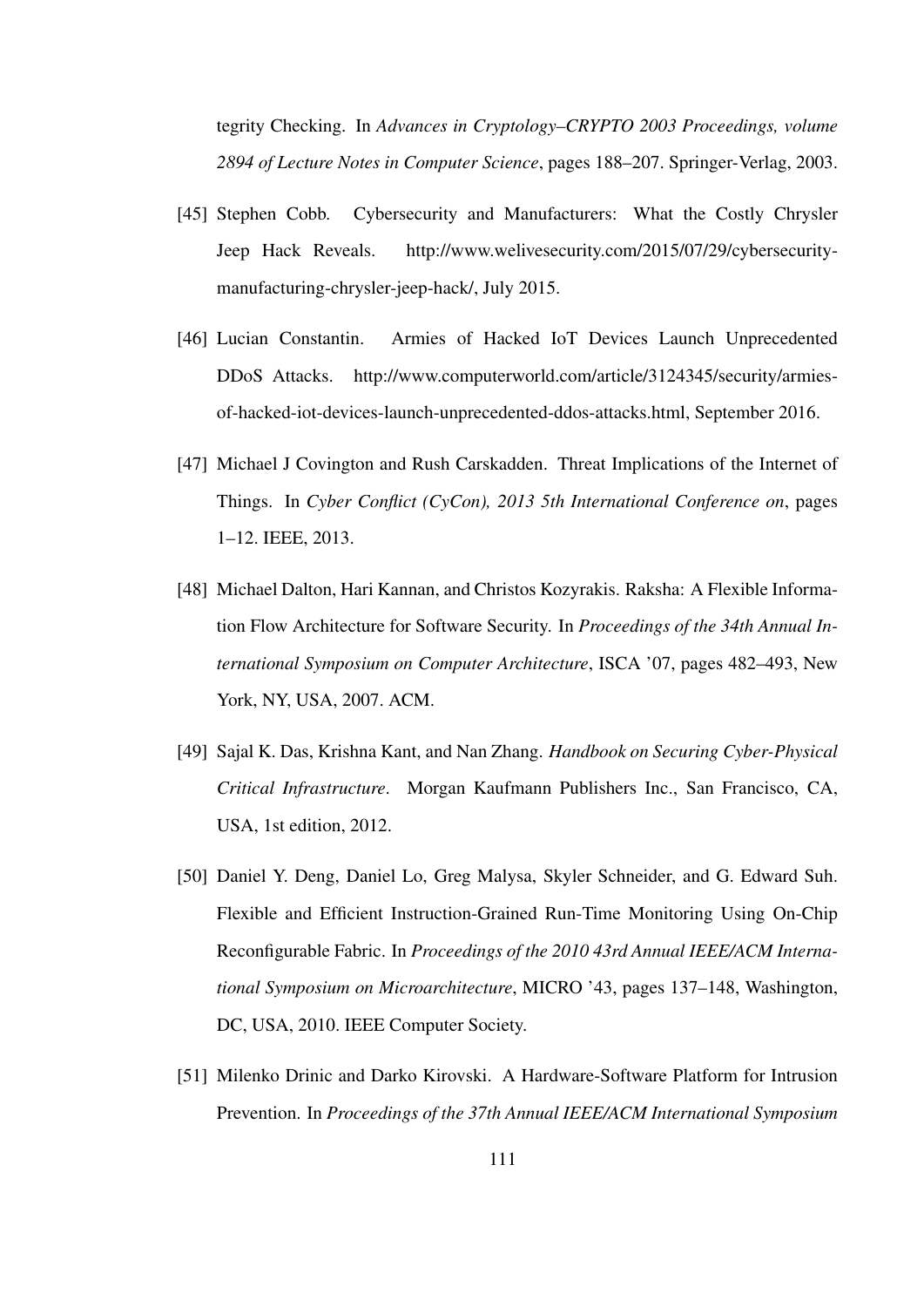tegrity Checking. In *Advances in Cryptology–CRYPTO 2003 Proceedings, volume 2894 of Lecture Notes in Computer Science*, pages 188–207. Springer-Verlag, 2003.

- [45] Stephen Cobb. Cybersecurity and Manufacturers: What the Costly Chrysler Jeep Hack Reveals. http://www.welivesecurity.com/2015/07/29/cybersecuritymanufacturing-chrysler-jeep-hack/, July 2015.
- [46] Lucian Constantin. Armies of Hacked IoT Devices Launch Unprecedented DDoS Attacks. http://www.computerworld.com/article/3124345/security/armiesof-hacked-iot-devices-launch-unprecedented-ddos-attacks.html, September 2016.
- [47] Michael J Covington and Rush Carskadden. Threat Implications of the Internet of Things. In *Cyber Conflict (CyCon), 2013 5th International Conference on*, pages 1–12. IEEE, 2013.
- [48] Michael Dalton, Hari Kannan, and Christos Kozyrakis. Raksha: A Flexible Information Flow Architecture for Software Security. In *Proceedings of the 34th Annual International Symposium on Computer Architecture*, ISCA '07, pages 482–493, New York, NY, USA, 2007. ACM.
- [49] Sajal K. Das, Krishna Kant, and Nan Zhang. *Handbook on Securing Cyber-Physical Critical Infrastructure*. Morgan Kaufmann Publishers Inc., San Francisco, CA, USA, 1st edition, 2012.
- [50] Daniel Y. Deng, Daniel Lo, Greg Malysa, Skyler Schneider, and G. Edward Suh. Flexible and Efficient Instruction-Grained Run-Time Monitoring Using On-Chip Reconfigurable Fabric. In *Proceedings of the 2010 43rd Annual IEEE/ACM International Symposium on Microarchitecture*, MICRO '43, pages 137–148, Washington, DC, USA, 2010. IEEE Computer Society.
- [51] Milenko Drinic and Darko Kirovski. A Hardware-Software Platform for Intrusion Prevention. In *Proceedings of the 37th Annual IEEE/ACM International Symposium*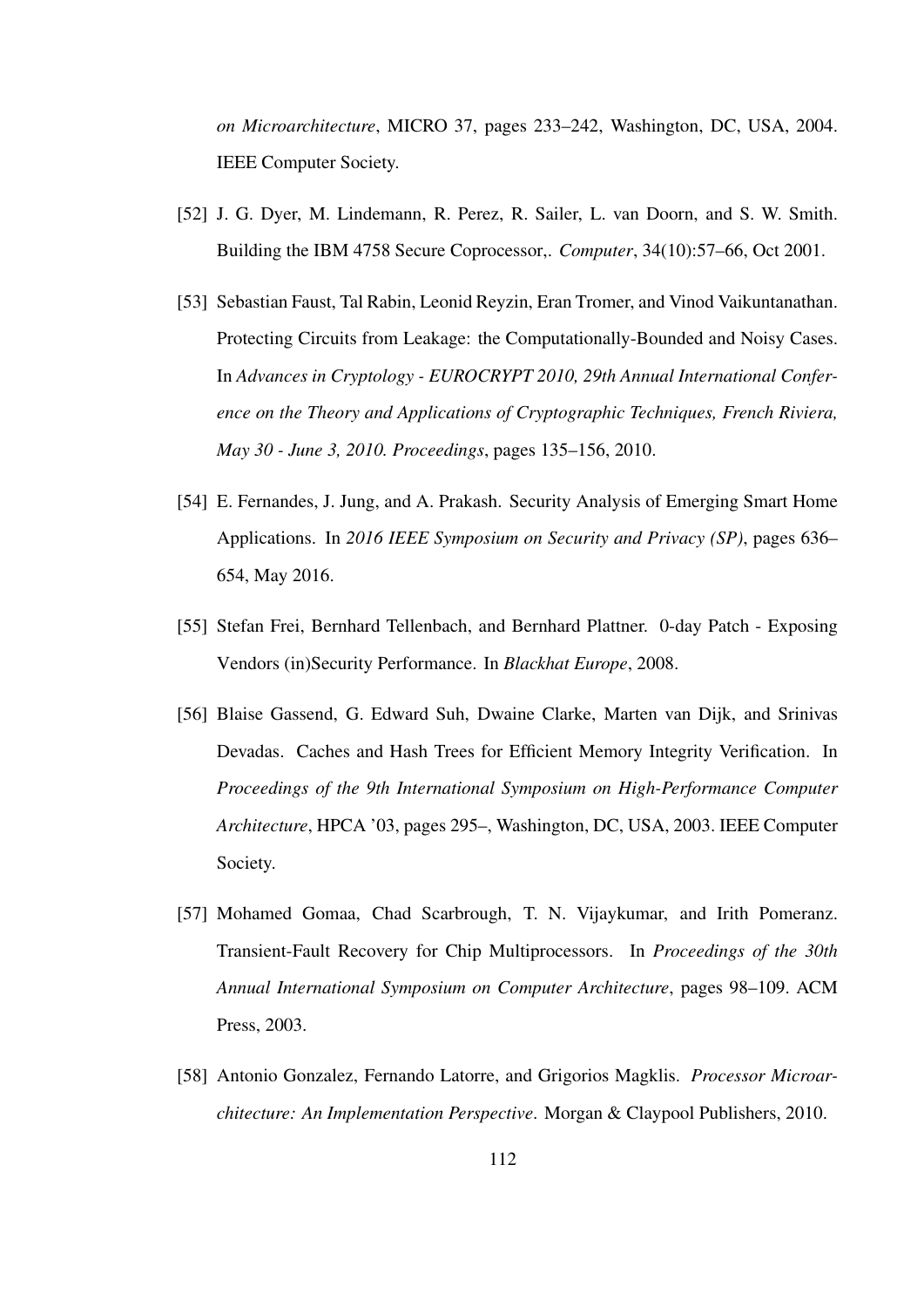*on Microarchitecture*, MICRO 37, pages 233–242, Washington, DC, USA, 2004. IEEE Computer Society.

- [52] J. G. Dyer, M. Lindemann, R. Perez, R. Sailer, L. van Doorn, and S. W. Smith. Building the IBM 4758 Secure Coprocessor,. *Computer*, 34(10):57–66, Oct 2001.
- [53] Sebastian Faust, Tal Rabin, Leonid Reyzin, Eran Tromer, and Vinod Vaikuntanathan. Protecting Circuits from Leakage: the Computationally-Bounded and Noisy Cases. In *Advances in Cryptology - EUROCRYPT 2010, 29th Annual International Conference on the Theory and Applications of Cryptographic Techniques, French Riviera, May 30 - June 3, 2010. Proceedings*, pages 135–156, 2010.
- [54] E. Fernandes, J. Jung, and A. Prakash. Security Analysis of Emerging Smart Home Applications. In *2016 IEEE Symposium on Security and Privacy (SP)*, pages 636– 654, May 2016.
- [55] Stefan Frei, Bernhard Tellenbach, and Bernhard Plattner. 0-day Patch Exposing Vendors (in)Security Performance. In *Blackhat Europe*, 2008.
- [56] Blaise Gassend, G. Edward Suh, Dwaine Clarke, Marten van Dijk, and Srinivas Devadas. Caches and Hash Trees for Efficient Memory Integrity Verification. In *Proceedings of the 9th International Symposium on High-Performance Computer Architecture*, HPCA '03, pages 295–, Washington, DC, USA, 2003. IEEE Computer Society.
- [57] Mohamed Gomaa, Chad Scarbrough, T. N. Vijaykumar, and Irith Pomeranz. Transient-Fault Recovery for Chip Multiprocessors. In *Proceedings of the 30th Annual International Symposium on Computer Architecture*, pages 98–109. ACM Press, 2003.
- [58] Antonio Gonzalez, Fernando Latorre, and Grigorios Magklis. *Processor Microarchitecture: An Implementation Perspective*. Morgan & Claypool Publishers, 2010.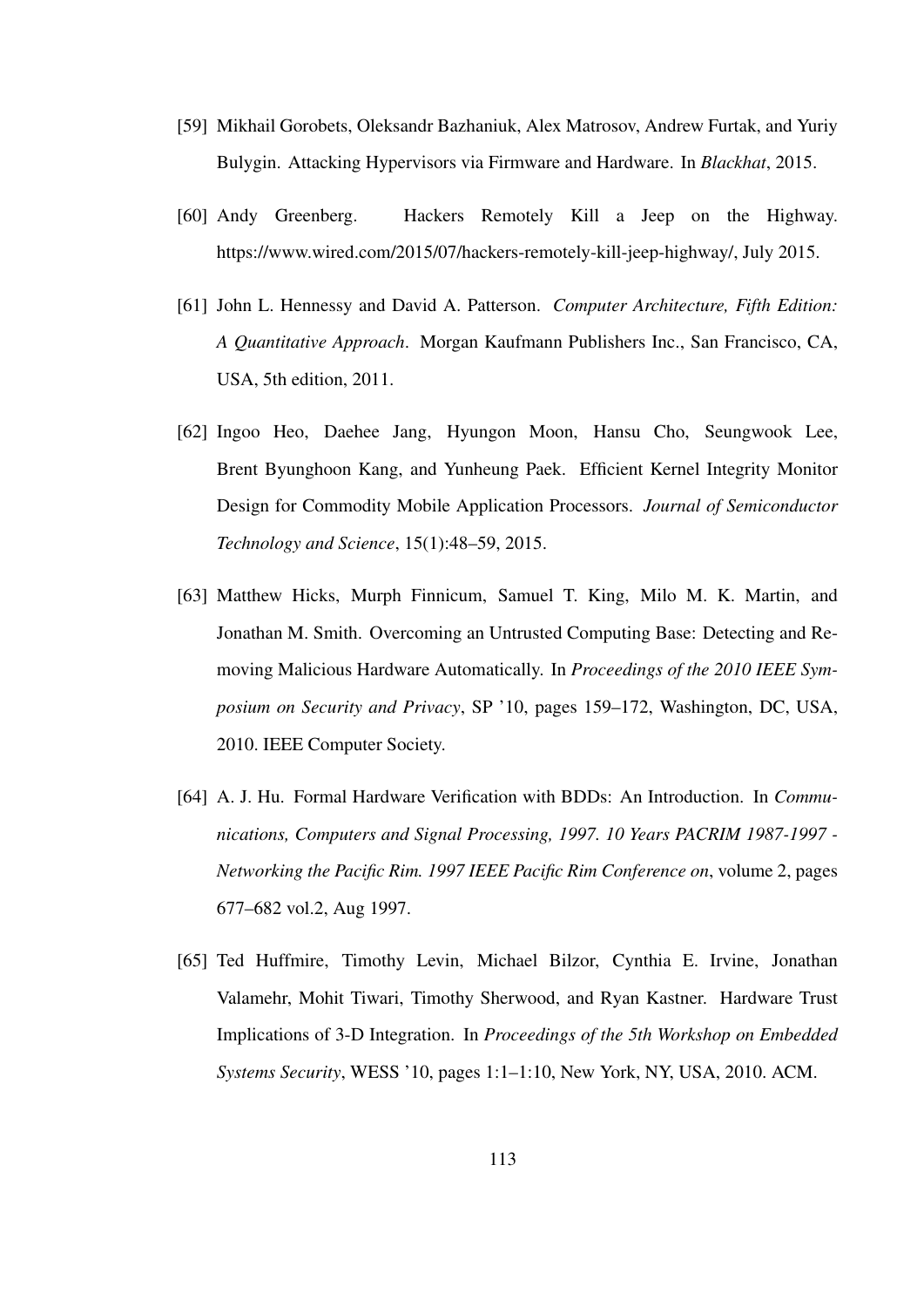- [59] Mikhail Gorobets, Oleksandr Bazhaniuk, Alex Matrosov, Andrew Furtak, and Yuriy Bulygin. Attacking Hypervisors via Firmware and Hardware. In *Blackhat*, 2015.
- [60] Andy Greenberg. Hackers Remotely Kill a Jeep on the Highway. https://www.wired.com/2015/07/hackers-remotely-kill-jeep-highway/, July 2015.
- [61] John L. Hennessy and David A. Patterson. *Computer Architecture, Fifth Edition: A Quantitative Approach*. Morgan Kaufmann Publishers Inc., San Francisco, CA, USA, 5th edition, 2011.
- [62] Ingoo Heo, Daehee Jang, Hyungon Moon, Hansu Cho, Seungwook Lee, Brent Byunghoon Kang, and Yunheung Paek. Efficient Kernel Integrity Monitor Design for Commodity Mobile Application Processors. *Journal of Semiconductor Technology and Science*, 15(1):48–59, 2015.
- [63] Matthew Hicks, Murph Finnicum, Samuel T. King, Milo M. K. Martin, and Jonathan M. Smith. Overcoming an Untrusted Computing Base: Detecting and Removing Malicious Hardware Automatically. In *Proceedings of the 2010 IEEE Symposium on Security and Privacy*, SP '10, pages 159–172, Washington, DC, USA, 2010. IEEE Computer Society.
- [64] A. J. Hu. Formal Hardware Verification with BDDs: An Introduction. In *Communications, Computers and Signal Processing, 1997. 10 Years PACRIM 1987-1997 - Networking the Pacific Rim. 1997 IEEE Pacific Rim Conference on*, volume 2, pages 677–682 vol.2, Aug 1997.
- [65] Ted Huffmire, Timothy Levin, Michael Bilzor, Cynthia E. Irvine, Jonathan Valamehr, Mohit Tiwari, Timothy Sherwood, and Ryan Kastner. Hardware Trust Implications of 3-D Integration. In *Proceedings of the 5th Workshop on Embedded Systems Security*, WESS '10, pages 1:1–1:10, New York, NY, USA, 2010. ACM.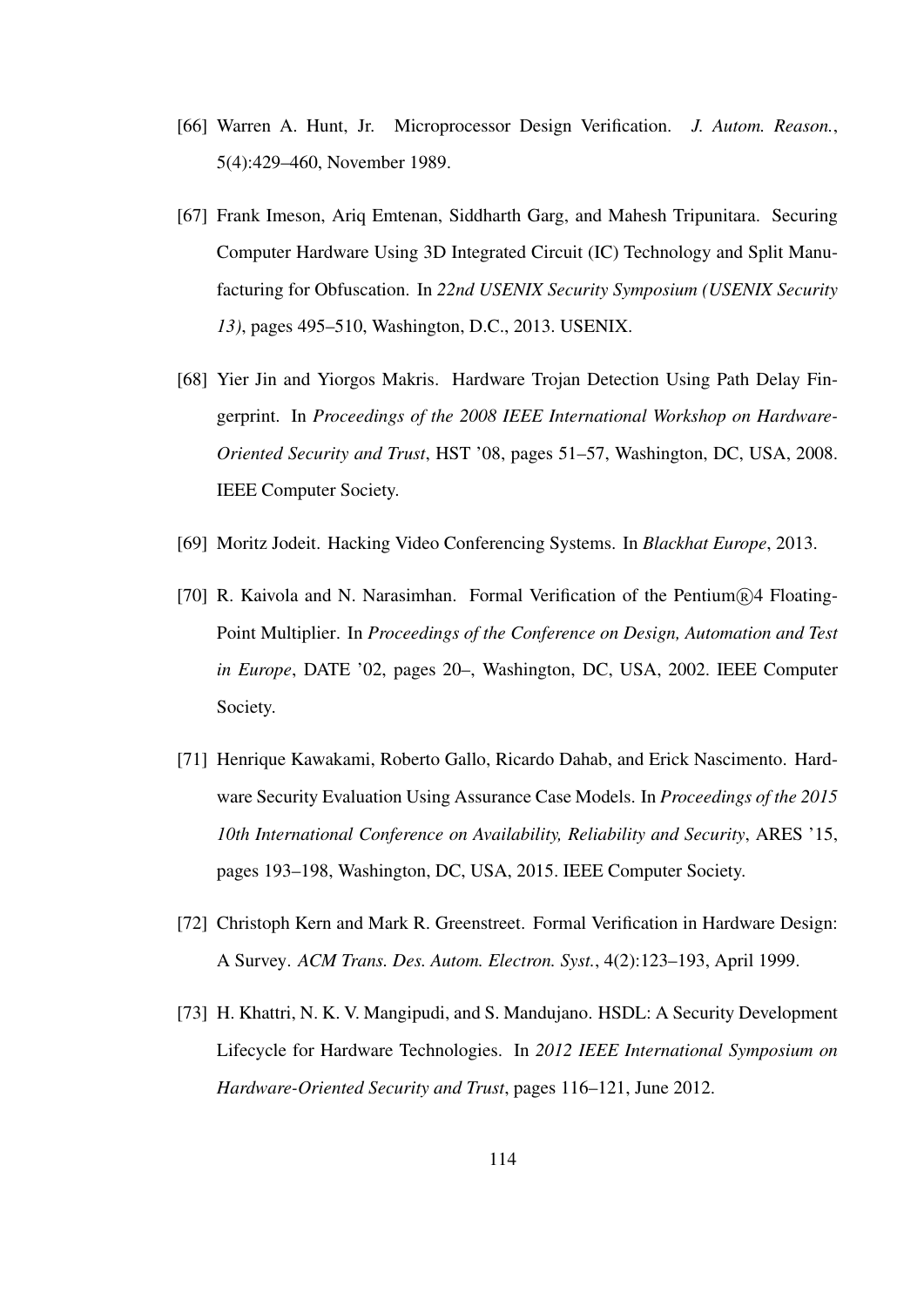- [66] Warren A. Hunt, Jr. Microprocessor Design Verification. *J. Autom. Reason.*, 5(4):429–460, November 1989.
- [67] Frank Imeson, Ariq Emtenan, Siddharth Garg, and Mahesh Tripunitara. Securing Computer Hardware Using 3D Integrated Circuit (IC) Technology and Split Manufacturing for Obfuscation. In *22nd USENIX Security Symposium (USENIX Security 13)*, pages 495–510, Washington, D.C., 2013. USENIX.
- [68] Yier Jin and Yiorgos Makris. Hardware Trojan Detection Using Path Delay Fingerprint. In *Proceedings of the 2008 IEEE International Workshop on Hardware-Oriented Security and Trust*, HST '08, pages 51–57, Washington, DC, USA, 2008. IEEE Computer Society.
- [69] Moritz Jodeit. Hacking Video Conferencing Systems. In *Blackhat Europe*, 2013.
- [70] R. Kaivola and N. Narasimhan. Formal Verification of the Pentium $\mathbb{R}$ 4 Floating-Point Multiplier. In *Proceedings of the Conference on Design, Automation and Test in Europe*, DATE '02, pages 20–, Washington, DC, USA, 2002. IEEE Computer Society.
- [71] Henrique Kawakami, Roberto Gallo, Ricardo Dahab, and Erick Nascimento. Hardware Security Evaluation Using Assurance Case Models. In *Proceedings of the 2015 10th International Conference on Availability, Reliability and Security*, ARES '15, pages 193–198, Washington, DC, USA, 2015. IEEE Computer Society.
- [72] Christoph Kern and Mark R. Greenstreet. Formal Verification in Hardware Design: A Survey. *ACM Trans. Des. Autom. Electron. Syst.*, 4(2):123–193, April 1999.
- [73] H. Khattri, N. K. V. Mangipudi, and S. Mandujano. HSDL: A Security Development Lifecycle for Hardware Technologies. In *2012 IEEE International Symposium on Hardware-Oriented Security and Trust*, pages 116–121, June 2012.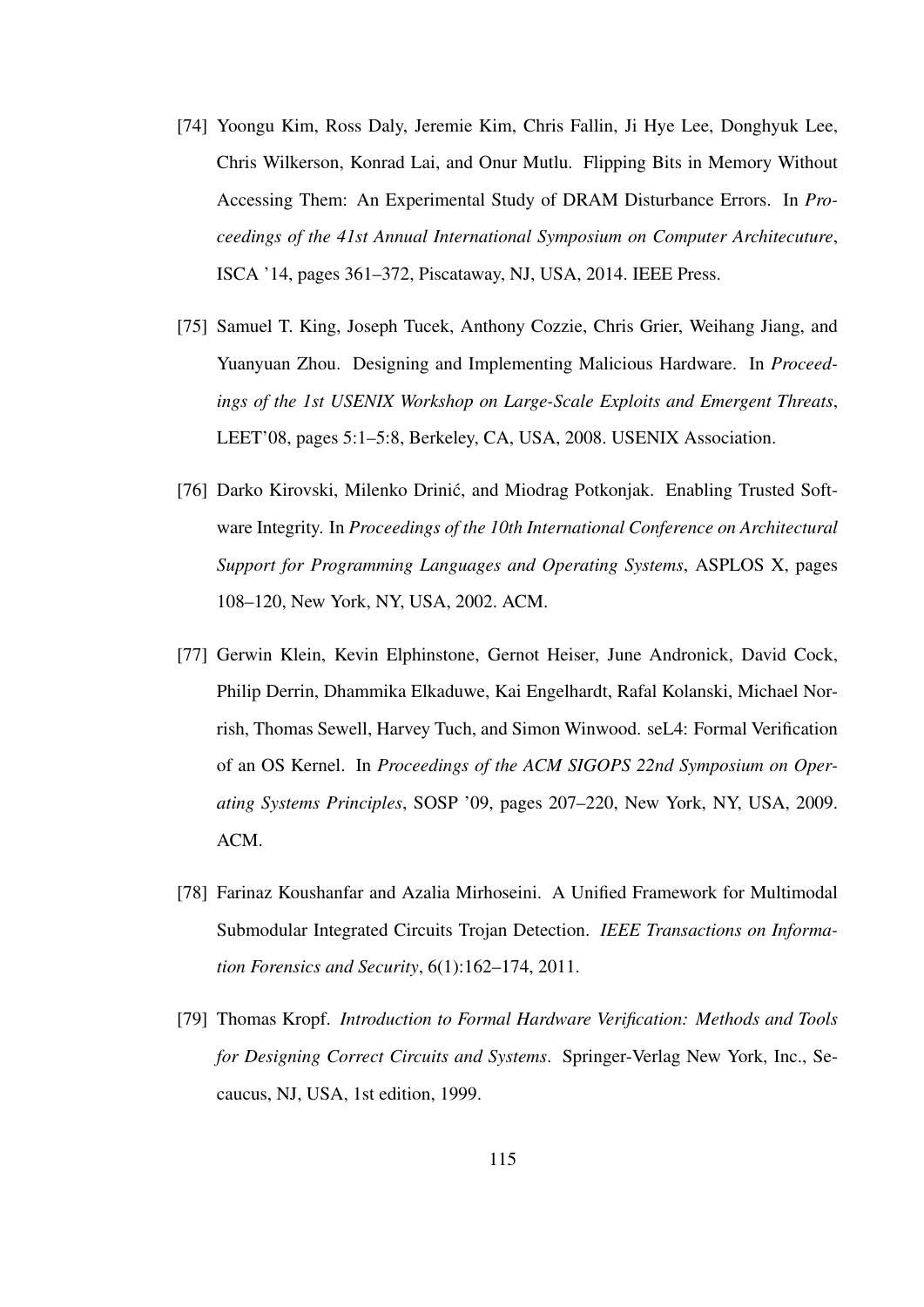- [74] Yoongu Kim, Ross Daly, Jeremie Kim, Chris Fallin, Ji Hye Lee, Donghyuk Lee, Chris Wilkerson, Konrad Lai, and Onur Mutlu. Flipping Bits in Memory Without Accessing Them: An Experimental Study of DRAM Disturbance Errors. In *Proceedings of the 41st Annual International Symposium on Computer Architecuture*, ISCA '14, pages 361–372, Piscataway, NJ, USA, 2014. IEEE Press.
- [75] Samuel T. King, Joseph Tucek, Anthony Cozzie, Chris Grier, Weihang Jiang, and Yuanyuan Zhou. Designing and Implementing Malicious Hardware. In *Proceedings of the 1st USENIX Workshop on Large-Scale Exploits and Emergent Threats*, LEET'08, pages 5:1–5:8, Berkeley, CA, USA, 2008. USENIX Association.
- [76] Darko Kirovski, Milenko Drinic, and Miodrag Potkonjak. Enabling Trusted Soft- ´ ware Integrity. In *Proceedings of the 10th International Conference on Architectural Support for Programming Languages and Operating Systems*, ASPLOS X, pages 108–120, New York, NY, USA, 2002. ACM.
- [77] Gerwin Klein, Kevin Elphinstone, Gernot Heiser, June Andronick, David Cock, Philip Derrin, Dhammika Elkaduwe, Kai Engelhardt, Rafal Kolanski, Michael Norrish, Thomas Sewell, Harvey Tuch, and Simon Winwood. seL4: Formal Verification of an OS Kernel. In *Proceedings of the ACM SIGOPS 22nd Symposium on Operating Systems Principles*, SOSP '09, pages 207–220, New York, NY, USA, 2009. ACM.
- [78] Farinaz Koushanfar and Azalia Mirhoseini. A Unified Framework for Multimodal Submodular Integrated Circuits Trojan Detection. *IEEE Transactions on Information Forensics and Security*, 6(1):162–174, 2011.
- [79] Thomas Kropf. *Introduction to Formal Hardware Verification: Methods and Tools for Designing Correct Circuits and Systems*. Springer-Verlag New York, Inc., Secaucus, NJ, USA, 1st edition, 1999.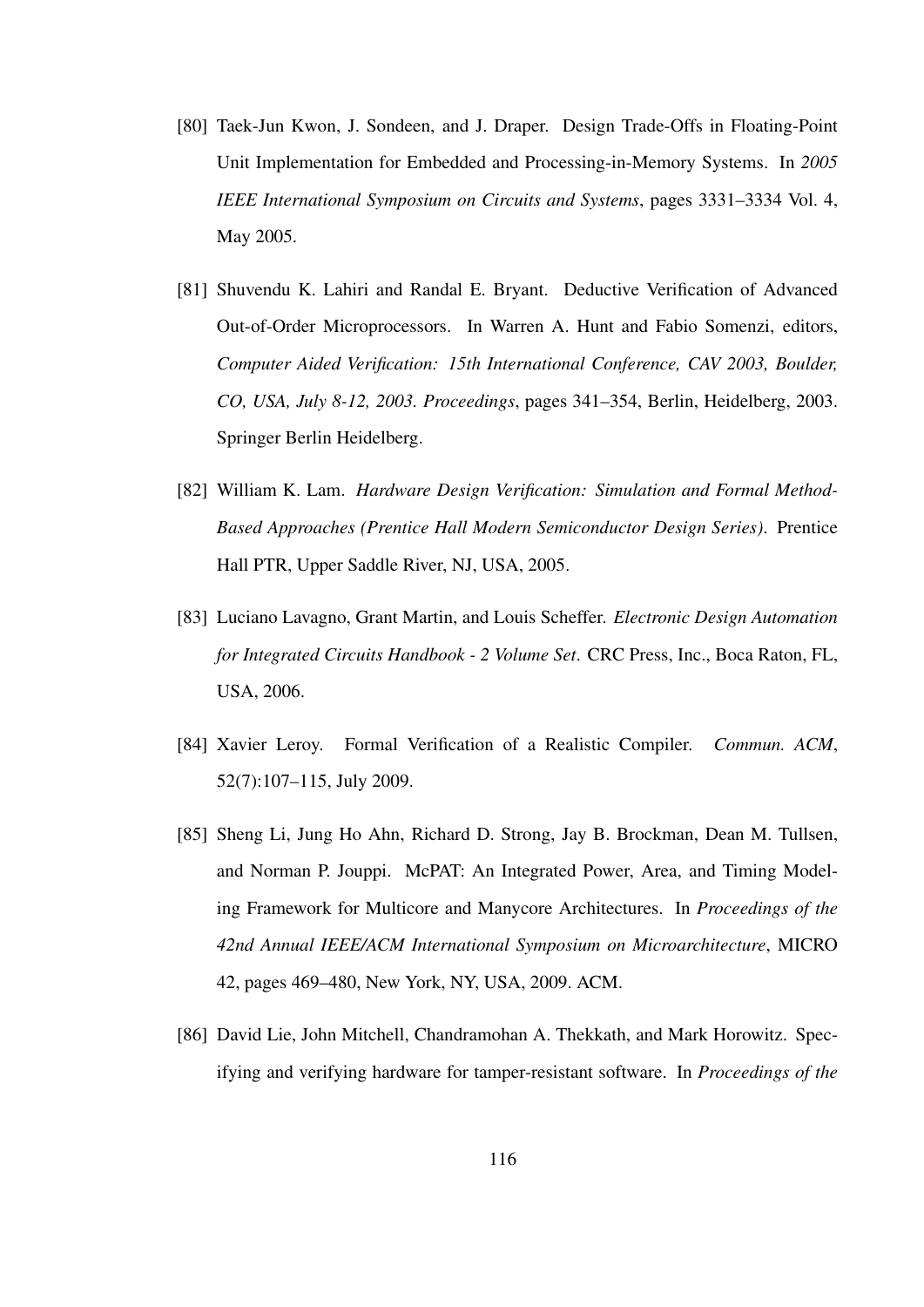- [80] Taek-Jun Kwon, J. Sondeen, and J. Draper. Design Trade-Offs in Floating-Point Unit Implementation for Embedded and Processing-in-Memory Systems. In *2005 IEEE International Symposium on Circuits and Systems*, pages 3331–3334 Vol. 4, May 2005.
- [81] Shuvendu K. Lahiri and Randal E. Bryant. Deductive Verification of Advanced Out-of-Order Microprocessors. In Warren A. Hunt and Fabio Somenzi, editors, *Computer Aided Verification: 15th International Conference, CAV 2003, Boulder, CO, USA, July 8-12, 2003. Proceedings*, pages 341–354, Berlin, Heidelberg, 2003. Springer Berlin Heidelberg.
- [82] William K. Lam. *Hardware Design Verification: Simulation and Formal Method-Based Approaches (Prentice Hall Modern Semiconductor Design Series)*. Prentice Hall PTR, Upper Saddle River, NJ, USA, 2005.
- [83] Luciano Lavagno, Grant Martin, and Louis Scheffer. *Electronic Design Automation for Integrated Circuits Handbook - 2 Volume Set*. CRC Press, Inc., Boca Raton, FL, USA, 2006.
- [84] Xavier Leroy. Formal Verification of a Realistic Compiler. *Commun. ACM*, 52(7):107–115, July 2009.
- [85] Sheng Li, Jung Ho Ahn, Richard D. Strong, Jay B. Brockman, Dean M. Tullsen, and Norman P. Jouppi. McPAT: An Integrated Power, Area, and Timing Modeling Framework for Multicore and Manycore Architectures. In *Proceedings of the 42nd Annual IEEE/ACM International Symposium on Microarchitecture*, MICRO 42, pages 469–480, New York, NY, USA, 2009. ACM.
- [86] David Lie, John Mitchell, Chandramohan A. Thekkath, and Mark Horowitz. Specifying and verifying hardware for tamper-resistant software. In *Proceedings of the*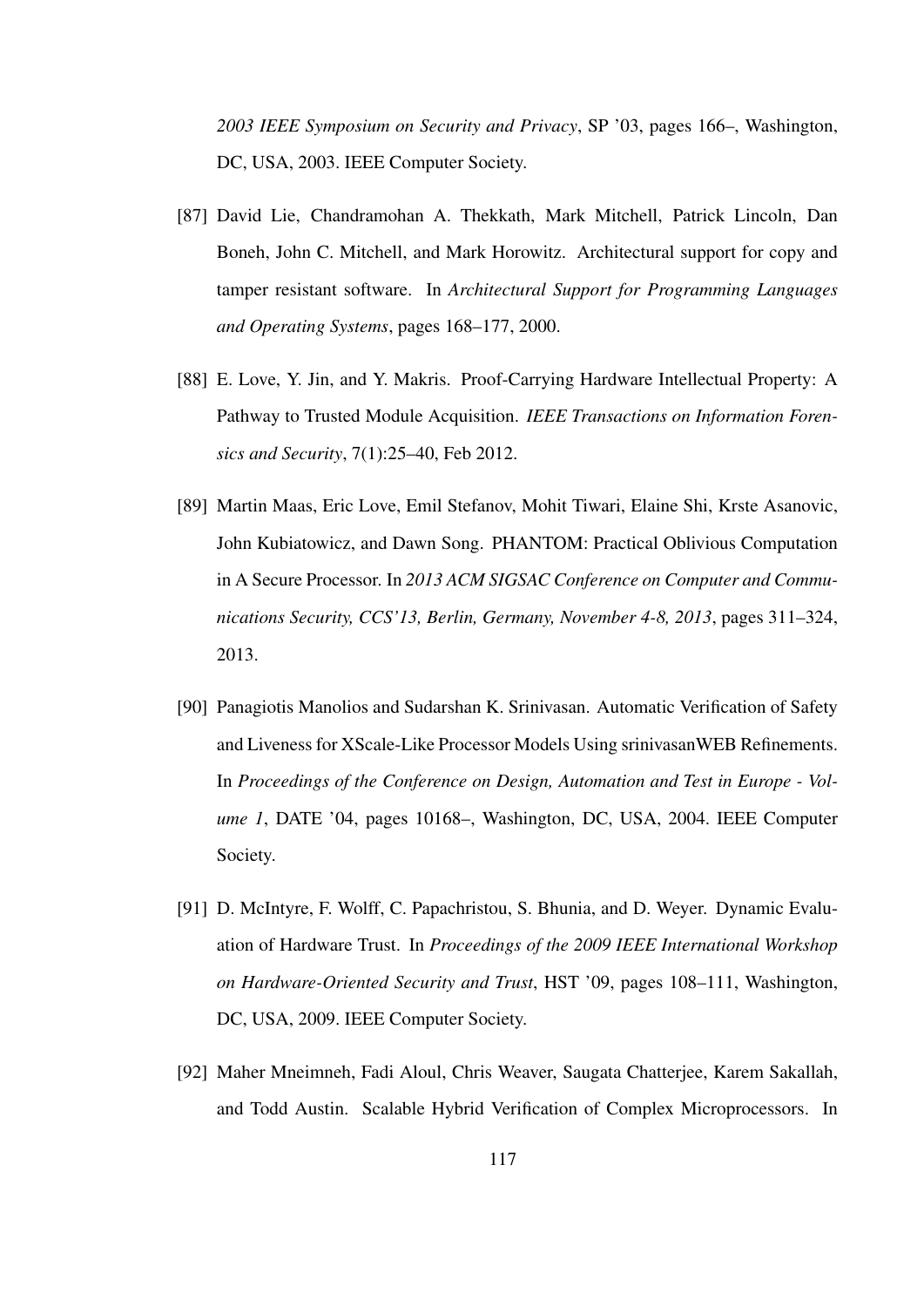*2003 IEEE Symposium on Security and Privacy*, SP '03, pages 166–, Washington, DC, USA, 2003. IEEE Computer Society.

- [87] David Lie, Chandramohan A. Thekkath, Mark Mitchell, Patrick Lincoln, Dan Boneh, John C. Mitchell, and Mark Horowitz. Architectural support for copy and tamper resistant software. In *Architectural Support for Programming Languages and Operating Systems*, pages 168–177, 2000.
- [88] E. Love, Y. Jin, and Y. Makris. Proof-Carrying Hardware Intellectual Property: A Pathway to Trusted Module Acquisition. *IEEE Transactions on Information Forensics and Security*, 7(1):25–40, Feb 2012.
- [89] Martin Maas, Eric Love, Emil Stefanov, Mohit Tiwari, Elaine Shi, Krste Asanovic, John Kubiatowicz, and Dawn Song. PHANTOM: Practical Oblivious Computation in A Secure Processor. In *2013 ACM SIGSAC Conference on Computer and Communications Security, CCS'13, Berlin, Germany, November 4-8, 2013*, pages 311–324, 2013.
- [90] Panagiotis Manolios and Sudarshan K. Srinivasan. Automatic Verification of Safety and Liveness for XScale-Like Processor Models Using srinivasanWEB Refinements. In *Proceedings of the Conference on Design, Automation and Test in Europe - Volume 1*, DATE '04, pages 10168–, Washington, DC, USA, 2004. IEEE Computer Society.
- [91] D. McIntyre, F. Wolff, C. Papachristou, S. Bhunia, and D. Weyer. Dynamic Evaluation of Hardware Trust. In *Proceedings of the 2009 IEEE International Workshop on Hardware-Oriented Security and Trust*, HST '09, pages 108–111, Washington, DC, USA, 2009. IEEE Computer Society.
- [92] Maher Mneimneh, Fadi Aloul, Chris Weaver, Saugata Chatterjee, Karem Sakallah, and Todd Austin. Scalable Hybrid Verification of Complex Microprocessors. In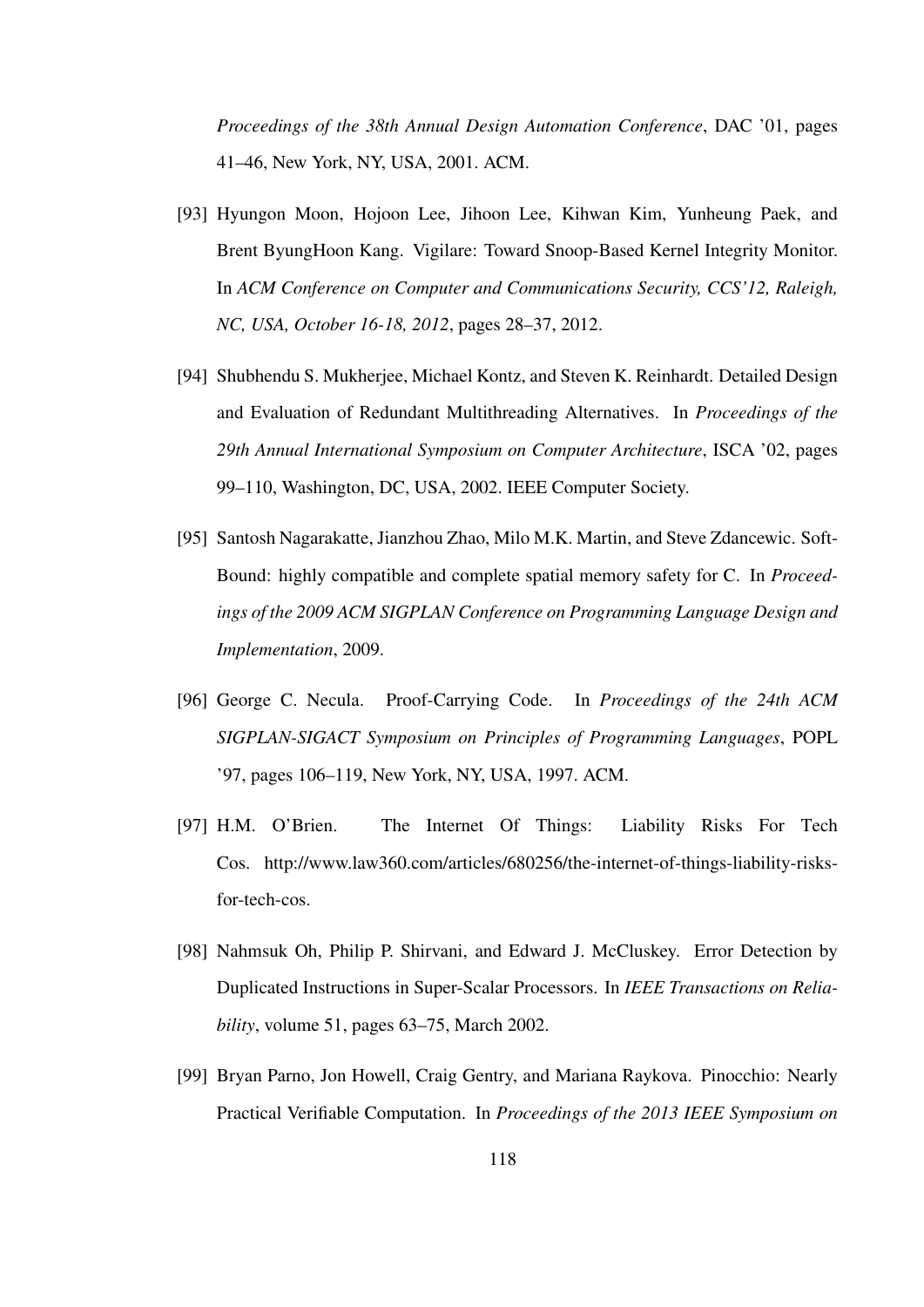*Proceedings of the 38th Annual Design Automation Conference*, DAC '01, pages 41–46, New York, NY, USA, 2001. ACM.

- [93] Hyungon Moon, Hojoon Lee, Jihoon Lee, Kihwan Kim, Yunheung Paek, and Brent ByungHoon Kang. Vigilare: Toward Snoop-Based Kernel Integrity Monitor. In *ACM Conference on Computer and Communications Security, CCS'12, Raleigh, NC, USA, October 16-18, 2012*, pages 28–37, 2012.
- [94] Shubhendu S. Mukherjee, Michael Kontz, and Steven K. Reinhardt. Detailed Design and Evaluation of Redundant Multithreading Alternatives. In *Proceedings of the 29th Annual International Symposium on Computer Architecture*, ISCA '02, pages 99–110, Washington, DC, USA, 2002. IEEE Computer Society.
- [95] Santosh Nagarakatte, Jianzhou Zhao, Milo M.K. Martin, and Steve Zdancewic. Soft-Bound: highly compatible and complete spatial memory safety for C. In *Proceedings of the 2009 ACM SIGPLAN Conference on Programming Language Design and Implementation*, 2009.
- [96] George C. Necula. Proof-Carrying Code. In *Proceedings of the 24th ACM SIGPLAN-SIGACT Symposium on Principles of Programming Languages*, POPL '97, pages 106–119, New York, NY, USA, 1997. ACM.
- [97] H.M. O'Brien. The Internet Of Things: Liability Risks For Tech Cos. http://www.law360.com/articles/680256/the-internet-of-things-liability-risksfor-tech-cos.
- [98] Nahmsuk Oh, Philip P. Shirvani, and Edward J. McCluskey. Error Detection by Duplicated Instructions in Super-Scalar Processors. In *IEEE Transactions on Reliability*, volume 51, pages 63–75, March 2002.
- [99] Bryan Parno, Jon Howell, Craig Gentry, and Mariana Raykova. Pinocchio: Nearly Practical Verifiable Computation. In *Proceedings of the 2013 IEEE Symposium on*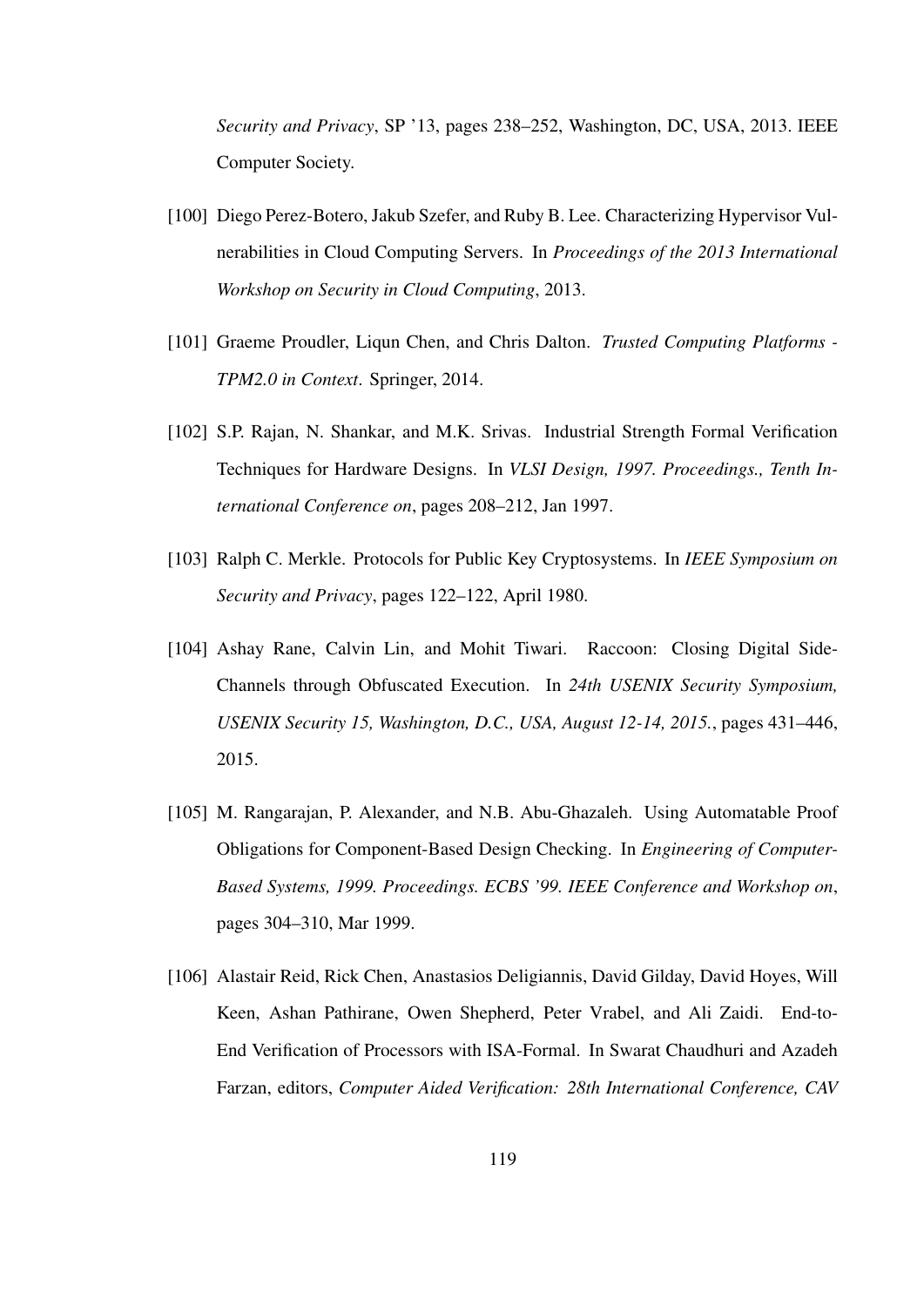*Security and Privacy*, SP '13, pages 238–252, Washington, DC, USA, 2013. IEEE Computer Society.

- [100] Diego Perez-Botero, Jakub Szefer, and Ruby B. Lee. Characterizing Hypervisor Vulnerabilities in Cloud Computing Servers. In *Proceedings of the 2013 International Workshop on Security in Cloud Computing*, 2013.
- [101] Graeme Proudler, Liqun Chen, and Chris Dalton. *Trusted Computing Platforms - TPM2.0 in Context*. Springer, 2014.
- [102] S.P. Rajan, N. Shankar, and M.K. Srivas. Industrial Strength Formal Verification Techniques for Hardware Designs. In *VLSI Design, 1997. Proceedings., Tenth International Conference on*, pages 208–212, Jan 1997.
- [103] Ralph C. Merkle. Protocols for Public Key Cryptosystems. In *IEEE Symposium on Security and Privacy*, pages 122–122, April 1980.
- [104] Ashay Rane, Calvin Lin, and Mohit Tiwari. Raccoon: Closing Digital Side-Channels through Obfuscated Execution. In *24th USENIX Security Symposium, USENIX Security 15, Washington, D.C., USA, August 12-14, 2015.*, pages 431–446, 2015.
- [105] M. Rangarajan, P. Alexander, and N.B. Abu-Ghazaleh. Using Automatable Proof Obligations for Component-Based Design Checking. In *Engineering of Computer-Based Systems, 1999. Proceedings. ECBS '99. IEEE Conference and Workshop on*, pages 304–310, Mar 1999.
- [106] Alastair Reid, Rick Chen, Anastasios Deligiannis, David Gilday, David Hoyes, Will Keen, Ashan Pathirane, Owen Shepherd, Peter Vrabel, and Ali Zaidi. End-to-End Verification of Processors with ISA-Formal. In Swarat Chaudhuri and Azadeh Farzan, editors, *Computer Aided Verification: 28th International Conference, CAV*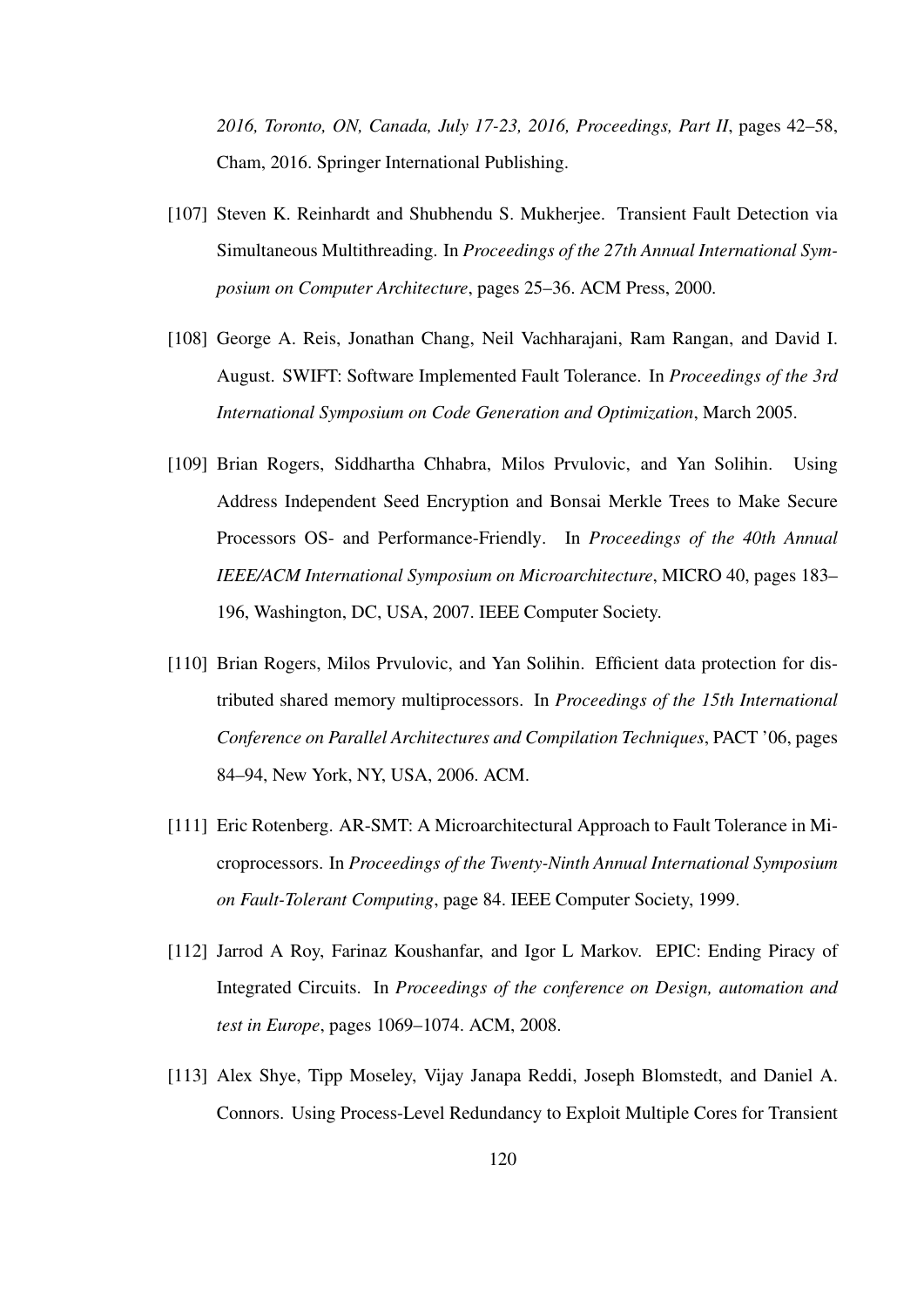*2016, Toronto, ON, Canada, July 17-23, 2016, Proceedings, Part II*, pages 42–58, Cham, 2016. Springer International Publishing.

- [107] Steven K. Reinhardt and Shubhendu S. Mukherjee. Transient Fault Detection via Simultaneous Multithreading. In *Proceedings of the 27th Annual International Symposium on Computer Architecture*, pages 25–36. ACM Press, 2000.
- [108] George A. Reis, Jonathan Chang, Neil Vachharajani, Ram Rangan, and David I. August. SWIFT: Software Implemented Fault Tolerance. In *Proceedings of the 3rd International Symposium on Code Generation and Optimization*, March 2005.
- [109] Brian Rogers, Siddhartha Chhabra, Milos Prvulovic, and Yan Solihin. Using Address Independent Seed Encryption and Bonsai Merkle Trees to Make Secure Processors OS- and Performance-Friendly. In *Proceedings of the 40th Annual IEEE/ACM International Symposium on Microarchitecture*, MICRO 40, pages 183– 196, Washington, DC, USA, 2007. IEEE Computer Society.
- [110] Brian Rogers, Milos Prvulovic, and Yan Solihin. Efficient data protection for distributed shared memory multiprocessors. In *Proceedings of the 15th International Conference on Parallel Architectures and Compilation Techniques*, PACT '06, pages 84–94, New York, NY, USA, 2006. ACM.
- [111] Eric Rotenberg. AR-SMT: A Microarchitectural Approach to Fault Tolerance in Microprocessors. In *Proceedings of the Twenty-Ninth Annual International Symposium on Fault-Tolerant Computing*, page 84. IEEE Computer Society, 1999.
- [112] Jarrod A Roy, Farinaz Koushanfar, and Igor L Markov. EPIC: Ending Piracy of Integrated Circuits. In *Proceedings of the conference on Design, automation and test in Europe*, pages 1069–1074. ACM, 2008.
- [113] Alex Shye, Tipp Moseley, Vijay Janapa Reddi, Joseph Blomstedt, and Daniel A. Connors. Using Process-Level Redundancy to Exploit Multiple Cores for Transient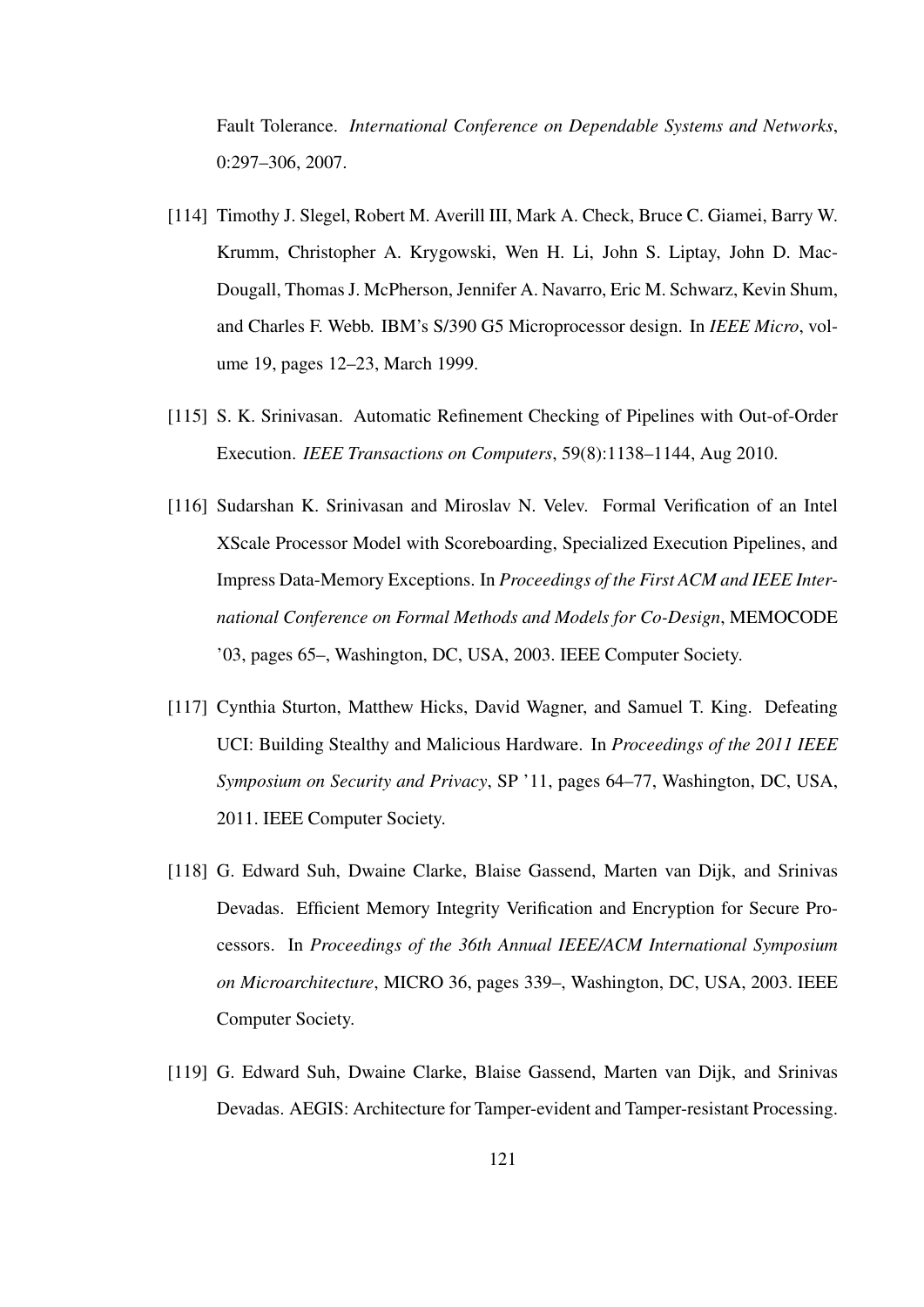Fault Tolerance. *International Conference on Dependable Systems and Networks*, 0:297–306, 2007.

- [114] Timothy J. Slegel, Robert M. Averill III, Mark A. Check, Bruce C. Giamei, Barry W. Krumm, Christopher A. Krygowski, Wen H. Li, John S. Liptay, John D. Mac-Dougall, Thomas J. McPherson, Jennifer A. Navarro, Eric M. Schwarz, Kevin Shum, and Charles F. Webb. IBM's S/390 G5 Microprocessor design. In *IEEE Micro*, volume 19, pages 12–23, March 1999.
- [115] S. K. Srinivasan. Automatic Refinement Checking of Pipelines with Out-of-Order Execution. *IEEE Transactions on Computers*, 59(8):1138–1144, Aug 2010.
- [116] Sudarshan K. Srinivasan and Miroslav N. Velev. Formal Verification of an Intel XScale Processor Model with Scoreboarding, Specialized Execution Pipelines, and Impress Data-Memory Exceptions. In *Proceedings of the First ACM and IEEE International Conference on Formal Methods and Models for Co-Design*, MEMOCODE '03, pages 65–, Washington, DC, USA, 2003. IEEE Computer Society.
- [117] Cynthia Sturton, Matthew Hicks, David Wagner, and Samuel T. King. Defeating UCI: Building Stealthy and Malicious Hardware. In *Proceedings of the 2011 IEEE Symposium on Security and Privacy*, SP '11, pages 64–77, Washington, DC, USA, 2011. IEEE Computer Society.
- [118] G. Edward Suh, Dwaine Clarke, Blaise Gassend, Marten van Dijk, and Srinivas Devadas. Efficient Memory Integrity Verification and Encryption for Secure Processors. In *Proceedings of the 36th Annual IEEE/ACM International Symposium on Microarchitecture*, MICRO 36, pages 339–, Washington, DC, USA, 2003. IEEE Computer Society.
- [119] G. Edward Suh, Dwaine Clarke, Blaise Gassend, Marten van Dijk, and Srinivas Devadas. AEGIS: Architecture for Tamper-evident and Tamper-resistant Processing.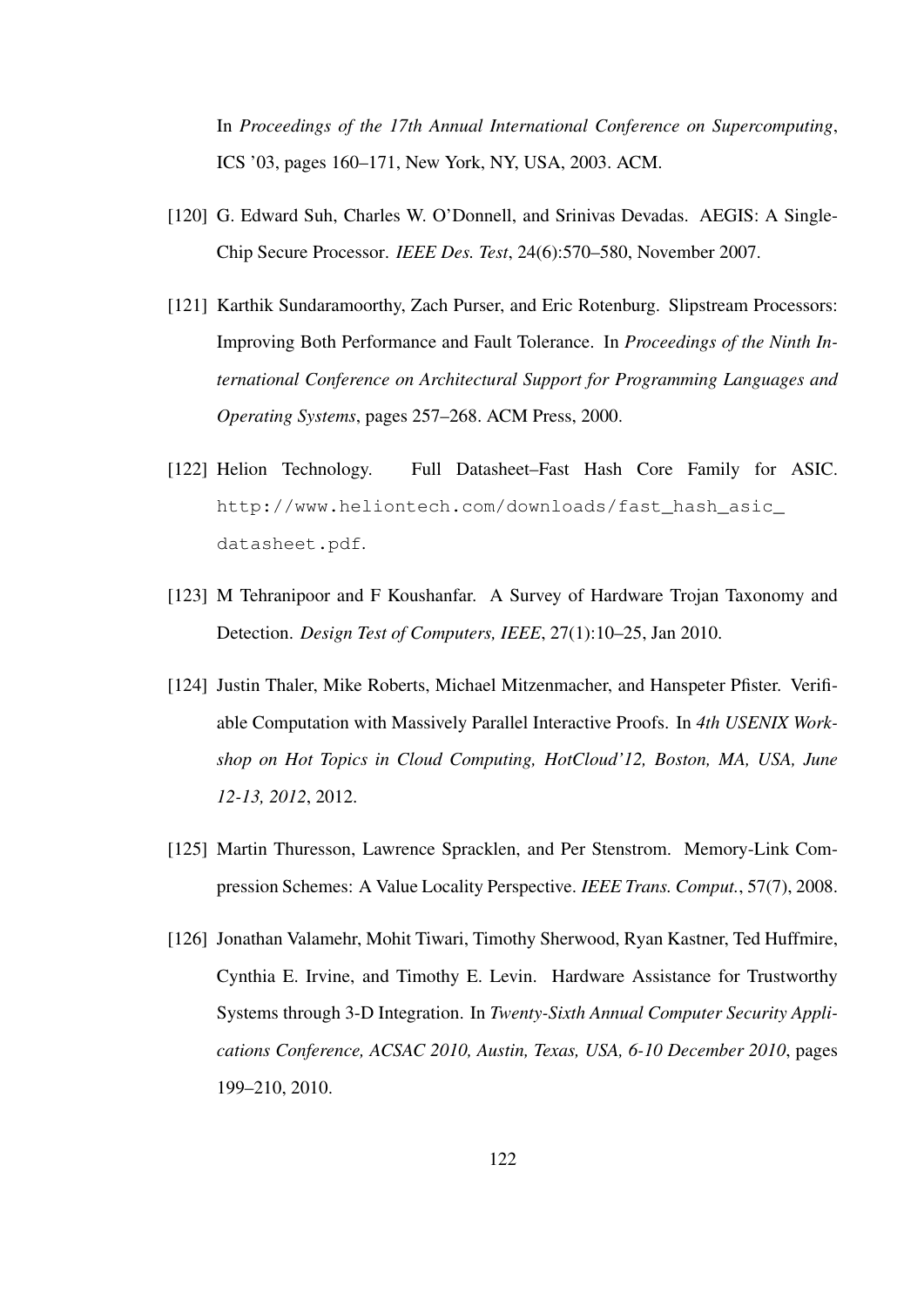In *Proceedings of the 17th Annual International Conference on Supercomputing*, ICS '03, pages 160–171, New York, NY, USA, 2003. ACM.

- [120] G. Edward Suh, Charles W. O'Donnell, and Srinivas Devadas. AEGIS: A Single-Chip Secure Processor. *IEEE Des. Test*, 24(6):570–580, November 2007.
- [121] Karthik Sundaramoorthy, Zach Purser, and Eric Rotenburg. Slipstream Processors: Improving Both Performance and Fault Tolerance. In *Proceedings of the Ninth International Conference on Architectural Support for Programming Languages and Operating Systems*, pages 257–268. ACM Press, 2000.
- [122] Helion Technology. Full Datasheet–Fast Hash Core Family for ASIC. http://www.heliontech.com/downloads/fast\_hash\_asic\_ datasheet.pdf.
- [123] M Tehranipoor and F Koushanfar. A Survey of Hardware Trojan Taxonomy and Detection. *Design Test of Computers, IEEE*, 27(1):10–25, Jan 2010.
- [124] Justin Thaler, Mike Roberts, Michael Mitzenmacher, and Hanspeter Pfister. Verifiable Computation with Massively Parallel Interactive Proofs. In *4th USENIX Workshop on Hot Topics in Cloud Computing, HotCloud'12, Boston, MA, USA, June 12-13, 2012*, 2012.
- [125] Martin Thuresson, Lawrence Spracklen, and Per Stenstrom. Memory-Link Compression Schemes: A Value Locality Perspective. *IEEE Trans. Comput.*, 57(7), 2008.
- [126] Jonathan Valamehr, Mohit Tiwari, Timothy Sherwood, Ryan Kastner, Ted Huffmire, Cynthia E. Irvine, and Timothy E. Levin. Hardware Assistance for Trustworthy Systems through 3-D Integration. In *Twenty-Sixth Annual Computer Security Applications Conference, ACSAC 2010, Austin, Texas, USA, 6-10 December 2010*, pages 199–210, 2010.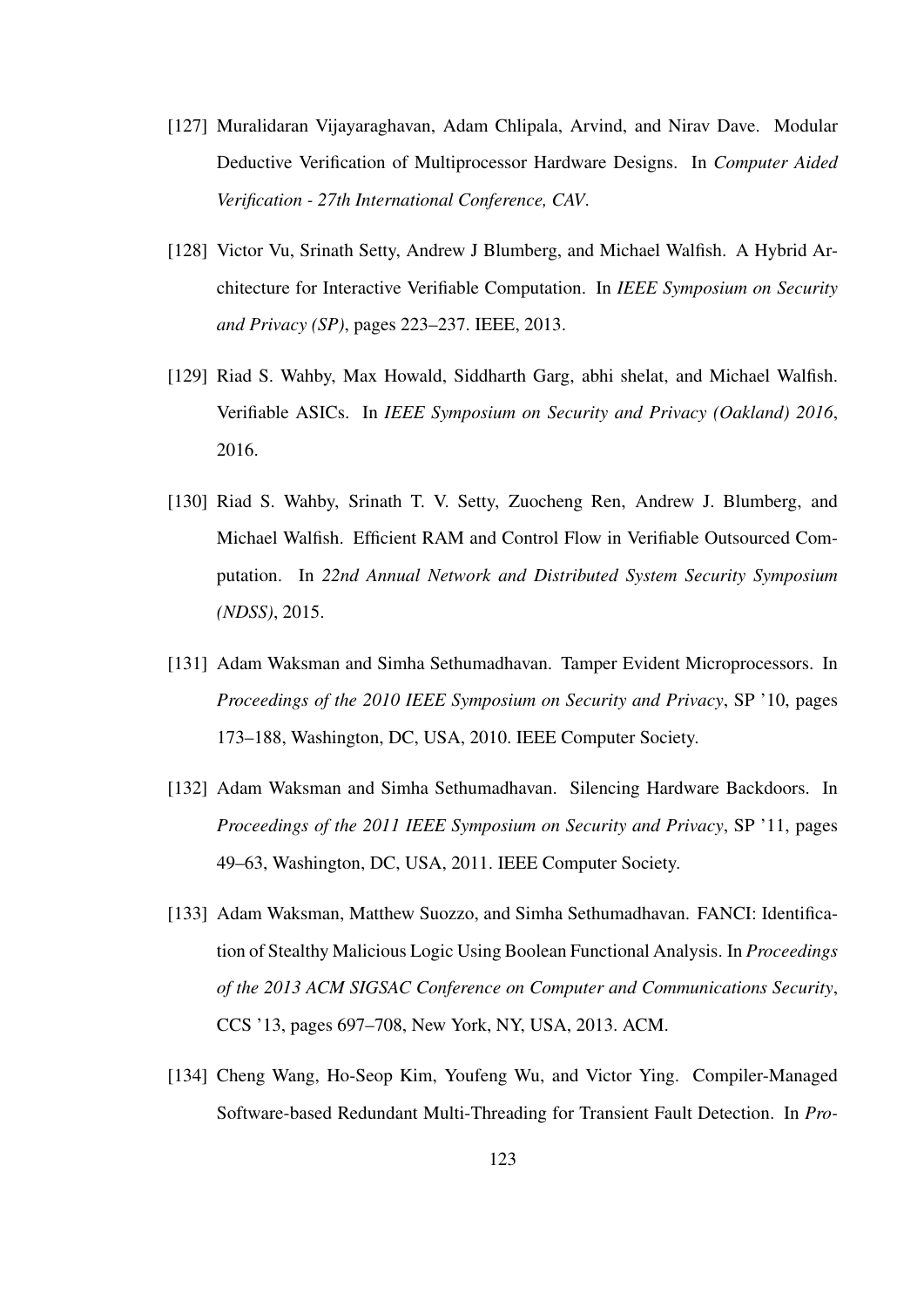- [127] Muralidaran Vijayaraghavan, Adam Chlipala, Arvind, and Nirav Dave. Modular Deductive Verification of Multiprocessor Hardware Designs. In *Computer Aided Verification - 27th International Conference, CAV*.
- [128] Victor Vu, Srinath Setty, Andrew J Blumberg, and Michael Walfish. A Hybrid Architecture for Interactive Verifiable Computation. In *IEEE Symposium on Security and Privacy (SP)*, pages 223–237. IEEE, 2013.
- [129] Riad S. Wahby, Max Howald, Siddharth Garg, abhi shelat, and Michael Walfish. Verifiable ASICs. In *IEEE Symposium on Security and Privacy (Oakland) 2016*, 2016.
- [130] Riad S. Wahby, Srinath T. V. Setty, Zuocheng Ren, Andrew J. Blumberg, and Michael Walfish. Efficient RAM and Control Flow in Verifiable Outsourced Computation. In *22nd Annual Network and Distributed System Security Symposium (NDSS)*, 2015.
- [131] Adam Waksman and Simha Sethumadhavan. Tamper Evident Microprocessors. In *Proceedings of the 2010 IEEE Symposium on Security and Privacy*, SP '10, pages 173–188, Washington, DC, USA, 2010. IEEE Computer Society.
- [132] Adam Waksman and Simha Sethumadhavan. Silencing Hardware Backdoors. In *Proceedings of the 2011 IEEE Symposium on Security and Privacy*, SP '11, pages 49–63, Washington, DC, USA, 2011. IEEE Computer Society.
- [133] Adam Waksman, Matthew Suozzo, and Simha Sethumadhavan. FANCI: Identification of Stealthy Malicious Logic Using Boolean Functional Analysis. In *Proceedings of the 2013 ACM SIGSAC Conference on Computer and Communications Security*, CCS '13, pages 697–708, New York, NY, USA, 2013. ACM.
- [134] Cheng Wang, Ho-Seop Kim, Youfeng Wu, and Victor Ying. Compiler-Managed Software-based Redundant Multi-Threading for Transient Fault Detection. In *Pro-*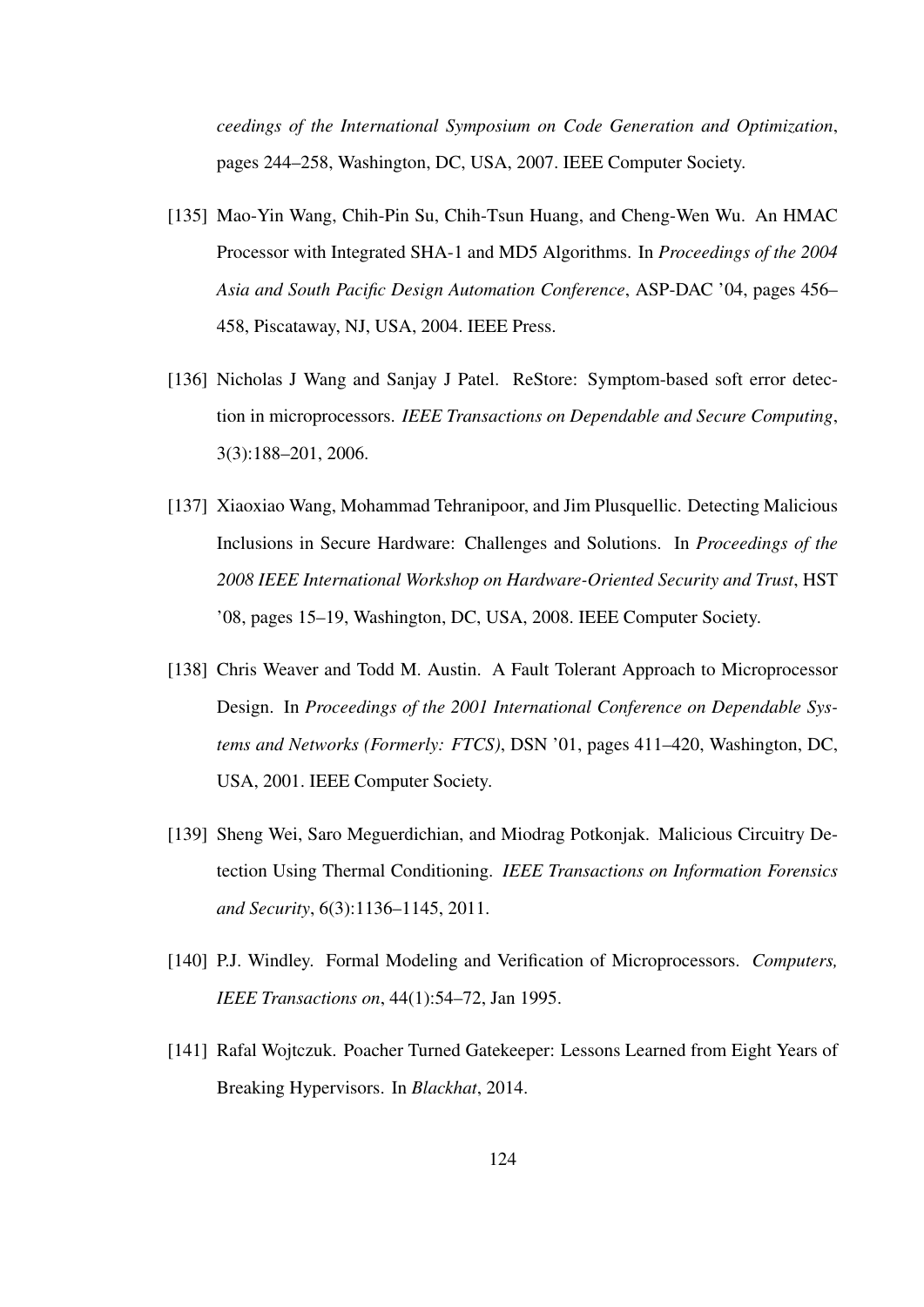*ceedings of the International Symposium on Code Generation and Optimization*, pages 244–258, Washington, DC, USA, 2007. IEEE Computer Society.

- [135] Mao-Yin Wang, Chih-Pin Su, Chih-Tsun Huang, and Cheng-Wen Wu. An HMAC Processor with Integrated SHA-1 and MD5 Algorithms. In *Proceedings of the 2004 Asia and South Pacific Design Automation Conference*, ASP-DAC '04, pages 456– 458, Piscataway, NJ, USA, 2004. IEEE Press.
- [136] Nicholas J Wang and Sanjay J Patel. ReStore: Symptom-based soft error detection in microprocessors. *IEEE Transactions on Dependable and Secure Computing*, 3(3):188–201, 2006.
- [137] Xiaoxiao Wang, Mohammad Tehranipoor, and Jim Plusquellic. Detecting Malicious Inclusions in Secure Hardware: Challenges and Solutions. In *Proceedings of the 2008 IEEE International Workshop on Hardware-Oriented Security and Trust*, HST '08, pages 15–19, Washington, DC, USA, 2008. IEEE Computer Society.
- [138] Chris Weaver and Todd M. Austin. A Fault Tolerant Approach to Microprocessor Design. In *Proceedings of the 2001 International Conference on Dependable Systems and Networks (Formerly: FTCS)*, DSN '01, pages 411–420, Washington, DC, USA, 2001. IEEE Computer Society.
- [139] Sheng Wei, Saro Meguerdichian, and Miodrag Potkonjak. Malicious Circuitry Detection Using Thermal Conditioning. *IEEE Transactions on Information Forensics and Security*, 6(3):1136–1145, 2011.
- [140] P.J. Windley. Formal Modeling and Verification of Microprocessors. *Computers, IEEE Transactions on*, 44(1):54–72, Jan 1995.
- [141] Rafal Wojtczuk. Poacher Turned Gatekeeper: Lessons Learned from Eight Years of Breaking Hypervisors. In *Blackhat*, 2014.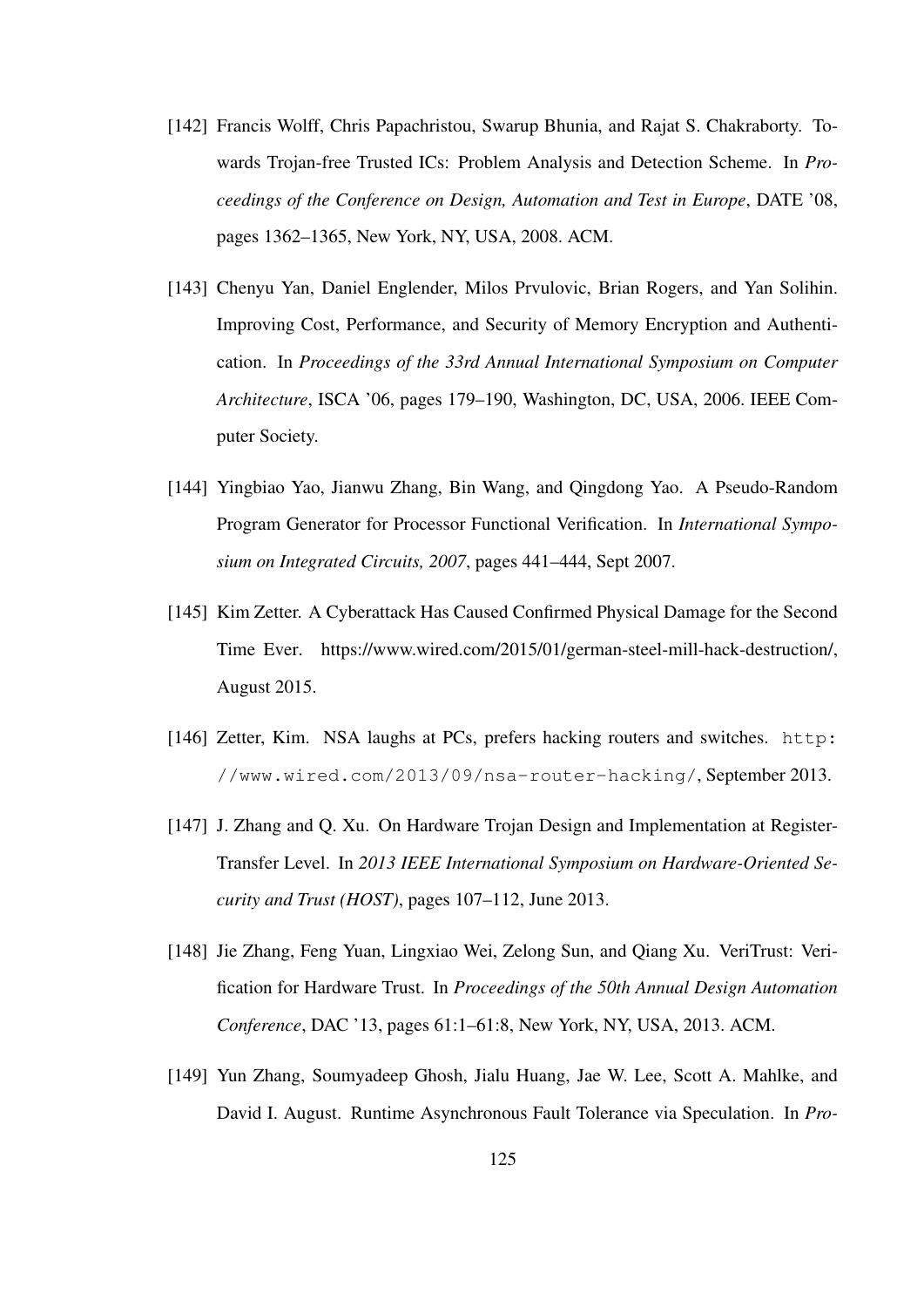- [142] Francis Wolff, Chris Papachristou, Swarup Bhunia, and Rajat S. Chakraborty. Towards Trojan-free Trusted ICs: Problem Analysis and Detection Scheme. In *Proceedings of the Conference on Design, Automation and Test in Europe*, DATE '08, pages 1362–1365, New York, NY, USA, 2008. ACM.
- [143] Chenyu Yan, Daniel Englender, Milos Prvulovic, Brian Rogers, and Yan Solihin. Improving Cost, Performance, and Security of Memory Encryption and Authentication. In *Proceedings of the 33rd Annual International Symposium on Computer Architecture*, ISCA '06, pages 179–190, Washington, DC, USA, 2006. IEEE Computer Society.
- [144] Yingbiao Yao, Jianwu Zhang, Bin Wang, and Qingdong Yao. A Pseudo-Random Program Generator for Processor Functional Verification. In *International Symposium on Integrated Circuits, 2007*, pages 441–444, Sept 2007.
- [145] Kim Zetter. A Cyberattack Has Caused Confirmed Physical Damage for the Second Time Ever. https://www.wired.com/2015/01/german-steel-mill-hack-destruction/, August 2015.
- [146] Zetter, Kim. NSA laughs at PCs, prefers hacking routers and switches. http: //www.wired.com/2013/09/nsa-router-hacking/, September 2013.
- [147] J. Zhang and Q. Xu. On Hardware Trojan Design and Implementation at Register-Transfer Level. In *2013 IEEE International Symposium on Hardware-Oriented Security and Trust (HOST)*, pages 107–112, June 2013.
- [148] Jie Zhang, Feng Yuan, Lingxiao Wei, Zelong Sun, and Qiang Xu. VeriTrust: Verification for Hardware Trust. In *Proceedings of the 50th Annual Design Automation Conference*, DAC '13, pages 61:1–61:8, New York, NY, USA, 2013. ACM.
- [149] Yun Zhang, Soumyadeep Ghosh, Jialu Huang, Jae W. Lee, Scott A. Mahlke, and David I. August. Runtime Asynchronous Fault Tolerance via Speculation. In *Pro-*